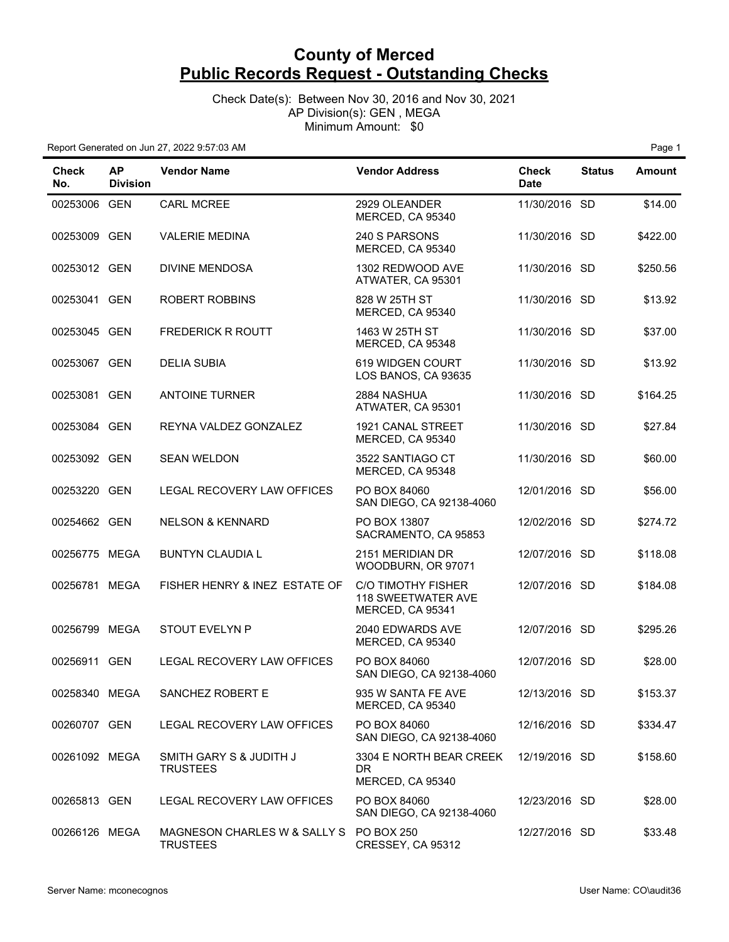Check Date(s): Between Nov 30, 2016 and Nov 30, 2021 AP Division(s): GEN , MEGA Minimum Amount: \$0

| <b>Check</b><br>No. | <b>AP</b><br><b>Division</b> | <b>Vendor Name</b>                                         | <b>Vendor Address</b>                                               | <b>Check</b><br><b>Date</b> | <b>Status</b> | <b>Amount</b> |
|---------------------|------------------------------|------------------------------------------------------------|---------------------------------------------------------------------|-----------------------------|---------------|---------------|
| 00253006 GEN        |                              | <b>CARL MCREE</b>                                          | 2929 OLEANDER<br>MERCED, CA 95340                                   | 11/30/2016 SD               |               | \$14.00       |
| 00253009 GEN        |                              | <b>VALERIE MEDINA</b>                                      | 240 S PARSONS<br>MERCED, CA 95340                                   | 11/30/2016 SD               |               | \$422.00      |
| 00253012 GEN        |                              | <b>DIVINE MENDOSA</b>                                      | 1302 REDWOOD AVE<br>ATWATER, CA 95301                               | 11/30/2016 SD               |               | \$250.56      |
| 00253041 GEN        |                              | <b>ROBERT ROBBINS</b>                                      | 828 W 25TH ST<br>MERCED, CA 95340                                   | 11/30/2016 SD               |               | \$13.92       |
| 00253045 GEN        |                              | <b>FREDERICK R ROUTT</b>                                   | 1463 W 25TH ST<br>MERCED, CA 95348                                  | 11/30/2016 SD               |               | \$37.00       |
| 00253067 GEN        |                              | <b>DELIA SUBIA</b>                                         | 619 WIDGEN COURT<br>LOS BANOS, CA 93635                             | 11/30/2016 SD               |               | \$13.92       |
| 00253081 GEN        |                              | <b>ANTOINE TURNER</b>                                      | 2884 NASHUA<br>ATWATER, CA 95301                                    | 11/30/2016 SD               |               | \$164.25      |
| 00253084 GEN        |                              | REYNA VALDEZ GONZALEZ                                      | 1921 CANAL STREET<br>MERCED, CA 95340                               | 11/30/2016 SD               |               | \$27.84       |
| 00253092 GEN        |                              | <b>SEAN WELDON</b>                                         | 3522 SANTIAGO CT<br>MERCED, CA 95348                                | 11/30/2016 SD               |               | \$60.00       |
| 00253220 GEN        |                              | LEGAL RECOVERY LAW OFFICES                                 | PO BOX 84060<br>SAN DIEGO, CA 92138-4060                            | 12/01/2016 SD               |               | \$56.00       |
| 00254662 GEN        |                              | <b>NELSON &amp; KENNARD</b>                                | PO BOX 13807<br>SACRAMENTO, CA 95853                                | 12/02/2016 SD               |               | \$274.72      |
| 00256775 MEGA       |                              | <b>BUNTYN CLAUDIA L</b>                                    | 2151 MERIDIAN DR<br>WOODBURN, OR 97071                              | 12/07/2016 SD               |               | \$118.08      |
| 00256781 MEGA       |                              | FISHER HENRY & INEZ ESTATE OF                              | <b>C/O TIMOTHY FISHER</b><br>118 SWEETWATER AVE<br>MERCED, CA 95341 | 12/07/2016 SD               |               | \$184.08      |
| 00256799 MEGA       |                              | <b>STOUT EVELYN P</b>                                      | 2040 EDWARDS AVE<br>MERCED, CA 95340                                | 12/07/2016 SD               |               | \$295.26      |
| 00256911 GEN        |                              | LEGAL RECOVERY LAW OFFICES                                 | PO BOX 84060<br>SAN DIEGO, CA 92138-4060                            | 12/07/2016 SD               |               | \$28.00       |
| 00258340 MEGA       |                              | SANCHEZ ROBERT E                                           | 935 W SANTA FE AVE<br>MERCED, CA 95340                              | 12/13/2016 SD               |               | \$153.37      |
| 00260707 GEN        |                              | LEGAL RECOVERY LAW OFFICES                                 | PO BOX 84060<br>SAN DIEGO, CA 92138-4060                            | 12/16/2016 SD               |               | \$334.47      |
| 00261092 MEGA       |                              | SMITH GARY S & JUDITH J<br><b>TRUSTEES</b>                 | 3304 E NORTH BEAR CREEK<br>DR.<br>MERCED, CA 95340                  | 12/19/2016 SD               |               | \$158.60      |
| 00265813 GEN        |                              | LEGAL RECOVERY LAW OFFICES                                 | PO BOX 84060<br>SAN DIEGO, CA 92138-4060                            | 12/23/2016 SD               |               | \$28.00       |
| 00266126 MEGA       |                              | MAGNESON CHARLES W & SALLY S PO BOX 250<br><b>TRUSTEES</b> | CRESSEY, CA 95312                                                   | 12/27/2016 SD               |               | \$33.48       |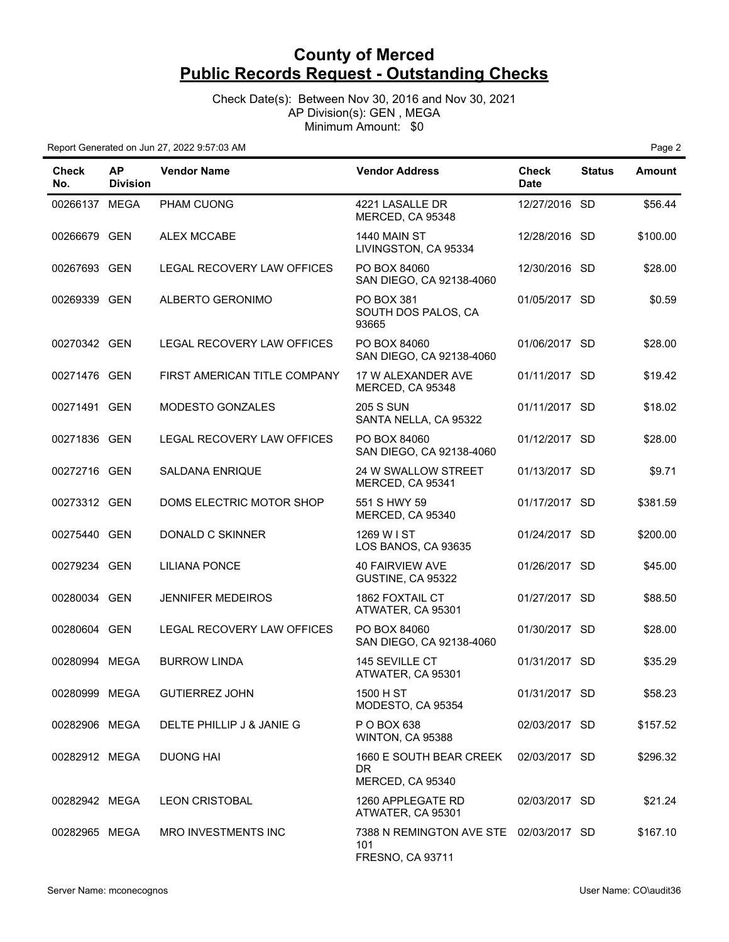Check Date(s): Between Nov 30, 2016 and Nov 30, 2021 AP Division(s): GEN , MEGA Minimum Amount: \$0

| Check<br>No.  | AP.<br><b>Division</b> | <b>Vendor Name</b>           | <b>Vendor Address</b>                                             | Check<br><b>Date</b> | <b>Status</b> | <b>Amount</b> |
|---------------|------------------------|------------------------------|-------------------------------------------------------------------|----------------------|---------------|---------------|
| 00266137 MEGA |                        | PHAM CUONG                   | 4221 LASALLE DR<br>MERCED, CA 95348                               | 12/27/2016 SD        |               | \$56.44       |
| 00266679 GEN  |                        | <b>ALEX MCCABE</b>           | <b>1440 MAIN ST</b><br>LIVINGSTON, CA 95334                       | 12/28/2016 SD        |               | \$100.00      |
| 00267693 GEN  |                        | LEGAL RECOVERY LAW OFFICES   | PO BOX 84060<br>SAN DIEGO, CA 92138-4060                          | 12/30/2016 SD        |               | \$28.00       |
| 00269339 GEN  |                        | ALBERTO GERONIMO             | PO BOX 381<br>SOUTH DOS PALOS, CA<br>93665                        | 01/05/2017 SD        |               | \$0.59        |
| 00270342 GEN  |                        | LEGAL RECOVERY LAW OFFICES   | PO BOX 84060<br>SAN DIEGO, CA 92138-4060                          | 01/06/2017 SD        |               | \$28.00       |
| 00271476 GEN  |                        | FIRST AMERICAN TITLE COMPANY | 17 W ALEXANDER AVE<br>MERCED, CA 95348                            | 01/11/2017 SD        |               | \$19.42       |
| 00271491 GEN  |                        | MODESTO GONZALES             | <b>205 S SUN</b><br>SANTA NELLA, CA 95322                         | 01/11/2017 SD        |               | \$18.02       |
| 00271836 GEN  |                        | LEGAL RECOVERY LAW OFFICES   | PO BOX 84060<br>SAN DIEGO, CA 92138-4060                          | 01/12/2017 SD        |               | \$28.00       |
| 00272716 GEN  |                        | <b>SALDANA ENRIQUE</b>       | 24 W SWALLOW STREET<br>MERCED, CA 95341                           | 01/13/2017 SD        |               | \$9.71        |
| 00273312 GEN  |                        | DOMS ELECTRIC MOTOR SHOP     | 551 S HWY 59<br>MERCED, CA 95340                                  | 01/17/2017 SD        |               | \$381.59      |
| 00275440 GEN  |                        | DONALD C SKINNER             | 1269 W I ST<br>LOS BANOS, CA 93635                                | 01/24/2017 SD        |               | \$200.00      |
| 00279234 GEN  |                        | <b>LILIANA PONCE</b>         | <b>40 FAIRVIEW AVE</b><br>GUSTINE, CA 95322                       | 01/26/2017 SD        |               | \$45.00       |
| 00280034 GEN  |                        | <b>JENNIFER MEDEIROS</b>     | 1862 FOXTAIL CT<br>ATWATER, CA 95301                              | 01/27/2017 SD        |               | \$88.50       |
| 00280604 GEN  |                        | LEGAL RECOVERY LAW OFFICES   | PO BOX 84060<br>SAN DIEGO, CA 92138-4060                          | 01/30/2017 SD        |               | \$28.00       |
| 00280994 MEGA |                        | <b>BURROW LINDA</b>          | 145 SEVILLE CT<br>ATWATER, CA 95301                               | 01/31/2017 SD        |               | \$35.29       |
| 00280999 MEGA |                        | <b>GUTIERREZ JOHN</b>        | 1500 H ST<br>MODESTO, CA 95354                                    | 01/31/2017 SD        |               | \$58.23       |
| 00282906 MEGA |                        | DELTE PHILLIP J & JANIE G    | P O BOX 638<br>WINTON, CA 95388                                   | 02/03/2017 SD        |               | \$157.52      |
| 00282912 MEGA |                        | <b>DUONG HAI</b>             | 1660 E SOUTH BEAR CREEK<br>DR.<br>MERCED, CA 95340                | 02/03/2017 SD        |               | \$296.32      |
| 00282942 MEGA |                        | <b>LEON CRISTOBAL</b>        | 1260 APPLEGATE RD<br>ATWATER, CA 95301                            | 02/03/2017 SD        |               | \$21.24       |
| 00282965 MEGA |                        | MRO INVESTMENTS INC          | 7388 N REMINGTON AVE STE 02/03/2017 SD<br>101<br>FRESNO, CA 93711 |                      |               | \$167.10      |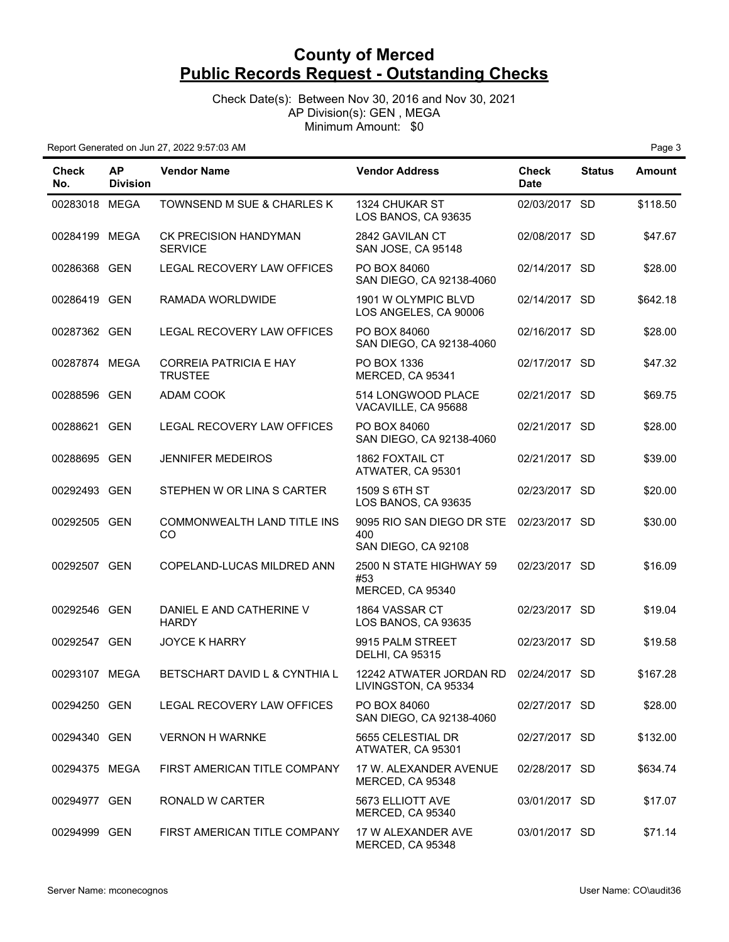Check Date(s): Between Nov 30, 2016 and Nov 30, 2021 AP Division(s): GEN , MEGA Minimum Amount: \$0

| <b>Check</b><br>No. | <b>AP</b><br><b>Division</b> | <b>Vendor Name</b>                             | <b>Vendor Address</b>                                   | <b>Check</b><br><b>Date</b> | <b>Status</b> | <b>Amount</b> |
|---------------------|------------------------------|------------------------------------------------|---------------------------------------------------------|-----------------------------|---------------|---------------|
| 00283018 MEGA       |                              | TOWNSEND M SUE & CHARLES K                     | 1324 CHUKAR ST<br>LOS BANOS, CA 93635                   | 02/03/2017 SD               |               | \$118.50      |
| 00284199 MEGA       |                              | <b>CK PRECISION HANDYMAN</b><br><b>SERVICE</b> | 2842 GAVILAN CT<br>SAN JOSE, CA 95148                   | 02/08/2017 SD               |               | \$47.67       |
| 00286368 GEN        |                              | LEGAL RECOVERY LAW OFFICES                     | PO BOX 84060<br>SAN DIEGO, CA 92138-4060                | 02/14/2017 SD               |               | \$28.00       |
| 00286419 GEN        |                              | RAMADA WORLDWIDE                               | 1901 W OLYMPIC BLVD<br>LOS ANGELES, CA 90006            | 02/14/2017 SD               |               | \$642.18      |
| 00287362 GEN        |                              | LEGAL RECOVERY LAW OFFICES                     | PO BOX 84060<br>SAN DIEGO, CA 92138-4060                | 02/16/2017 SD               |               | \$28.00       |
| 00287874 MEGA       |                              | CORREIA PATRICIA E HAY<br><b>TRUSTEE</b>       | PO BOX 1336<br>MERCED, CA 95341                         | 02/17/2017 SD               |               | \$47.32       |
| 00288596 GEN        |                              | <b>ADAM COOK</b>                               | 514 LONGWOOD PLACE<br>VACAVILLE, CA 95688               | 02/21/2017 SD               |               | \$69.75       |
| 00288621 GEN        |                              | LEGAL RECOVERY LAW OFFICES                     | PO BOX 84060<br>SAN DIEGO, CA 92138-4060                | 02/21/2017 SD               |               | \$28.00       |
| 00288695 GEN        |                              | <b>JENNIFER MEDEIROS</b>                       | <b>1862 FOXTAIL CT</b><br>ATWATER, CA 95301             | 02/21/2017 SD               |               | \$39.00       |
| 00292493 GEN        |                              | STEPHEN W OR LINA S CARTER                     | 1509 S 6TH ST<br>LOS BANOS, CA 93635                    | 02/23/2017 SD               |               | \$20.00       |
| 00292505 GEN        |                              | COMMONWEALTH LAND TITLE INS<br><b>CO</b>       | 9095 RIO SAN DIEGO DR STE<br>400<br>SAN DIEGO, CA 92108 | 02/23/2017 SD               |               | \$30.00       |
| 00292507 GEN        |                              | COPELAND-LUCAS MILDRED ANN                     | 2500 N STATE HIGHWAY 59<br>#53<br>MERCED, CA 95340      | 02/23/2017 SD               |               | \$16.09       |
| 00292546 GEN        |                              | DANIEL E AND CATHERINE V<br><b>HARDY</b>       | 1864 VASSAR CT<br>LOS BANOS, CA 93635                   | 02/23/2017 SD               |               | \$19.04       |
| 00292547 GEN        |                              | <b>JOYCE K HARRY</b>                           | 9915 PALM STREET<br><b>DELHI, CA 95315</b>              | 02/23/2017 SD               |               | \$19.58       |
| 00293107 MEGA       |                              | BETSCHART DAVID L & CYNTHIA L                  | 12242 ATWATER JORDAN RD<br>LIVINGSTON, CA 95334         | 02/24/2017 SD               |               | \$167.28      |
| 00294250 GEN        |                              | LEGAL RECOVERY LAW OFFICES                     | PO BOX 84060<br>SAN DIEGO, CA 92138-4060                | 02/27/2017 SD               |               | \$28.00       |
| 00294340 GEN        |                              | <b>VERNON H WARNKE</b>                         | 5655 CELESTIAL DR<br>ATWATER, CA 95301                  | 02/27/2017 SD               |               | \$132.00      |
| 00294375 MEGA       |                              | FIRST AMERICAN TITLE COMPANY                   | 17 W. ALEXANDER AVENUE<br>MERCED, CA 95348              | 02/28/2017 SD               |               | \$634.74      |
| 00294977 GEN        |                              | RONALD W CARTER                                | 5673 ELLIOTT AVE<br>MERCED, CA 95340                    | 03/01/2017 SD               |               | \$17.07       |
| 00294999 GEN        |                              | FIRST AMERICAN TITLE COMPANY                   | 17 W ALEXANDER AVE<br>MERCED, CA 95348                  | 03/01/2017 SD               |               | \$71.14       |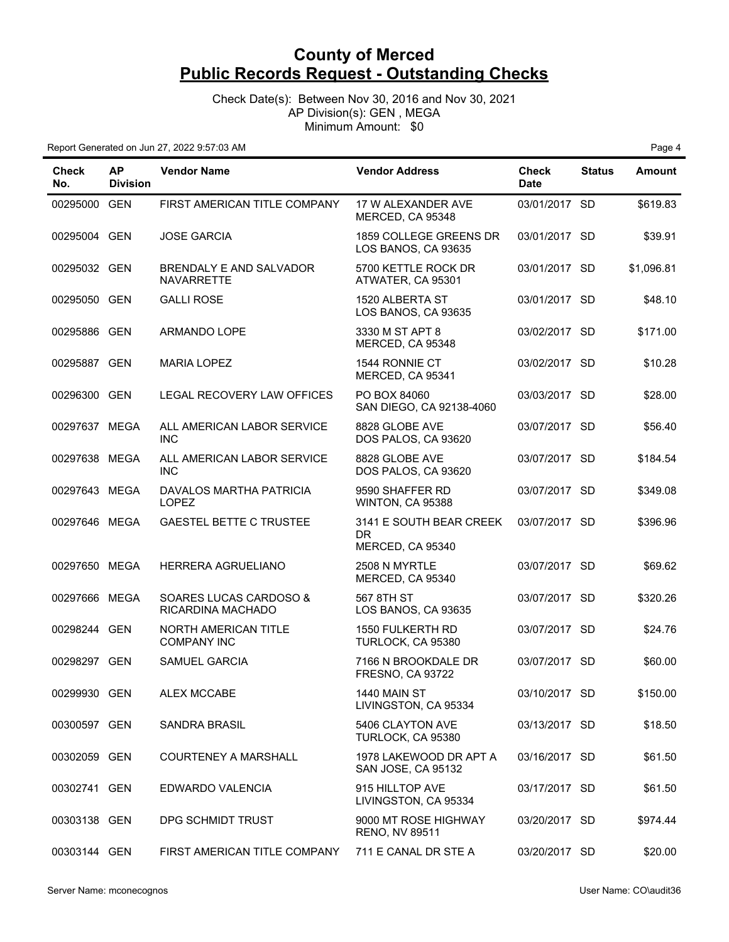Check Date(s): Between Nov 30, 2016 and Nov 30, 2021 AP Division(s): GEN , MEGA Minimum Amount: \$0

| Check<br>No.  | ΑP<br><b>Division</b> | <b>Vendor Name</b>                             | <b>Vendor Address</b>                              | Check<br><b>Date</b> | <b>Status</b> | <b>Amount</b> |
|---------------|-----------------------|------------------------------------------------|----------------------------------------------------|----------------------|---------------|---------------|
| 00295000 GEN  |                       | FIRST AMERICAN TITLE COMPANY                   | 17 W ALEXANDER AVE<br>MERCED, CA 95348             | 03/01/2017 SD        |               | \$619.83      |
| 00295004 GEN  |                       | <b>JOSE GARCIA</b>                             | 1859 COLLEGE GREENS DR<br>LOS BANOS, CA 93635      | 03/01/2017 SD        |               | \$39.91       |
| 00295032 GEN  |                       | BRENDALY E AND SALVADOR<br>NAVARRETTE          | 5700 KETTLE ROCK DR<br>ATWATER, CA 95301           | 03/01/2017 SD        |               | \$1,096.81    |
| 00295050 GEN  |                       | <b>GALLI ROSE</b>                              | 1520 ALBERTA ST<br>LOS BANOS, CA 93635             | 03/01/2017 SD        |               | \$48.10       |
| 00295886 GEN  |                       | ARMANDO LOPE                                   | 3330 M ST APT 8<br>MERCED, CA 95348                | 03/02/2017 SD        |               | \$171.00      |
| 00295887 GEN  |                       | <b>MARIA LOPEZ</b>                             | 1544 RONNIE CT<br>MERCED, CA 95341                 | 03/02/2017 SD        |               | \$10.28       |
| 00296300 GEN  |                       | LEGAL RECOVERY LAW OFFICES                     | PO BOX 84060<br>SAN DIEGO, CA 92138-4060           | 03/03/2017 SD        |               | \$28.00       |
| 00297637 MEGA |                       | ALL AMERICAN LABOR SERVICE<br><b>INC</b>       | 8828 GLOBE AVE<br>DOS PALOS, CA 93620              | 03/07/2017 SD        |               | \$56.40       |
| 00297638 MEGA |                       | ALL AMERICAN LABOR SERVICE<br><b>INC</b>       | 8828 GLOBE AVE<br>DOS PALOS, CA 93620              | 03/07/2017 SD        |               | \$184.54      |
| 00297643 MEGA |                       | <b>DAVALOS MARTHA PATRICIA</b><br><b>LOPEZ</b> | 9590 SHAFFER RD<br>WINTON, CA 95388                | 03/07/2017 SD        |               | \$349.08      |
| 00297646 MEGA |                       | <b>GAESTEL BETTE C TRUSTEE</b>                 | 3141 E SOUTH BEAR CREEK<br>DR.<br>MERCED, CA 95340 | 03/07/2017 SD        |               | \$396.96      |
| 00297650 MEGA |                       | HERRERA AGRUELIANO                             | 2508 N MYRTLE<br>MERCED, CA 95340                  | 03/07/2017 SD        |               | \$69.62       |
| 00297666 MEGA |                       | SOARES LUCAS CARDOSO &<br>RICARDINA MACHADO    | 567 8TH ST<br>LOS BANOS, CA 93635                  | 03/07/2017 SD        |               | \$320.26      |
| 00298244 GEN  |                       | NORTH AMERICAN TITLE<br><b>COMPANY INC</b>     | 1550 FULKERTH RD<br>TURLOCK, CA 95380              | 03/07/2017 SD        |               | \$24.76       |
| 00298297 GEN  |                       | <b>SAMUEL GARCIA</b>                           | 7166 N BROOKDALE DR<br><b>FRESNO, CA 93722</b>     | 03/07/2017 SD        |               | \$60.00       |
| 00299930 GEN  |                       | ALEX MCCABE                                    | 1440 MAIN ST<br>LIVINGSTON, CA 95334               | 03/10/2017 SD        |               | \$150.00      |
| 00300597 GEN  |                       | <b>SANDRA BRASIL</b>                           | 5406 CLAYTON AVE<br>TURLOCK, CA 95380              | 03/13/2017 SD        |               | \$18.50       |
| 00302059 GEN  |                       | <b>COURTENEY A MARSHALL</b>                    | 1978 LAKEWOOD DR APT A<br>SAN JOSE, CA 95132       | 03/16/2017 SD        |               | \$61.50       |
| 00302741 GEN  |                       | EDWARDO VALENCIA                               | 915 HILLTOP AVE<br>LIVINGSTON, CA 95334            | 03/17/2017 SD        |               | \$61.50       |
| 00303138 GEN  |                       | DPG SCHMIDT TRUST                              | 9000 MT ROSE HIGHWAY<br>RENO, NV 89511             | 03/20/2017 SD        |               | \$974.44      |
| 00303144 GEN  |                       | FIRST AMERICAN TITLE COMPANY                   | 711 E CANAL DR STE A                               | 03/20/2017 SD        |               | \$20.00       |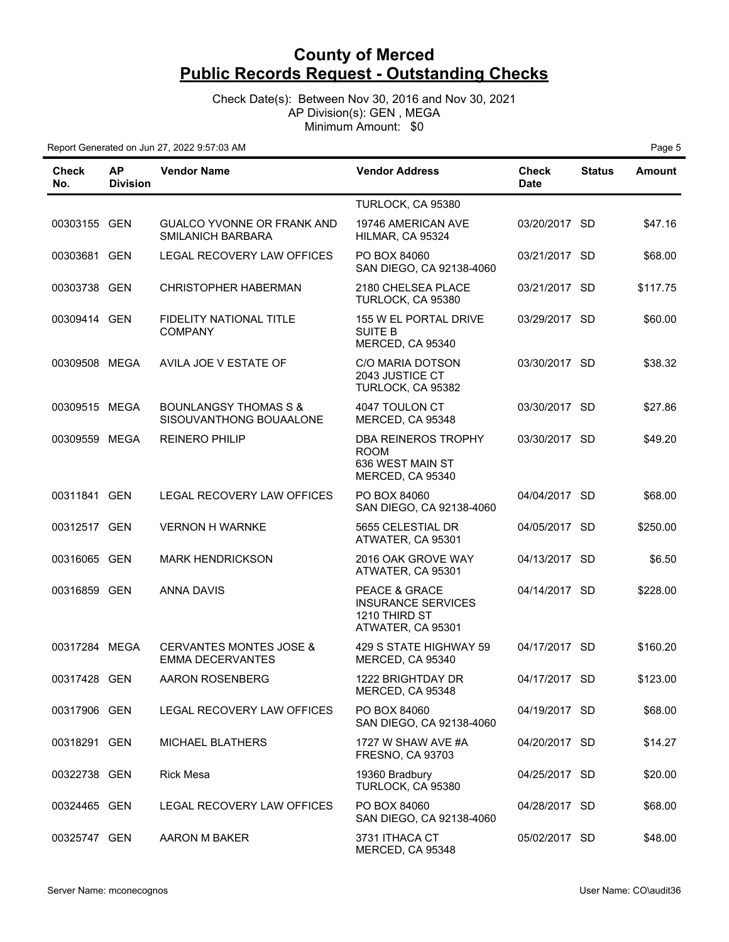Check Date(s): Between Nov 30, 2016 and Nov 30, 2021 AP Division(s): GEN , MEGA Minimum Amount: \$0

| Check<br>No.  | <b>AP</b><br><b>Division</b> | <b>Vendor Name</b>                                            | <b>Vendor Address</b>                                                            | Check<br><b>Date</b> | <b>Status</b> | <b>Amount</b> |
|---------------|------------------------------|---------------------------------------------------------------|----------------------------------------------------------------------------------|----------------------|---------------|---------------|
|               |                              |                                                               | TURLOCK, CA 95380                                                                |                      |               |               |
| 00303155 GEN  |                              | GUALCO YVONNE OR FRANK AND<br>SMILANICH BARBARA               | 19746 AMERICAN AVE<br>HILMAR, CA 95324                                           | 03/20/2017 SD        |               | \$47.16       |
| 00303681 GEN  |                              | LEGAL RECOVERY LAW OFFICES                                    | PO BOX 84060<br>SAN DIEGO, CA 92138-4060                                         | 03/21/2017 SD        |               | \$68.00       |
| 00303738 GEN  |                              | <b>CHRISTOPHER HABERMAN</b>                                   | 2180 CHELSEA PLACE<br>TURLOCK, CA 95380                                          | 03/21/2017 SD        |               | \$117.75      |
| 00309414 GEN  |                              | FIDELITY NATIONAL TITLE<br>COMPANY                            | 155 W EL PORTAL DRIVE<br><b>SUITE B</b><br>MERCED, CA 95340                      | 03/29/2017 SD        |               | \$60.00       |
| 00309508 MEGA |                              | AVILA JOE V ESTATE OF                                         | C/O MARIA DOTSON<br>2043 JUSTICE CT<br>TURLOCK, CA 95382                         | 03/30/2017 SD        |               | \$38.32       |
| 00309515 MEGA |                              | <b>BOUNLANGSY THOMAS S &amp;</b><br>SISOUVANTHONG BOUAALONE   | 4047 TOULON CT<br>MERCED, CA 95348                                               | 03/30/2017 SD        |               | \$27.86       |
| 00309559 MEGA |                              | <b>REINERO PHILIP</b>                                         | DBA REINEROS TROPHY<br><b>ROOM</b><br>636 WEST MAIN ST<br>MERCED, CA 95340       | 03/30/2017 SD        |               | \$49.20       |
| 00311841 GEN  |                              | LEGAL RECOVERY LAW OFFICES                                    | PO BOX 84060<br>SAN DIEGO, CA 92138-4060                                         | 04/04/2017 SD        |               | \$68.00       |
| 00312517 GEN  |                              | <b>VERNON H WARNKE</b>                                        | 5655 CELESTIAL DR<br>ATWATER, CA 95301                                           | 04/05/2017 SD        |               | \$250.00      |
| 00316065 GEN  |                              | <b>MARK HENDRICKSON</b>                                       | 2016 OAK GROVE WAY<br>ATWATER, CA 95301                                          | 04/13/2017 SD        |               | \$6.50        |
| 00316859 GEN  |                              | ANNA DAVIS                                                    | PEACE & GRACE<br><b>INSURANCE SERVICES</b><br>1210 THIRD ST<br>ATWATER, CA 95301 | 04/14/2017 SD        |               | \$228.00      |
| 00317284 MEGA |                              | <b>CERVANTES MONTES JOSE &amp;</b><br><b>EMMA DECERVANTES</b> | 429 S STATE HIGHWAY 59<br>MERCED, CA 95340                                       | 04/17/2017 SD        |               | \$160.20      |
| 00317428 GEN  |                              | <b>AARON ROSENBERG</b>                                        | 1222 BRIGHTDAY DR<br>MERCED, CA 95348                                            | 04/17/2017 SD        |               | \$123.00      |
| 00317906 GEN  |                              | LEGAL RECOVERY LAW OFFICES                                    | PO BOX 84060<br>SAN DIEGO, CA 92138-4060                                         | 04/19/2017 SD        |               | \$68.00       |
| 00318291 GEN  |                              | MICHAEL BLATHERS                                              | 1727 W SHAW AVE #A<br><b>FRESNO, CA 93703</b>                                    | 04/20/2017 SD        |               | \$14.27       |
| 00322738 GEN  |                              | <b>Rick Mesa</b>                                              | 19360 Bradbury<br>TURLOCK, CA 95380                                              | 04/25/2017 SD        |               | \$20.00       |
| 00324465 GEN  |                              | LEGAL RECOVERY LAW OFFICES                                    | PO BOX 84060<br>SAN DIEGO, CA 92138-4060                                         | 04/28/2017 SD        |               | \$68.00       |
| 00325747 GEN  |                              | AARON M BAKER                                                 | 3731 ITHACA CT<br>MERCED, CA 95348                                               | 05/02/2017 SD        |               | \$48.00       |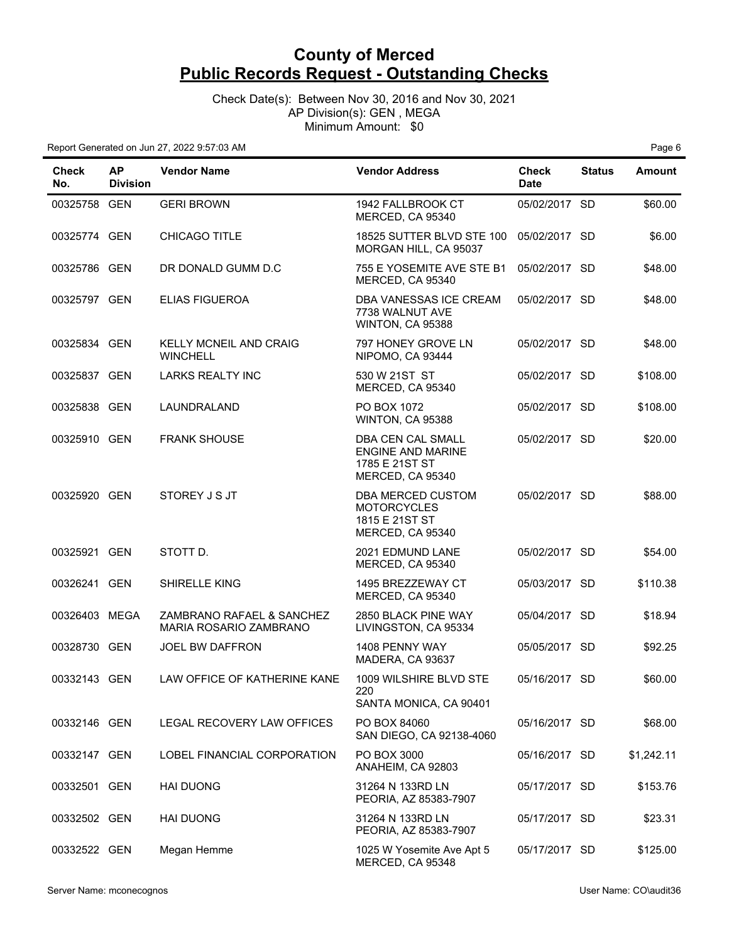Check Date(s): Between Nov 30, 2016 and Nov 30, 2021 AP Division(s): GEN , MEGA Minimum Amount: \$0

| <b>Check</b><br>No. | <b>AP</b><br><b>Division</b> | <b>Vendor Name</b>                                  | <b>Vendor Address</b>                                                               | <b>Check</b><br><b>Date</b> | <b>Status</b> | <b>Amount</b> |
|---------------------|------------------------------|-----------------------------------------------------|-------------------------------------------------------------------------------------|-----------------------------|---------------|---------------|
| 00325758 GEN        |                              | <b>GERI BROWN</b>                                   | 1942 FALLBROOK CT<br>MERCED, CA 95340                                               | 05/02/2017 SD               |               | \$60.00       |
| 00325774 GEN        |                              | CHICAGO TITLE                                       | 18525 SUTTER BLVD STE 100<br>MORGAN HILL, CA 95037                                  | 05/02/2017 SD               |               | \$6.00        |
| 00325786 GEN        |                              | DR DONALD GUMM D.C.                                 | 755 E YOSEMITE AVE STE B1<br>MERCED, CA 95340                                       | 05/02/2017 SD               |               | \$48.00       |
| 00325797 GEN        |                              | <b>ELIAS FIGUEROA</b>                               | DBA VANESSAS ICE CREAM<br>7738 WALNUT AVE<br>WINTON, CA 95388                       | 05/02/2017 SD               |               | \$48.00       |
| 00325834 GEN        |                              | KELLY MCNEIL AND CRAIG<br><b>WINCHELL</b>           | 797 HONEY GROVE LN<br>NIPOMO, CA 93444                                              | 05/02/2017 SD               |               | \$48.00       |
| 00325837 GEN        |                              | <b>LARKS REALTY INC</b>                             | 530 W 21ST ST<br>MERCED, CA 95340                                                   | 05/02/2017 SD               |               | \$108.00      |
| 00325838 GEN        |                              | LAUNDRALAND                                         | PO BOX 1072<br>WINTON, CA 95388                                                     | 05/02/2017 SD               |               | \$108.00      |
| 00325910 GEN        |                              | <b>FRANK SHOUSE</b>                                 | DBA CEN CAL SMALL<br><b>ENGINE AND MARINE</b><br>1785 E 21ST ST<br>MERCED, CA 95340 | 05/02/2017 SD               |               | \$20.00       |
| 00325920 GEN        |                              | STOREY J S JT                                       | DBA MERCED CUSTOM<br><b>MOTORCYCLES</b><br>1815 E 21ST ST<br>MERCED, CA 95340       | 05/02/2017 SD               |               | \$88.00       |
| 00325921 GEN        |                              | STOTT D.                                            | 2021 EDMUND LANE<br>MERCED, CA 95340                                                | 05/02/2017 SD               |               | \$54.00       |
| 00326241 GEN        |                              | SHIRELLE KING                                       | 1495 BREZZEWAY CT<br>MERCED, CA 95340                                               | 05/03/2017 SD               |               | \$110.38      |
| 00326403 MEGA       |                              | ZAMBRANO RAFAEL & SANCHEZ<br>MARIA ROSARIO ZAMBRANO | 2850 BLACK PINE WAY<br>LIVINGSTON, CA 95334                                         | 05/04/2017 SD               |               | \$18.94       |
| 00328730 GEN        |                              | <b>JOEL BW DAFFRON</b>                              | 1408 PENNY WAY<br>MADERA, CA 93637                                                  | 05/05/2017 SD               |               | \$92.25       |
| 00332143 GEN        |                              | LAW OFFICE OF KATHERINE KANE                        | 1009 WILSHIRE BLVD STE<br>220<br>SANTA MONICA, CA 90401                             | 05/16/2017 SD               |               | \$60.00       |
| 00332146 GEN        |                              | LEGAL RECOVERY LAW OFFICES                          | PO BOX 84060<br>SAN DIEGO, CA 92138-4060                                            | 05/16/2017 SD               |               | \$68.00       |
| 00332147 GEN        |                              | LOBEL FINANCIAL CORPORATION                         | PO BOX 3000<br>ANAHEIM, CA 92803                                                    | 05/16/2017 SD               |               | \$1,242.11    |
| 00332501 GEN        |                              | <b>HAI DUONG</b>                                    | 31264 N 133RD LN<br>PEORIA, AZ 85383-7907                                           | 05/17/2017 SD               |               | \$153.76      |
| 00332502 GEN        |                              | <b>HAI DUONG</b>                                    | 31264 N 133RD LN<br>PEORIA, AZ 85383-7907                                           | 05/17/2017 SD               |               | \$23.31       |
| 00332522 GEN        |                              | Megan Hemme                                         | 1025 W Yosemite Ave Apt 5<br>MERCED, CA 95348                                       | 05/17/2017 SD               |               | \$125.00      |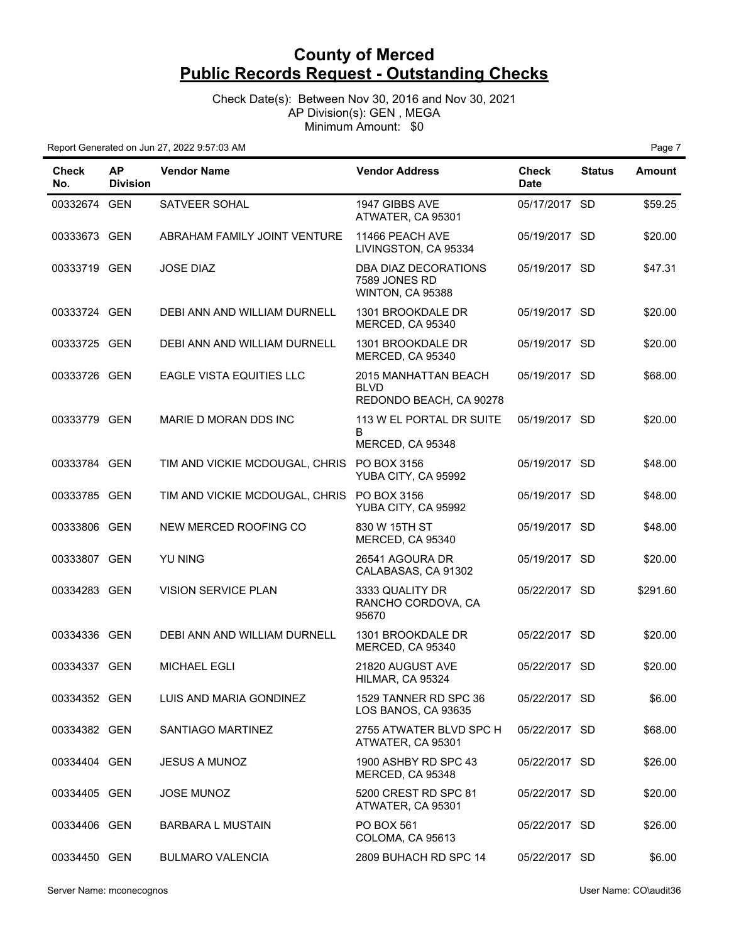Check Date(s): Between Nov 30, 2016 and Nov 30, 2021 AP Division(s): GEN , MEGA Minimum Amount: \$0

| <b>Check</b><br>No. | <b>AP</b><br><b>Division</b> | <b>Vendor Name</b>                         | <b>Vendor Address</b>                                          | <b>Check</b><br><b>Date</b> | <b>Status</b> | <b>Amount</b> |
|---------------------|------------------------------|--------------------------------------------|----------------------------------------------------------------|-----------------------------|---------------|---------------|
| 00332674 GEN        |                              | SATVEER SOHAL                              | 1947 GIBBS AVE<br>ATWATER, CA 95301                            | 05/17/2017 SD               |               | \$59.25       |
| 00333673 GEN        |                              | ABRAHAM FAMILY JOINT VENTURE               | 11466 PEACH AVE<br>LIVINGSTON, CA 95334                        | 05/19/2017 SD               |               | \$20.00       |
| 00333719 GEN        |                              | <b>JOSE DIAZ</b>                           | DBA DIAZ DECORATIONS<br>7589 JONES RD<br>WINTON, CA 95388      | 05/19/2017 SD               |               | \$47.31       |
| 00333724 GEN        |                              | DEBI ANN AND WILLIAM DURNELL               | 1301 BROOKDALE DR<br>MERCED, CA 95340                          | 05/19/2017 SD               |               | \$20.00       |
| 00333725 GEN        |                              | DEBI ANN AND WILLIAM DURNELL               | 1301 BROOKDALE DR<br>MERCED, CA 95340                          | 05/19/2017 SD               |               | \$20.00       |
| 00333726 GEN        |                              | <b>EAGLE VISTA EQUITIES LLC</b>            | 2015 MANHATTAN BEACH<br><b>BLVD</b><br>REDONDO BEACH, CA 90278 | 05/19/2017 SD               |               | \$68.00       |
| 00333779 GEN        |                              | MARIE D MORAN DDS INC                      | 113 W EL PORTAL DR SUITE<br>B<br>MERCED, CA 95348              | 05/19/2017 SD               |               | \$20.00       |
| 00333784 GEN        |                              | TIM AND VICKIE MCDOUGAL, CHRIS PO BOX 3156 | YUBA CITY, CA 95992                                            | 05/19/2017 SD               |               | \$48.00       |
| 00333785 GEN        |                              | TIM AND VICKIE MCDOUGAL, CHRIS PO BOX 3156 | YUBA CITY, CA 95992                                            | 05/19/2017 SD               |               | \$48.00       |
| 00333806 GEN        |                              | NEW MERCED ROOFING CO                      | 830 W 15TH ST<br>MERCED, CA 95340                              | 05/19/2017 SD               |               | \$48.00       |
| 00333807 GEN        |                              | YU NING                                    | 26541 AGOURA DR<br>CALABASAS, CA 91302                         | 05/19/2017 SD               |               | \$20.00       |
| 00334283 GEN        |                              | <b>VISION SERVICE PLAN</b>                 | 3333 QUALITY DR<br>RANCHO CORDOVA, CA<br>95670                 | 05/22/2017 SD               |               | \$291.60      |
| 00334336 GEN        |                              | DEBI ANN AND WILLIAM DURNELL               | 1301 BROOKDALE DR<br>MERCED, CA 95340                          | 05/22/2017 SD               |               | \$20.00       |
| 00334337 GEN        |                              | <b>MICHAEL EGLI</b>                        | 21820 AUGUST AVE<br>HILMAR, CA 95324                           | 05/22/2017 SD               |               | \$20.00       |
| 00334352 GEN        |                              | LUIS AND MARIA GONDINEZ                    | 1529 TANNER RD SPC 36<br>LOS BANOS, CA 93635                   | 05/22/2017 SD               |               | \$6.00        |
| 00334382 GEN        |                              | SANTIAGO MARTINEZ                          | 2755 ATWATER BLVD SPC H<br>ATWATER, CA 95301                   | 05/22/2017 SD               |               | \$68.00       |
| 00334404 GEN        |                              | <b>JESUS A MUNOZ</b>                       | 1900 ASHBY RD SPC 43<br>MERCED, CA 95348                       | 05/22/2017 SD               |               | \$26.00       |
| 00334405 GEN        |                              | <b>JOSE MUNOZ</b>                          | 5200 CREST RD SPC 81<br>ATWATER, CA 95301                      | 05/22/2017 SD               |               | \$20.00       |
| 00334406 GEN        |                              | <b>BARBARA L MUSTAIN</b>                   | PO BOX 561<br>COLOMA, CA 95613                                 | 05/22/2017 SD               |               | \$26.00       |
| 00334450 GEN        |                              | <b>BULMARO VALENCIA</b>                    | 2809 BUHACH RD SPC 14                                          | 05/22/2017 SD               |               | \$6.00        |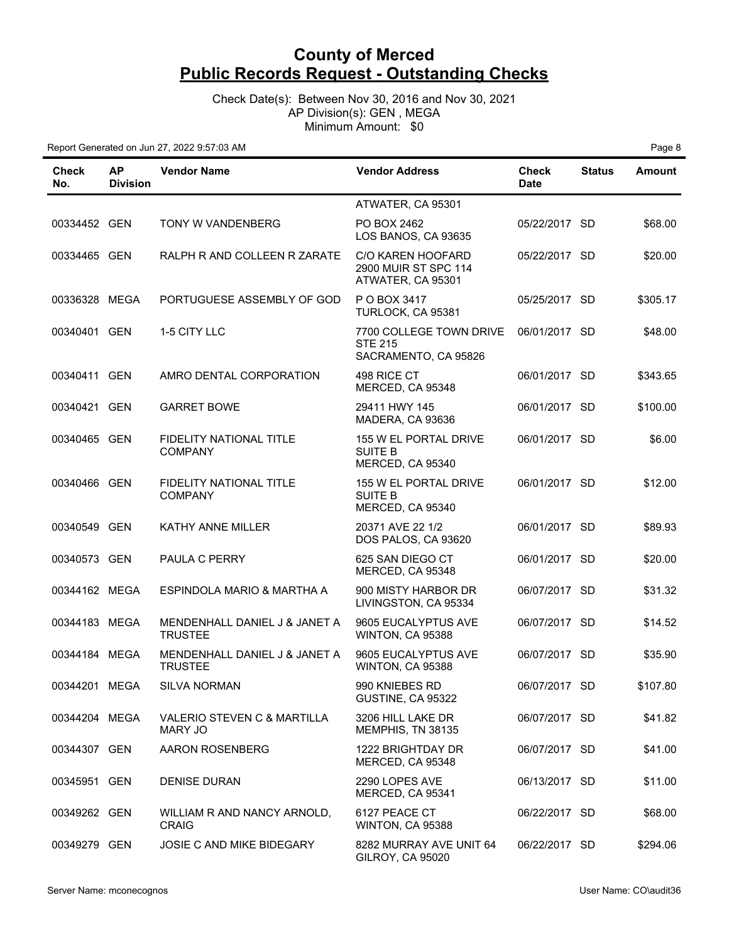Check Date(s): Between Nov 30, 2016 and Nov 30, 2021 AP Division(s): GEN , MEGA Minimum Amount: \$0

| Check<br>No.  | <b>AP</b><br><b>Division</b> | <b>Vendor Name</b>                               | <b>Vendor Address</b>                                             | Check<br><b>Date</b> | <b>Status</b> | <b>Amount</b> |
|---------------|------------------------------|--------------------------------------------------|-------------------------------------------------------------------|----------------------|---------------|---------------|
|               |                              |                                                  | ATWATER, CA 95301                                                 |                      |               |               |
| 00334452 GEN  |                              | TONY W VANDENBERG                                | PO BOX 2462<br>LOS BANOS, CA 93635                                | 05/22/2017 SD        |               | \$68.00       |
| 00334465 GEN  |                              | RALPH R AND COLLEEN R ZARATE                     | C/O KAREN HOOFARD<br>2900 MUIR ST SPC 114<br>ATWATER, CA 95301    | 05/22/2017 SD        |               | \$20.00       |
| 00336328 MEGA |                              | PORTUGUESE ASSEMBLY OF GOD                       | P O BOX 3417<br>TURLOCK, CA 95381                                 | 05/25/2017 SD        |               | \$305.17      |
| 00340401 GEN  |                              | 1-5 CITY LLC                                     | 7700 COLLEGE TOWN DRIVE<br><b>STE 215</b><br>SACRAMENTO, CA 95826 | 06/01/2017 SD        |               | \$48.00       |
| 00340411 GEN  |                              | AMRO DENTAL CORPORATION                          | 498 RICE CT<br>MERCED, CA 95348                                   | 06/01/2017 SD        |               | \$343.65      |
| 00340421 GEN  |                              | <b>GARRET BOWE</b>                               | 29411 HWY 145<br>MADERA, CA 93636                                 | 06/01/2017 SD        |               | \$100.00      |
| 00340465 GEN  |                              | <b>FIDELITY NATIONAL TITLE</b><br><b>COMPANY</b> | 155 W EL PORTAL DRIVE<br><b>SUITE B</b><br>MERCED, CA 95340       | 06/01/2017 SD        |               | \$6.00        |
| 00340466 GEN  |                              | <b>FIDELITY NATIONAL TITLE</b><br><b>COMPANY</b> | 155 W EL PORTAL DRIVE<br>SUITE B<br>MERCED, CA 95340              | 06/01/2017 SD        |               | \$12.00       |
| 00340549 GEN  |                              | <b>KATHY ANNE MILLER</b>                         | 20371 AVE 22 1/2<br>DOS PALOS, CA 93620                           | 06/01/2017 SD        |               | \$89.93       |
| 00340573 GEN  |                              | PAULA C PERRY                                    | 625 SAN DIEGO CT<br>MERCED, CA 95348                              | 06/01/2017 SD        |               | \$20.00       |
| 00344162 MEGA |                              | ESPINDOLA MARIO & MARTHA A                       | 900 MISTY HARBOR DR<br>LIVINGSTON, CA 95334                       | 06/07/2017 SD        |               | \$31.32       |
| 00344183 MEGA |                              | MENDENHALL DANIEL J & JANET A<br><b>TRUSTEE</b>  | 9605 EUCALYPTUS AVE<br>WINTON, CA 95388                           | 06/07/2017 SD        |               | \$14.52       |
| 00344184 MEGA |                              | MENDENHALL DANIEL J & JANET A<br><b>TRUSTEE</b>  | 9605 EUCALYPTUS AVE<br>WINTON, CA 95388                           | 06/07/2017 SD        |               | \$35.90       |
| 00344201 MEGA |                              | SILVA NORMAN                                     | 990 KNIEBES RD<br>GUSTINE, CA 95322                               | 06/07/2017 SD        |               | \$107.80      |
| 00344204 MEGA |                              | VALERIO STEVEN C & MARTILLA<br><b>MARY JO</b>    | 3206 HILL LAKE DR<br>MEMPHIS, TN 38135                            | 06/07/2017 SD        |               | \$41.82       |
| 00344307 GEN  |                              | AARON ROSENBERG                                  | 1222 BRIGHTDAY DR<br>MERCED, CA 95348                             | 06/07/2017 SD        |               | \$41.00       |
| 00345951 GEN  |                              | <b>DENISE DURAN</b>                              | 2290 LOPES AVE<br>MERCED, CA 95341                                | 06/13/2017 SD        |               | \$11.00       |
| 00349262 GEN  |                              | WILLIAM R AND NANCY ARNOLD,<br><b>CRAIG</b>      | 6127 PEACE CT<br>WINTON, CA 95388                                 | 06/22/2017 SD        |               | \$68.00       |
| 00349279 GEN  |                              | JOSIE C AND MIKE BIDEGARY                        | 8282 MURRAY AVE UNIT 64<br>GILROY, CA 95020                       | 06/22/2017 SD        |               | \$294.06      |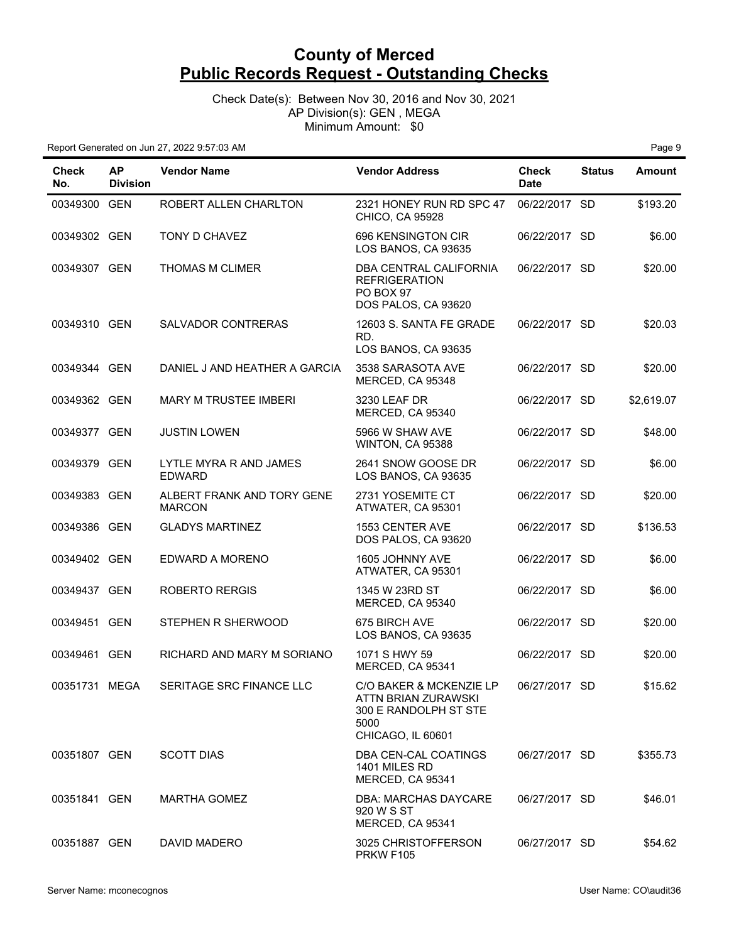Check Date(s): Between Nov 30, 2016 and Nov 30, 2021 AP Division(s): GEN , MEGA Minimum Amount: \$0

| <b>Check</b><br>No. | <b>AP</b><br><b>Division</b> | <b>Vendor Name</b>                          | <b>Vendor Address</b>                                                                                | <b>Check</b><br><b>Date</b> | <b>Status</b> | Amount     |
|---------------------|------------------------------|---------------------------------------------|------------------------------------------------------------------------------------------------------|-----------------------------|---------------|------------|
| 00349300 GEN        |                              | ROBERT ALLEN CHARLTON                       | 2321 HONEY RUN RD SPC 47<br>CHICO, CA 95928                                                          | 06/22/2017 SD               |               | \$193.20   |
| 00349302 GEN        |                              | TONY D CHAVEZ                               | 696 KENSINGTON CIR<br>LOS BANOS, CA 93635                                                            | 06/22/2017 SD               |               | \$6.00     |
| 00349307 GEN        |                              | <b>THOMAS M CLIMER</b>                      | DBA CENTRAL CALIFORNIA<br><b>REFRIGERATION</b><br>PO BOX 97<br>DOS PALOS, CA 93620                   | 06/22/2017 SD               |               | \$20.00    |
| 00349310 GEN        |                              | SALVADOR CONTRERAS                          | 12603 S. SANTA FE GRADE<br>RD.<br>LOS BANOS, CA 93635                                                | 06/22/2017 SD               |               | \$20.03    |
| 00349344 GEN        |                              | DANIEL J AND HEATHER A GARCIA               | 3538 SARASOTA AVE<br>MERCED, CA 95348                                                                | 06/22/2017 SD               |               | \$20.00    |
| 00349362 GEN        |                              | <b>MARY M TRUSTEE IMBERI</b>                | 3230 LEAF DR<br>MERCED, CA 95340                                                                     | 06/22/2017 SD               |               | \$2,619.07 |
| 00349377 GEN        |                              | <b>JUSTIN LOWEN</b>                         | 5966 W SHAW AVE<br>WINTON, CA 95388                                                                  | 06/22/2017 SD               |               | \$48.00    |
| 00349379 GEN        |                              | LYTLE MYRA R AND JAMES<br><b>EDWARD</b>     | 2641 SNOW GOOSE DR<br>LOS BANOS, CA 93635                                                            | 06/22/2017 SD               |               | \$6.00     |
| 00349383 GEN        |                              | ALBERT FRANK AND TORY GENE<br><b>MARCON</b> | 2731 YOSEMITE CT<br>ATWATER, CA 95301                                                                | 06/22/2017 SD               |               | \$20.00    |
| 00349386 GEN        |                              | <b>GLADYS MARTINEZ</b>                      | <b>1553 CENTER AVE</b><br>DOS PALOS, CA 93620                                                        | 06/22/2017 SD               |               | \$136.53   |
| 00349402 GEN        |                              | EDWARD A MORENO                             | 1605 JOHNNY AVE<br>ATWATER, CA 95301                                                                 | 06/22/2017 SD               |               | \$6.00     |
| 00349437 GEN        |                              | <b>ROBERTO RERGIS</b>                       | 1345 W 23RD ST<br>MERCED, CA 95340                                                                   | 06/22/2017 SD               |               | \$6.00     |
| 00349451 GEN        |                              | STEPHEN R SHERWOOD                          | 675 BIRCH AVE<br>LOS BANOS, CA 93635                                                                 | 06/22/2017 SD               |               | \$20.00    |
| 00349461 GEN        |                              | RICHARD AND MARY M SORIANO                  | 1071 S HWY 59<br>MERCED, CA 95341                                                                    | 06/22/2017 SD               |               | \$20.00    |
| 00351731 MEGA       |                              | SERITAGE SRC FINANCE LLC                    | C/O BAKER & MCKENZIE LP<br>ATTN BRIAN ZURAWSKI<br>300 E RANDOLPH ST STE<br>5000<br>CHICAGO, IL 60601 | 06/27/2017 SD               |               | \$15.62    |
| 00351807 GEN        |                              | <b>SCOTT DIAS</b>                           | DBA CEN-CAL COATINGS<br>1401 MILES RD<br>MERCED, CA 95341                                            | 06/27/2017 SD               |               | \$355.73   |
| 00351841 GEN        |                              | <b>MARTHA GOMEZ</b>                         | DBA: MARCHAS DAYCARE<br>920 W S ST<br>MERCED, CA 95341                                               | 06/27/2017 SD               |               | \$46.01    |
| 00351887 GEN        |                              | DAVID MADERO                                | 3025 CHRISTOFFERSON<br><b>PRKW F105</b>                                                              | 06/27/2017 SD               |               | \$54.62    |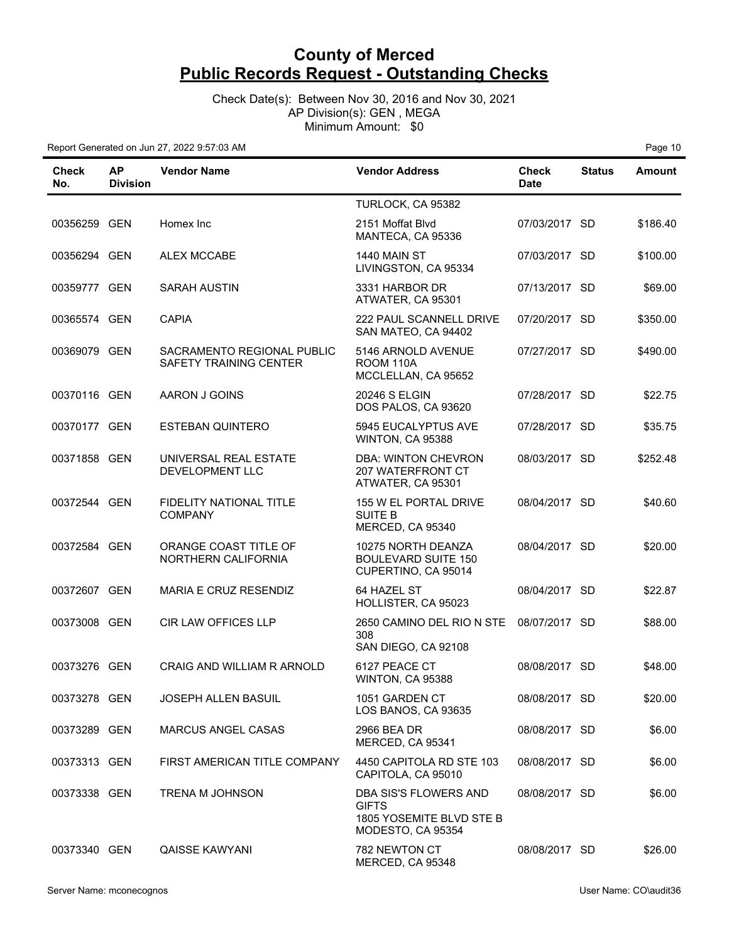Check Date(s): Between Nov 30, 2016 and Nov 30, 2021 AP Division(s): GEN , MEGA Minimum Amount: \$0

Report Generated on Jun 27, 2022 9:57:03 AM **Page 10 Page 10 Page 10 Page 10** 

| Check<br>No. | <b>AP</b><br><b>Division</b> | <b>Vendor Name</b>                                          | <b>Vendor Address</b>                                                                  | <b>Check</b><br><b>Date</b> | <b>Status</b> | <b>Amount</b> |
|--------------|------------------------------|-------------------------------------------------------------|----------------------------------------------------------------------------------------|-----------------------------|---------------|---------------|
|              |                              |                                                             | TURLOCK, CA 95382                                                                      |                             |               |               |
| 00356259 GEN |                              | Homex Inc                                                   | 2151 Moffat Blvd<br>MANTECA, CA 95336                                                  | 07/03/2017 SD               |               | \$186.40      |
| 00356294 GEN |                              | <b>ALEX MCCABE</b>                                          | <b>1440 MAIN ST</b><br>LIVINGSTON, CA 95334                                            | 07/03/2017 SD               |               | \$100.00      |
| 00359777 GEN |                              | <b>SARAH AUSTIN</b>                                         | 3331 HARBOR DR<br>ATWATER, CA 95301                                                    | 07/13/2017 SD               |               | \$69.00       |
| 00365574 GEN |                              | <b>CAPIA</b>                                                | 222 PAUL SCANNELL DRIVE<br>SAN MATEO, CA 94402                                         | 07/20/2017 SD               |               | \$350.00      |
| 00369079 GEN |                              | SACRAMENTO REGIONAL PUBLIC<br><b>SAFETY TRAINING CENTER</b> | 5146 ARNOLD AVENUE<br><b>ROOM 110A</b><br>MCCLELLAN, CA 95652                          | 07/27/2017 SD               |               | \$490.00      |
| 00370116 GEN |                              | AARON J GOINS                                               | 20246 S ELGIN<br>DOS PALOS, CA 93620                                                   | 07/28/2017 SD               |               | \$22.75       |
| 00370177 GEN |                              | <b>ESTEBAN QUINTERO</b>                                     | 5945 EUCALYPTUS AVE<br>WINTON, CA 95388                                                | 07/28/2017 SD               |               | \$35.75       |
| 00371858 GEN |                              | UNIVERSAL REAL ESTATE<br>DEVELOPMENT LLC                    | DBA: WINTON CHEVRON<br><b>207 WATERFRONT CT</b><br>ATWATER, CA 95301                   | 08/03/2017 SD               |               | \$252.48      |
| 00372544 GEN |                              | FIDELITY NATIONAL TITLE<br><b>COMPANY</b>                   | 155 W EL PORTAL DRIVE<br><b>SUITE B</b><br>MERCED, CA 95340                            | 08/04/2017 SD               |               | \$40.60       |
| 00372584 GEN |                              | ORANGE COAST TITLE OF<br>NORTHERN CALIFORNIA                | 10275 NORTH DEANZA<br><b>BOULEVARD SUITE 150</b><br>CUPERTINO, CA 95014                | 08/04/2017 SD               |               | \$20.00       |
| 00372607 GEN |                              | MARIA E CRUZ RESENDIZ                                       | 64 HAZEL ST<br>HOLLISTER, CA 95023                                                     | 08/04/2017 SD               |               | \$22.87       |
| 00373008 GEN |                              | CIR LAW OFFICES LLP                                         | 2650 CAMINO DEL RIO N STE<br>308<br>SAN DIEGO, CA 92108                                | 08/07/2017 SD               |               | \$88.00       |
| 00373276 GEN |                              | CRAIG AND WILLIAM R ARNOLD                                  | 6127 PEACE CT<br>WINTON, CA 95388                                                      | 08/08/2017 SD               |               | \$48.00       |
| 00373278 GEN |                              | <b>JOSEPH ALLEN BASUIL</b>                                  | 1051 GARDEN CT<br>LOS BANOS, CA 93635                                                  | 08/08/2017 SD               |               | \$20.00       |
| 00373289 GEN |                              | <b>MARCUS ANGEL CASAS</b>                                   | 2966 BEA DR<br>MERCED, CA 95341                                                        | 08/08/2017 SD               |               | \$6.00        |
| 00373313 GEN |                              | FIRST AMERICAN TITLE COMPANY                                | 4450 CAPITOLA RD STE 103<br>CAPITOLA, CA 95010                                         | 08/08/2017 SD               |               | \$6.00        |
| 00373338 GEN |                              | <b>TRENA M JOHNSON</b>                                      | DBA SIS'S FLOWERS AND<br><b>GIFTS</b><br>1805 YOSEMITE BLVD STE B<br>MODESTO, CA 95354 | 08/08/2017 SD               |               | \$6.00        |
| 00373340 GEN |                              | <b>QAISSE KAWYANI</b>                                       | 782 NEWTON CT<br>MERCED, CA 95348                                                      | 08/08/2017 SD               |               | \$26.00       |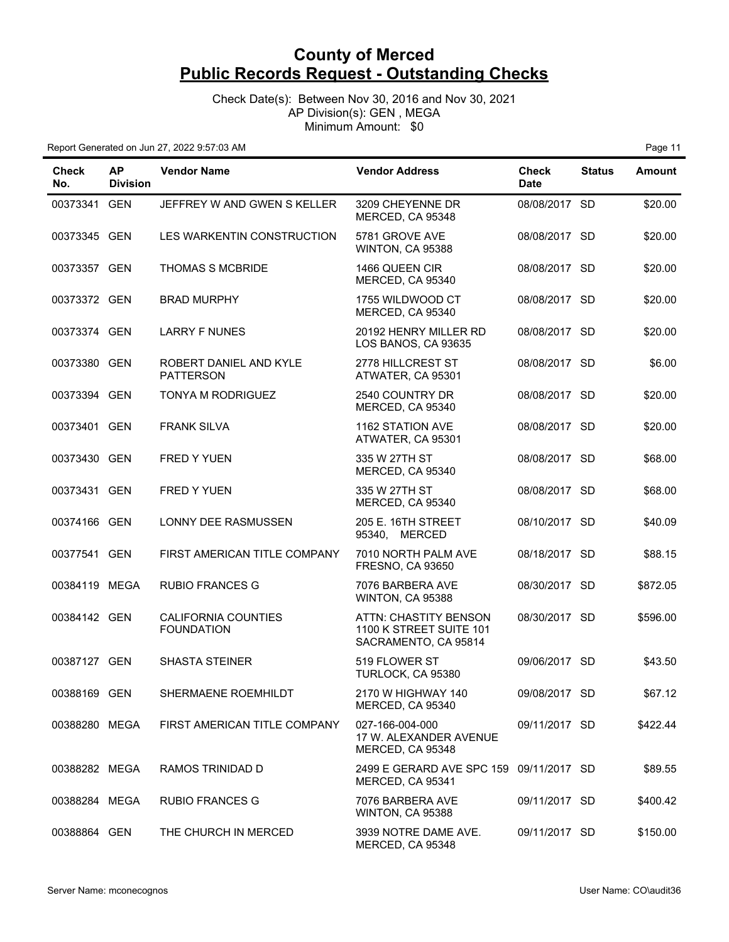Check Date(s): Between Nov 30, 2016 and Nov 30, 2021 AP Division(s): GEN , MEGA Minimum Amount: \$0

Report Generated on Jun 27, 2022 9:57:03 AM **Page 11 Page 11 Page 11** 

| Check<br>No.  | <b>AP</b><br><b>Division</b> | <b>Vendor Name</b>                         | <b>Vendor Address</b>                                                    | <b>Check</b><br><b>Date</b> | <b>Status</b> | <b>Amount</b> |
|---------------|------------------------------|--------------------------------------------|--------------------------------------------------------------------------|-----------------------------|---------------|---------------|
| 00373341 GEN  |                              | JEFFREY W AND GWEN S KELLER                | 3209 CHEYENNE DR<br>MERCED, CA 95348                                     | 08/08/2017 SD               |               | \$20.00       |
| 00373345 GEN  |                              | LES WARKENTIN CONSTRUCTION                 | 5781 GROVE AVE<br>WINTON, CA 95388                                       | 08/08/2017 SD               |               | \$20.00       |
| 00373357 GEN  |                              | <b>THOMAS S MCBRIDE</b>                    | 1466 QUEEN CIR<br>MERCED, CA 95340                                       | 08/08/2017 SD               |               | \$20.00       |
| 00373372 GEN  |                              | <b>BRAD MURPHY</b>                         | 1755 WILDWOOD CT<br>MERCED, CA 95340                                     | 08/08/2017 SD               |               | \$20.00       |
| 00373374 GEN  |                              | <b>LARRY F NUNES</b>                       | 20192 HENRY MILLER RD<br>LOS BANOS, CA 93635                             | 08/08/2017 SD               |               | \$20.00       |
| 00373380 GEN  |                              | ROBERT DANIEL AND KYLE<br><b>PATTERSON</b> | 2778 HILLCREST ST<br>ATWATER, CA 95301                                   | 08/08/2017 SD               |               | \$6.00        |
| 00373394 GEN  |                              | TONYA M RODRIGUEZ                          | 2540 COUNTRY DR<br>MERCED, CA 95340                                      | 08/08/2017 SD               |               | \$20.00       |
| 00373401 GEN  |                              | <b>FRANK SILVA</b>                         | 1162 STATION AVE<br>ATWATER, CA 95301                                    | 08/08/2017 SD               |               | \$20.00       |
| 00373430 GEN  |                              | FRED Y YUEN                                | 335 W 27TH ST<br>MERCED, CA 95340                                        | 08/08/2017 SD               |               | \$68.00       |
| 00373431 GEN  |                              | <b>FRED Y YUEN</b>                         | 335 W 27TH ST<br>MERCED, CA 95340                                        | 08/08/2017 SD               |               | \$68.00       |
| 00374166 GEN  |                              | <b>LONNY DEE RASMUSSEN</b>                 | 205 E. 16TH STREET<br>95340, MERCED                                      | 08/10/2017 SD               |               | \$40.09       |
| 00377541 GEN  |                              | FIRST AMERICAN TITLE COMPANY               | 7010 NORTH PALM AVE<br><b>FRESNO, CA 93650</b>                           | 08/18/2017 SD               |               | \$88.15       |
| 00384119 MEGA |                              | <b>RUBIO FRANCES G</b>                     | 7076 BARBERA AVE<br>WINTON, CA 95388                                     | 08/30/2017 SD               |               | \$872.05      |
| 00384142 GEN  |                              | CALIFORNIA COUNTIES<br><b>FOUNDATION</b>   | ATTN: CHASTITY BENSON<br>1100 K STREET SUITE 101<br>SACRAMENTO, CA 95814 | 08/30/2017 SD               |               | \$596.00      |
| 00387127 GEN  |                              | <b>SHASTA STEINER</b>                      | 519 FLOWER ST<br>TURLOCK, CA 95380                                       | 09/06/2017 SD               |               | \$43.50       |
| 00388169 GEN  |                              | SHERMAENE ROEMHILDT                        | 2170 W HIGHWAY 140<br>MERCED, CA 95340                                   | 09/08/2017 SD               |               | \$67.12       |
| 00388280 MEGA |                              | FIRST AMERICAN TITLE COMPANY               | 027-166-004-000<br>17 W. ALEXANDER AVENUE<br>MERCED, CA 95348            | 09/11/2017 SD               |               | \$422.44      |
| 00388282 MEGA |                              | RAMOS TRINIDAD D                           | 2499 E GERARD AVE SPC 159 09/11/2017 SD<br>MERCED, CA 95341              |                             |               | \$89.55       |
| 00388284 MEGA |                              | <b>RUBIO FRANCES G</b>                     | 7076 BARBERA AVE<br>WINTON, CA 95388                                     | 09/11/2017 SD               |               | \$400.42      |
| 00388864 GEN  |                              | THE CHURCH IN MERCED                       | 3939 NOTRE DAME AVE.<br>MERCED, CA 95348                                 | 09/11/2017 SD               |               | \$150.00      |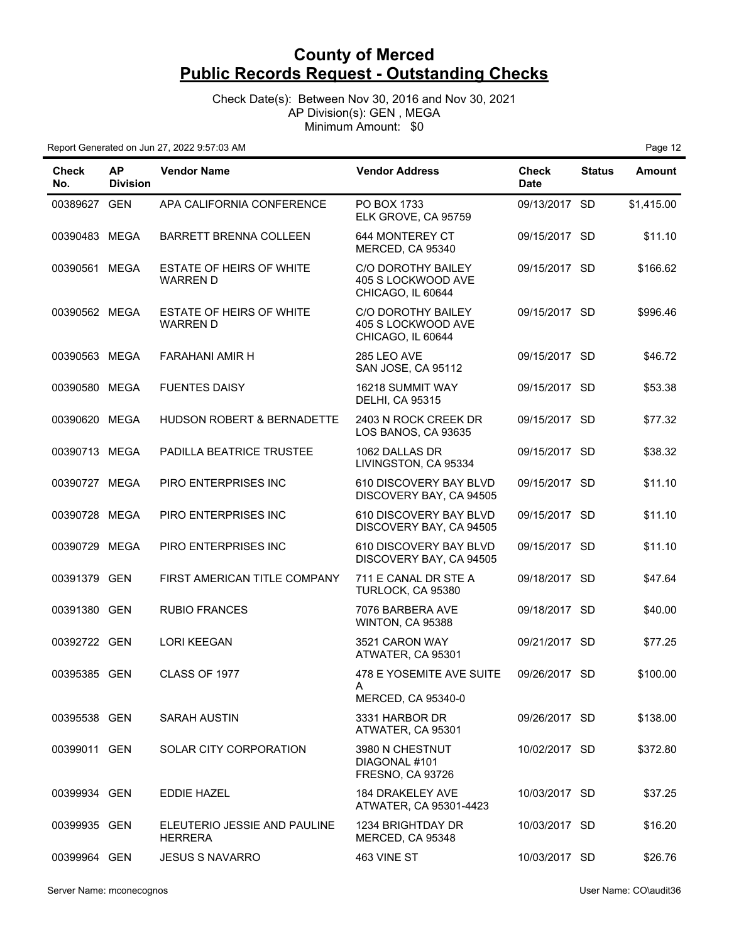Check Date(s): Between Nov 30, 2016 and Nov 30, 2021 AP Division(s): GEN , MEGA Minimum Amount: \$0

| Check<br>No.  | <b>AP</b><br><b>Division</b> | <b>Vendor Name</b>                             | <b>Vendor Address</b>                                         | <b>Check</b><br><b>Date</b> | <b>Status</b> | <b>Amount</b> |
|---------------|------------------------------|------------------------------------------------|---------------------------------------------------------------|-----------------------------|---------------|---------------|
| 00389627 GEN  |                              | APA CALIFORNIA CONFERENCE                      | PO BOX 1733<br>ELK GROVE, CA 95759                            | 09/13/2017 SD               |               | \$1,415.00    |
| 00390483 MEGA |                              | <b>BARRETT BRENNA COLLEEN</b>                  | 644 MONTEREY CT<br>MERCED, CA 95340                           | 09/15/2017 SD               |               | \$11.10       |
| 00390561 MEGA |                              | ESTATE OF HEIRS OF WHITE<br><b>WARREN D</b>    | C/O DOROTHY BAILEY<br>405 S LOCKWOOD AVE<br>CHICAGO, IL 60644 | 09/15/2017 SD               |               | \$166.62      |
| 00390562 MEGA |                              | ESTATE OF HEIRS OF WHITE<br><b>WARREN D</b>    | C/O DOROTHY BAILEY<br>405 S LOCKWOOD AVE<br>CHICAGO, IL 60644 | 09/15/2017 SD               |               | \$996.46      |
| 00390563 MEGA |                              | <b>FARAHANI AMIR H</b>                         | 285 LEO AVE<br>SAN JOSE, CA 95112                             | 09/15/2017 SD               |               | \$46.72       |
| 00390580 MEGA |                              | <b>FUENTES DAISY</b>                           | 16218 SUMMIT WAY<br><b>DELHI, CA 95315</b>                    | 09/15/2017 SD               |               | \$53.38       |
| 00390620 MEGA |                              | HUDSON ROBERT & BERNADETTE                     | 2403 N ROCK CREEK DR<br>LOS BANOS, CA 93635                   | 09/15/2017 SD               |               | \$77.32       |
| 00390713 MEGA |                              | PADILLA BEATRICE TRUSTEE                       | 1062 DALLAS DR<br>LIVINGSTON, CA 95334                        | 09/15/2017 SD               |               | \$38.32       |
| 00390727 MEGA |                              | PIRO ENTERPRISES INC                           | 610 DISCOVERY BAY BLVD<br>DISCOVERY BAY, CA 94505             | 09/15/2017 SD               |               | \$11.10       |
| 00390728 MEGA |                              | PIRO ENTERPRISES INC                           | 610 DISCOVERY BAY BLVD<br>DISCOVERY BAY, CA 94505             | 09/15/2017 SD               |               | \$11.10       |
| 00390729 MEGA |                              | PIRO ENTERPRISES INC                           | 610 DISCOVERY BAY BLVD<br>DISCOVERY BAY, CA 94505             | 09/15/2017 SD               |               | \$11.10       |
| 00391379 GEN  |                              | FIRST AMERICAN TITLE COMPANY                   | 711 E CANAL DR STE A<br>TURLOCK, CA 95380                     | 09/18/2017 SD               |               | \$47.64       |
| 00391380 GEN  |                              | <b>RUBIO FRANCES</b>                           | 7076 BARBERA AVE<br>WINTON, CA 95388                          | 09/18/2017 SD               |               | \$40.00       |
| 00392722 GEN  |                              | <b>LORI KEEGAN</b>                             | 3521 CARON WAY<br>ATWATER, CA 95301                           | 09/21/2017 SD               |               | \$77.25       |
| 00395385 GEN  |                              | CLASS OF 1977                                  | 478 E YOSEMITE AVE SUITE<br>A<br>MERCED, CA 95340-0           | 09/26/2017 SD               |               | \$100.00      |
| 00395538 GEN  |                              | <b>SARAH AUSTIN</b>                            | 3331 HARBOR DR<br>ATWATER, CA 95301                           | 09/26/2017 SD               |               | \$138.00      |
| 00399011 GEN  |                              | <b>SOLAR CITY CORPORATION</b>                  | 3980 N CHESTNUT<br>DIAGONAL #101<br>FRESNO, CA 93726          | 10/02/2017 SD               |               | \$372.80      |
| 00399934 GEN  |                              | <b>EDDIE HAZEL</b>                             | <b>184 DRAKELEY AVE</b><br>ATWATER, CA 95301-4423             | 10/03/2017 SD               |               | \$37.25       |
| 00399935 GEN  |                              | ELEUTERIO JESSIE AND PAULINE<br><b>HERRERA</b> | 1234 BRIGHTDAY DR<br>MERCED, CA 95348                         | 10/03/2017 SD               |               | \$16.20       |
| 00399964 GEN  |                              | <b>JESUS S NAVARRO</b>                         | 463 VINE ST                                                   | 10/03/2017 SD               |               | \$26.76       |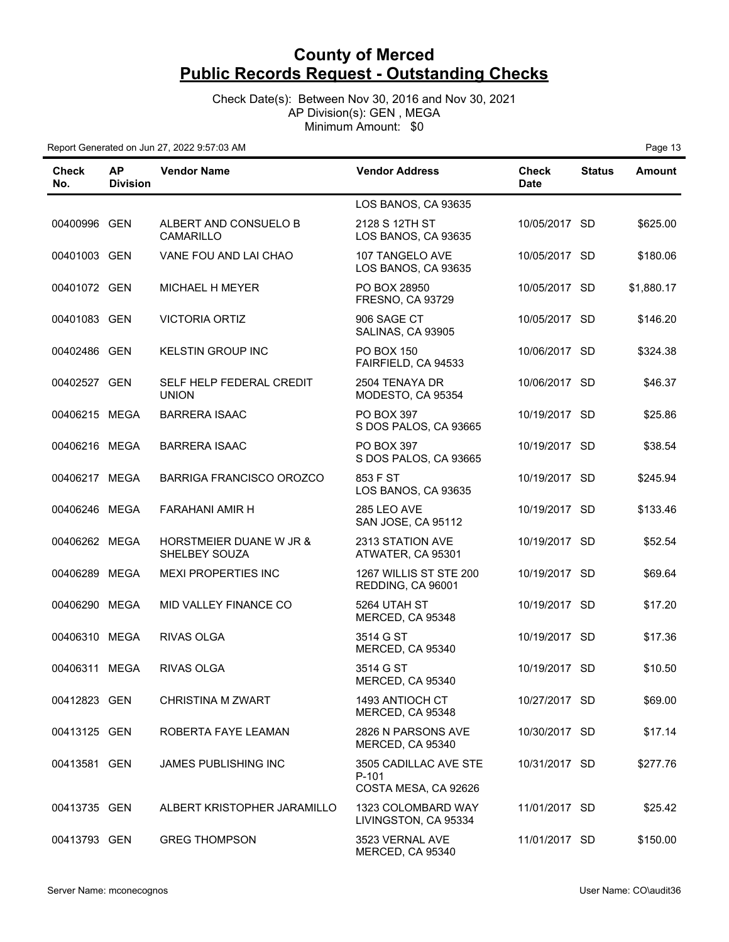Check Date(s): Between Nov 30, 2016 and Nov 30, 2021 AP Division(s): GEN , MEGA Minimum Amount: \$0

| <b>Check</b><br>No. | <b>AP</b><br><b>Division</b> | <b>Vendor Name</b>                                  | <b>Vendor Address</b>                                  | <b>Check</b><br><b>Date</b> | <b>Status</b> | Amount     |
|---------------------|------------------------------|-----------------------------------------------------|--------------------------------------------------------|-----------------------------|---------------|------------|
|                     |                              |                                                     | LOS BANOS, CA 93635                                    |                             |               |            |
| 00400996 GEN        |                              | ALBERT AND CONSUELO B<br><b>CAMARILLO</b>           | 2128 S 12TH ST<br>LOS BANOS, CA 93635                  | 10/05/2017 SD               |               | \$625.00   |
| 00401003 GEN        |                              | VANE FOU AND LAI CHAO                               | 107 TANGELO AVE<br>LOS BANOS, CA 93635                 | 10/05/2017 SD               |               | \$180.06   |
| 00401072 GEN        |                              | <b>MICHAEL H MEYER</b>                              | PO BOX 28950<br>FRESNO, CA 93729                       | 10/05/2017 SD               |               | \$1,880.17 |
| 00401083 GEN        |                              | <b>VICTORIA ORTIZ</b>                               | 906 SAGE CT<br>SALINAS, CA 93905                       | 10/05/2017 SD               |               | \$146.20   |
| 00402486 GEN        |                              | <b>KELSTIN GROUP INC</b>                            | <b>PO BOX 150</b><br>FAIRFIELD, CA 94533               | 10/06/2017 SD               |               | \$324.38   |
| 00402527 GEN        |                              | SELF HELP FEDERAL CREDIT<br><b>UNION</b>            | 2504 TENAYA DR<br>MODESTO, CA 95354                    | 10/06/2017 SD               |               | \$46.37    |
| 00406215 MEGA       |                              | <b>BARRERA ISAAC</b>                                | PO BOX 397<br>S DOS PALOS, CA 93665                    | 10/19/2017 SD               |               | \$25.86    |
| 00406216 MEGA       |                              | <b>BARRERA ISAAC</b>                                | PO BOX 397<br>S DOS PALOS, CA 93665                    | 10/19/2017 SD               |               | \$38.54    |
| 00406217 MEGA       |                              | <b>BARRIGA FRANCISCO OROZCO</b>                     | 853 F ST<br>LOS BANOS, CA 93635                        | 10/19/2017 SD               |               | \$245.94   |
| 00406246 MEGA       |                              | FARAHANI AMIR H                                     | 285 LEO AVE<br>SAN JOSE, CA 95112                      | 10/19/2017 SD               |               | \$133.46   |
| 00406262 MEGA       |                              | <b>HORSTMEIER DUANE W JR &amp;</b><br>SHELBEY SOUZA | 2313 STATION AVE<br>ATWATER, CA 95301                  | 10/19/2017 SD               |               | \$52.54    |
| 00406289 MEGA       |                              | <b>MEXI PROPERTIES INC</b>                          | 1267 WILLIS ST STE 200<br>REDDING, CA 96001            | 10/19/2017 SD               |               | \$69.64    |
| 00406290 MEGA       |                              | MID VALLEY FINANCE CO                               | 5264 UTAH ST<br>MERCED, CA 95348                       | 10/19/2017 SD               |               | \$17.20    |
| 00406310 MEGA       |                              | <b>RIVAS OLGA</b>                                   | 3514 G ST<br>MERCED, CA 95340                          | 10/19/2017 SD               |               | \$17.36    |
| 00406311 MEGA       |                              | <b>RIVAS OLGA</b>                                   | 3514 G ST<br>MERCED, CA 95340                          | 10/19/2017 SD               |               | \$10.50    |
| 00412823 GEN        |                              | <b>CHRISTINA M ZWART</b>                            | 1493 ANTIOCH CT<br>MERCED, CA 95348                    | 10/27/2017 SD               |               | \$69.00    |
| 00413125 GEN        |                              | ROBERTA FAYE LEAMAN                                 | 2826 N PARSONS AVE<br>MERCED, CA 95340                 | 10/30/2017 SD               |               | \$17.14    |
| 00413581 GEN        |                              | <b>JAMES PUBLISHING INC</b>                         | 3505 CADILLAC AVE STE<br>P-101<br>COSTA MESA, CA 92626 | 10/31/2017 SD               |               | \$277.76   |
| 00413735 GEN        |                              | ALBERT KRISTOPHER JARAMILLO                         | 1323 COLOMBARD WAY<br>LIVINGSTON, CA 95334             | 11/01/2017 SD               |               | \$25.42    |
| 00413793 GEN        |                              | <b>GREG THOMPSON</b>                                | 3523 VERNAL AVE<br>MERCED, CA 95340                    | 11/01/2017 SD               |               | \$150.00   |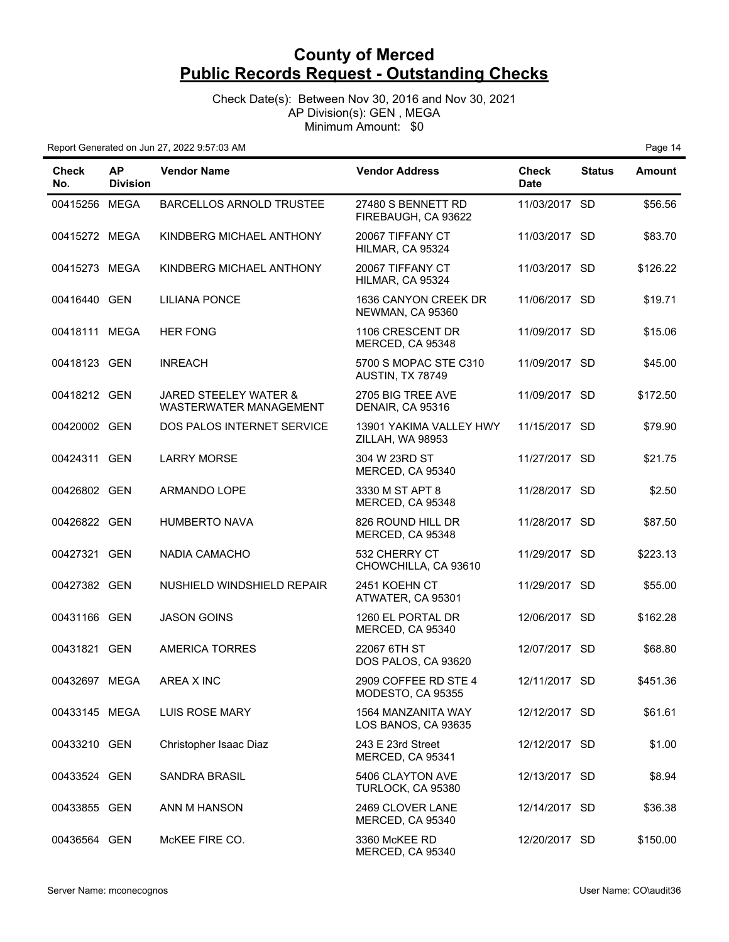Check Date(s): Between Nov 30, 2016 and Nov 30, 2021 AP Division(s): GEN , MEGA Minimum Amount: \$0

| Check<br>No.  | <b>AP</b><br><b>Division</b> | <b>Vendor Name</b>                                                | <b>Vendor Address</b>                       | Check<br><b>Date</b> | <b>Status</b> | <b>Amount</b> |
|---------------|------------------------------|-------------------------------------------------------------------|---------------------------------------------|----------------------|---------------|---------------|
| 00415256 MEGA |                              | <b>BARCELLOS ARNOLD TRUSTEE</b>                                   | 27480 S BENNETT RD<br>FIREBAUGH, CA 93622   | 11/03/2017 SD        |               | \$56.56       |
| 00415272 MEGA |                              | KINDBERG MICHAEL ANTHONY                                          | 20067 TIFFANY CT<br>HILMAR, CA 95324        | 11/03/2017 SD        |               | \$83.70       |
| 00415273 MEGA |                              | KINDBERG MICHAEL ANTHONY                                          | 20067 TIFFANY CT<br>HILMAR, CA 95324        | 11/03/2017 SD        |               | \$126.22      |
| 00416440 GEN  |                              | <b>LILIANA PONCE</b>                                              | 1636 CANYON CREEK DR<br>NEWMAN, CA 95360    | 11/06/2017 SD        |               | \$19.71       |
| 00418111 MEGA |                              | <b>HER FONG</b>                                                   | 1106 CRESCENT DR<br>MERCED, CA 95348        | 11/09/2017 SD        |               | \$15.06       |
| 00418123 GEN  |                              | <b>INREACH</b>                                                    | 5700 S MOPAC STE C310<br>AUSTIN, TX 78749   | 11/09/2017 SD        |               | \$45.00       |
| 00418212 GEN  |                              | <b>JARED STEELEY WATER &amp;</b><br><b>WASTERWATER MANAGEMENT</b> | 2705 BIG TREE AVE<br>DENAIR, CA 95316       | 11/09/2017 SD        |               | \$172.50      |
| 00420002 GEN  |                              | DOS PALOS INTERNET SERVICE                                        | 13901 YAKIMA VALLEY HWY<br>ZILLAH, WA 98953 | 11/15/2017 SD        |               | \$79.90       |
| 00424311 GEN  |                              | <b>LARRY MORSE</b>                                                | 304 W 23RD ST<br>MERCED, CA 95340           | 11/27/2017 SD        |               | \$21.75       |
| 00426802 GEN  |                              | <b>ARMANDO LOPE</b>                                               | 3330 M ST APT 8<br>MERCED, CA 95348         | 11/28/2017 SD        |               | \$2.50        |
| 00426822 GEN  |                              | <b>HUMBERTO NAVA</b>                                              | 826 ROUND HILL DR<br>MERCED, CA 95348       | 11/28/2017 SD        |               | \$87.50       |
| 00427321 GEN  |                              | NADIA CAMACHO                                                     | 532 CHERRY CT<br>CHOWCHILLA, CA 93610       | 11/29/2017 SD        |               | \$223.13      |
| 00427382 GEN  |                              | NUSHIELD WINDSHIELD REPAIR                                        | 2451 KOEHN CT<br>ATWATER, CA 95301          | 11/29/2017 SD        |               | \$55.00       |
| 00431166 GEN  |                              | <b>JASON GOINS</b>                                                | 1260 EL PORTAL DR<br>MERCED, CA 95340       | 12/06/2017 SD        |               | \$162.28      |
| 00431821 GEN  |                              | <b>AMERICA TORRES</b>                                             | 22067 6TH ST<br>DOS PALOS, CA 93620         | 12/07/2017 SD        |               | \$68.80       |
| 00432697 MEGA |                              | AREA X INC                                                        | 2909 COFFEE RD STE 4<br>MODESTO, CA 95355   | 12/11/2017 SD        |               | \$451.36      |
| 00433145 MEGA |                              | <b>LUIS ROSE MARY</b>                                             | 1564 MANZANITA WAY<br>LOS BANOS, CA 93635   | 12/12/2017 SD        |               | \$61.61       |
| 00433210 GEN  |                              | Christopher Isaac Diaz                                            | 243 E 23rd Street<br>MERCED, CA 95341       | 12/12/2017 SD        |               | \$1.00        |
| 00433524 GEN  |                              | <b>SANDRA BRASIL</b>                                              | 5406 CLAYTON AVE<br>TURLOCK, CA 95380       | 12/13/2017 SD        |               | \$8.94        |
| 00433855 GEN  |                              | ANN M HANSON                                                      | 2469 CLOVER LANE<br>MERCED, CA 95340        | 12/14/2017 SD        |               | \$36.38       |
| 00436564 GEN  |                              | McKEE FIRE CO.                                                    | 3360 McKEE RD<br>MERCED, CA 95340           | 12/20/2017 SD        |               | \$150.00      |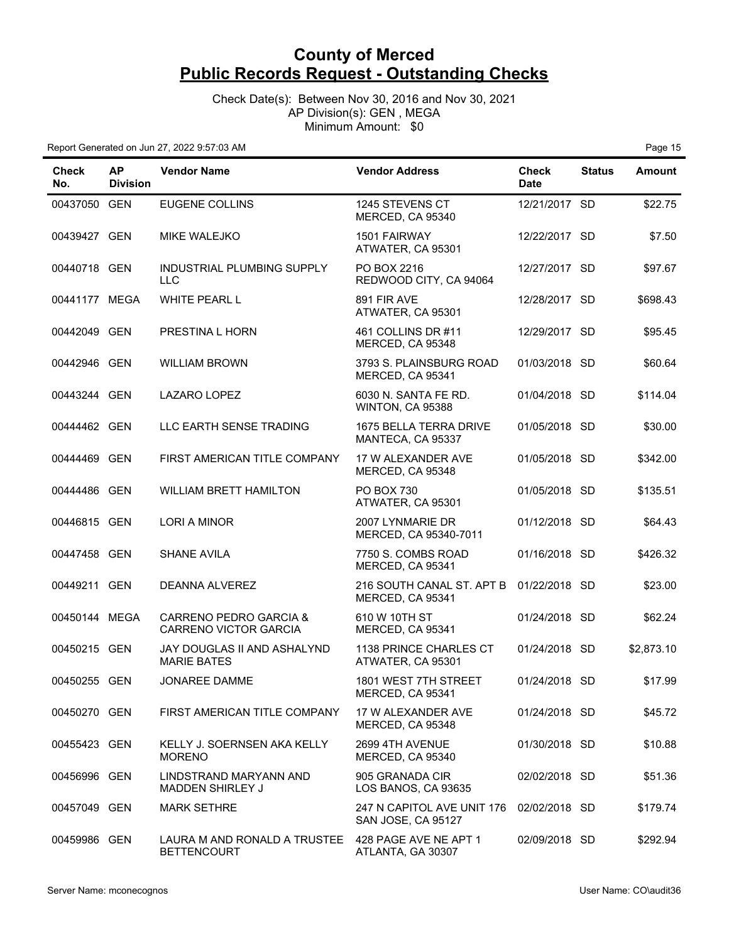Check Date(s): Between Nov 30, 2016 and Nov 30, 2021 AP Division(s): GEN , MEGA Minimum Amount: \$0

| Check<br>No.  | <b>AP</b><br><b>Division</b> | <b>Vendor Name</b>                                     | <b>Vendor Address</b>                            | <b>Check</b><br><b>Date</b> | <b>Status</b> | <b>Amount</b> |
|---------------|------------------------------|--------------------------------------------------------|--------------------------------------------------|-----------------------------|---------------|---------------|
| 00437050 GEN  |                              | <b>EUGENE COLLINS</b>                                  | 1245 STEVENS CT<br>MERCED, CA 95340              | 12/21/2017 SD               |               | \$22.75       |
| 00439427 GEN  |                              | <b>MIKE WALEJKO</b>                                    | 1501 FAIRWAY<br>ATWATER, CA 95301                | 12/22/2017 SD               |               | \$7.50        |
| 00440718 GEN  |                              | INDUSTRIAL PLUMBING SUPPLY<br><b>LLC</b>               | PO BOX 2216<br>REDWOOD CITY, CA 94064            | 12/27/2017 SD               |               | \$97.67       |
| 00441177 MEGA |                              | <b>WHITE PEARL L</b>                                   | 891 FIR AVE<br>ATWATER, CA 95301                 | 12/28/2017 SD               |               | \$698.43      |
| 00442049 GEN  |                              | PRESTINA L HORN                                        | 461 COLLINS DR #11<br>MERCED, CA 95348           | 12/29/2017 SD               |               | \$95.45       |
| 00442946 GEN  |                              | <b>WILLIAM BROWN</b>                                   | 3793 S. PLAINSBURG ROAD<br>MERCED, CA 95341      | 01/03/2018 SD               |               | \$60.64       |
| 00443244 GEN  |                              | <b>LAZARO LOPEZ</b>                                    | 6030 N. SANTA FE RD.<br>WINTON, CA 95388         | 01/04/2018 SD               |               | \$114.04      |
| 00444462 GEN  |                              | LLC EARTH SENSE TRADING                                | 1675 BELLA TERRA DRIVE<br>MANTECA, CA 95337      | 01/05/2018 SD               |               | \$30.00       |
| 00444469 GEN  |                              | FIRST AMERICAN TITLE COMPANY                           | 17 W ALEXANDER AVE<br>MERCED, CA 95348           | 01/05/2018 SD               |               | \$342.00      |
| 00444486 GEN  |                              | <b>WILLIAM BRETT HAMILTON</b>                          | PO BOX 730<br>ATWATER, CA 95301                  | 01/05/2018 SD               |               | \$135.51      |
| 00446815 GEN  |                              | <b>LORI A MINOR</b>                                    | 2007 LYNMARIE DR<br>MERCED, CA 95340-7011        | 01/12/2018 SD               |               | \$64.43       |
| 00447458 GEN  |                              | <b>SHANE AVILA</b>                                     | 7750 S. COMBS ROAD<br>MERCED, CA 95341           | 01/16/2018 SD               |               | \$426.32      |
| 00449211 GEN  |                              | DEANNA ALVEREZ                                         | 216 SOUTH CANAL ST. APT B<br>MERCED, CA 95341    | 01/22/2018 SD               |               | \$23.00       |
| 00450144 MEGA |                              | CARRENO PEDRO GARCIA &<br><b>CARRENO VICTOR GARCIA</b> | 610 W 10TH ST<br>MERCED, CA 95341                | 01/24/2018 SD               |               | \$62.24       |
| 00450215 GEN  |                              | JAY DOUGLAS II AND ASHALYND<br><b>MARIE BATES</b>      | 1138 PRINCE CHARLES CT<br>ATWATER, CA 95301      | 01/24/2018 SD               |               | \$2,873.10    |
| 00450255 GEN  |                              | <b>JONAREE DAMME</b>                                   | 1801 WEST 7TH STREET<br>MERCED, CA 95341         | 01/24/2018 SD               |               | \$17.99       |
| 00450270 GEN  |                              | FIRST AMERICAN TITLE COMPANY                           | 17 W ALEXANDER AVE<br>MERCED, CA 95348           | 01/24/2018 SD               |               | \$45.72       |
| 00455423 GEN  |                              | KELLY J. SOERNSEN AKA KELLY<br><b>MORENO</b>           | 2699 4TH AVENUE<br>MERCED, CA 95340              | 01/30/2018 SD               |               | \$10.88       |
| 00456996 GEN  |                              | LINDSTRAND MARYANN AND<br><b>MADDEN SHIRLEY J</b>      | 905 GRANADA CIR<br>LOS BANOS, CA 93635           | 02/02/2018 SD               |               | \$51.36       |
| 00457049 GEN  |                              | <b>MARK SETHRE</b>                                     | 247 N CAPITOL AVE UNIT 176<br>SAN JOSE, CA 95127 | 02/02/2018 SD               |               | \$179.74      |
| 00459986 GEN  |                              | LAURA M AND RONALD A TRUSTEE<br><b>BETTENCOURT</b>     | 428 PAGE AVE NE APT 1<br>ATLANTA, GA 30307       | 02/09/2018 SD               |               | \$292.94      |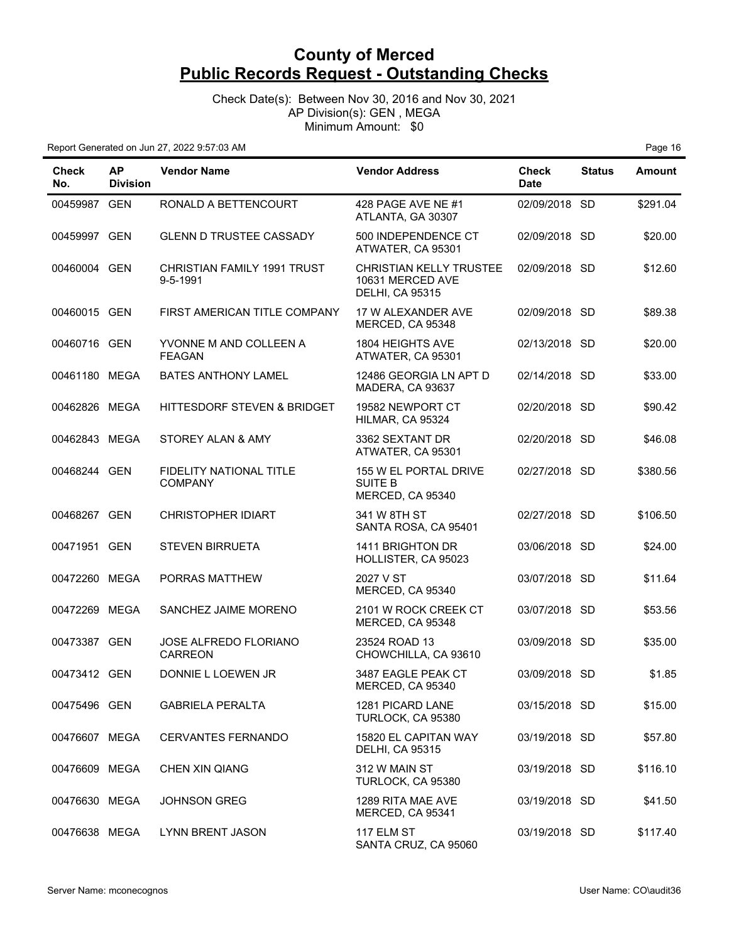Check Date(s): Between Nov 30, 2016 and Nov 30, 2021 AP Division(s): GEN , MEGA Minimum Amount: \$0

| <b>Check</b><br>No. | <b>AP</b><br><b>Division</b> | <b>Vendor Name</b>                             | <b>Vendor Address</b>                                                        | <b>Check</b><br><b>Date</b> | <b>Status</b> | <b>Amount</b> |
|---------------------|------------------------------|------------------------------------------------|------------------------------------------------------------------------------|-----------------------------|---------------|---------------|
| 00459987 GEN        |                              | RONALD A BETTENCOURT                           | 428 PAGE AVE NE #1<br>ATLANTA, GA 30307                                      | 02/09/2018 SD               |               | \$291.04      |
| 00459997 GEN        |                              | <b>GLENN D TRUSTEE CASSADY</b>                 | 500 INDEPENDENCE CT<br>ATWATER, CA 95301                                     | 02/09/2018 SD               |               | \$20.00       |
| 00460004 GEN        |                              | <b>CHRISTIAN FAMILY 1991 TRUST</b><br>9-5-1991 | <b>CHRISTIAN KELLY TRUSTEE</b><br>10631 MERCED AVE<br><b>DELHI, CA 95315</b> | 02/09/2018 SD               |               | \$12.60       |
| 00460015 GEN        |                              | FIRST AMERICAN TITLE COMPANY                   | 17 W ALEXANDER AVE<br>MERCED, CA 95348                                       | 02/09/2018 SD               |               | \$89.38       |
| 00460716 GEN        |                              | YVONNE M AND COLLEEN A<br><b>FEAGAN</b>        | 1804 HEIGHTS AVE<br>ATWATER, CA 95301                                        | 02/13/2018 SD               |               | \$20.00       |
| 00461180 MEGA       |                              | <b>BATES ANTHONY LAMEL</b>                     | 12486 GEORGIA LN APT D<br>MADERA, CA 93637                                   | 02/14/2018 SD               |               | \$33.00       |
| 00462826 MEGA       |                              | HITTESDORF STEVEN & BRIDGET                    | 19582 NEWPORT CT<br>HILMAR, CA 95324                                         | 02/20/2018 SD               |               | \$90.42       |
| 00462843 MEGA       |                              | STOREY ALAN & AMY                              | 3362 SEXTANT DR<br>ATWATER, CA 95301                                         | 02/20/2018 SD               |               | \$46.08       |
| 00468244 GEN        |                              | FIDELITY NATIONAL TITLE<br><b>COMPANY</b>      | 155 W EL PORTAL DRIVE<br><b>SUITE B</b><br>MERCED, CA 95340                  | 02/27/2018 SD               |               | \$380.56      |
| 00468267 GEN        |                              | <b>CHRISTOPHER IDIART</b>                      | 341 W 8TH ST<br>SANTA ROSA, CA 95401                                         | 02/27/2018 SD               |               | \$106.50      |
| 00471951 GEN        |                              | <b>STEVEN BIRRUETA</b>                         | 1411 BRIGHTON DR<br>HOLLISTER, CA 95023                                      | 03/06/2018 SD               |               | \$24.00       |
| 00472260 MEGA       |                              | PORRAS MATTHEW                                 | 2027 V ST<br>MERCED, CA 95340                                                | 03/07/2018 SD               |               | \$11.64       |
| 00472269 MEGA       |                              | SANCHEZ JAIME MORENO                           | 2101 W ROCK CREEK CT<br>MERCED, CA 95348                                     | 03/07/2018 SD               |               | \$53.56       |
| 00473387 GEN        |                              | JOSE ALFREDO FLORIANO<br><b>CARREON</b>        | 23524 ROAD 13<br>CHOWCHILLA, CA 93610                                        | 03/09/2018 SD               |               | \$35.00       |
| 00473412 GEN        |                              | DONNIE L LOEWEN JR                             | 3487 EAGLE PEAK CT<br>MERCED, CA 95340                                       | 03/09/2018 SD               |               | \$1.85        |
| 00475496 GEN        |                              | <b>GABRIELA PERALTA</b>                        | 1281 PICARD LANE<br>TURLOCK, CA 95380                                        | 03/15/2018 SD               |               | \$15.00       |
| 00476607 MEGA       |                              | <b>CERVANTES FERNANDO</b>                      | 15820 EL CAPITAN WAY<br><b>DELHI, CA 95315</b>                               | 03/19/2018 SD               |               | \$57.80       |
| 00476609 MEGA       |                              | <b>CHEN XIN QIANG</b>                          | 312 W MAIN ST<br>TURLOCK, CA 95380                                           | 03/19/2018 SD               |               | \$116.10      |
| 00476630 MEGA       |                              | <b>JOHNSON GREG</b>                            | 1289 RITA MAE AVE<br>MERCED, CA 95341                                        | 03/19/2018 SD               |               | \$41.50       |
| 00476638 MEGA       |                              | <b>LYNN BRENT JASON</b>                        | 117 ELM ST<br>SANTA CRUZ, CA 95060                                           | 03/19/2018 SD               |               | \$117.40      |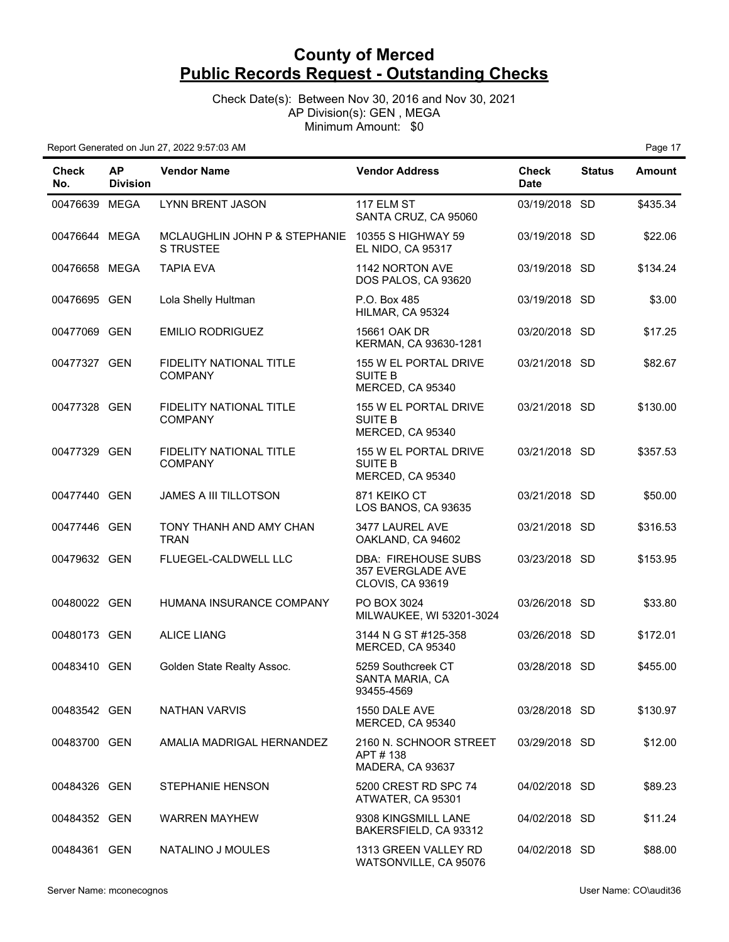Check Date(s): Between Nov 30, 2016 and Nov 30, 2021 AP Division(s): GEN , MEGA Minimum Amount: \$0

| <b>Check</b><br>No. | <b>AP</b><br><b>Division</b> | <b>Vendor Name</b>                                | <b>Vendor Address</b>                                        | <b>Check</b><br><b>Date</b> | <b>Status</b> | <b>Amount</b> |
|---------------------|------------------------------|---------------------------------------------------|--------------------------------------------------------------|-----------------------------|---------------|---------------|
| 00476639 MEGA       |                              | <b>LYNN BRENT JASON</b>                           | 117 ELM ST<br>SANTA CRUZ, CA 95060                           | 03/19/2018 SD               |               | \$435.34      |
| 00476644 MEGA       |                              | MCLAUGHLIN JOHN P & STEPHANIE<br><b>S TRUSTEE</b> | 10355 S HIGHWAY 59<br><b>EL NIDO, CA 95317</b>               | 03/19/2018 SD               |               | \$22.06       |
| 00476658 MEGA       |                              | <b>TAPIA EVA</b>                                  | 1142 NORTON AVE<br>DOS PALOS, CA 93620                       | 03/19/2018 SD               |               | \$134.24      |
| 00476695 GEN        |                              | Lola Shelly Hultman                               | P.O. Box 485<br>HILMAR, CA 95324                             | 03/19/2018 SD               |               | \$3.00        |
| 00477069 GEN        |                              | <b>EMILIO RODRIGUEZ</b>                           | 15661 OAK DR<br>KERMAN, CA 93630-1281                        | 03/20/2018 SD               |               | \$17.25       |
| 00477327 GEN        |                              | FIDELITY NATIONAL TITLE<br><b>COMPANY</b>         | 155 W EL PORTAL DRIVE<br><b>SUITE B</b><br>MERCED, CA 95340  | 03/21/2018 SD               |               | \$82.67       |
| 00477328 GEN        |                              | FIDELITY NATIONAL TITLE<br><b>COMPANY</b>         | 155 W EL PORTAL DRIVE<br><b>SUITE B</b><br>MERCED, CA 95340  | 03/21/2018 SD               |               | \$130.00      |
| 00477329 GEN        |                              | FIDELITY NATIONAL TITLE<br><b>COMPANY</b>         | 155 W EL PORTAL DRIVE<br><b>SUITE B</b><br>MERCED, CA 95340  | 03/21/2018 SD               |               | \$357.53      |
| 00477440 GEN        |                              | JAMES A III TILLOTSON                             | 871 KEIKO CT<br>LOS BANOS, CA 93635                          | 03/21/2018 SD               |               | \$50.00       |
| 00477446 GEN        |                              | TONY THANH AND AMY CHAN<br><b>TRAN</b>            | 3477 LAUREL AVE<br>OAKLAND, CA 94602                         | 03/21/2018 SD               |               | \$316.53      |
| 00479632 GEN        |                              | FLUEGEL-CALDWELL LLC                              | DBA: FIREHOUSE SUBS<br>357 EVERGLADE AVE<br>CLOVIS, CA 93619 | 03/23/2018 SD               |               | \$153.95      |
| 00480022 GEN        |                              | HUMANA INSURANCE COMPANY                          | PO BOX 3024<br>MILWAUKEE, WI 53201-3024                      | 03/26/2018 SD               |               | \$33.80       |
| 00480173 GEN        |                              | <b>ALICE LIANG</b>                                | 3144 N G ST #125-358<br>MERCED, CA 95340                     | 03/26/2018 SD               |               | \$172.01      |
| 00483410 GEN        |                              | Golden State Realty Assoc.                        | 5259 Southcreek CT<br>SANTA MARIA, CA<br>93455-4569          | 03/28/2018 SD               |               | \$455.00      |
| 00483542 GEN        |                              | <b>NATHAN VARVIS</b>                              | 1550 DALE AVE<br>MERCED, CA 95340                            | 03/28/2018 SD               |               | \$130.97      |
| 00483700 GEN        |                              | AMALIA MADRIGAL HERNANDEZ                         | 2160 N. SCHNOOR STREET<br>APT # 138<br>MADERA, CA 93637      | 03/29/2018 SD               |               | \$12.00       |
| 00484326 GEN        |                              | <b>STEPHANIE HENSON</b>                           | 5200 CREST RD SPC 74<br>ATWATER, CA 95301                    | 04/02/2018 SD               |               | \$89.23       |
| 00484352 GEN        |                              | <b>WARREN MAYHEW</b>                              | 9308 KINGSMILL LANE<br>BAKERSFIELD, CA 93312                 | 04/02/2018 SD               |               | \$11.24       |
| 00484361 GEN        |                              | NATALINO J MOULES                                 | 1313 GREEN VALLEY RD<br>WATSONVILLE, CA 95076                | 04/02/2018 SD               |               | \$88.00       |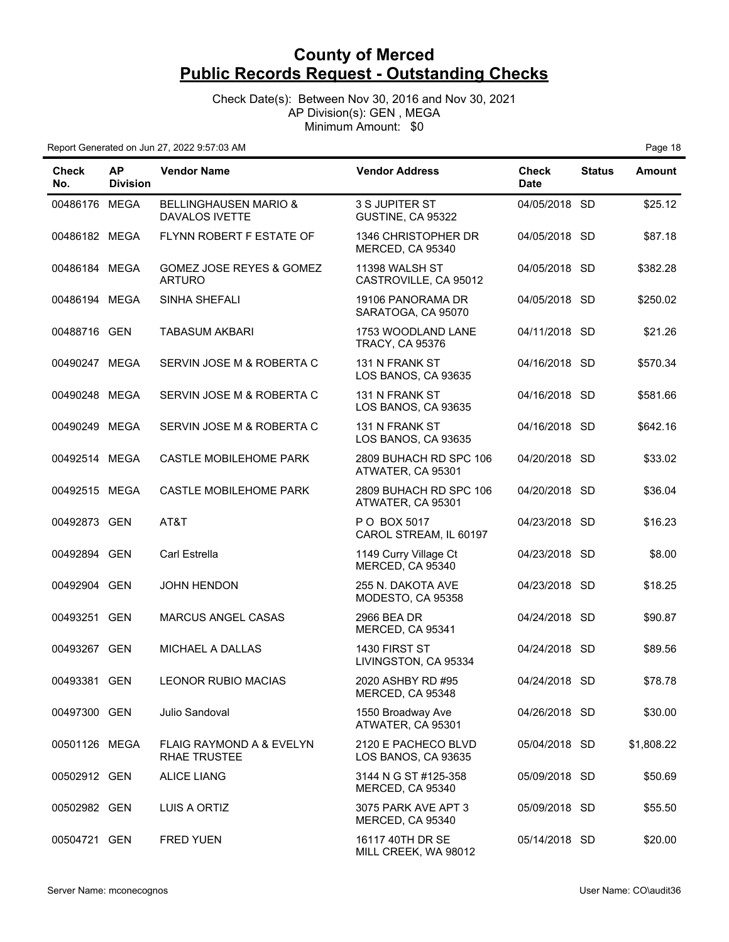Check Date(s): Between Nov 30, 2016 and Nov 30, 2021 AP Division(s): GEN , MEGA Minimum Amount: \$0

| <b>Check</b><br>No. | <b>AP</b><br><b>Division</b> | <b>Vendor Name</b>                                        | <b>Vendor Address</b>                        | <b>Check</b><br><b>Date</b> | <b>Status</b> | <b>Amount</b> |
|---------------------|------------------------------|-----------------------------------------------------------|----------------------------------------------|-----------------------------|---------------|---------------|
| 00486176 MEGA       |                              | <b>BELLINGHAUSEN MARIO &amp;</b><br><b>DAVALOS IVETTE</b> | 3 S JUPITER ST<br>GUSTINE, CA 95322          | 04/05/2018 SD               |               | \$25.12       |
| 00486182 MEGA       |                              | FLYNN ROBERT F ESTATE OF                                  | 1346 CHRISTOPHER DR<br>MERCED, CA 95340      | 04/05/2018 SD               |               | \$87.18       |
| 00486184 MEGA       |                              | GOMEZ JOSE REYES & GOMEZ<br><b>ARTURO</b>                 | 11398 WALSH ST<br>CASTROVILLE, CA 95012      | 04/05/2018 SD               |               | \$382.28      |
| 00486194 MEGA       |                              | SINHA SHEFALI                                             | 19106 PANORAMA DR<br>SARATOGA, CA 95070      | 04/05/2018 SD               |               | \$250.02      |
| 00488716 GEN        |                              | <b>TABASUM AKBARI</b>                                     | 1753 WOODLAND LANE<br><b>TRACY, CA 95376</b> | 04/11/2018 SD               |               | \$21.26       |
| 00490247 MEGA       |                              | SERVIN JOSE M & ROBERTA C                                 | 131 N FRANK ST<br>LOS BANOS, CA 93635        | 04/16/2018 SD               |               | \$570.34      |
| 00490248 MEGA       |                              | SERVIN JOSE M & ROBERTA C                                 | 131 N FRANK ST<br>LOS BANOS, CA 93635        | 04/16/2018 SD               |               | \$581.66      |
| 00490249 MEGA       |                              | SERVIN JOSE M & ROBERTA C                                 | 131 N FRANK ST<br>LOS BANOS, CA 93635        | 04/16/2018 SD               |               | \$642.16      |
| 00492514 MEGA       |                              | <b>CASTLE MOBILEHOME PARK</b>                             | 2809 BUHACH RD SPC 106<br>ATWATER, CA 95301  | 04/20/2018 SD               |               | \$33.02       |
| 00492515 MEGA       |                              | <b>CASTLE MOBILEHOME PARK</b>                             | 2809 BUHACH RD SPC 106<br>ATWATER, CA 95301  | 04/20/2018 SD               |               | \$36.04       |
| 00492873 GEN        |                              | AT&T                                                      | P O BOX 5017<br>CAROL STREAM, IL 60197       | 04/23/2018 SD               |               | \$16.23       |
| 00492894 GEN        |                              | Carl Estrella                                             | 1149 Curry Village Ct<br>MERCED, CA 95340    | 04/23/2018 SD               |               | \$8.00        |
| 00492904 GEN        |                              | <b>JOHN HENDON</b>                                        | 255 N. DAKOTA AVE<br>MODESTO, CA 95358       | 04/23/2018 SD               |               | \$18.25       |
| 00493251 GEN        |                              | <b>MARCUS ANGEL CASAS</b>                                 | 2966 BEA DR<br>MERCED, CA 95341              | 04/24/2018 SD               |               | \$90.87       |
| 00493267 GEN        |                              | MICHAEL A DALLAS                                          | 1430 FIRST ST<br>LIVINGSTON, CA 95334        | 04/24/2018 SD               |               | \$89.56       |
| 00493381 GEN        |                              | <b>LEONOR RUBIO MACIAS</b>                                | 2020 ASHBY RD #95<br>MERCED, CA 95348        | 04/24/2018 SD               |               | \$78.78       |
| 00497300 GEN        |                              | Julio Sandoval                                            | 1550 Broadway Ave<br>ATWATER, CA 95301       | 04/26/2018 SD               |               | \$30.00       |
| 00501126 MEGA       |                              | FLAIG RAYMOND A & EVELYN<br><b>RHAE TRUSTEE</b>           | 2120 E PACHECO BLVD<br>LOS BANOS, CA 93635   | 05/04/2018 SD               |               | \$1,808.22    |
| 00502912 GEN        |                              | <b>ALICE LIANG</b>                                        | 3144 N G ST #125-358<br>MERCED, CA 95340     | 05/09/2018 SD               |               | \$50.69       |
| 00502982 GEN        |                              | LUIS A ORTIZ                                              | 3075 PARK AVE APT 3<br>MERCED, CA 95340      | 05/09/2018 SD               |               | \$55.50       |
| 00504721 GEN        |                              | <b>FRED YUEN</b>                                          | 16117 40TH DR SE<br>MILL CREEK, WA 98012     | 05/14/2018 SD               |               | \$20.00       |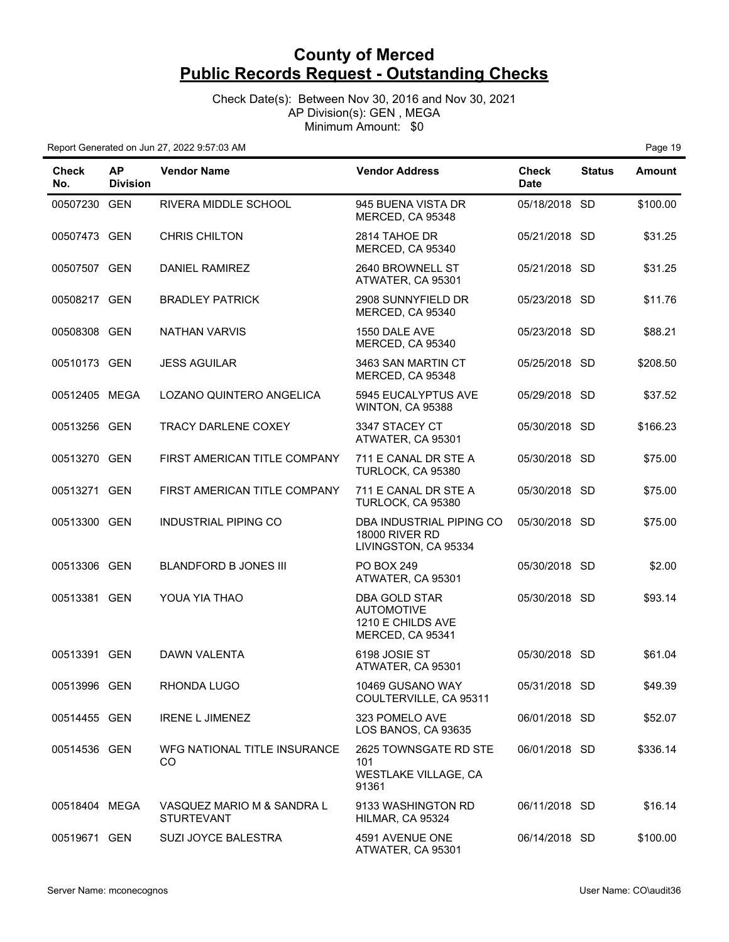Check Date(s): Between Nov 30, 2016 and Nov 30, 2021 AP Division(s): GEN , MEGA Minimum Amount: \$0

| <b>Check</b><br>No. | <b>AP</b><br><b>Division</b> | <b>Vendor Name</b>                              | <b>Vendor Address</b>                                                       | <b>Check</b><br><b>Date</b> | <b>Status</b> | <b>Amount</b> |
|---------------------|------------------------------|-------------------------------------------------|-----------------------------------------------------------------------------|-----------------------------|---------------|---------------|
| 00507230 GEN        |                              | RIVERA MIDDLE SCHOOL                            | 945 BUENA VISTA DR<br>MERCED, CA 95348                                      | 05/18/2018 SD               |               | \$100.00      |
| 00507473 GEN        |                              | <b>CHRIS CHILTON</b>                            | 2814 TAHOE DR<br>MERCED, CA 95340                                           | 05/21/2018 SD               |               | \$31.25       |
| 00507507 GEN        |                              | DANIEL RAMIREZ                                  | 2640 BROWNELL ST<br>ATWATER, CA 95301                                       | 05/21/2018 SD               |               | \$31.25       |
| 00508217 GEN        |                              | <b>BRADLEY PATRICK</b>                          | 2908 SUNNYFIELD DR<br>MERCED, CA 95340                                      | 05/23/2018 SD               |               | \$11.76       |
| 00508308 GEN        |                              | <b>NATHAN VARVIS</b>                            | 1550 DALE AVE<br>MERCED, CA 95340                                           | 05/23/2018 SD               |               | \$88.21       |
| 00510173 GEN        |                              | <b>JESS AGUILAR</b>                             | 3463 SAN MARTIN CT<br>MERCED, CA 95348                                      | 05/25/2018 SD               |               | \$208.50      |
| 00512405 MEGA       |                              | LOZANO QUINTERO ANGELICA                        | 5945 EUCALYPTUS AVE<br>WINTON, CA 95388                                     | 05/29/2018 SD               |               | \$37.52       |
| 00513256 GEN        |                              | TRACY DARLENE COXEY                             | 3347 STACEY CT<br>ATWATER, CA 95301                                         | 05/30/2018 SD               |               | \$166.23      |
| 00513270 GEN        |                              | FIRST AMERICAN TITLE COMPANY                    | 711 E CANAL DR STE A<br>TURLOCK, CA 95380                                   | 05/30/2018 SD               |               | \$75.00       |
| 00513271 GEN        |                              | FIRST AMERICAN TITLE COMPANY                    | 711 E CANAL DR STE A<br>TURLOCK, CA 95380                                   | 05/30/2018 SD               |               | \$75.00       |
| 00513300 GEN        |                              | INDUSTRIAL PIPING CO                            | DBA INDUSTRIAL PIPING CO<br><b>18000 RIVER RD</b><br>LIVINGSTON, CA 95334   | 05/30/2018 SD               |               | \$75.00       |
| 00513306 GEN        |                              | <b>BLANDFORD B JONES III</b>                    | <b>PO BOX 249</b><br>ATWATER, CA 95301                                      | 05/30/2018 SD               |               | \$2.00        |
| 00513381 GEN        |                              | YOUA YIA THAO                                   | DBA GOLD STAR<br><b>AUTOMOTIVE</b><br>1210 E CHILDS AVE<br>MERCED, CA 95341 | 05/30/2018 SD               |               | \$93.14       |
| 00513391 GEN        |                              | DAWN VALENTA                                    | 6198 JOSIE ST<br>ATWATER, CA 95301                                          | 05/30/2018 SD               |               | \$61.04       |
| 00513996 GEN        |                              | RHONDA LUGO                                     | 10469 GUSANO WAY<br>COULTERVILLE, CA 95311                                  | 05/31/2018 SD               |               | \$49.39       |
| 00514455 GEN        |                              | <b>IRENE L JIMENEZ</b>                          | 323 POMELO AVE<br>LOS BANOS, CA 93635                                       | 06/01/2018 SD               |               | \$52.07       |
| 00514536 GEN        |                              | WFG NATIONAL TITLE INSURANCE<br>CO              | 2625 TOWNSGATE RD STE<br>101<br>WESTLAKE VILLAGE, CA<br>91361               | 06/01/2018 SD               |               | \$336.14      |
| 00518404 MEGA       |                              | VASQUEZ MARIO M & SANDRA L<br><b>STURTEVANT</b> | 9133 WASHINGTON RD<br>HILMAR, CA 95324                                      | 06/11/2018 SD               |               | \$16.14       |
| 00519671 GEN        |                              | SUZI JOYCE BALESTRA                             | 4591 AVENUE ONE<br>ATWATER, CA 95301                                        | 06/14/2018 SD               |               | \$100.00      |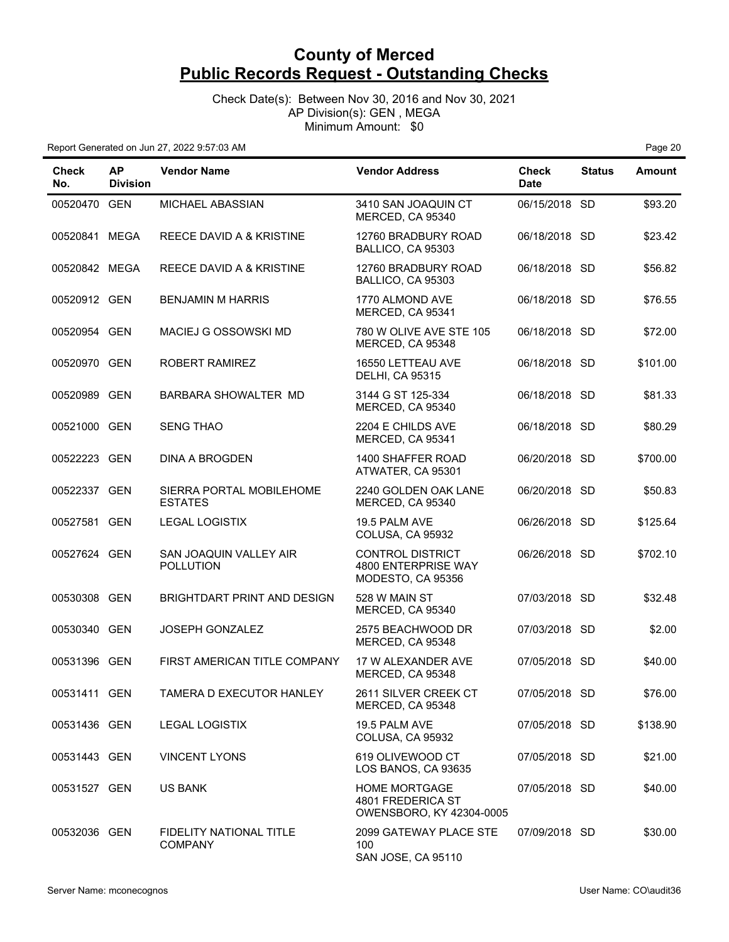Check Date(s): Between Nov 30, 2016 and Nov 30, 2021 AP Division(s): GEN , MEGA Minimum Amount: \$0

| <b>Check</b><br>No. | <b>AP</b><br><b>Division</b> | <b>Vendor Name</b>                               | <b>Vendor Address</b>                                                 | <b>Check</b><br><b>Date</b> | <b>Status</b> | <b>Amount</b> |
|---------------------|------------------------------|--------------------------------------------------|-----------------------------------------------------------------------|-----------------------------|---------------|---------------|
| 00520470 GEN        |                              | MICHAEL ABASSIAN                                 | 3410 SAN JOAQUIN CT<br>MERCED, CA 95340                               | 06/15/2018 SD               |               | \$93.20       |
| 00520841 MEGA       |                              | REECE DAVID A & KRISTINE                         | 12760 BRADBURY ROAD<br>BALLICO, CA 95303                              | 06/18/2018 SD               |               | \$23.42       |
| 00520842 MEGA       |                              | REECE DAVID A & KRISTINE                         | 12760 BRADBURY ROAD<br>BALLICO, CA 95303                              | 06/18/2018 SD               |               | \$56.82       |
| 00520912 GEN        |                              | <b>BENJAMIN M HARRIS</b>                         | 1770 ALMOND AVE<br>MERCED, CA 95341                                   | 06/18/2018 SD               |               | \$76.55       |
| 00520954 GEN        |                              | MACIEJ G OSSOWSKI MD                             | 780 W OLIVE AVE STE 105<br>MERCED, CA 95348                           | 06/18/2018 SD               |               | \$72.00       |
| 00520970 GEN        |                              | ROBERT RAMIREZ                                   | 16550 LETTEAU AVE<br><b>DELHI, CA 95315</b>                           | 06/18/2018 SD               |               | \$101.00      |
| 00520989 GEN        |                              | BARBARA SHOWALTER MD                             | 3144 G ST 125-334<br>MERCED, CA 95340                                 | 06/18/2018 SD               |               | \$81.33       |
| 00521000 GEN        |                              | <b>SENG THAO</b>                                 | 2204 E CHILDS AVE<br>MERCED, CA 95341                                 | 06/18/2018 SD               |               | \$80.29       |
| 00522223 GEN        |                              | DINA A BROGDEN                                   | 1400 SHAFFER ROAD<br>ATWATER, CA 95301                                | 06/20/2018 SD               |               | \$700.00      |
| 00522337 GEN        |                              | SIERRA PORTAL MOBILEHOME<br><b>ESTATES</b>       | 2240 GOLDEN OAK LANE<br>MERCED, CA 95340                              | 06/20/2018 SD               |               | \$50.83       |
| 00527581 GEN        |                              | <b>LEGAL LOGISTIX</b>                            | 19.5 PALM AVE<br>COLUSA, CA 95932                                     | 06/26/2018 SD               |               | \$125.64      |
| 00527624 GEN        |                              | SAN JOAQUIN VALLEY AIR<br><b>POLLUTION</b>       | <b>CONTROL DISTRICT</b><br>4800 ENTERPRISE WAY<br>MODESTO, CA 95356   | 06/26/2018 SD               |               | \$702.10      |
| 00530308 GEN        |                              | BRIGHTDART PRINT AND DESIGN                      | 528 W MAIN ST<br>MERCED, CA 95340                                     | 07/03/2018 SD               |               | \$32.48       |
| 00530340 GEN        |                              | JOSEPH GONZALEZ                                  | 2575 BEACHWOOD DR<br>MERCED, CA 95348                                 | 07/03/2018 SD               |               | \$2.00        |
| 00531396 GEN        |                              | FIRST AMERICAN TITLE COMPANY                     | 17 W ALEXANDER AVE<br>MERCED, CA 95348                                | 07/05/2018 SD               |               | \$40.00       |
| 00531411 GEN        |                              | TAMERA D EXECUTOR HANLEY                         | 2611 SILVER CREEK CT<br>MERCED, CA 95348                              | 07/05/2018 SD               |               | \$76.00       |
| 00531436 GEN        |                              | <b>LEGAL LOGISTIX</b>                            | 19.5 PALM AVE<br>COLUSA, CA 95932                                     | 07/05/2018 SD               |               | \$138.90      |
| 00531443 GEN        |                              | <b>VINCENT LYONS</b>                             | 619 OLIVEWOOD CT<br>LOS BANOS, CA 93635                               | 07/05/2018 SD               |               | \$21.00       |
| 00531527 GEN        |                              | <b>US BANK</b>                                   | <b>HOME MORTGAGE</b><br>4801 FREDERICA ST<br>OWENSBORO, KY 42304-0005 | 07/05/2018 SD               |               | \$40.00       |
| 00532036 GEN        |                              | <b>FIDELITY NATIONAL TITLE</b><br><b>COMPANY</b> | 2099 GATEWAY PLACE STE<br>100<br>SAN JOSE, CA 95110                   | 07/09/2018 SD               |               | \$30.00       |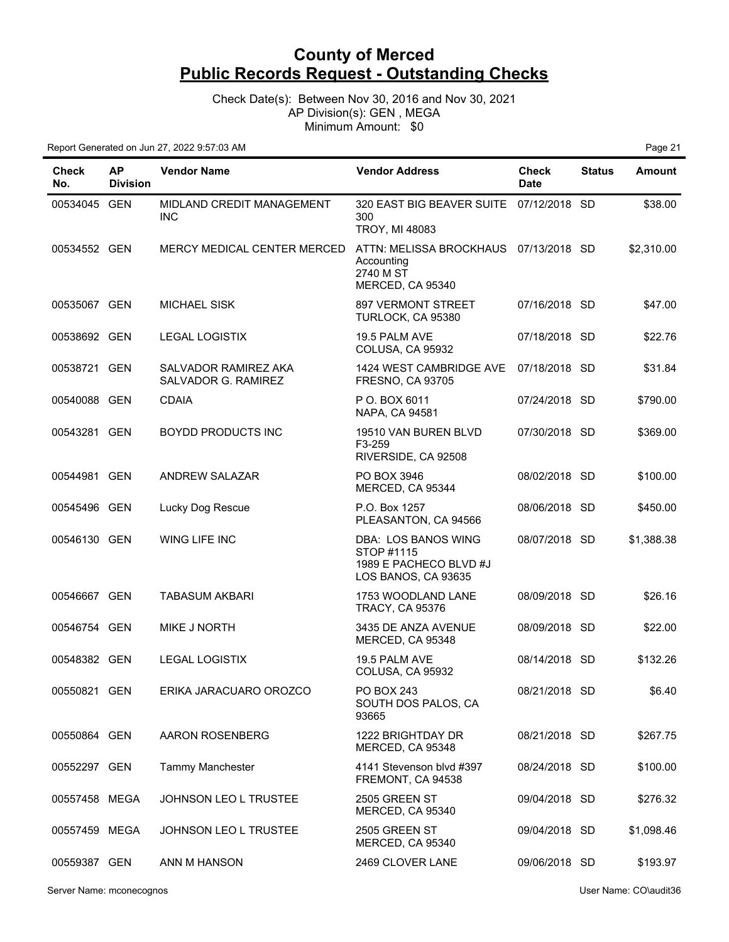Check Date(s): Between Nov 30, 2016 and Nov 30, 2021 AP Division(s): GEN , MEGA Minimum Amount: \$0

| <b>Check</b><br>No. | <b>AP</b><br><b>Division</b> | <b>Vendor Name</b>                          | <b>Vendor Address</b>                                                                | Check<br><b>Date</b> | <b>Status</b> | <b>Amount</b> |
|---------------------|------------------------------|---------------------------------------------|--------------------------------------------------------------------------------------|----------------------|---------------|---------------|
| 00534045 GEN        |                              | MIDLAND CREDIT MANAGEMENT<br><b>INC</b>     | 320 EAST BIG BEAVER SUITE 07/12/2018 SD<br>300<br><b>TROY, MI 48083</b>              |                      |               | \$38.00       |
| 00534552 GEN        |                              | MERCY MEDICAL CENTER MERCED                 | ATTN: MELISSA BROCKHAUS 07/13/2018 SD<br>Accounting<br>2740 M ST<br>MERCED, CA 95340 |                      |               | \$2,310.00    |
| 00535067 GEN        |                              | <b>MICHAEL SISK</b>                         | <b>897 VERMONT STREET</b><br>TURLOCK, CA 95380                                       | 07/16/2018 SD        |               | \$47.00       |
| 00538692 GEN        |                              | <b>LEGAL LOGISTIX</b>                       | 19.5 PALM AVE<br>COLUSA, CA 95932                                                    | 07/18/2018 SD        |               | \$22.76       |
| 00538721 GEN        |                              | SALVADOR RAMIREZ AKA<br>SALVADOR G. RAMIREZ | 1424 WEST CAMBRIDGE AVE<br><b>FRESNO, CA 93705</b>                                   | 07/18/2018 SD        |               | \$31.84       |
| 00540088 GEN        |                              | <b>CDAIA</b>                                | P O. BOX 6011<br>NAPA, CA 94581                                                      | 07/24/2018 SD        |               | \$790.00      |
| 00543281 GEN        |                              | <b>BOYDD PRODUCTS INC</b>                   | 19510 VAN BUREN BLVD<br>F3-259<br>RIVERSIDE, CA 92508                                | 07/30/2018 SD        |               | \$369.00      |
| 00544981 GEN        |                              | <b>ANDREW SALAZAR</b>                       | PO BOX 3946<br>MERCED, CA 95344                                                      | 08/02/2018 SD        |               | \$100.00      |
| 00545496 GEN        |                              | Lucky Dog Rescue                            | P.O. Box 1257<br>PLEASANTON, CA 94566                                                | 08/06/2018 SD        |               | \$450.00      |
| 00546130 GEN        |                              | WING LIFE INC                               | DBA: LOS BANOS WING<br>STOP #1115<br>1989 E PACHECO BLVD #J<br>LOS BANOS, CA 93635   | 08/07/2018 SD        |               | \$1,388.38    |
| 00546667 GEN        |                              | <b>TABASUM AKBARI</b>                       | 1753 WOODLAND LANE<br><b>TRACY, CA 95376</b>                                         | 08/09/2018 SD        |               | \$26.16       |
| 00546754 GEN        |                              | MIKE J NORTH                                | 3435 DE ANZA AVENUE<br>MERCED, CA 95348                                              | 08/09/2018 SD        |               | \$22.00       |
| 00548382 GEN        |                              | <b>LEGAL LOGISTIX</b>                       | 19.5 PALM AVE<br>COLUSA, CA 95932                                                    | 08/14/2018 SD        |               | \$132.26      |
| 00550821 GEN        |                              | ERIKA JARACUARO OROZCO                      | PO BOX 243<br>SOUTH DOS PALOS, CA<br>93665                                           | 08/21/2018 SD        |               | \$6.40        |
| 00550864 GEN        |                              | AARON ROSENBERG                             | 1222 BRIGHTDAY DR<br>MERCED, CA 95348                                                | 08/21/2018 SD        |               | \$267.75      |
| 00552297 GEN        |                              | Tammy Manchester                            | 4141 Stevenson blvd #397<br>FREMONT, CA 94538                                        | 08/24/2018 SD        |               | \$100.00      |
| 00557458 MEGA       |                              | <b>JOHNSON LEO L TRUSTEE</b>                | 2505 GREEN ST<br>MERCED, CA 95340                                                    | 09/04/2018 SD        |               | \$276.32      |
| 00557459 MEGA       |                              | <b>JOHNSON LEO L TRUSTEE</b>                | 2505 GREEN ST<br>MERCED, CA 95340                                                    | 09/04/2018 SD        |               | \$1,098.46    |
| 00559387 GEN        |                              | ANN M HANSON                                | 2469 CLOVER LANE                                                                     | 09/06/2018 SD        |               | \$193.97      |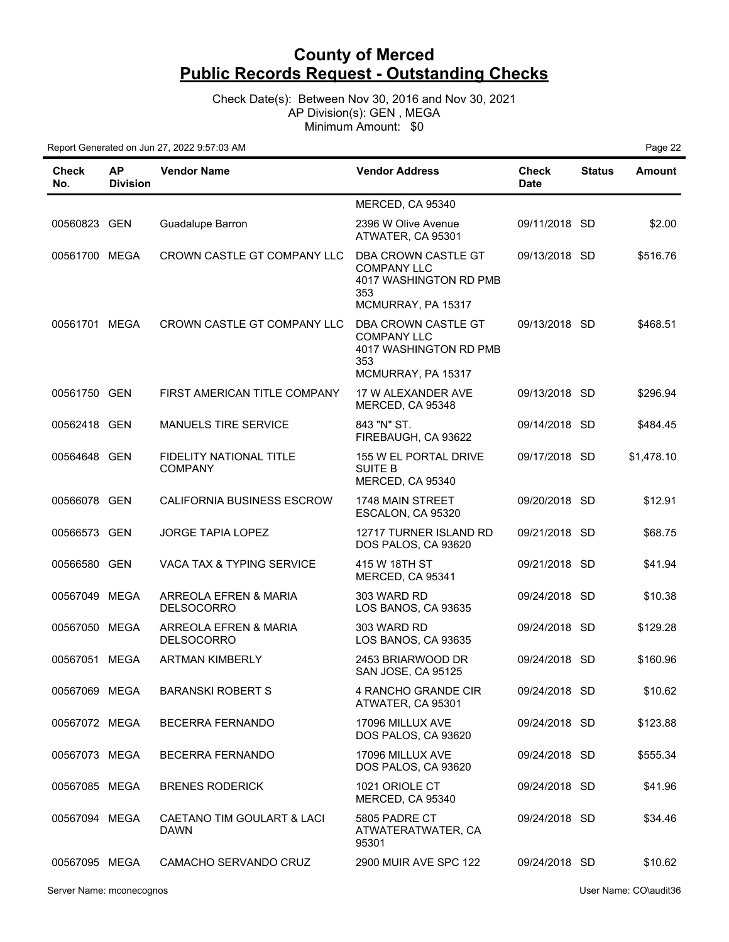Check Date(s): Between Nov 30, 2016 and Nov 30, 2021 AP Division(s): GEN , MEGA Minimum Amount: \$0

| Check<br>No.  | <b>AP</b><br><b>Division</b> | <b>Vendor Name</b>                         | <b>Vendor Address</b>                                                                            | <b>Check</b><br><b>Date</b> | <b>Status</b> | <b>Amount</b> |
|---------------|------------------------------|--------------------------------------------|--------------------------------------------------------------------------------------------------|-----------------------------|---------------|---------------|
|               |                              |                                            | MERCED, CA 95340                                                                                 |                             |               |               |
| 00560823 GEN  |                              | Guadalupe Barron                           | 2396 W Olive Avenue<br>ATWATER, CA 95301                                                         | 09/11/2018 SD               |               | \$2.00        |
| 00561700 MEGA |                              | CROWN CASTLE GT COMPANY LLC                | DBA CROWN CASTLE GT<br><b>COMPANY LLC</b><br>4017 WASHINGTON RD PMB<br>353<br>MCMURRAY, PA 15317 | 09/13/2018 SD               |               | \$516.76      |
| 00561701 MEGA |                              | CROWN CASTLE GT COMPANY LLC                | DBA CROWN CASTLE GT<br><b>COMPANY LLC</b><br>4017 WASHINGTON RD PMB<br>353<br>MCMURRAY, PA 15317 | 09/13/2018 SD               |               | \$468.51      |
| 00561750 GEN  |                              | FIRST AMERICAN TITLE COMPANY               | 17 W ALEXANDER AVE<br>MERCED, CA 95348                                                           | 09/13/2018 SD               |               | \$296.94      |
| 00562418 GEN  |                              | MANUELS TIRE SERVICE                       | 843 "N" ST.<br>FIREBAUGH, CA 93622                                                               | 09/14/2018 SD               |               | \$484.45      |
| 00564648 GEN  |                              | FIDELITY NATIONAL TITLE<br><b>COMPANY</b>  | 155 W EL PORTAL DRIVE<br><b>SUITE B</b><br>MERCED, CA 95340                                      | 09/17/2018 SD               |               | \$1,478.10    |
| 00566078 GEN  |                              | CALIFORNIA BUSINESS ESCROW                 | 1748 MAIN STREET<br>ESCALON, CA 95320                                                            | 09/20/2018 SD               |               | \$12.91       |
| 00566573 GEN  |                              | <b>JORGE TAPIA LOPEZ</b>                   | 12717 TURNER ISLAND RD<br>DOS PALOS, CA 93620                                                    | 09/21/2018 SD               |               | \$68.75       |
| 00566580 GEN  |                              | <b>VACA TAX &amp; TYPING SERVICE</b>       | 415 W 18TH ST<br>MERCED, CA 95341                                                                | 09/21/2018 SD               |               | \$41.94       |
| 00567049 MEGA |                              | ARREOLA EFREN & MARIA<br><b>DELSOCORRO</b> | 303 WARD RD<br>LOS BANOS, CA 93635                                                               | 09/24/2018 SD               |               | \$10.38       |
| 00567050 MEGA |                              | ARREOLA EFREN & MARIA<br><b>DELSOCORRO</b> | 303 WARD RD<br>LOS BANOS, CA 93635                                                               | 09/24/2018 SD               |               | \$129.28      |
| 00567051 MEGA |                              | <b>ARTMAN KIMBERLY</b>                     | 2453 BRIARWOOD DR<br>SAN JOSE, CA 95125                                                          | 09/24/2018 SD               |               | \$160.96      |
| 00567069 MEGA |                              | <b>BARANSKI ROBERT S</b>                   | 4 RANCHO GRANDE CIR<br>ATWATER, CA 95301                                                         | 09/24/2018 SD               |               | \$10.62       |
| 00567072 MEGA |                              | <b>BECERRA FERNANDO</b>                    | 17096 MILLUX AVE<br>DOS PALOS, CA 93620                                                          | 09/24/2018 SD               |               | \$123.88      |
| 00567073 MEGA |                              | <b>BECERRA FERNANDO</b>                    | 17096 MILLUX AVE<br>DOS PALOS, CA 93620                                                          | 09/24/2018 SD               |               | \$555.34      |
| 00567085 MEGA |                              | <b>BRENES RODERICK</b>                     | 1021 ORIOLE CT<br>MERCED, CA 95340                                                               | 09/24/2018 SD               |               | \$41.96       |
| 00567094 MEGA |                              | CAETANO TIM GOULART & LACI<br><b>DAWN</b>  | 5805 PADRE CT<br>ATWATERATWATER, CA<br>95301                                                     | 09/24/2018 SD               |               | \$34.46       |
| 00567095 MEGA |                              | CAMACHO SERVANDO CRUZ                      | 2900 MUIR AVE SPC 122                                                                            | 09/24/2018 SD               |               | \$10.62       |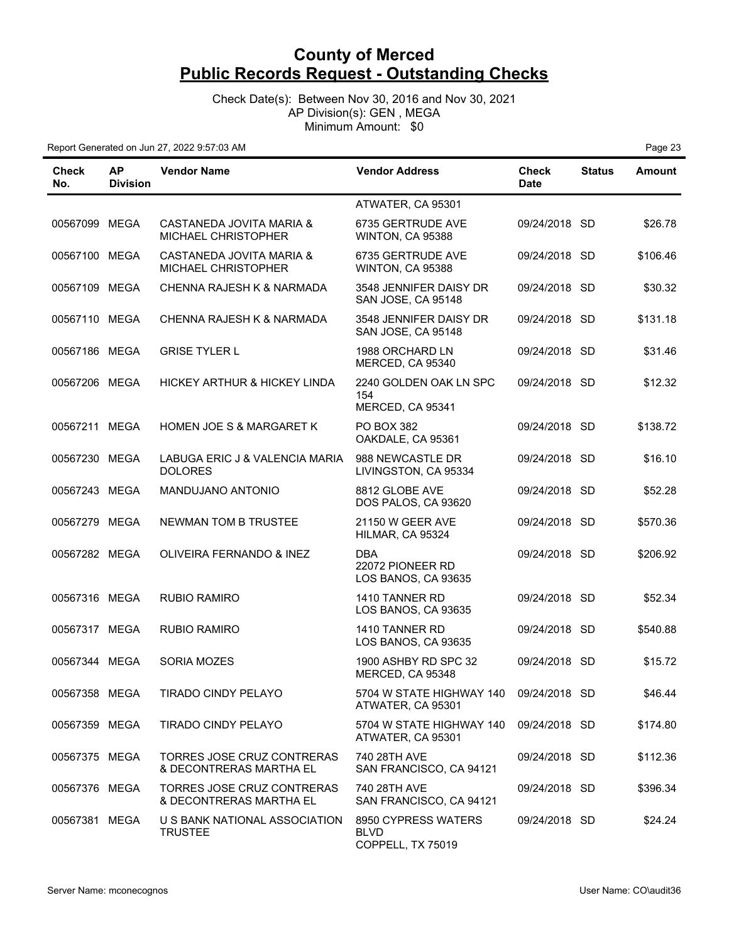Check Date(s): Between Nov 30, 2016 and Nov 30, 2021 AP Division(s): GEN , MEGA Minimum Amount: \$0

| Check<br>No.  | <b>AP</b><br><b>Division</b> | <b>Vendor Name</b>                                           | <b>Vendor Address</b>                                       | <b>Check</b><br><b>Date</b> | <b>Status</b> | <b>Amount</b> |
|---------------|------------------------------|--------------------------------------------------------------|-------------------------------------------------------------|-----------------------------|---------------|---------------|
|               |                              |                                                              | ATWATER, CA 95301                                           |                             |               |               |
| 00567099 MEGA |                              | CASTANEDA JOVITA MARIA &<br>MICHAEL CHRISTOPHER              | 6735 GERTRUDE AVE<br>WINTON, CA 95388                       | 09/24/2018 SD               |               | \$26.78       |
| 00567100 MEGA |                              | CASTANEDA JOVITA MARIA &<br>MICHAEL CHRISTOPHER              | 6735 GERTRUDE AVE<br>WINTON, CA 95388                       | 09/24/2018 SD               |               | \$106.46      |
| 00567109 MEGA |                              | CHENNA RAJESH K & NARMADA                                    | 3548 JENNIFER DAISY DR<br>SAN JOSE, CA 95148                | 09/24/2018 SD               |               | \$30.32       |
| 00567110 MEGA |                              | CHENNA RAJESH K & NARMADA                                    | 3548 JENNIFER DAISY DR<br>SAN JOSE, CA 95148                | 09/24/2018 SD               |               | \$131.18      |
| 00567186 MEGA |                              | <b>GRISE TYLER L</b>                                         | 1988 ORCHARD LN<br>MERCED, CA 95340                         | 09/24/2018 SD               |               | \$31.46       |
| 00567206 MEGA |                              | HICKEY ARTHUR & HICKEY LINDA                                 | 2240 GOLDEN OAK LN SPC<br>154<br>MERCED, CA 95341           | 09/24/2018 SD               |               | \$12.32       |
| 00567211 MEGA |                              | <b>HOMEN JOE S &amp; MARGARET K</b>                          | <b>PO BOX 382</b><br>OAKDALE, CA 95361                      | 09/24/2018 SD               |               | \$138.72      |
| 00567230 MEGA |                              | LABUGA ERIC J & VALENCIA MARIA<br><b>DOLORES</b>             | 988 NEWCASTLE DR<br>LIVINGSTON, CA 95334                    | 09/24/2018 SD               |               | \$16.10       |
| 00567243 MEGA |                              | MANDUJANO ANTONIO                                            | 8812 GLOBE AVE<br>DOS PALOS, CA 93620                       | 09/24/2018 SD               |               | \$52.28       |
| 00567279 MEGA |                              | <b>NEWMAN TOM B TRUSTEE</b>                                  | <b>21150 W GEER AVE</b><br>HILMAR, CA 95324                 | 09/24/2018 SD               |               | \$570.36      |
| 00567282 MEGA |                              | OLIVEIRA FERNANDO & INEZ                                     | <b>DBA</b><br>22072 PIONEER RD<br>LOS BANOS, CA 93635       | 09/24/2018 SD               |               | \$206.92      |
| 00567316 MEGA |                              | <b>RUBIO RAMIRO</b>                                          | 1410 TANNER RD<br>LOS BANOS, CA 93635                       | 09/24/2018 SD               |               | \$52.34       |
| 00567317 MEGA |                              | <b>RUBIO RAMIRO</b>                                          | 1410 TANNER RD<br>LOS BANOS, CA 93635                       | 09/24/2018 SD               |               | \$540.88      |
| 00567344 MEGA |                              | SORIA MOZES                                                  | 1900 ASHBY RD SPC 32<br>MERCED, CA 95348                    | 09/24/2018 SD               |               | \$15.72       |
| 00567358 MEGA |                              | TIRADO CINDY PELAYO                                          | 5704 W STATE HIGHWAY 140 09/24/2018 SD<br>ATWATER, CA 95301 |                             |               | \$46.44       |
| 00567359 MEGA |                              | <b>TIRADO CINDY PELAYO</b>                                   | 5704 W STATE HIGHWAY 140<br>ATWATER, CA 95301               | 09/24/2018 SD               |               | \$174.80      |
| 00567375 MEGA |                              | <b>TORRES JOSE CRUZ CONTRERAS</b><br>& DECONTRERAS MARTHA EL | 740 28TH AVE<br>SAN FRANCISCO, CA 94121                     | 09/24/2018 SD               |               | \$112.36      |
| 00567376 MEGA |                              | TORRES JOSE CRUZ CONTRERAS<br>& DECONTRERAS MARTHA EL        | 740 28TH AVE<br>SAN FRANCISCO, CA 94121                     | 09/24/2018 SD               |               | \$396.34      |
| 00567381 MEGA |                              | U S BANK NATIONAL ASSOCIATION<br><b>TRUSTEE</b>              | 8950 CYPRESS WATERS<br><b>BLVD</b><br>COPPELL, TX 75019     | 09/24/2018 SD               |               | \$24.24       |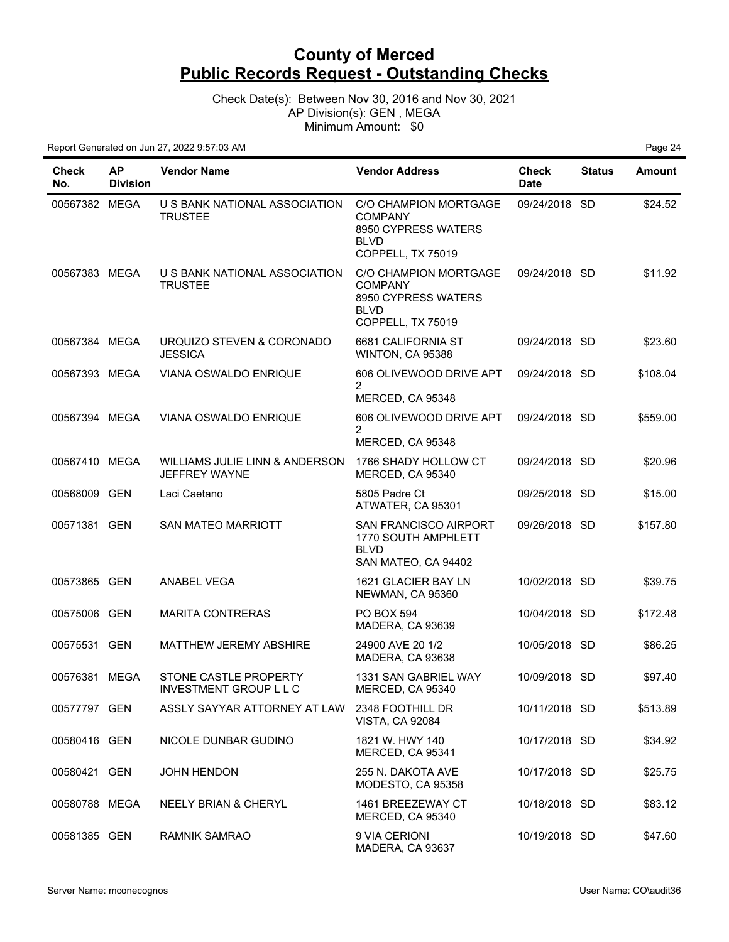Check Date(s): Between Nov 30, 2016 and Nov 30, 2021 AP Division(s): GEN , MEGA Minimum Amount: \$0

| Check<br>No.  | <b>AP</b><br><b>Division</b> | <b>Vendor Name</b>                              | <b>Vendor Address</b>                                                                              | <b>Check</b><br><b>Date</b> | <b>Status</b> | <b>Amount</b> |
|---------------|------------------------------|-------------------------------------------------|----------------------------------------------------------------------------------------------------|-----------------------------|---------------|---------------|
| 00567382 MEGA |                              | U S BANK NATIONAL ASSOCIATION<br><b>TRUSTEE</b> | C/O CHAMPION MORTGAGE<br><b>COMPANY</b><br>8950 CYPRESS WATERS<br><b>BLVD</b><br>COPPELL, TX 75019 | 09/24/2018 SD               |               | \$24.52       |
| 00567383 MEGA |                              | U S BANK NATIONAL ASSOCIATION<br><b>TRUSTEE</b> | C/O CHAMPION MORTGAGE<br><b>COMPANY</b><br>8950 CYPRESS WATERS<br><b>BLVD</b><br>COPPELL, TX 75019 | 09/24/2018 SD               |               | \$11.92       |
| 00567384 MEGA |                              | URQUIZO STEVEN & CORONADO<br><b>JESSICA</b>     | 6681 CALIFORNIA ST<br>WINTON, CA 95388                                                             | 09/24/2018 SD               |               | \$23.60       |
| 00567393 MEGA |                              | VIANA OSWALDO ENRIQUE                           | 606 OLIVEWOOD DRIVE APT                                                                            | 09/24/2018 SD               |               | \$108.04      |
|               |                              |                                                 | $\overline{2}$<br>MERCED, CA 95348                                                                 |                             |               |               |
| 00567394 MEGA |                              | VIANA OSWALDO ENRIQUE                           | 606 OLIVEWOOD DRIVE APT<br>$\overline{2}$                                                          | 09/24/2018 SD               |               | \$559.00      |
|               |                              |                                                 | MERCED, CA 95348                                                                                   |                             |               |               |
| 00567410 MEGA |                              | WILLIAMS JULIE LINN & ANDERSON<br>JEFFREY WAYNE | 1766 SHADY HOLLOW CT<br>MERCED, CA 95340                                                           | 09/24/2018 SD               |               | \$20.96       |
| 00568009 GEN  |                              | Laci Caetano                                    | 5805 Padre Ct<br>ATWATER, CA 95301                                                                 | 09/25/2018 SD               |               | \$15.00       |
| 00571381 GEN  |                              | SAN MATEO MARRIOTT                              | SAN FRANCISCO AIRPORT<br>1770 SOUTH AMPHLETT<br><b>BLVD</b><br>SAN MATEO, CA 94402                 | 09/26/2018 SD               |               | \$157.80      |
| 00573865 GEN  |                              | ANABEL VEGA                                     | 1621 GLACIER BAY LN<br>NEWMAN, CA 95360                                                            | 10/02/2018 SD               |               | \$39.75       |
| 00575006 GEN  |                              | <b>MARITA CONTRERAS</b>                         | <b>PO BOX 594</b><br>MADERA, CA 93639                                                              | 10/04/2018 SD               |               | \$172.48      |
| 00575531 GEN  |                              | <b>MATTHEW JEREMY ABSHIRE</b>                   | 24900 AVE 20 1/2<br>MADERA, CA 93638                                                               | 10/05/2018 SD               |               | \$86.25       |
| 00576381 MEGA |                              | STONE CASTLE PROPERTY<br>INVESTMENT GROUP L L C | 1331 SAN GABRIEL WAY<br>MERCED, CA 95340                                                           | 10/09/2018 SD               |               | \$97.40       |
| 00577797 GEN  |                              | ASSLY SAYYAR ATTORNEY AT LAW                    | 2348 FOOTHILL DR<br><b>VISTA, CA 92084</b>                                                         | 10/11/2018 SD               |               | \$513.89      |
| 00580416 GEN  |                              | NICOLE DUNBAR GUDINO                            | 1821 W. HWY 140<br>MERCED, CA 95341                                                                | 10/17/2018 SD               |               | \$34.92       |
| 00580421 GEN  |                              | <b>JOHN HENDON</b>                              | 255 N. DAKOTA AVE<br>MODESTO, CA 95358                                                             | 10/17/2018 SD               |               | \$25.75       |
| 00580788 MEGA |                              | NEELY BRIAN & CHERYL                            | 1461 BREEZEWAY CT<br>MERCED, CA 95340                                                              | 10/18/2018 SD               |               | \$83.12       |
| 00581385 GEN  |                              | <b>RAMNIK SAMRAO</b>                            | 9 VIA CERIONI<br>MADERA, CA 93637                                                                  | 10/19/2018 SD               |               | \$47.60       |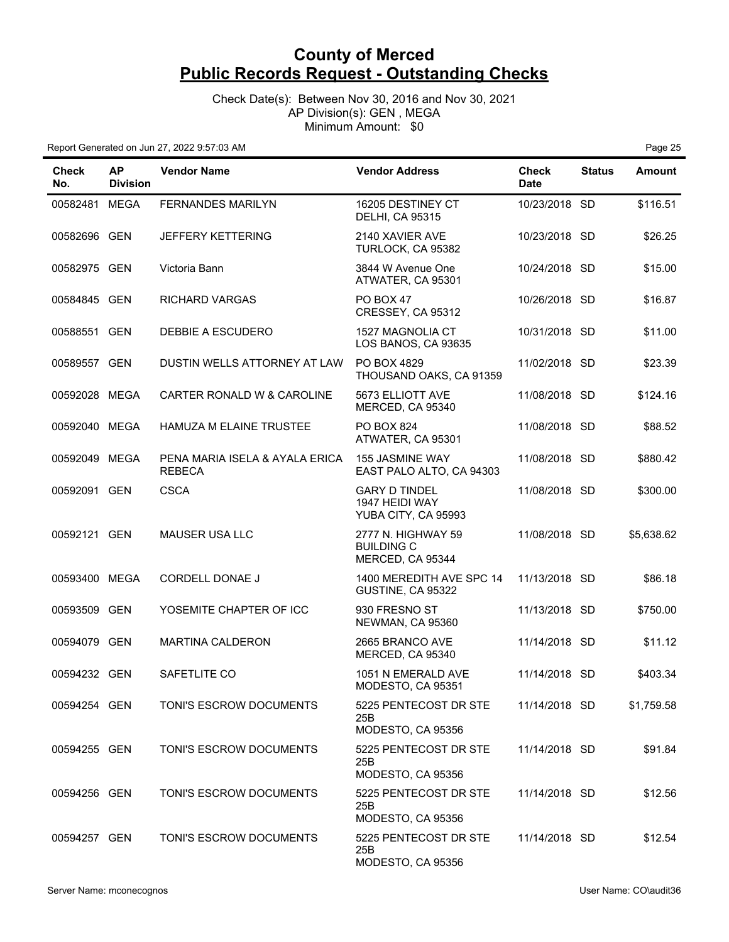Check Date(s): Between Nov 30, 2016 and Nov 30, 2021 AP Division(s): GEN , MEGA Minimum Amount: \$0

| Check<br>No.  | <b>AP</b><br><b>Division</b> | <b>Vendor Name</b>                              | <b>Vendor Address</b>                                         | <b>Check</b><br><b>Date</b> | <b>Status</b> | <b>Amount</b> |
|---------------|------------------------------|-------------------------------------------------|---------------------------------------------------------------|-----------------------------|---------------|---------------|
| 00582481 MEGA |                              | FERNANDES MARILYN                               | 16205 DESTINEY CT<br><b>DELHI, CA 95315</b>                   | 10/23/2018 SD               |               | \$116.51      |
| 00582696 GEN  |                              | <b>JEFFERY KETTERING</b>                        | 2140 XAVIER AVE<br>TURLOCK, CA 95382                          | 10/23/2018 SD               |               | \$26.25       |
| 00582975 GEN  |                              | Victoria Bann                                   | 3844 W Avenue One<br>ATWATER, CA 95301                        | 10/24/2018 SD               |               | \$15.00       |
| 00584845 GEN  |                              | <b>RICHARD VARGAS</b>                           | PO BOX 47<br>CRESSEY, CA 95312                                | 10/26/2018 SD               |               | \$16.87       |
| 00588551 GEN  |                              | DEBBIE A ESCUDERO                               | 1527 MAGNOLIA CT<br>LOS BANOS, CA 93635                       | 10/31/2018 SD               |               | \$11.00       |
| 00589557 GEN  |                              | DUSTIN WELLS ATTORNEY AT LAW                    | PO BOX 4829<br>THOUSAND OAKS, CA 91359                        | 11/02/2018 SD               |               | \$23.39       |
| 00592028 MEGA |                              | CARTER RONALD W & CAROLINE                      | 5673 ELLIOTT AVE<br>MERCED, CA 95340                          | 11/08/2018 SD               |               | \$124.16      |
| 00592040 MEGA |                              | HAMUZA M ELAINE TRUSTEE                         | <b>PO BOX 824</b><br>ATWATER, CA 95301                        | 11/08/2018 SD               |               | \$88.52       |
| 00592049 MEGA |                              | PENA MARIA ISELA & AYALA ERICA<br><b>REBECA</b> | <b>155 JASMINE WAY</b><br>EAST PALO ALTO, CA 94303            | 11/08/2018 SD               |               | \$880.42      |
| 00592091 GEN  |                              | <b>CSCA</b>                                     | <b>GARY D TINDEL</b><br>1947 HEIDI WAY<br>YUBA CITY, CA 95993 | 11/08/2018 SD               |               | \$300.00      |
| 00592121 GEN  |                              | <b>MAUSER USA LLC</b>                           | 2777 N. HIGHWAY 59<br><b>BUILDING C</b><br>MERCED, CA 95344   | 11/08/2018 SD               |               | \$5,638.62    |
| 00593400 MEGA |                              | CORDELL DONAE J                                 | 1400 MEREDITH AVE SPC 14<br>GUSTINE, CA 95322                 | 11/13/2018 SD               |               | \$86.18       |
| 00593509 GEN  |                              | YOSEMITE CHAPTER OF ICC                         | 930 FRESNO ST<br>NEWMAN, CA 95360                             | 11/13/2018 SD               |               | \$750.00      |
| 00594079 GEN  |                              | <b>MARTINA CALDERON</b>                         | 2665 BRANCO AVE<br>MERCED, CA 95340                           | 11/14/2018 SD               |               | \$11.12       |
| 00594232 GEN  |                              | SAFETLITE CO                                    | 1051 N EMERALD AVE<br>MODESTO, CA 95351                       | 11/14/2018 SD               |               | \$403.34      |
| 00594254 GEN  |                              | TONI'S ESCROW DOCUMENTS                         | 5225 PENTECOST DR STE<br>25B<br>MODESTO, CA 95356             | 11/14/2018 SD               |               | \$1,759.58    |
| 00594255 GEN  |                              | TONI'S ESCROW DOCUMENTS                         | 5225 PENTECOST DR STE<br>25B<br>MODESTO, CA 95356             | 11/14/2018 SD               |               | \$91.84       |
| 00594256 GEN  |                              | TONI'S ESCROW DOCUMENTS                         | 5225 PENTECOST DR STE<br>25B<br>MODESTO, CA 95356             | 11/14/2018 SD               |               | \$12.56       |
| 00594257 GEN  |                              | TONI'S ESCROW DOCUMENTS                         | 5225 PENTECOST DR STE<br>25B<br>MODESTO, CA 95356             | 11/14/2018 SD               |               | \$12.54       |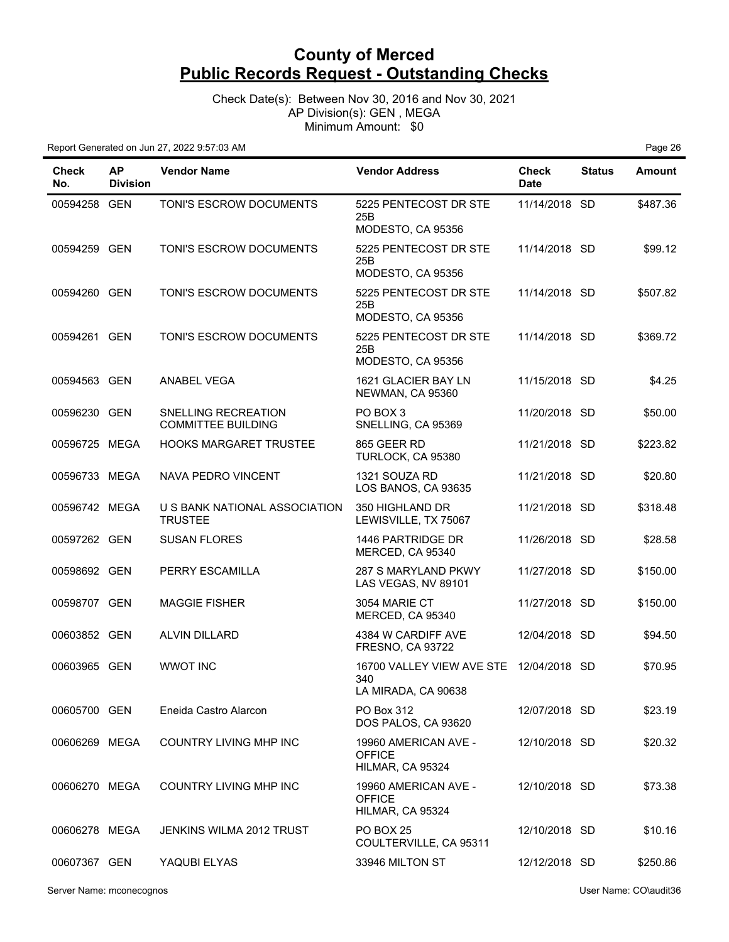Check Date(s): Between Nov 30, 2016 and Nov 30, 2021 AP Division(s): GEN , MEGA Minimum Amount: \$0

| <b>Check</b><br>No. | <b>AP</b><br><b>Division</b> | <b>Vendor Name</b>                               | <b>Vendor Address</b>                                                 | <b>Check</b><br><b>Date</b> | <b>Status</b> | <b>Amount</b> |
|---------------------|------------------------------|--------------------------------------------------|-----------------------------------------------------------------------|-----------------------------|---------------|---------------|
| 00594258 GEN        |                              | TONI'S ESCROW DOCUMENTS                          | 5225 PENTECOST DR STE<br>25B<br>MODESTO, CA 95356                     | 11/14/2018 SD               |               | \$487.36      |
| 00594259 GEN        |                              | TONI'S ESCROW DOCUMENTS                          | 5225 PENTECOST DR STE<br>25B<br>MODESTO, CA 95356                     | 11/14/2018 SD               |               | \$99.12       |
| 00594260 GEN        |                              | TONI'S ESCROW DOCUMENTS                          | 5225 PENTECOST DR STE<br>25B<br>MODESTO, CA 95356                     | 11/14/2018 SD               |               | \$507.82      |
| 00594261 GEN        |                              | TONI'S ESCROW DOCUMENTS                          | 5225 PENTECOST DR STE<br>25B<br>MODESTO, CA 95356                     | 11/14/2018 SD               |               | \$369.72      |
| 00594563 GEN        |                              | <b>ANABEL VEGA</b>                               | 1621 GLACIER BAY LN<br>NEWMAN, CA 95360                               | 11/15/2018 SD               |               | \$4.25        |
| 00596230 GEN        |                              | SNELLING RECREATION<br><b>COMMITTEE BUILDING</b> | PO BOX 3<br>SNELLING, CA 95369                                        | 11/20/2018 SD               |               | \$50.00       |
| 00596725 MEGA       |                              | <b>HOOKS MARGARET TRUSTEE</b>                    | 865 GEER RD<br>TURLOCK, CA 95380                                      | 11/21/2018 SD               |               | \$223.82      |
| 00596733 MEGA       |                              | <b>NAVA PEDRO VINCENT</b>                        | 1321 SOUZA RD<br>LOS BANOS, CA 93635                                  | 11/21/2018 SD               |               | \$20.80       |
| 00596742 MEGA       |                              | U S BANK NATIONAL ASSOCIATION<br><b>TRUSTEE</b>  | 350 HIGHLAND DR<br>LEWISVILLE, TX 75067                               | 11/21/2018 SD               |               | \$318.48      |
| 00597262 GEN        |                              | <b>SUSAN FLORES</b>                              | 1446 PARTRIDGE DR<br>MERCED, CA 95340                                 | 11/26/2018 SD               |               | \$28.58       |
| 00598692 GEN        |                              | PERRY ESCAMILLA                                  | 287 S MARYLAND PKWY<br>LAS VEGAS, NV 89101                            | 11/27/2018 SD               |               | \$150.00      |
| 00598707 GEN        |                              | <b>MAGGIE FISHER</b>                             | 3054 MARIE CT<br>MERCED, CA 95340                                     | 11/27/2018 SD               |               | \$150.00      |
| 00603852 GEN        |                              | <b>ALVIN DILLARD</b>                             | 4384 W CARDIFF AVE<br><b>FRESNO, CA 93722</b>                         | 12/04/2018 SD               |               | \$94.50       |
| 00603965 GEN        |                              | <b>WWOT INC</b>                                  | 16700 VALLEY VIEW AVE STE 12/04/2018 SD<br>340<br>LA MIRADA, CA 90638 |                             |               | \$70.95       |
| 00605700 GEN        |                              | Eneida Castro Alarcon                            | PO Box 312<br>DOS PALOS, CA 93620                                     | 12/07/2018 SD               |               | \$23.19       |
| 00606269 MEGA       |                              | COUNTRY LIVING MHP INC                           | 19960 AMERICAN AVE -<br><b>OFFICE</b><br>HILMAR, CA 95324             | 12/10/2018 SD               |               | \$20.32       |
| 00606270 MEGA       |                              | <b>COUNTRY LIVING MHP INC</b>                    | 19960 AMERICAN AVE -<br><b>OFFICE</b><br>HILMAR, CA 95324             | 12/10/2018 SD               |               | \$73.38       |
| 00606278 MEGA       |                              | JENKINS WILMA 2012 TRUST                         | <b>PO BOX 25</b><br>COULTERVILLE, CA 95311                            | 12/10/2018 SD               |               | \$10.16       |
| 00607367 GEN        |                              | YAQUBI ELYAS                                     | 33946 MILTON ST                                                       | 12/12/2018 SD               |               | \$250.86      |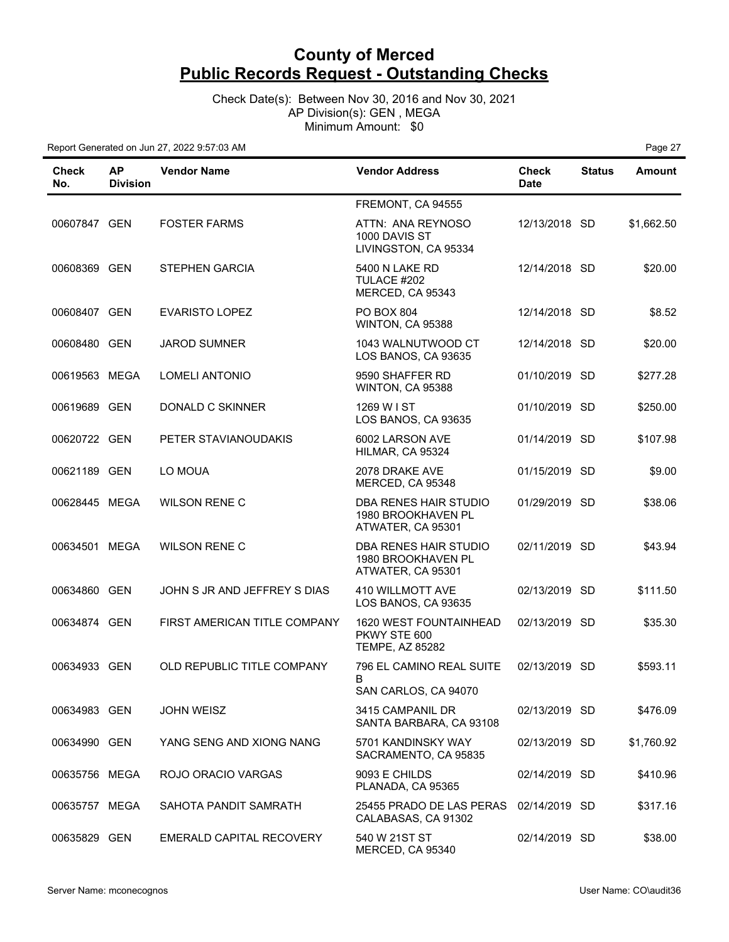Check Date(s): Between Nov 30, 2016 and Nov 30, 2021 AP Division(s): GEN , MEGA Minimum Amount: \$0

| Check<br>No.  | <b>AP</b><br><b>Division</b> | <b>Vendor Name</b>           | <b>Vendor Address</b>                                            | <b>Check</b><br><b>Date</b> | <b>Status</b> | <b>Amount</b> |
|---------------|------------------------------|------------------------------|------------------------------------------------------------------|-----------------------------|---------------|---------------|
|               |                              |                              | FREMONT, CA 94555                                                |                             |               |               |
| 00607847 GEN  |                              | <b>FOSTER FARMS</b>          | ATTN: ANA REYNOSO<br>1000 DAVIS ST<br>LIVINGSTON, CA 95334       | 12/13/2018 SD               |               | \$1,662.50    |
| 00608369 GEN  |                              | <b>STEPHEN GARCIA</b>        | 5400 N LAKE RD<br>TULACE #202<br>MERCED, CA 95343                | 12/14/2018 SD               |               | \$20.00       |
| 00608407 GEN  |                              | <b>EVARISTO LOPEZ</b>        | PO BOX 804<br>WINTON, CA 95388                                   | 12/14/2018 SD               |               | \$8.52        |
| 00608480 GEN  |                              | <b>JAROD SUMNER</b>          | 1043 WALNUTWOOD CT<br>LOS BANOS, CA 93635                        | 12/14/2018 SD               |               | \$20.00       |
| 00619563 MEGA |                              | <b>LOMELI ANTONIO</b>        | 9590 SHAFFER RD<br>WINTON, CA 95388                              | 01/10/2019 SD               |               | \$277.28      |
| 00619689 GEN  |                              | DONALD C SKINNER             | 1269 W I ST<br>LOS BANOS, CA 93635                               | 01/10/2019 SD               |               | \$250.00      |
| 00620722 GEN  |                              | PETER STAVIANOUDAKIS         | 6002 LARSON AVE<br>HILMAR, CA 95324                              | 01/14/2019 SD               |               | \$107.98      |
| 00621189 GEN  |                              | LO MOUA                      | 2078 DRAKE AVE<br>MERCED, CA 95348                               | 01/15/2019 SD               |               | \$9.00        |
| 00628445 MEGA |                              | <b>WILSON RENE C</b>         | DBA RENES HAIR STUDIO<br>1980 BROOKHAVEN PL<br>ATWATER, CA 95301 | 01/29/2019 SD               |               | \$38.06       |
| 00634501 MEGA |                              | <b>WILSON RENE C</b>         | DBA RENES HAIR STUDIO<br>1980 BROOKHAVEN PL<br>ATWATER, CA 95301 | 02/11/2019 SD               |               | \$43.94       |
| 00634860 GEN  |                              | JOHN S JR AND JEFFREY S DIAS | <b>410 WILLMOTT AVE</b><br>LOS BANOS, CA 93635                   | 02/13/2019 SD               |               | \$111.50      |
| 00634874 GEN  |                              | FIRST AMERICAN TITLE COMPANY | 1620 WEST FOUNTAINHEAD<br>PKWY STE 600<br><b>TEMPE, AZ 85282</b> | 02/13/2019 SD               |               | \$35.30       |
| 00634933 GEN  |                              | OLD REPUBLIC TITLE COMPANY   | 796 EL CAMINO REAL SUITE<br>B                                    | 02/13/2019 SD               |               | \$593.11      |
|               |                              |                              | SAN CARLOS, CA 94070                                             |                             |               |               |
| 00634983 GEN  |                              | <b>JOHN WEISZ</b>            | 3415 CAMPANIL DR<br>SANTA BARBARA, CA 93108                      | 02/13/2019 SD               |               | \$476.09      |
| 00634990 GEN  |                              | YANG SENG AND XIONG NANG     | 5701 KANDINSKY WAY<br>SACRAMENTO, CA 95835                       | 02/13/2019 SD               |               | \$1,760.92    |
| 00635756 MEGA |                              | ROJO ORACIO VARGAS           | 9093 E CHILDS<br>PLANADA, CA 95365                               | 02/14/2019 SD               |               | \$410.96      |
| 00635757 MEGA |                              | SAHOTA PANDIT SAMRATH        | 25455 PRADO DE LAS PERAS<br>CALABASAS, CA 91302                  | 02/14/2019 SD               |               | \$317.16      |
| 00635829 GEN  |                              | EMERALD CAPITAL RECOVERY     | 540 W 21ST ST<br>MERCED, CA 95340                                | 02/14/2019 SD               |               | \$38.00       |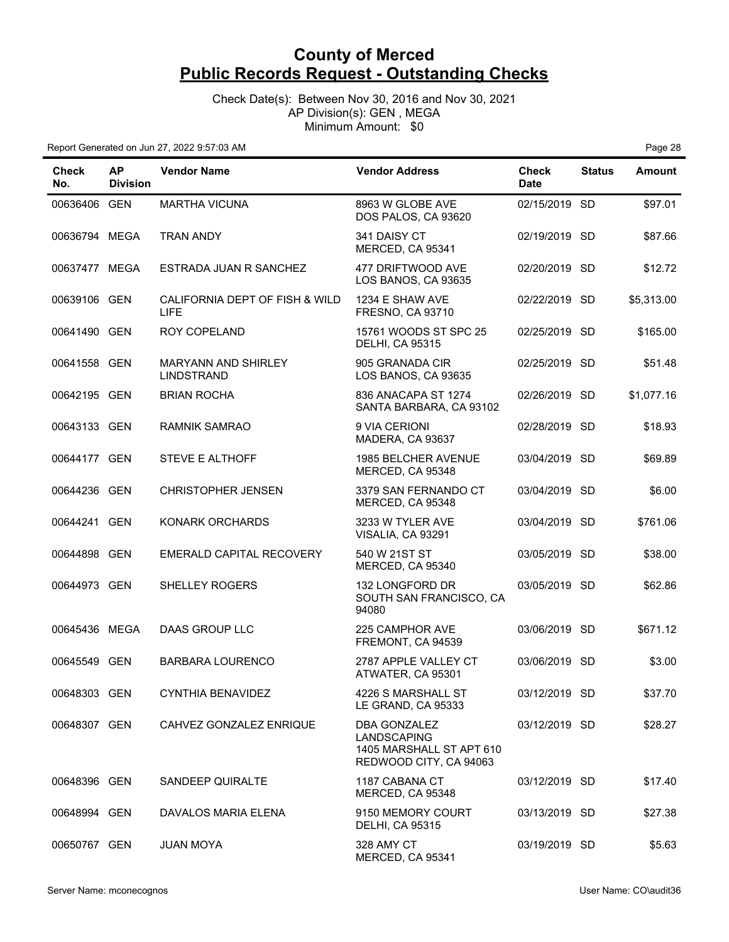Check Date(s): Between Nov 30, 2016 and Nov 30, 2021 AP Division(s): GEN , MEGA Minimum Amount: \$0

| <b>Check</b><br>No. | <b>AP</b><br><b>Division</b> | <b>Vendor Name</b>                              | <b>Vendor Address</b>                                                                    | Check<br><b>Date</b> | <b>Status</b> | <b>Amount</b> |
|---------------------|------------------------------|-------------------------------------------------|------------------------------------------------------------------------------------------|----------------------|---------------|---------------|
| 00636406 GEN        |                              | <b>MARTHA VICUNA</b>                            | 8963 W GLOBE AVE<br>DOS PALOS, CA 93620                                                  | 02/15/2019 SD        |               | \$97.01       |
| 00636794 MEGA       |                              | <b>TRAN ANDY</b>                                | 341 DAISY CT<br>MERCED, CA 95341                                                         | 02/19/2019 SD        |               | \$87.66       |
| 00637477 MEGA       |                              | ESTRADA JUAN R SANCHEZ                          | 477 DRIFTWOOD AVE<br>LOS BANOS, CA 93635                                                 | 02/20/2019 SD        |               | \$12.72       |
| 00639106 GEN        |                              | CALIFORNIA DEPT OF FISH & WILD<br><b>LIFE</b>   | 1234 E SHAW AVE<br>FRESNO, CA 93710                                                      | 02/22/2019 SD        |               | \$5,313.00    |
| 00641490 GEN        |                              | <b>ROY COPELAND</b>                             | 15761 WOODS ST SPC 25<br><b>DELHI, CA 95315</b>                                          | 02/25/2019 SD        |               | \$165.00      |
| 00641558 GEN        |                              | <b>MARYANN AND SHIRLEY</b><br><b>LINDSTRAND</b> | 905 GRANADA CIR<br>LOS BANOS, CA 93635                                                   | 02/25/2019 SD        |               | \$51.48       |
| 00642195 GEN        |                              | <b>BRIAN ROCHA</b>                              | 836 ANACAPA ST 1274<br>SANTA BARBARA, CA 93102                                           | 02/26/2019 SD        |               | \$1,077.16    |
| 00643133 GEN        |                              | <b>RAMNIK SAMRAO</b>                            | 9 VIA CERIONI<br>MADERA, CA 93637                                                        | 02/28/2019 SD        |               | \$18.93       |
| 00644177 GEN        |                              | <b>STEVE E ALTHOFF</b>                          | <b>1985 BELCHER AVENUE</b><br>MERCED, CA 95348                                           | 03/04/2019 SD        |               | \$69.89       |
| 00644236 GEN        |                              | <b>CHRISTOPHER JENSEN</b>                       | 3379 SAN FERNANDO CT<br>MERCED, CA 95348                                                 | 03/04/2019 SD        |               | \$6.00        |
| 00644241 GEN        |                              | <b>KONARK ORCHARDS</b>                          | 3233 W TYLER AVE<br>VISALIA, CA 93291                                                    | 03/04/2019 SD        |               | \$761.06      |
| 00644898 GEN        |                              | EMERALD CAPITAL RECOVERY                        | 540 W 21ST ST<br>MERCED, CA 95340                                                        | 03/05/2019 SD        |               | \$38.00       |
| 00644973 GEN        |                              | SHELLEY ROGERS                                  | 132 LONGFORD DR<br>SOUTH SAN FRANCISCO, CA<br>94080                                      | 03/05/2019 SD        |               | \$62.86       |
| 00645436 MEGA       |                              | <b>DAAS GROUP LLC</b>                           | 225 CAMPHOR AVE<br>FREMONT, CA 94539                                                     | 03/06/2019 SD        |               | \$671.12      |
| 00645549 GEN        |                              | <b>BARBARA LOURENCO</b>                         | 2787 APPLE VALLEY CT<br>ATWATER, CA 95301                                                | 03/06/2019 SD        |               | \$3.00        |
| 00648303 GEN        |                              | <b>CYNTHIA BENAVIDEZ</b>                        | 4226 S MARSHALL ST<br>LE GRAND, CA 95333                                                 | 03/12/2019 SD        |               | \$37.70       |
| 00648307 GEN        |                              | CAHVEZ GONZALEZ ENRIQUE                         | DBA GONZALEZ<br><b>LANDSCAPING</b><br>1405 MARSHALL ST APT 610<br>REDWOOD CITY, CA 94063 | 03/12/2019 SD        |               | \$28.27       |
| 00648396 GEN        |                              | SANDEEP QUIRALTE                                | 1187 CABANA CT<br>MERCED, CA 95348                                                       | 03/12/2019 SD        |               | \$17.40       |
| 00648994 GEN        |                              | DAVALOS MARIA ELENA                             | 9150 MEMORY COURT<br><b>DELHI, CA 95315</b>                                              | 03/13/2019 SD        |               | \$27.38       |
| 00650767 GEN        |                              | <b>JUAN MOYA</b>                                | 328 AMY CT<br>MERCED, CA 95341                                                           | 03/19/2019 SD        |               | \$5.63        |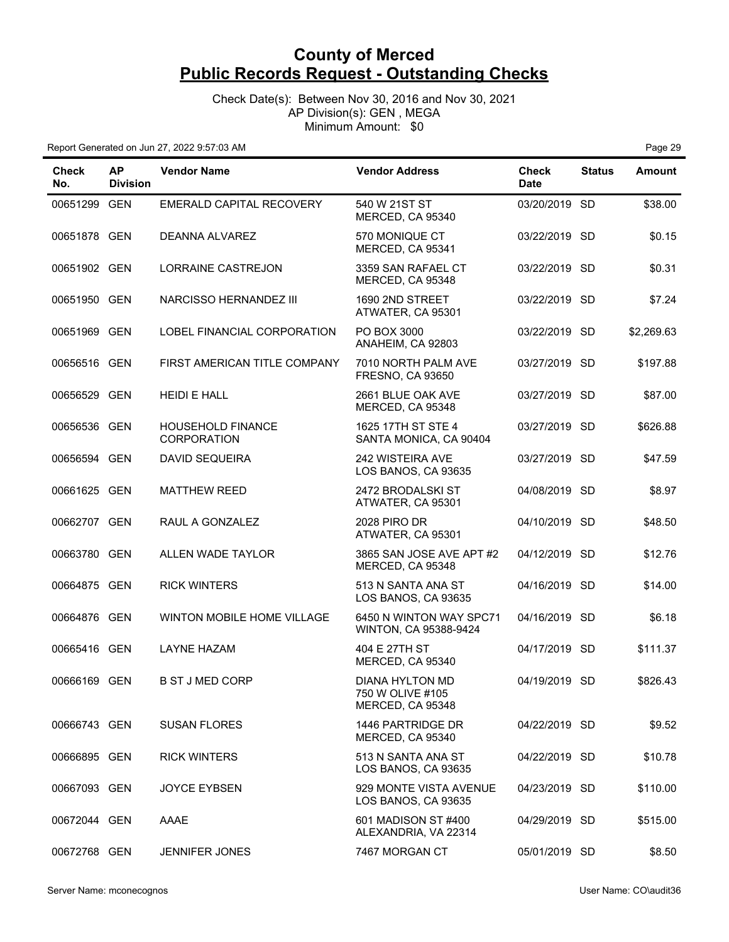Check Date(s): Between Nov 30, 2016 and Nov 30, 2021 AP Division(s): GEN , MEGA Minimum Amount: \$0

Report Generated on Jun 27, 2022 9:57:03 AM **Page 29 Page 29 Page 29 Page 29** 

| Check<br>No. | ΑP<br><b>Division</b> | <b>Vendor Name</b>                             | <b>Vendor Address</b>                                   | <b>Check</b><br><b>Date</b> | <b>Status</b> | <b>Amount</b> |
|--------------|-----------------------|------------------------------------------------|---------------------------------------------------------|-----------------------------|---------------|---------------|
| 00651299 GEN |                       | EMERALD CAPITAL RECOVERY                       | 540 W 21ST ST<br>MERCED, CA 95340                       | 03/20/2019 SD               |               | \$38.00       |
| 00651878 GEN |                       | <b>DEANNA ALVAREZ</b>                          | 570 MONIQUE CT<br>MERCED, CA 95341                      | 03/22/2019 SD               |               | \$0.15        |
| 00651902 GEN |                       | LORRAINE CASTREJON                             | 3359 SAN RAFAEL CT<br>MERCED, CA 95348                  | 03/22/2019 SD               |               | \$0.31        |
| 00651950 GEN |                       | NARCISSO HERNANDEZ III                         | 1690 2ND STREET<br>ATWATER, CA 95301                    | 03/22/2019 SD               |               | \$7.24        |
| 00651969 GEN |                       | LOBEL FINANCIAL CORPORATION                    | PO BOX 3000<br>ANAHEIM, CA 92803                        | 03/22/2019 SD               |               | \$2,269.63    |
| 00656516 GEN |                       | FIRST AMERICAN TITLE COMPANY                   | 7010 NORTH PALM AVE<br><b>FRESNO, CA 93650</b>          | 03/27/2019 SD               |               | \$197.88      |
| 00656529 GEN |                       | <b>HEIDI E HALL</b>                            | 2661 BLUE OAK AVE<br>MERCED, CA 95348                   | 03/27/2019 SD               |               | \$87.00       |
| 00656536 GEN |                       | <b>HOUSEHOLD FINANCE</b><br><b>CORPORATION</b> | 1625 17TH ST STE 4<br>SANTA MONICA, CA 90404            | 03/27/2019 SD               |               | \$626.88      |
| 00656594 GEN |                       | <b>DAVID SEQUEIRA</b>                          | 242 WISTEIRA AVE<br>LOS BANOS, CA 93635                 | 03/27/2019 SD               |               | \$47.59       |
| 00661625 GEN |                       | <b>MATTHEW REED</b>                            | 2472 BRODALSKI ST<br>ATWATER, CA 95301                  | 04/08/2019 SD               |               | \$8.97        |
| 00662707 GEN |                       | RAUL A GONZALEZ                                | <b>2028 PIRO DR</b><br>ATWATER, CA 95301                | 04/10/2019 SD               |               | \$48.50       |
| 00663780 GEN |                       | ALLEN WADE TAYLOR                              | 3865 SAN JOSE AVE APT #2<br>MERCED, CA 95348            | 04/12/2019 SD               |               | \$12.76       |
| 00664875 GEN |                       | <b>RICK WINTERS</b>                            | 513 N SANTA ANA ST<br>LOS BANOS, CA 93635               | 04/16/2019 SD               |               | \$14.00       |
| 00664876 GEN |                       | WINTON MOBILE HOME VILLAGE                     | 6450 N WINTON WAY SPC71<br>WINTON, CA 95388-9424        | 04/16/2019 SD               |               | \$6.18        |
| 00665416 GEN |                       | <b>LAYNE HAZAM</b>                             | 404 E 27TH ST<br>MERCED, CA 95340                       | 04/17/2019 SD               |               | \$111.37      |
| 00666169 GEN |                       | <b>B ST J MED CORP</b>                         | DIANA HYLTON MD<br>750 W OLIVE #105<br>MERCED, CA 95348 | 04/19/2019 SD               |               | \$826.43      |
| 00666743 GEN |                       | <b>SUSAN FLORES</b>                            | 1446 PARTRIDGE DR<br>MERCED, CA 95340                   | 04/22/2019 SD               |               | \$9.52        |
| 00666895 GEN |                       | <b>RICK WINTERS</b>                            | 513 N SANTA ANA ST<br>LOS BANOS, CA 93635               | 04/22/2019 SD               |               | \$10.78       |
| 00667093 GEN |                       | <b>JOYCE EYBSEN</b>                            | 929 MONTE VISTA AVENUE<br>LOS BANOS, CA 93635           | 04/23/2019 SD               |               | \$110.00      |
| 00672044 GEN |                       | AAAE                                           | 601 MADISON ST #400<br>ALEXANDRIA, VA 22314             | 04/29/2019 SD               |               | \$515.00      |
| 00672768 GEN |                       | <b>JENNIFER JONES</b>                          | 7467 MORGAN CT                                          | 05/01/2019 SD               |               | \$8.50        |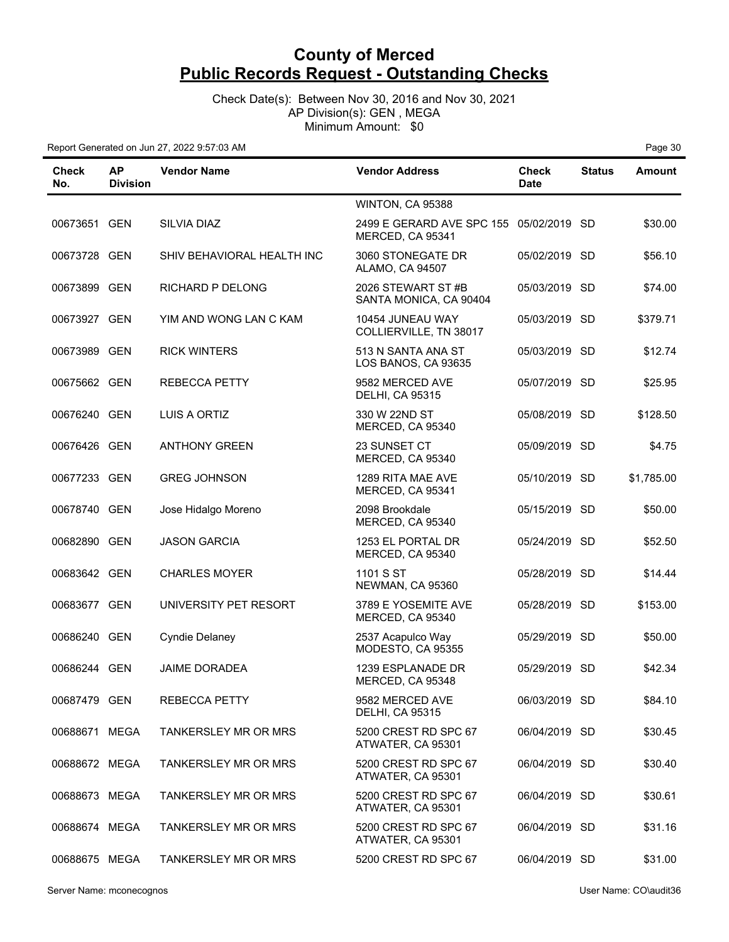Check Date(s): Between Nov 30, 2016 and Nov 30, 2021 AP Division(s): GEN , MEGA Minimum Amount: \$0

| Check<br>No.  | <b>AP</b><br><b>Division</b> | <b>Vendor Name</b>          | <b>Vendor Address</b>                                       | Check<br><b>Date</b> | <b>Status</b> | <b>Amount</b> |
|---------------|------------------------------|-----------------------------|-------------------------------------------------------------|----------------------|---------------|---------------|
|               |                              |                             | WINTON, CA 95388                                            |                      |               |               |
| 00673651 GEN  |                              | SILVIA DIAZ                 | 2499 E GERARD AVE SPC 155 05/02/2019 SD<br>MERCED, CA 95341 |                      |               | \$30.00       |
| 00673728 GEN  |                              | SHIV BEHAVIORAL HEALTH INC  | 3060 STONEGATE DR<br>ALAMO, CA 94507                        | 05/02/2019 SD        |               | \$56.10       |
| 00673899 GEN  |                              | RICHARD P DELONG            | 2026 STEWART ST#B<br>SANTA MONICA, CA 90404                 | 05/03/2019 SD        |               | \$74.00       |
| 00673927 GEN  |                              | YIM AND WONG LAN C KAM      | 10454 JUNEAU WAY<br>COLLIERVILLE, TN 38017                  | 05/03/2019 SD        |               | \$379.71      |
| 00673989 GEN  |                              | <b>RICK WINTERS</b>         | 513 N SANTA ANA ST<br>LOS BANOS, CA 93635                   | 05/03/2019 SD        |               | \$12.74       |
| 00675662 GEN  |                              | <b>REBECCA PETTY</b>        | 9582 MERCED AVE<br><b>DELHI, CA 95315</b>                   | 05/07/2019 SD        |               | \$25.95       |
| 00676240 GEN  |                              | LUIS A ORTIZ                | 330 W 22ND ST<br>MERCED, CA 95340                           | 05/08/2019 SD        |               | \$128.50      |
| 00676426 GEN  |                              | <b>ANTHONY GREEN</b>        | 23 SUNSET CT<br>MERCED, CA 95340                            | 05/09/2019 SD        |               | \$4.75        |
| 00677233 GEN  |                              | <b>GREG JOHNSON</b>         | 1289 RITA MAE AVE<br>MERCED, CA 95341                       | 05/10/2019 SD        |               | \$1,785.00    |
| 00678740 GEN  |                              | Jose Hidalgo Moreno         | 2098 Brookdale<br>MERCED, CA 95340                          | 05/15/2019 SD        |               | \$50.00       |
| 00682890 GEN  |                              | <b>JASON GARCIA</b>         | 1253 EL PORTAL DR<br>MERCED, CA 95340                       | 05/24/2019 SD        |               | \$52.50       |
| 00683642 GEN  |                              | <b>CHARLES MOYER</b>        | 1101 S ST<br>NEWMAN, CA 95360                               | 05/28/2019 SD        |               | \$14.44       |
| 00683677 GEN  |                              | UNIVERSITY PET RESORT       | 3789 E YOSEMITE AVE<br>MERCED, CA 95340                     | 05/28/2019 SD        |               | \$153.00      |
| 00686240 GEN  |                              | <b>Cyndie Delaney</b>       | 2537 Acapulco Way<br>MODESTO, CA 95355                      | 05/29/2019 SD        |               | \$50.00       |
| 00686244 GEN  |                              | <b>JAIME DORADEA</b>        | 1239 ESPLANADE DR<br>MERCED, CA 95348                       | 05/29/2019           | SD.           | \$42.34       |
| 00687479 GEN  |                              | <b>REBECCA PETTY</b>        | 9582 MERCED AVE<br><b>DELHI, CA 95315</b>                   | 06/03/2019 SD        |               | \$84.10       |
| 00688671 MEGA |                              | <b>TANKERSLEY MR OR MRS</b> | 5200 CREST RD SPC 67<br>ATWATER, CA 95301                   | 06/04/2019 SD        |               | \$30.45       |
| 00688672 MEGA |                              | <b>TANKERSLEY MR OR MRS</b> | 5200 CREST RD SPC 67<br>ATWATER, CA 95301                   | 06/04/2019 SD        |               | \$30.40       |
| 00688673 MEGA |                              | <b>TANKERSLEY MR OR MRS</b> | 5200 CREST RD SPC 67<br>ATWATER, CA 95301                   | 06/04/2019 SD        |               | \$30.61       |
| 00688674 MEGA |                              | <b>TANKERSLEY MR OR MRS</b> | 5200 CREST RD SPC 67<br>ATWATER, CA 95301                   | 06/04/2019 SD        |               | \$31.16       |
| 00688675 MEGA |                              | <b>TANKERSLEY MR OR MRS</b> | 5200 CREST RD SPC 67                                        | 06/04/2019 SD        |               | \$31.00       |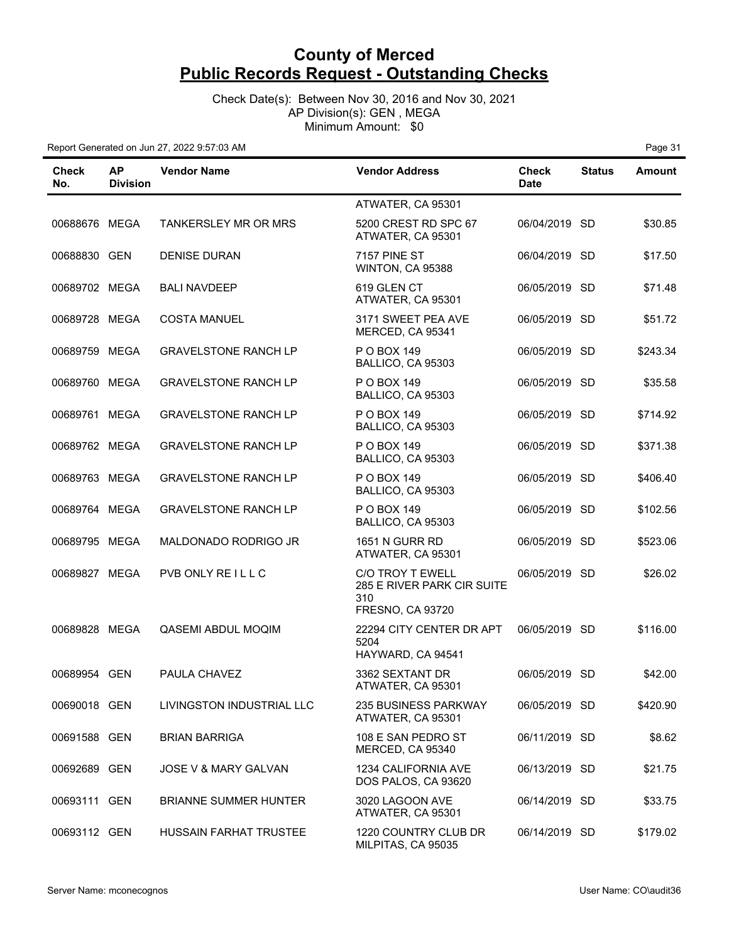Check Date(s): Between Nov 30, 2016 and Nov 30, 2021 AP Division(s): GEN , MEGA Minimum Amount: \$0

| Check<br>No.  | <b>AP</b><br><b>Division</b> | <b>Vendor Name</b>            | <b>Vendor Address</b>                                                            | <b>Check</b><br><b>Date</b> | <b>Status</b> | <b>Amount</b> |
|---------------|------------------------------|-------------------------------|----------------------------------------------------------------------------------|-----------------------------|---------------|---------------|
|               |                              |                               | ATWATER, CA 95301                                                                |                             |               |               |
| 00688676 MEGA |                              | <b>TANKERSLEY MR OR MRS</b>   | 5200 CREST RD SPC 67<br>ATWATER, CA 95301                                        | 06/04/2019 SD               |               | \$30.85       |
| 00688830 GEN  |                              | <b>DENISE DURAN</b>           | <b>7157 PINE ST</b><br>WINTON, CA 95388                                          | 06/04/2019 SD               |               | \$17.50       |
| 00689702 MEGA |                              | <b>BALI NAVDEEP</b>           | 619 GLEN CT<br>ATWATER, CA 95301                                                 | 06/05/2019 SD               |               | \$71.48       |
| 00689728 MEGA |                              | <b>COSTA MANUEL</b>           | 3171 SWEET PEA AVE<br>MERCED, CA 95341                                           | 06/05/2019 SD               |               | \$51.72       |
| 00689759 MEGA |                              | <b>GRAVELSTONE RANCH LP</b>   | P O BOX 149<br>BALLICO, CA 95303                                                 | 06/05/2019 SD               |               | \$243.34      |
| 00689760 MEGA |                              | <b>GRAVELSTONE RANCH LP</b>   | P O BOX 149<br>BALLICO, CA 95303                                                 | 06/05/2019 SD               |               | \$35.58       |
| 00689761 MEGA |                              | <b>GRAVELSTONE RANCH LP</b>   | P O BOX 149<br>BALLICO, CA 95303                                                 | 06/05/2019 SD               |               | \$714.92      |
| 00689762 MEGA |                              | <b>GRAVELSTONE RANCH LP</b>   | P O BOX 149<br>BALLICO, CA 95303                                                 | 06/05/2019 SD               |               | \$371.38      |
| 00689763 MEGA |                              | <b>GRAVELSTONE RANCH LP</b>   | P O BOX 149<br>BALLICO, CA 95303                                                 | 06/05/2019 SD               |               | \$406.40      |
| 00689764 MEGA |                              | <b>GRAVELSTONE RANCH LP</b>   | P O BOX 149<br>BALLICO, CA 95303                                                 | 06/05/2019 SD               |               | \$102.56      |
| 00689795 MEGA |                              | MALDONADO RODRIGO JR          | <b>1651 N GURR RD</b><br>ATWATER, CA 95301                                       | 06/05/2019 SD               |               | \$523.06      |
| 00689827 MEGA |                              | PVB ONLY REILLC               | C/O TROY T EWELL<br>285 E RIVER PARK CIR SUITE<br>310<br><b>FRESNO, CA 93720</b> | 06/05/2019 SD               |               | \$26.02       |
| 00689828 MEGA |                              | QASEMI ABDUL MOQIM            | 22294 CITY CENTER DR APT<br>5204<br>HAYWARD, CA 94541                            | 06/05/2019 SD               |               | \$116.00      |
| 00689954 GEN  |                              | PAULA CHAVEZ                  | 3362 SEXTANT DR<br>ATWATER, CA 95301                                             | 06/05/2019 SD               |               | \$42.00       |
| 00690018 GEN  |                              | LIVINGSTON INDUSTRIAL LLC     | 235 BUSINESS PARKWAY<br>ATWATER, CA 95301                                        | 06/05/2019 SD               |               | \$420.90      |
| 00691588 GEN  |                              | <b>BRIAN BARRIGA</b>          | 108 E SAN PEDRO ST<br>MERCED, CA 95340                                           | 06/11/2019 SD               |               | \$8.62        |
| 00692689 GEN  |                              | JOSE V & MARY GALVAN          | 1234 CALIFORNIA AVE<br>DOS PALOS, CA 93620                                       | 06/13/2019 SD               |               | \$21.75       |
| 00693111 GEN  |                              | <b>BRIANNE SUMMER HUNTER</b>  | 3020 LAGOON AVE<br>ATWATER, CA 95301                                             | 06/14/2019 SD               |               | \$33.75       |
| 00693112 GEN  |                              | <b>HUSSAIN FARHAT TRUSTEE</b> | 1220 COUNTRY CLUB DR<br>MILPITAS, CA 95035                                       | 06/14/2019 SD               |               | \$179.02      |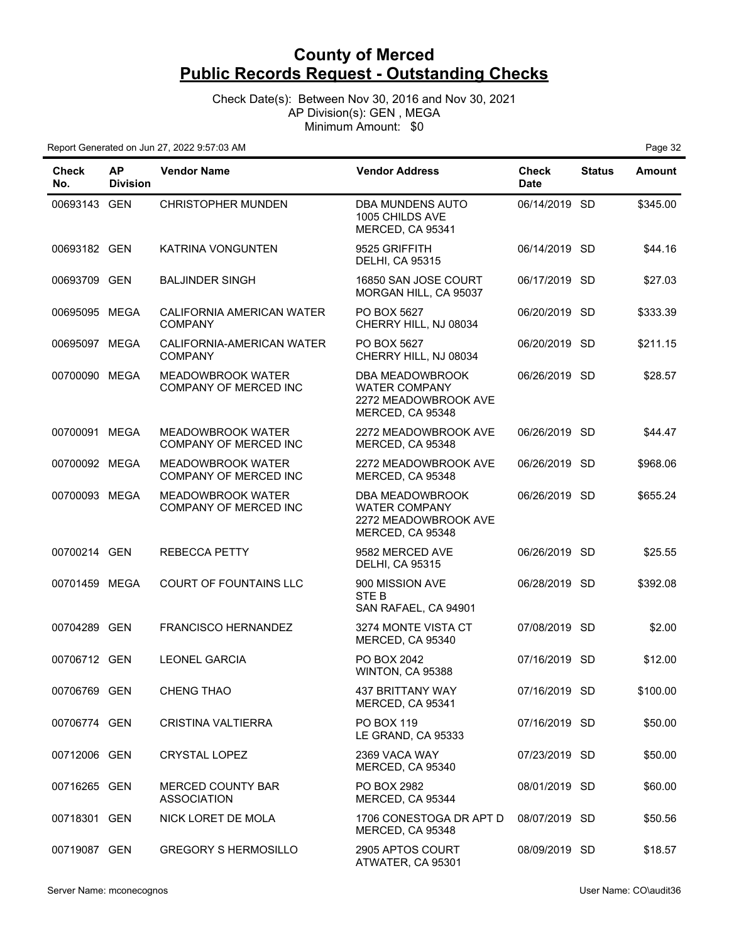Check Date(s): Between Nov 30, 2016 and Nov 30, 2021 AP Division(s): GEN , MEGA Minimum Amount: \$0

| <b>Check</b><br>No. | <b>AP</b><br><b>Division</b> | <b>Vendor Name</b>                                       | <b>Vendor Address</b>                                                               | Check<br><b>Date</b> | <b>Status</b> | Amount   |
|---------------------|------------------------------|----------------------------------------------------------|-------------------------------------------------------------------------------------|----------------------|---------------|----------|
| 00693143 GEN        |                              | <b>CHRISTOPHER MUNDEN</b>                                | DBA MUNDENS AUTO<br>1005 CHILDS AVE<br>MERCED, CA 95341                             | 06/14/2019 SD        |               | \$345.00 |
| 00693182 GEN        |                              | KATRINA VONGUNTEN                                        | 9525 GRIFFITH<br><b>DELHI, CA 95315</b>                                             | 06/14/2019 SD        |               | \$44.16  |
| 00693709 GEN        |                              | <b>BALJINDER SINGH</b>                                   | 16850 SAN JOSE COURT<br>MORGAN HILL, CA 95037                                       | 06/17/2019 SD        |               | \$27.03  |
| 00695095 MEGA       |                              | CALIFORNIA AMERICAN WATER<br><b>COMPANY</b>              | PO BOX 5627<br>CHERRY HILL, NJ 08034                                                | 06/20/2019 SD        |               | \$333.39 |
| 00695097 MEGA       |                              | CALIFORNIA-AMERICAN WATER<br><b>COMPANY</b>              | PO BOX 5627<br>CHERRY HILL, NJ 08034                                                | 06/20/2019 SD        |               | \$211.15 |
| 00700090            | MEGA                         | MEADOWBROOK WATER<br>COMPANY OF MERCED INC               | DBA MEADOWBROOK<br><b>WATER COMPANY</b><br>2272 MEADOWBROOK AVE<br>MERCED, CA 95348 | 06/26/2019 SD        |               | \$28.57  |
| 00700091            | MEGA                         | <b>MEADOWBROOK WATER</b><br><b>COMPANY OF MERCED INC</b> | 2272 MEADOWBROOK AVE<br>MERCED, CA 95348                                            | 06/26/2019           | -SD           | \$44.47  |
| 00700092 MEGA       |                              | <b>MEADOWBROOK WATER</b><br>COMPANY OF MERCED INC        | 2272 MEADOWBROOK AVE<br>MERCED, CA 95348                                            | 06/26/2019 SD        |               | \$968.06 |
| 00700093 MEGA       |                              | MEADOWBROOK WATER<br>COMPANY OF MERCED INC               | DBA MEADOWBROOK<br><b>WATER COMPANY</b><br>2272 MEADOWBROOK AVE<br>MERCED, CA 95348 | 06/26/2019 SD        |               | \$655.24 |
| 00700214 GEN        |                              | REBECCA PETTY                                            | 9582 MERCED AVE<br><b>DELHI, CA 95315</b>                                           | 06/26/2019 SD        |               | \$25.55  |
| 00701459 MEGA       |                              | <b>COURT OF FOUNTAINS LLC</b>                            | 900 MISSION AVE<br>STE B<br>SAN RAFAEL, CA 94901                                    | 06/28/2019 SD        |               | \$392.08 |
| 00704289 GEN        |                              | <b>FRANCISCO HERNANDEZ</b>                               | 3274 MONTE VISTA CT<br>MERCED, CA 95340                                             | 07/08/2019 SD        |               | \$2.00   |
| 00706712 GEN        |                              | <b>LEONEL GARCIA</b>                                     | PO BOX 2042<br>WINTON, CA 95388                                                     | 07/16/2019 SD        |               | \$12.00  |
| 00706769 GEN        |                              | CHENG THAO                                               | 437 BRITTANY WAY<br>MERCED, CA 95341                                                | 07/16/2019 SD        |               | \$100.00 |
| 00706774 GEN        |                              | CRISTINA VALTIERRA                                       | <b>PO BOX 119</b><br>LE GRAND, CA 95333                                             | 07/16/2019 SD        |               | \$50.00  |
| 00712006 GEN        |                              | <b>CRYSTAL LOPEZ</b>                                     | 2369 VACA WAY<br>MERCED, CA 95340                                                   | 07/23/2019 SD        |               | \$50.00  |
| 00716265 GEN        |                              | <b>MERCED COUNTY BAR</b><br><b>ASSOCIATION</b>           | PO BOX 2982<br>MERCED, CA 95344                                                     | 08/01/2019 SD        |               | \$60.00  |
| 00718301 GEN        |                              | NICK LORET DE MOLA                                       | 1706 CONESTOGA DR APT D<br>MERCED, CA 95348                                         | 08/07/2019 SD        |               | \$50.56  |
| 00719087 GEN        |                              | <b>GREGORY S HERMOSILLO</b>                              | 2905 APTOS COURT<br>ATWATER, CA 95301                                               | 08/09/2019 SD        |               | \$18.57  |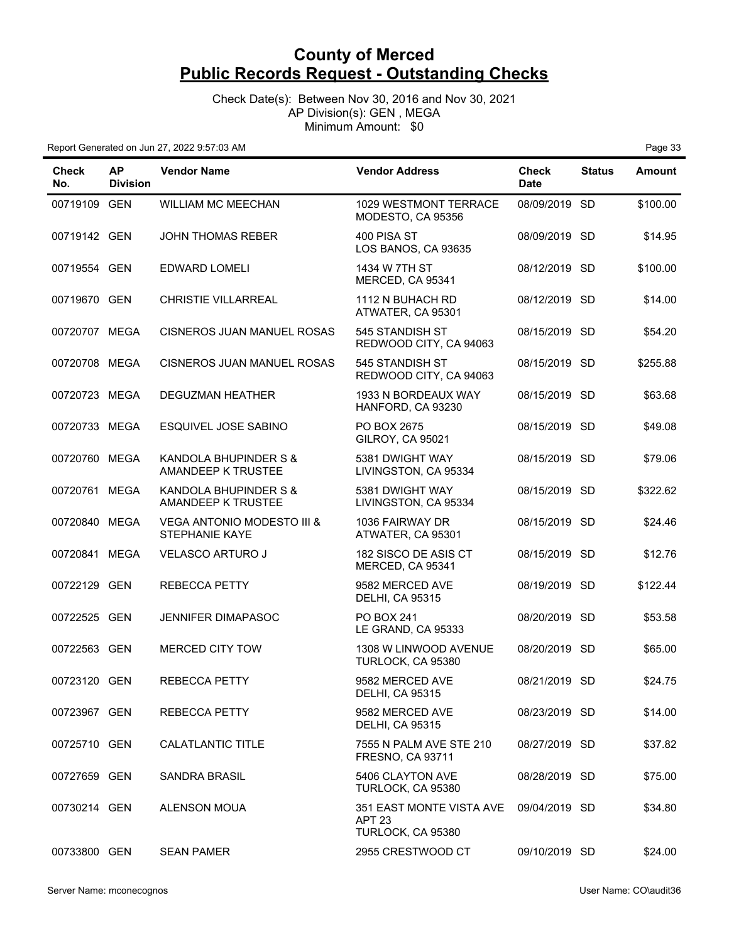Check Date(s): Between Nov 30, 2016 and Nov 30, 2021 AP Division(s): GEN , MEGA Minimum Amount: \$0

| <b>Check</b><br>No. | <b>AP</b><br><b>Division</b> | <b>Vendor Name</b>                                      | <b>Vendor Address</b>                                   | <b>Check</b><br><b>Date</b> | <b>Status</b> | <b>Amount</b> |
|---------------------|------------------------------|---------------------------------------------------------|---------------------------------------------------------|-----------------------------|---------------|---------------|
| 00719109 GEN        |                              | <b>WILLIAM MC MEECHAN</b>                               | 1029 WESTMONT TERRACE<br>MODESTO, CA 95356              | 08/09/2019 SD               |               | \$100.00      |
| 00719142 GEN        |                              | <b>JOHN THOMAS REBER</b>                                | 400 PISA ST<br>LOS BANOS, CA 93635                      | 08/09/2019 SD               |               | \$14.95       |
| 00719554 GEN        |                              | EDWARD LOMELI                                           | 1434 W 7TH ST<br>MERCED, CA 95341                       | 08/12/2019 SD               |               | \$100.00      |
| 00719670 GEN        |                              | <b>CHRISTIE VILLARREAL</b>                              | 1112 N BUHACH RD<br>ATWATER, CA 95301                   | 08/12/2019 SD               |               | \$14.00       |
| 00720707 MEGA       |                              | CISNEROS JUAN MANUEL ROSAS                              | 545 STANDISH ST<br>REDWOOD CITY, CA 94063               | 08/15/2019 SD               |               | \$54.20       |
| 00720708 MEGA       |                              | CISNEROS JUAN MANUEL ROSAS                              | 545 STANDISH ST<br>REDWOOD CITY, CA 94063               | 08/15/2019 SD               |               | \$255.88      |
| 00720723 MEGA       |                              | <b>DEGUZMAN HEATHER</b>                                 | 1933 N BORDEAUX WAY<br>HANFORD, CA 93230                | 08/15/2019 SD               |               | \$63.68       |
| 00720733 MEGA       |                              | ESQUIVEL JOSE SABINO                                    | PO BOX 2675<br><b>GILROY, CA 95021</b>                  | 08/15/2019 SD               |               | \$49.08       |
| 00720760 MEGA       |                              | KANDOLA BHUPINDER S &<br>AMANDEEP K TRUSTEE             | 5381 DWIGHT WAY<br>LIVINGSTON, CA 95334                 | 08/15/2019 SD               |               | \$79.06       |
| 00720761 MEGA       |                              | KANDOLA BHUPINDER S &<br>AMANDEEP K TRUSTEE             | 5381 DWIGHT WAY<br>LIVINGSTON, CA 95334                 | 08/15/2019 SD               |               | \$322.62      |
| 00720840 MEGA       |                              | <b>VEGA ANTONIO MODESTO III &amp;</b><br>STEPHANIE KAYE | 1036 FAIRWAY DR<br>ATWATER, CA 95301                    | 08/15/2019 SD               |               | \$24.46       |
| 00720841 MEGA       |                              | <b>VELASCO ARTURO J</b>                                 | 182 SISCO DE ASIS CT<br>MERCED, CA 95341                | 08/15/2019 SD               |               | \$12.76       |
| 00722129 GEN        |                              | <b>REBECCA PETTY</b>                                    | 9582 MERCED AVE<br><b>DELHI, CA 95315</b>               | 08/19/2019 SD               |               | \$122.44      |
| 00722525 GEN        |                              | JENNIFER DIMAPASOC                                      | <b>PO BOX 241</b><br>LE GRAND, CA 95333                 | 08/20/2019 SD               |               | \$53.58       |
| 00722563 GEN        |                              | <b>MERCED CITY TOW</b>                                  | 1308 W LINWOOD AVENUE<br>TURLOCK, CA 95380              | 08/20/2019 SD               |               | \$65.00       |
| 00723120 GEN        |                              | <b>REBECCA PETTY</b>                                    | 9582 MERCED AVE<br><b>DELHI, CA 95315</b>               | 08/21/2019 SD               |               | \$24.75       |
| 00723967 GEN        |                              | REBECCA PETTY                                           | 9582 MERCED AVE<br><b>DELHI, CA 95315</b>               | 08/23/2019 SD               |               | \$14.00       |
| 00725710 GEN        |                              | <b>CALATLANTIC TITLE</b>                                | 7555 N PALM AVE STE 210<br><b>FRESNO, CA 93711</b>      | 08/27/2019 SD               |               | \$37.82       |
| 00727659 GEN        |                              | <b>SANDRA BRASIL</b>                                    | 5406 CLAYTON AVE<br>TURLOCK, CA 95380                   | 08/28/2019 SD               |               | \$75.00       |
| 00730214 GEN        |                              | <b>ALENSON MOUA</b>                                     | 351 EAST MONTE VISTA AVE<br>APT 23<br>TURLOCK, CA 95380 | 09/04/2019 SD               |               | \$34.80       |
| 00733800 GEN        |                              | <b>SEAN PAMER</b>                                       | 2955 CRESTWOOD CT                                       | 09/10/2019 SD               |               | \$24.00       |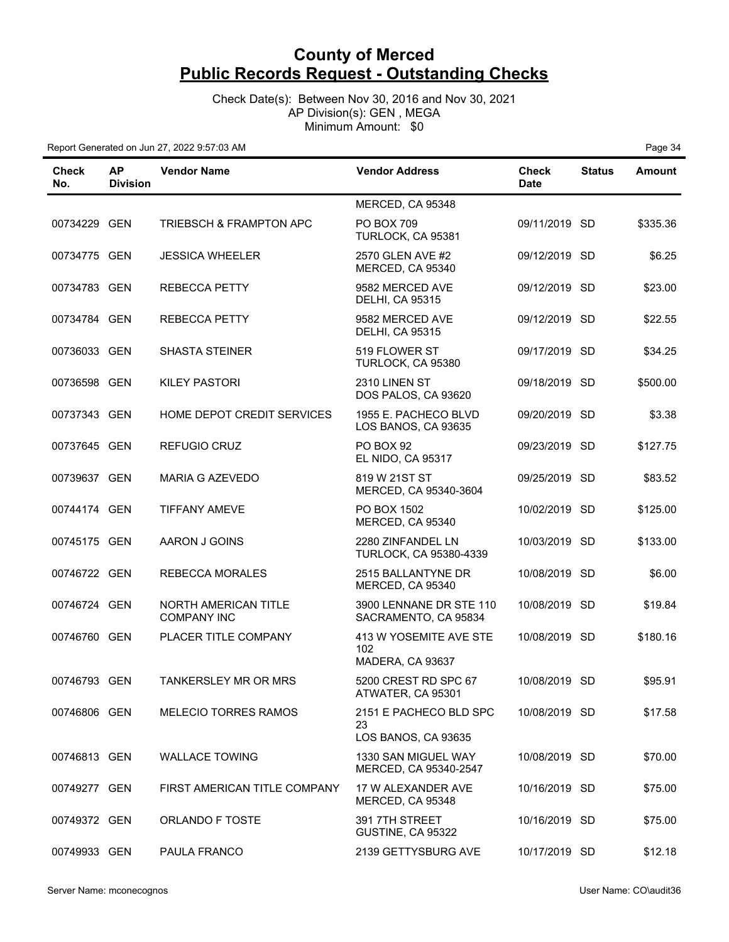Check Date(s): Between Nov 30, 2016 and Nov 30, 2021 AP Division(s): GEN , MEGA Minimum Amount: \$0

| Check<br>No. | ΑP<br><b>Division</b> | <b>Vendor Name</b>                                | <b>Vendor Address</b>                               | <b>Check</b><br><b>Date</b> | <b>Status</b> | <b>Amount</b> |
|--------------|-----------------------|---------------------------------------------------|-----------------------------------------------------|-----------------------------|---------------|---------------|
|              |                       |                                                   | MERCED, CA 95348                                    |                             |               |               |
| 00734229 GEN |                       | <b>TRIEBSCH &amp; FRAMPTON APC</b>                | <b>PO BOX 709</b><br>TURLOCK, CA 95381              | 09/11/2019 SD               |               | \$335.36      |
| 00734775 GEN |                       | <b>JESSICA WHEELER</b>                            | 2570 GLEN AVE #2<br>MERCED, CA 95340                | 09/12/2019 SD               |               | \$6.25        |
| 00734783 GEN |                       | <b>REBECCA PETTY</b>                              | 9582 MERCED AVE<br><b>DELHI, CA 95315</b>           | 09/12/2019 SD               |               | \$23.00       |
| 00734784 GEN |                       | <b>REBECCA PETTY</b>                              | 9582 MERCED AVE<br><b>DELHI, CA 95315</b>           | 09/12/2019 SD               |               | \$22.55       |
| 00736033 GEN |                       | <b>SHASTA STEINER</b>                             | 519 FLOWER ST<br>TURLOCK, CA 95380                  | 09/17/2019 SD               |               | \$34.25       |
| 00736598 GEN |                       | <b>KILEY PASTORI</b>                              | 2310 LINEN ST<br>DOS PALOS, CA 93620                | 09/18/2019 SD               |               | \$500.00      |
| 00737343 GEN |                       | HOME DEPOT CREDIT SERVICES                        | 1955 E. PACHECO BLVD<br>LOS BANOS, CA 93635         | 09/20/2019 SD               |               | \$3.38        |
| 00737645 GEN |                       | <b>REFUGIO CRUZ</b>                               | <b>PO BOX 92</b><br>EL NIDO, CA 95317               | 09/23/2019 SD               |               | \$127.75      |
| 00739637 GEN |                       | <b>MARIA G AZEVEDO</b>                            | 819 W 21ST ST<br>MERCED, CA 95340-3604              | 09/25/2019 SD               |               | \$83.52       |
| 00744174 GEN |                       | <b>TIFFANY AMEVE</b>                              | PO BOX 1502<br>MERCED, CA 95340                     | 10/02/2019 SD               |               | \$125.00      |
| 00745175 GEN |                       | AARON J GOINS                                     | 2280 ZINFANDEL LN<br>TURLOCK, CA 95380-4339         | 10/03/2019 SD               |               | \$133.00      |
| 00746722 GEN |                       | <b>REBECCA MORALES</b>                            | 2515 BALLANTYNE DR<br>MERCED, CA 95340              | 10/08/2019 SD               |               | \$6.00        |
| 00746724 GEN |                       | <b>NORTH AMERICAN TITLE</b><br><b>COMPANY INC</b> | 3900 LENNANE DR STE 110<br>SACRAMENTO, CA 95834     | 10/08/2019 SD               |               | \$19.84       |
| 00746760 GEN |                       | PLACER TITLE COMPANY                              | 413 W YOSEMITE AVE STE<br>102<br>MADERA, CA 93637   | 10/08/2019 SD               |               | \$180.16      |
| 00746793 GEN |                       | <b>TANKERSLEY MR OR MRS</b>                       | 5200 CREST RD SPC 67<br>ATWATER, CA 95301           | 10/08/2019 SD               |               | \$95.91       |
| 00746806 GEN |                       | <b>MELECIO TORRES RAMOS</b>                       | 2151 E PACHECO BLD SPC<br>23<br>LOS BANOS, CA 93635 | 10/08/2019 SD               |               | \$17.58       |
| 00746813 GEN |                       | <b>WALLACE TOWING</b>                             | 1330 SAN MIGUEL WAY<br>MERCED, CA 95340-2547        | 10/08/2019 SD               |               | \$70.00       |
| 00749277 GEN |                       | FIRST AMERICAN TITLE COMPANY                      | 17 W ALEXANDER AVE<br>MERCED, CA 95348              | 10/16/2019 SD               |               | \$75.00       |
| 00749372 GEN |                       | <b>ORLANDO F TOSTE</b>                            | 391 7TH STREET<br>GUSTINE, CA 95322                 | 10/16/2019 SD               |               | \$75.00       |
| 00749933 GEN |                       | PAULA FRANCO                                      | 2139 GETTYSBURG AVE                                 | 10/17/2019 SD               |               | \$12.18       |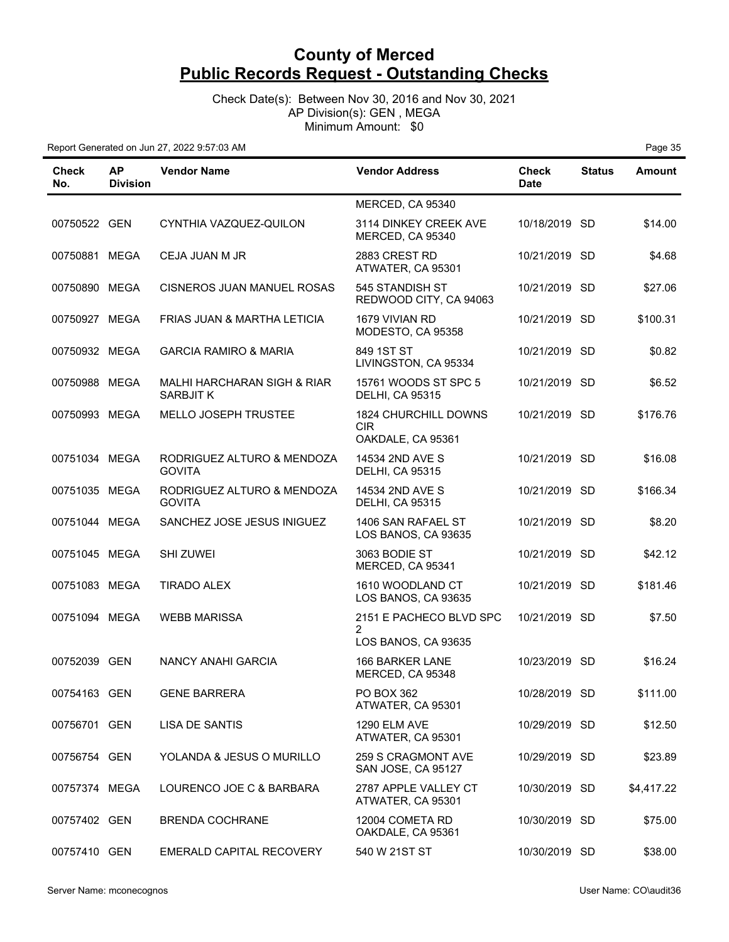Check Date(s): Between Nov 30, 2016 and Nov 30, 2021 AP Division(s): GEN , MEGA Minimum Amount: \$0

| Check<br>No.  | <b>AP</b><br><b>Division</b> | <b>Vendor Name</b>                          | <b>Vendor Address</b>                             | <b>Check</b><br><b>Date</b> | <b>Status</b> | <b>Amount</b> |
|---------------|------------------------------|---------------------------------------------|---------------------------------------------------|-----------------------------|---------------|---------------|
|               |                              |                                             | MERCED, CA 95340                                  |                             |               |               |
| 00750522 GEN  |                              | CYNTHIA VAZQUEZ-QUILON                      | 3114 DINKEY CREEK AVE<br>MERCED, CA 95340         | 10/18/2019 SD               |               | \$14.00       |
| 00750881 MEGA |                              | CEJA JUAN M JR                              | 2883 CREST RD<br>ATWATER, CA 95301                | 10/21/2019 SD               |               | \$4.68        |
| 00750890 MEGA |                              | <b>CISNEROS JUAN MANUEL ROSAS</b>           | 545 STANDISH ST<br>REDWOOD CITY, CA 94063         | 10/21/2019 SD               |               | \$27.06       |
| 00750927 MEGA |                              | FRIAS JUAN & MARTHA LETICIA                 | 1679 VIVIAN RD<br>MODESTO, CA 95358               | 10/21/2019 SD               |               | \$100.31      |
| 00750932 MEGA |                              | <b>GARCIA RAMIRO &amp; MARIA</b>            | 849 1ST ST<br>LIVINGSTON, CA 95334                | 10/21/2019 SD               |               | \$0.82        |
| 00750988 MEGA |                              | MALHI HARCHARAN SIGH & RIAR<br>SARBJIT K    | 15761 WOODS ST SPC 5<br><b>DELHI, CA 95315</b>    | 10/21/2019 SD               |               | \$6.52        |
| 00750993 MEGA |                              | MELLO JOSEPH TRUSTEE                        | 1824 CHURCHILL DOWNS<br>CIR.<br>OAKDALE, CA 95361 | 10/21/2019 SD               |               | \$176.76      |
| 00751034 MEGA |                              | RODRIGUEZ ALTURO & MENDOZA<br><b>GOVITA</b> | 14534 2ND AVE S<br><b>DELHI, CA 95315</b>         | 10/21/2019 SD               |               | \$16.08       |
| 00751035 MEGA |                              | RODRIGUEZ ALTURO & MENDOZA<br><b>GOVITA</b> | 14534 2ND AVE S<br><b>DELHI, CA 95315</b>         | 10/21/2019 SD               |               | \$166.34      |
| 00751044 MEGA |                              | SANCHEZ JOSE JESUS INIGUEZ                  | 1406 SAN RAFAEL ST<br>LOS BANOS, CA 93635         | 10/21/2019 SD               |               | \$8.20        |
| 00751045 MEGA |                              | <b>SHI ZUWEI</b>                            | 3063 BODIE ST<br>MERCED, CA 95341                 | 10/21/2019 SD               |               | \$42.12       |
| 00751083 MEGA |                              | <b>TIRADO ALEX</b>                          | 1610 WOODLAND CT<br>LOS BANOS, CA 93635           | 10/21/2019 SD               |               | \$181.46      |
| 00751094 MEGA |                              | <b>WEBB MARISSA</b>                         | 2151 E PACHECO BLVD SPC<br>$\overline{2}$         | 10/21/2019 SD               |               | \$7.50        |
|               |                              |                                             | LOS BANOS, CA 93635                               |                             |               |               |
| 00752039 GEN  |                              | NANCY ANAHI GARCIA                          | 166 BARKER LANE<br>MERCED, CA 95348               | 10/23/2019 SD               |               | \$16.24       |
| 00754163 GEN  |                              | <b>GENE BARRERA</b>                         | PO BOX 362<br>ATWATER, CA 95301                   | 10/28/2019 SD               |               | \$111.00      |
| 00756701 GEN  |                              | LISA DE SANTIS                              | <b>1290 ELM AVE</b><br>ATWATER, CA 95301          | 10/29/2019 SD               |               | \$12.50       |
| 00756754 GEN  |                              | YOLANDA & JESUS O MURILLO                   | 259 S CRAGMONT AVE<br>SAN JOSE, CA 95127          | 10/29/2019 SD               |               | \$23.89       |
| 00757374 MEGA |                              | LOURENCO JOE C & BARBARA                    | 2787 APPLE VALLEY CT<br>ATWATER, CA 95301         | 10/30/2019 SD               |               | \$4,417.22    |
| 00757402 GEN  |                              | <b>BRENDA COCHRANE</b>                      | 12004 COMETA RD<br>OAKDALE, CA 95361              | 10/30/2019 SD               |               | \$75.00       |
| 00757410 GEN  |                              | EMERALD CAPITAL RECOVERY                    | 540 W 21ST ST                                     | 10/30/2019 SD               |               | \$38.00       |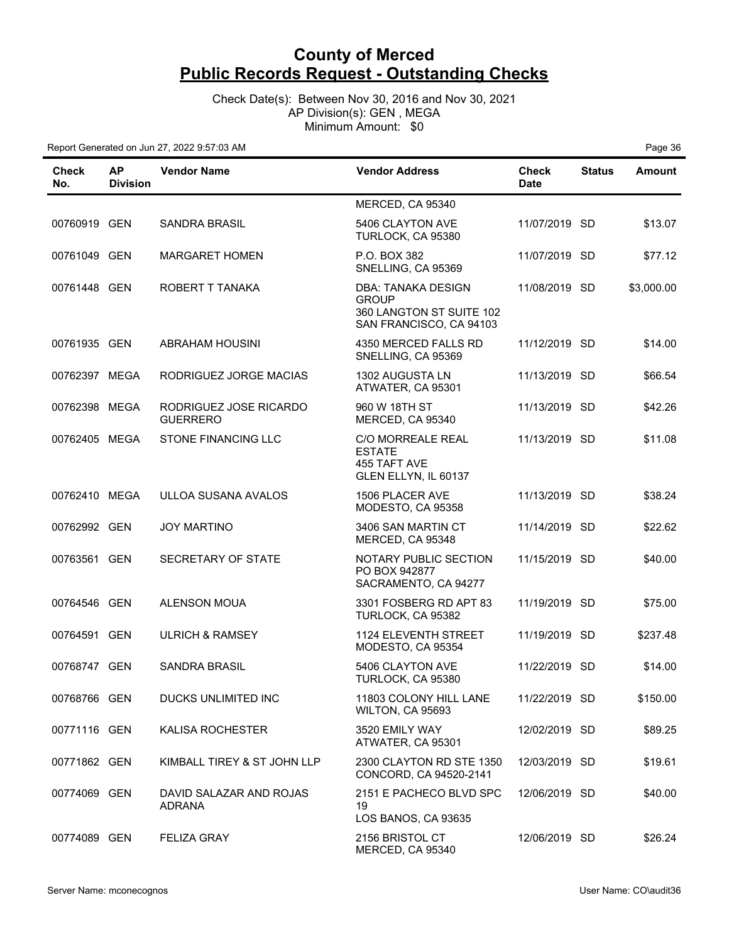Check Date(s): Between Nov 30, 2016 and Nov 30, 2021 AP Division(s): GEN , MEGA Minimum Amount: \$0

| Check<br>No.  | <b>AP</b><br><b>Division</b> | <b>Vendor Name</b>                        | <b>Vendor Address</b>                                                                     | <b>Check</b><br><b>Date</b> | <b>Status</b> | <b>Amount</b> |
|---------------|------------------------------|-------------------------------------------|-------------------------------------------------------------------------------------------|-----------------------------|---------------|---------------|
|               |                              |                                           | MERCED, CA 95340                                                                          |                             |               |               |
| 00760919 GEN  |                              | <b>SANDRA BRASIL</b>                      | 5406 CLAYTON AVE<br>TURLOCK, CA 95380                                                     | 11/07/2019 SD               |               | \$13.07       |
| 00761049 GEN  |                              | <b>MARGARET HOMEN</b>                     | P.O. BOX 382<br>SNELLING, CA 95369                                                        | 11/07/2019 SD               |               | \$77.12       |
| 00761448 GEN  |                              | ROBERT T TANAKA                           | DBA: TANAKA DESIGN<br><b>GROUP</b><br>360 LANGTON ST SUITE 102<br>SAN FRANCISCO, CA 94103 | 11/08/2019 SD               |               | \$3,000.00    |
| 00761935 GEN  |                              | ABRAHAM HOUSINI                           | 4350 MERCED FALLS RD<br>SNELLING, CA 95369                                                | 11/12/2019 SD               |               | \$14.00       |
| 00762397 MEGA |                              | RODRIGUEZ JORGE MACIAS                    | 1302 AUGUSTA LN<br>ATWATER, CA 95301                                                      | 11/13/2019 SD               |               | \$66.54       |
| 00762398 MEGA |                              | RODRIGUEZ JOSE RICARDO<br><b>GUERRERO</b> | 960 W 18TH ST<br>MERCED, CA 95340                                                         | 11/13/2019 SD               |               | \$42.26       |
| 00762405 MEGA |                              | <b>STONE FINANCING LLC</b>                | <b>C/O MORREALE REAL</b><br><b>ESTATE</b><br>455 TAFT AVE<br>GLEN ELLYN, IL 60137         | 11/13/2019 SD               |               | \$11.08       |
| 00762410 MEGA |                              | ULLOA SUSANA AVALOS                       | 1506 PLACER AVE<br>MODESTO, CA 95358                                                      | 11/13/2019 SD               |               | \$38.24       |
| 00762992 GEN  |                              | <b>JOY MARTINO</b>                        | 3406 SAN MARTIN CT<br>MERCED, CA 95348                                                    | 11/14/2019 SD               |               | \$22.62       |
| 00763561 GEN  |                              | SECRETARY OF STATE                        | <b>NOTARY PUBLIC SECTION</b><br>PO BOX 942877<br>SACRAMENTO, CA 94277                     | 11/15/2019 SD               |               | \$40.00       |
| 00764546 GEN  |                              | <b>ALENSON MOUA</b>                       | 3301 FOSBERG RD APT 83<br>TURLOCK, CA 95382                                               | 11/19/2019 SD               |               | \$75.00       |
| 00764591 GEN  |                              | <b>ULRICH &amp; RAMSEY</b>                | <b>1124 ELEVENTH STREET</b><br>MODESTO, CA 95354                                          | 11/19/2019 SD               |               | \$237.48      |
| 00768747 GEN  |                              | <b>SANDRA BRASIL</b>                      | 5406 CLAYTON AVE<br>TURLOCK, CA 95380                                                     | 11/22/2019 SD               |               | \$14.00       |
| 00768766 GEN  |                              | DUCKS UNLIMITED INC                       | 11803 COLONY HILL LANE<br>WILTON, CA 95693                                                | 11/22/2019 SD               |               | \$150.00      |
| 00771116 GEN  |                              | KALISA ROCHESTER                          | 3520 EMILY WAY<br>ATWATER, CA 95301                                                       | 12/02/2019 SD               |               | \$89.25       |
| 00771862 GEN  |                              | KIMBALL TIREY & ST JOHN LLP               | 2300 CLAYTON RD STE 1350<br>CONCORD, CA 94520-2141                                        | 12/03/2019 SD               |               | \$19.61       |
| 00774069 GEN  |                              | DAVID SALAZAR AND ROJAS<br><b>ADRANA</b>  | 2151 E PACHECO BLVD SPC<br>19<br>LOS BANOS, CA 93635                                      | 12/06/2019 SD               |               | \$40.00       |
| 00774089 GEN  |                              | <b>FELIZA GRAY</b>                        | 2156 BRISTOL CT<br>MERCED, CA 95340                                                       | 12/06/2019 SD               |               | \$26.24       |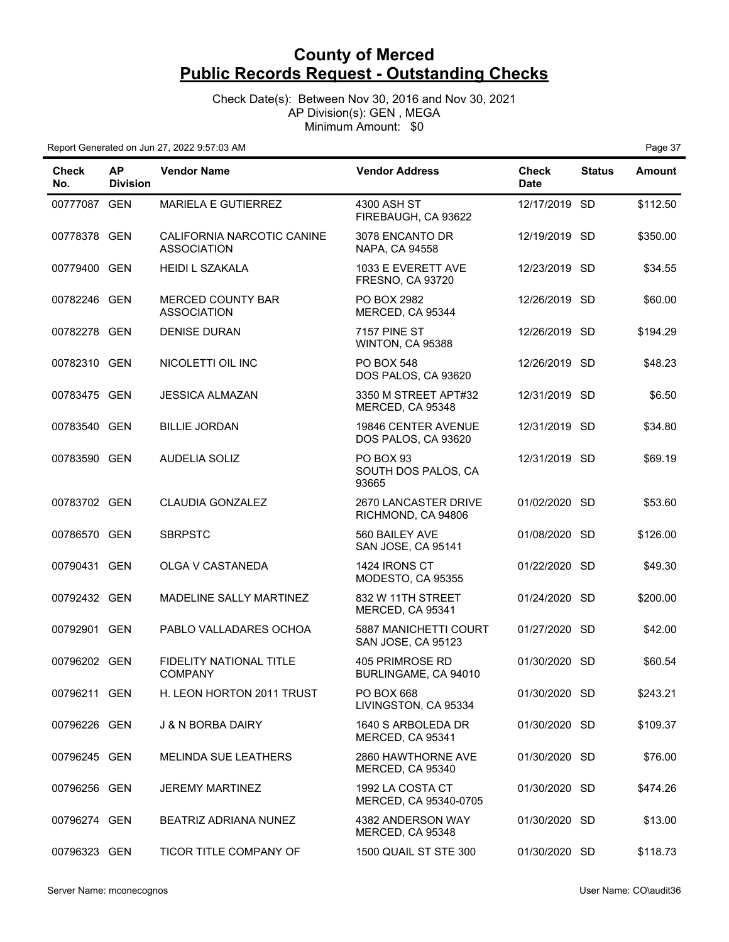Check Date(s): Between Nov 30, 2016 and Nov 30, 2021 AP Division(s): GEN , MEGA Minimum Amount: \$0

| <b>Check</b><br>No. | <b>AP</b><br><b>Division</b> | <b>Vendor Name</b>                               | <b>Vendor Address</b>                         | <b>Check</b><br><b>Date</b> | <b>Status</b> | <b>Amount</b> |
|---------------------|------------------------------|--------------------------------------------------|-----------------------------------------------|-----------------------------|---------------|---------------|
| 00777087 GEN        |                              | MARIELA E GUTIERREZ                              | 4300 ASH ST<br>FIREBAUGH, CA 93622            | 12/17/2019 SD               |               | \$112.50      |
| 00778378 GEN        |                              | CALIFORNIA NARCOTIC CANINE<br><b>ASSOCIATION</b> | 3078 ENCANTO DR<br>NAPA, CA 94558             | 12/19/2019 SD               |               | \$350.00      |
| 00779400 GEN        |                              | <b>HEIDI L SZAKALA</b>                           | 1033 E EVERETT AVE<br><b>FRESNO, CA 93720</b> | 12/23/2019 SD               |               | \$34.55       |
| 00782246 GEN        |                              | MERCED COUNTY BAR<br><b>ASSOCIATION</b>          | PO BOX 2982<br>MERCED, CA 95344               | 12/26/2019 SD               |               | \$60.00       |
| 00782278 GEN        |                              | <b>DENISE DURAN</b>                              | 7157 PINE ST<br>WINTON, CA 95388              | 12/26/2019 SD               |               | \$194.29      |
| 00782310 GEN        |                              | NICOLETTI OIL INC                                | <b>PO BOX 548</b><br>DOS PALOS, CA 93620      | 12/26/2019 SD               |               | \$48.23       |
| 00783475 GEN        |                              | <b>JESSICA ALMAZAN</b>                           | 3350 M STREET APT#32<br>MERCED, CA 95348      | 12/31/2019 SD               |               | \$6.50        |
| 00783540 GEN        |                              | <b>BILLIE JORDAN</b>                             | 19846 CENTER AVENUE<br>DOS PALOS, CA 93620    | 12/31/2019 SD               |               | \$34.80       |
| 00783590 GEN        |                              | <b>AUDELIA SOLIZ</b>                             | PO BOX 93<br>SOUTH DOS PALOS, CA<br>93665     | 12/31/2019 SD               |               | \$69.19       |
| 00783702 GEN        |                              | <b>CLAUDIA GONZALEZ</b>                          | 2670 LANCASTER DRIVE<br>RICHMOND, CA 94806    | 01/02/2020 SD               |               | \$53.60       |
| 00786570 GEN        |                              | <b>SBRPSTC</b>                                   | 560 BAILEY AVE<br>SAN JOSE, CA 95141          | 01/08/2020 SD               |               | \$126.00      |
| 00790431 GEN        |                              | OLGA V CASTANEDA                                 | 1424 IRONS CT<br>MODESTO, CA 95355            | 01/22/2020 SD               |               | \$49.30       |
| 00792432 GEN        |                              | MADELINE SALLY MARTINEZ                          | 832 W 11TH STREET<br>MERCED, CA 95341         | 01/24/2020                  | <b>SD</b>     | \$200.00      |
| 00792901            | GEN                          | PABLO VALLADARES OCHOA                           | 5887 MANICHETTI COURT<br>SAN JOSE, CA 95123   | 01/27/2020 SD               |               | \$42.00       |
| 00796202 GEN        |                              | FIDELITY NATIONAL TITLE<br><b>COMPANY</b>        | 405 PRIMROSE RD<br>BURLINGAME, CA 94010       | 01/30/2020 SD               |               | \$60.54       |
| 00796211 GEN        |                              | H. LEON HORTON 2011 TRUST                        | PO BOX 668<br>LIVINGSTON, CA 95334            | 01/30/2020 SD               |               | \$243.21      |
| 00796226 GEN        |                              | J & N BORBA DAIRY                                | 1640 S ARBOLEDA DR<br>MERCED, CA 95341        | 01/30/2020 SD               |               | \$109.37      |
| 00796245 GEN        |                              | <b>MELINDA SUE LEATHERS</b>                      | 2860 HAWTHORNE AVE<br>MERCED, CA 95340        | 01/30/2020 SD               |               | \$76.00       |
| 00796256 GEN        |                              | <b>JEREMY MARTINEZ</b>                           | 1992 LA COSTA CT<br>MERCED, CA 95340-0705     | 01/30/2020 SD               |               | \$474.26      |
| 00796274 GEN        |                              | BEATRIZ ADRIANA NUNEZ                            | 4382 ANDERSON WAY<br>MERCED, CA 95348         | 01/30/2020 SD               |               | \$13.00       |
| 00796323 GEN        |                              | TICOR TITLE COMPANY OF                           | 1500 QUAIL ST STE 300                         | 01/30/2020 SD               |               | \$118.73      |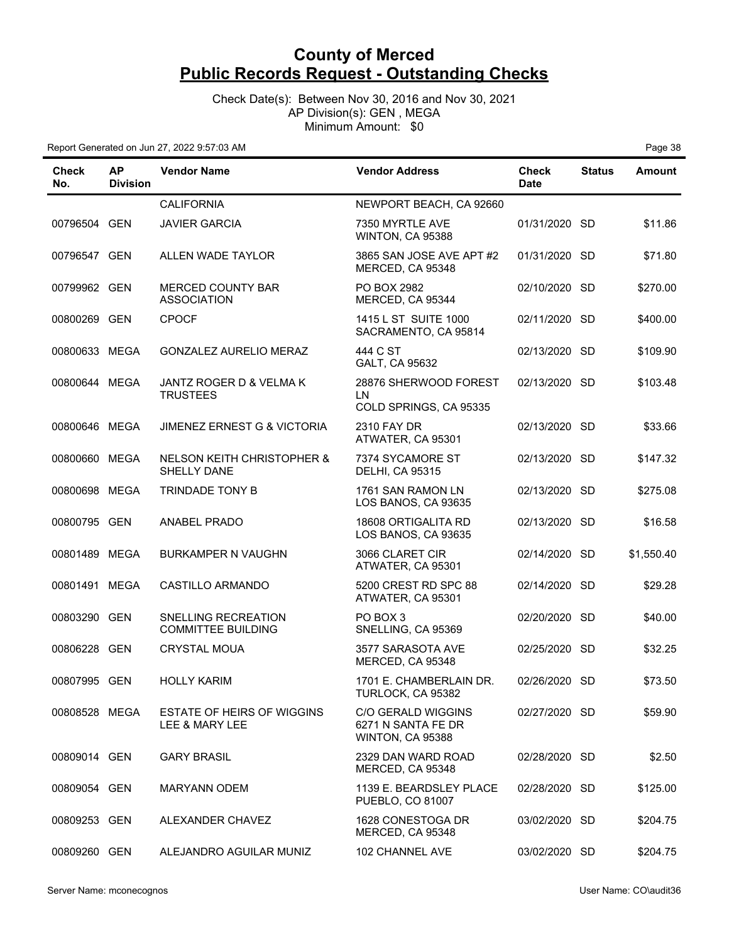Check Date(s): Between Nov 30, 2016 and Nov 30, 2021 AP Division(s): GEN , MEGA Minimum Amount: \$0

| Check<br>No.  | <b>AP</b><br><b>Division</b> | <b>Vendor Name</b>                                  | <b>Vendor Address</b>                                        | <b>Check</b><br><b>Date</b> | <b>Status</b> | <b>Amount</b> |
|---------------|------------------------------|-----------------------------------------------------|--------------------------------------------------------------|-----------------------------|---------------|---------------|
|               |                              | <b>CALIFORNIA</b>                                   | NEWPORT BEACH, CA 92660                                      |                             |               |               |
| 00796504 GEN  |                              | <b>JAVIER GARCIA</b>                                | 7350 MYRTLE AVE<br>WINTON, CA 95388                          | 01/31/2020 SD               |               | \$11.86       |
| 00796547 GEN  |                              | ALLEN WADE TAYLOR                                   | 3865 SAN JOSE AVE APT #2<br>MERCED, CA 95348                 | 01/31/2020 SD               |               | \$71.80       |
| 00799962 GEN  |                              | <b>MERCED COUNTY BAR</b><br><b>ASSOCIATION</b>      | PO BOX 2982<br>MERCED, CA 95344                              | 02/10/2020 SD               |               | \$270.00      |
| 00800269 GEN  |                              | <b>CPOCF</b>                                        | 1415 L ST SUITE 1000<br>SACRAMENTO, CA 95814                 | 02/11/2020 SD               |               | \$400.00      |
| 00800633 MEGA |                              | GONZALEZ AURELIO MERAZ                              | 444 C ST<br>GALT, CA 95632                                   | 02/13/2020 SD               |               | \$109.90      |
| 00800644 MEGA |                              | JANTZ ROGER D & VELMA K<br><b>TRUSTEES</b>          | 28876 SHERWOOD FOREST<br>LN<br>COLD SPRINGS, CA 95335        | 02/13/2020 SD               |               | \$103.48      |
| 00800646 MEGA |                              | <b>JIMENEZ ERNEST G &amp; VICTORIA</b>              | 2310 FAY DR<br>ATWATER, CA 95301                             | 02/13/2020 SD               |               | \$33.66       |
| 00800660 MEGA |                              | NELSON KEITH CHRISTOPHER &<br><b>SHELLY DANE</b>    | 7374 SYCAMORE ST<br><b>DELHI, CA 95315</b>                   | 02/13/2020 SD               |               | \$147.32      |
| 00800698 MEGA |                              | TRINDADE TONY B                                     | 1761 SAN RAMON LN<br>LOS BANOS, CA 93635                     | 02/13/2020 SD               |               | \$275.08      |
| 00800795 GEN  |                              | <b>ANABEL PRADO</b>                                 | 18608 ORTIGALITA RD<br>LOS BANOS, CA 93635                   | 02/13/2020 SD               |               | \$16.58       |
| 00801489 MEGA |                              | <b>BURKAMPER N VAUGHN</b>                           | 3066 CLARET CIR<br>ATWATER, CA 95301                         | 02/14/2020 SD               |               | \$1,550.40    |
| 00801491 MEGA |                              | CASTILLO ARMANDO                                    | 5200 CREST RD SPC 88<br>ATWATER, CA 95301                    | 02/14/2020 SD               |               | \$29.28       |
| 00803290 GEN  |                              | SNELLING RECREATION<br><b>COMMITTEE BUILDING</b>    | PO BOX 3<br>SNELLING, CA 95369                               | 02/20/2020 SD               |               | \$40.00       |
| 00806228 GEN  |                              | <b>CRYSTAL MOUA</b>                                 | 3577 SARASOTA AVE<br>MERCED, CA 95348                        | 02/25/2020 SD               |               | \$32.25       |
| 00807995 GEN  |                              | <b>HOLLY KARIM</b>                                  | 1701 E. CHAMBERLAIN DR.<br>TURLOCK, CA 95382                 | 02/26/2020 SD               |               | \$73.50       |
| 00808528 MEGA |                              | <b>ESTATE OF HEIRS OF WIGGINS</b><br>LEE & MARY LEE | C/O GERALD WIGGINS<br>6271 N SANTA FE DR<br>WINTON, CA 95388 | 02/27/2020 SD               |               | \$59.90       |
| 00809014 GEN  |                              | <b>GARY BRASIL</b>                                  | 2329 DAN WARD ROAD<br>MERCED, CA 95348                       | 02/28/2020 SD               |               | \$2.50        |
| 00809054 GEN  |                              | <b>MARYANN ODEM</b>                                 | 1139 E. BEARDSLEY PLACE<br>PUEBLO, CO 81007                  | 02/28/2020 SD               |               | \$125.00      |
| 00809253 GEN  |                              | ALEXANDER CHAVEZ                                    | 1628 CONESTOGA DR<br>MERCED, CA 95348                        | 03/02/2020 SD               |               | \$204.75      |
| 00809260 GEN  |                              | ALEJANDRO AGUILAR MUNIZ                             | 102 CHANNEL AVE                                              | 03/02/2020 SD               |               | \$204.75      |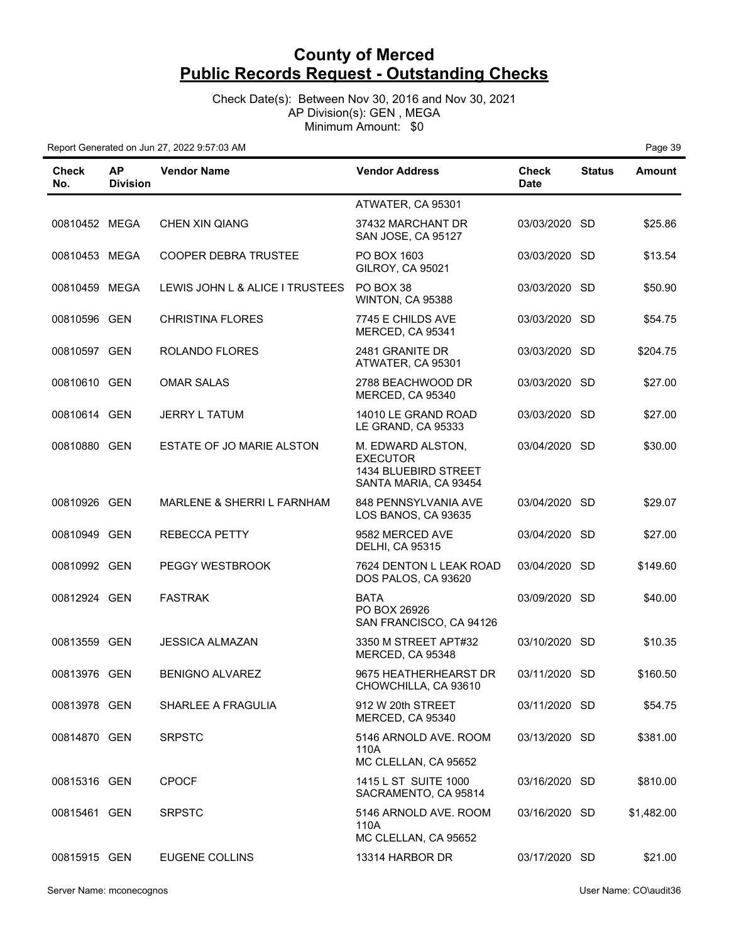Check Date(s): Between Nov 30, 2016 and Nov 30, 2021 AP Division(s): GEN , MEGA Minimum Amount: \$0

| Check<br>No.  | <b>AP</b><br><b>Division</b> | <b>Vendor Name</b>              | <b>Vendor Address</b>                                                                 | <b>Check</b><br><b>Date</b> | <b>Status</b> | Amount     |
|---------------|------------------------------|---------------------------------|---------------------------------------------------------------------------------------|-----------------------------|---------------|------------|
|               |                              |                                 | ATWATER, CA 95301                                                                     |                             |               |            |
| 00810452 MEGA |                              | <b>CHEN XIN QIANG</b>           | 37432 MARCHANT DR<br>SAN JOSE, CA 95127                                               | 03/03/2020 SD               |               | \$25.86    |
| 00810453 MEGA |                              | COOPER DEBRA TRUSTEE            | PO BOX 1603<br>GILROY, CA 95021                                                       | 03/03/2020 SD               |               | \$13.54    |
| 00810459 MEGA |                              | LEWIS JOHN L & ALICE I TRUSTEES | PO BOX 38<br>WINTON, CA 95388                                                         | 03/03/2020 SD               |               | \$50.90    |
| 00810596 GEN  |                              | <b>CHRISTINA FLORES</b>         | 7745 E CHILDS AVE<br>MERCED, CA 95341                                                 | 03/03/2020 SD               |               | \$54.75    |
| 00810597 GEN  |                              | ROLANDO FLORES                  | 2481 GRANITE DR<br>ATWATER, CA 95301                                                  | 03/03/2020 SD               |               | \$204.75   |
| 00810610 GEN  |                              | <b>OMAR SALAS</b>               | 2788 BEACHWOOD DR<br>MERCED, CA 95340                                                 | 03/03/2020 SD               |               | \$27.00    |
| 00810614 GEN  |                              | <b>JERRY L TATUM</b>            | 14010 LE GRAND ROAD<br>LE GRAND, CA 95333                                             | 03/03/2020 SD               |               | \$27.00    |
| 00810880 GEN  |                              | ESTATE OF JO MARIE ALSTON       | M. EDWARD ALSTON,<br><b>EXECUTOR</b><br>1434 BLUEBIRD STREET<br>SANTA MARIA, CA 93454 | 03/04/2020 SD               |               | \$30.00    |
| 00810926 GEN  |                              | MARLENE & SHERRI L FARNHAM      | 848 PENNSYLVANIA AVE<br>LOS BANOS, CA 93635                                           | 03/04/2020 SD               |               | \$29.07    |
| 00810949 GEN  |                              | <b>REBECCA PETTY</b>            | 9582 MERCED AVE<br><b>DELHI, CA 95315</b>                                             | 03/04/2020 SD               |               | \$27.00    |
| 00810992 GEN  |                              | PEGGY WESTBROOK                 | 7624 DENTON L LEAK ROAD<br>DOS PALOS, CA 93620                                        | 03/04/2020 SD               |               | \$149.60   |
| 00812924 GEN  |                              | <b>FASTRAK</b>                  | <b>BATA</b><br>PO BOX 26926<br>SAN FRANCISCO, CA 94126                                | 03/09/2020 SD               |               | \$40.00    |
| 00813559 GEN  |                              | <b>JESSICA ALMAZAN</b>          | 3350 M STREET APT#32<br>MERCED, CA 95348                                              | 03/10/2020 SD               |               | \$10.35    |
| 00813976 GEN  |                              | <b>BENIGNO ALVAREZ</b>          | 9675 HEATHERHEARST DR<br>CHOWCHILLA, CA 93610                                         | 03/11/2020 SD               |               | \$160.50   |
| 00813978 GEN  |                              | SHARLEE A FRAGULIA              | 912 W 20th STREET<br>MERCED, CA 95340                                                 | 03/11/2020 SD               |               | \$54.75    |
| 00814870 GEN  |                              | <b>SRPSTC</b>                   | 5146 ARNOLD AVE. ROOM<br>110A<br>MC CLELLAN, CA 95652                                 | 03/13/2020 SD               |               | \$381.00   |
| 00815316 GEN  |                              | <b>CPOCF</b>                    | 1415 L ST SUITE 1000<br>SACRAMENTO, CA 95814                                          | 03/16/2020 SD               |               | \$810.00   |
| 00815461 GEN  |                              | <b>SRPSTC</b>                   | 5146 ARNOLD AVE. ROOM<br>110A<br>MC CLELLAN, CA 95652                                 | 03/16/2020 SD               |               | \$1,482.00 |
| 00815915 GEN  |                              | EUGENE COLLINS                  | 13314 HARBOR DR                                                                       | 03/17/2020 SD               |               | \$21.00    |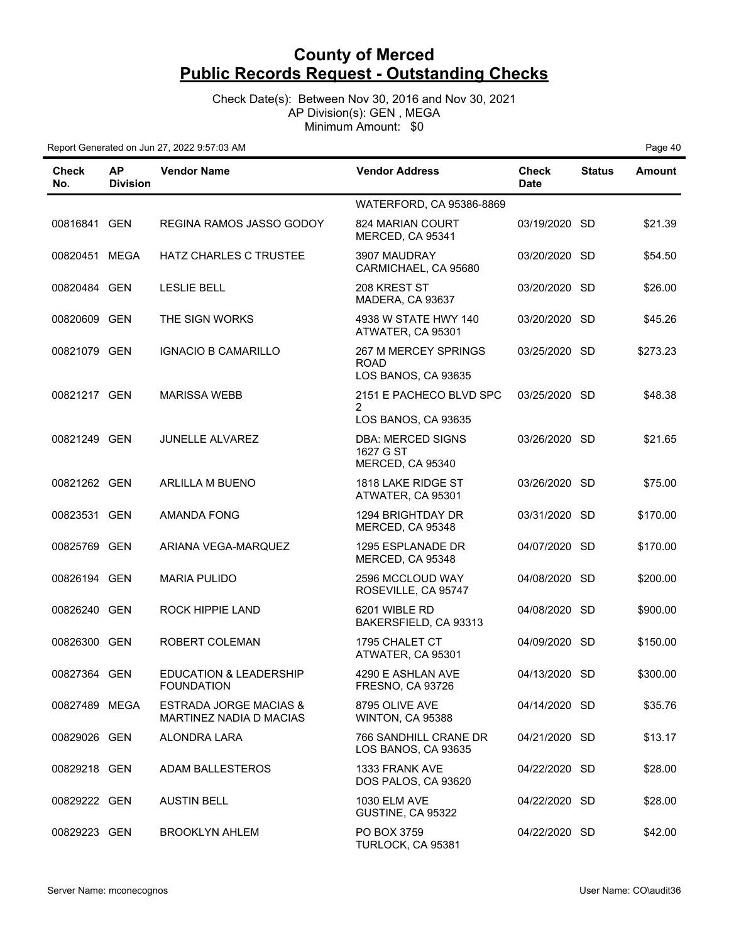Check Date(s): Between Nov 30, 2016 and Nov 30, 2021 AP Division(s): GEN , MEGA Minimum Amount: \$0

| Check<br>No.  | <b>AP</b><br><b>Division</b> | <b>Vendor Name</b>                                           | <b>Vendor Address</b>                                      | <b>Check</b><br><b>Date</b> | <b>Status</b> | <b>Amount</b> |
|---------------|------------------------------|--------------------------------------------------------------|------------------------------------------------------------|-----------------------------|---------------|---------------|
|               |                              |                                                              | WATERFORD, CA 95386-8869                                   |                             |               |               |
| 00816841 GEN  |                              | REGINA RAMOS JASSO GODOY                                     | 824 MARIAN COURT<br>MERCED, CA 95341                       | 03/19/2020 SD               |               | \$21.39       |
| 00820451 MEGA |                              | <b>HATZ CHARLES C TRUSTEE</b>                                | 3907 MAUDRAY<br>CARMICHAEL, CA 95680                       | 03/20/2020 SD               |               | \$54.50       |
| 00820484 GEN  |                              | <b>LESLIE BELL</b>                                           | 208 KREST ST<br>MADERA, CA 93637                           | 03/20/2020 SD               |               | \$26.00       |
| 00820609 GEN  |                              | THE SIGN WORKS                                               | 4938 W STATE HWY 140<br>ATWATER, CA 95301                  | 03/20/2020 SD               |               | \$45.26       |
| 00821079 GEN  |                              | <b>IGNACIO B CAMARILLO</b>                                   | 267 M MERCEY SPRINGS<br><b>ROAD</b><br>LOS BANOS, CA 93635 | 03/25/2020 SD               |               | \$273.23      |
| 00821217 GEN  |                              | <b>MARISSA WEBB</b>                                          | 2151 E PACHECO BLVD SPC<br>2<br>LOS BANOS, CA 93635        | 03/25/2020 SD               |               | \$48.38       |
| 00821249 GEN  |                              | JUNELLE ALVAREZ                                              | <b>DBA: MERCED SIGNS</b><br>1627 G ST<br>MERCED, CA 95340  | 03/26/2020 SD               |               | \$21.65       |
| 00821262 GEN  |                              | <b>ARLILLA M BUENO</b>                                       | 1818 LAKE RIDGE ST<br>ATWATER, CA 95301                    | 03/26/2020 SD               |               | \$75.00       |
| 00823531 GEN  |                              | <b>AMANDA FONG</b>                                           | 1294 BRIGHTDAY DR<br>MERCED, CA 95348                      | 03/31/2020 SD               |               | \$170.00      |
| 00825769 GEN  |                              | ARIANA VEGA-MARQUEZ                                          | 1295 ESPLANADE DR<br>MERCED, CA 95348                      | 04/07/2020 SD               |               | \$170.00      |
| 00826194 GEN  |                              | <b>MARIA PULIDO</b>                                          | 2596 MCCLOUD WAY<br>ROSEVILLE, CA 95747                    | 04/08/2020 SD               |               | \$200.00      |
| 00826240 GEN  |                              | ROCK HIPPIE LAND                                             | 6201 WIBLE RD<br>BAKERSFIELD, CA 93313                     | 04/08/2020 SD               |               | \$900.00      |
| 00826300 GEN  |                              | ROBERT COLEMAN                                               | 1795 CHALET CT<br>ATWATER, CA 95301                        | 04/09/2020 SD               |               | \$150.00      |
| 00827364 GEN  |                              | <b>EDUCATION &amp; LEADERSHIP</b><br><b>FOUNDATION</b>       | 4290 E ASHLAN AVE<br>FRESNO, CA 93726                      | 04/13/2020 SD               |               | \$300.00      |
| 00827489 MEGA |                              | <b>ESTRADA JORGE MACIAS &amp;</b><br>MARTINEZ NADIA D MACIAS | 8795 OLIVE AVE<br>WINTON, CA 95388                         | 04/14/2020 SD               |               | \$35.76       |
| 00829026 GEN  |                              | ALONDRA LARA                                                 | 766 SANDHILL CRANE DR<br>LOS BANOS, CA 93635               | 04/21/2020 SD               |               | \$13.17       |
| 00829218 GEN  |                              | ADAM BALLESTEROS                                             | 1333 FRANK AVE<br>DOS PALOS, CA 93620                      | 04/22/2020 SD               |               | \$28.00       |
| 00829222 GEN  |                              | <b>AUSTIN BELL</b>                                           | 1030 ELM AVE<br>GUSTINE, CA 95322                          | 04/22/2020 SD               |               | \$28.00       |
| 00829223 GEN  |                              | <b>BROOKLYN AHLEM</b>                                        | PO BOX 3759<br>TURLOCK, CA 95381                           | 04/22/2020 SD               |               | \$42.00       |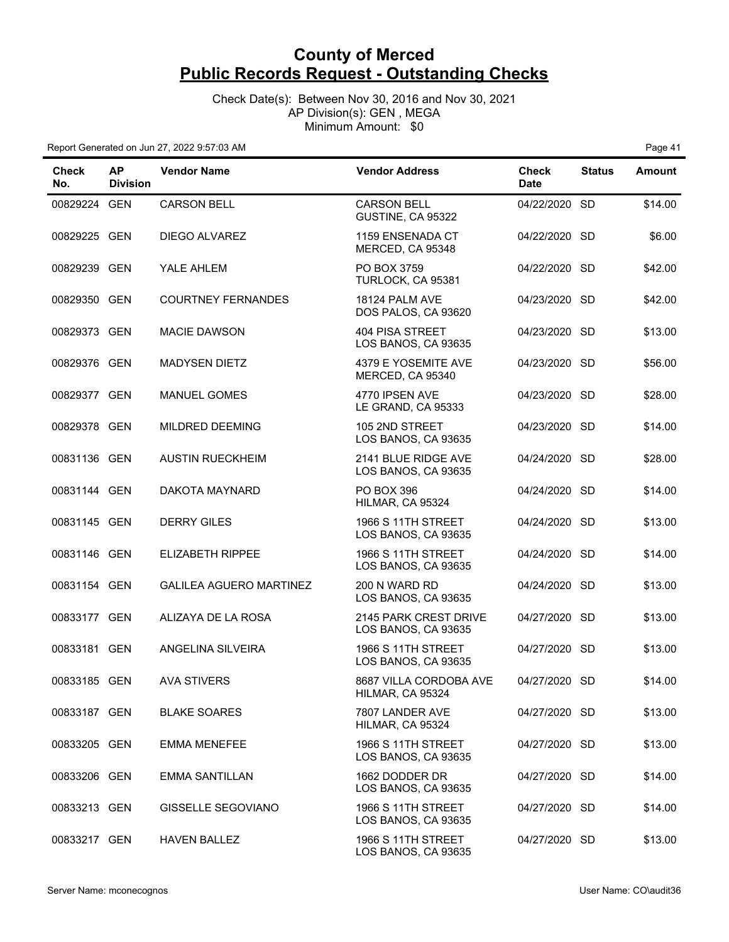Check Date(s): Between Nov 30, 2016 and Nov 30, 2021 AP Division(s): GEN , MEGA Minimum Amount: \$0

Report Generated on Jun 27, 2022 9:57:03 AM **Page 41 Page 41 Page 41** 

| <b>Check</b><br>No. | <b>AP</b><br><b>Division</b> | <b>Vendor Name</b>             | <b>Vendor Address</b>                            | <b>Check</b><br><b>Date</b> | <b>Status</b> | <b>Amount</b> |
|---------------------|------------------------------|--------------------------------|--------------------------------------------------|-----------------------------|---------------|---------------|
| 00829224 GEN        |                              | <b>CARSON BELL</b>             | <b>CARSON BELL</b><br>GUSTINE, CA 95322          | 04/22/2020 SD               |               | \$14.00       |
| 00829225 GEN        |                              | DIEGO ALVAREZ                  | 1159 ENSENADA CT<br>MERCED, CA 95348             | 04/22/2020 SD               |               | \$6.00        |
| 00829239 GEN        |                              | YALE AHLEM                     | PO BOX 3759<br>TURLOCK, CA 95381                 | 04/22/2020 SD               |               | \$42.00       |
| 00829350 GEN        |                              | <b>COURTNEY FERNANDES</b>      | 18124 PALM AVE<br>DOS PALOS, CA 93620            | 04/23/2020 SD               |               | \$42.00       |
| 00829373 GEN        |                              | <b>MACIE DAWSON</b>            | 404 PISA STREET<br>LOS BANOS, CA 93635           | 04/23/2020 SD               |               | \$13.00       |
| 00829376 GEN        |                              | <b>MADYSEN DIETZ</b>           | 4379 E YOSEMITE AVE<br>MERCED, CA 95340          | 04/23/2020 SD               |               | \$56.00       |
| 00829377 GEN        |                              | <b>MANUEL GOMES</b>            | 4770 IPSEN AVE<br>LE GRAND, CA 95333             | 04/23/2020 SD               |               | \$28.00       |
| 00829378 GEN        |                              | MILDRED DEEMING                | 105 2ND STREET<br>LOS BANOS, CA 93635            | 04/23/2020 SD               |               | \$14.00       |
| 00831136 GEN        |                              | <b>AUSTIN RUECKHEIM</b>        | 2141 BLUE RIDGE AVE<br>LOS BANOS, CA 93635       | 04/24/2020 SD               |               | \$28.00       |
| 00831144 GEN        |                              | DAKOTA MAYNARD                 | <b>PO BOX 396</b><br>HILMAR, CA 95324            | 04/24/2020 SD               |               | \$14.00       |
| 00831145 GEN        |                              | <b>DERRY GILES</b>             | <b>1966 S 11TH STREET</b><br>LOS BANOS, CA 93635 | 04/24/2020 SD               |               | \$13.00       |
| 00831146 GEN        |                              | <b>ELIZABETH RIPPEE</b>        | <b>1966 S 11TH STREET</b><br>LOS BANOS, CA 93635 | 04/24/2020 SD               |               | \$14.00       |
| 00831154 GEN        |                              | <b>GALILEA AGUERO MARTINEZ</b> | 200 N WARD RD<br>LOS BANOS, CA 93635             | 04/24/2020 SD               |               | \$13.00       |
| 00833177 GEN        |                              | ALIZAYA DE LA ROSA             | 2145 PARK CREST DRIVE<br>LOS BANOS, CA 93635     | 04/27/2020 SD               |               | \$13.00       |
| 00833181 GEN        |                              | ANGELINA SILVEIRA              | <b>1966 S 11TH STREET</b><br>LOS BANOS, CA 93635 | 04/27/2020 SD               |               | \$13.00       |
| 00833185 GEN        |                              | <b>AVA STIVERS</b>             | 8687 VILLA CORDOBA AVE<br>HILMAR, CA 95324       | 04/27/2020 SD               |               | \$14.00       |
| 00833187 GEN        |                              | <b>BLAKE SOARES</b>            | 7807 LANDER AVE<br>HILMAR, CA 95324              | 04/27/2020 SD               |               | \$13.00       |
| 00833205 GEN        |                              | <b>EMMA MENEFEE</b>            | 1966 S 11TH STREET<br>LOS BANOS, CA 93635        | 04/27/2020 SD               |               | \$13.00       |
| 00833206 GEN        |                              | <b>EMMA SANTILLAN</b>          | 1662 DODDER DR<br>LOS BANOS, CA 93635            | 04/27/2020 SD               |               | \$14.00       |
| 00833213 GEN        |                              | GISSELLE SEGOVIANO             | <b>1966 S 11TH STREET</b><br>LOS BANOS, CA 93635 | 04/27/2020 SD               |               | \$14.00       |
| 00833217 GEN        |                              | <b>HAVEN BALLEZ</b>            | 1966 S 11TH STREET<br>LOS BANOS, CA 93635        | 04/27/2020 SD               |               | \$13.00       |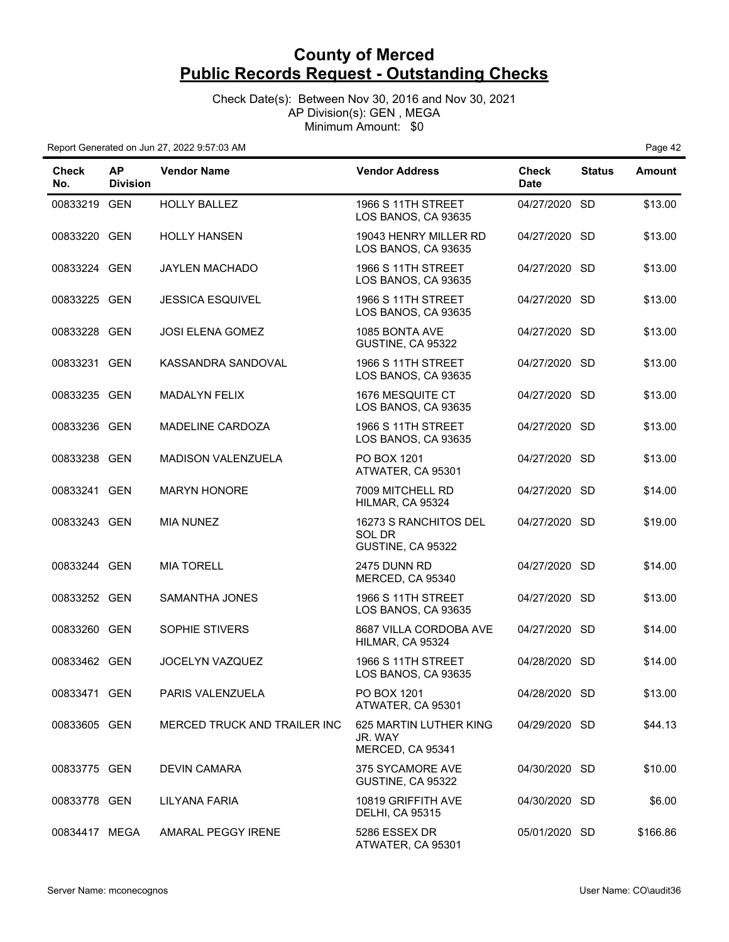Check Date(s): Between Nov 30, 2016 and Nov 30, 2021 AP Division(s): GEN , MEGA Minimum Amount: \$0

| <b>Check</b><br>No. | <b>AP</b><br><b>Division</b> | <b>Vendor Name</b>           | <b>Vendor Address</b>                                 | <b>Check</b><br><b>Date</b> | <b>Status</b> | <b>Amount</b> |
|---------------------|------------------------------|------------------------------|-------------------------------------------------------|-----------------------------|---------------|---------------|
| 00833219 GEN        |                              | <b>HOLLY BALLEZ</b>          | <b>1966 S 11TH STREET</b><br>LOS BANOS, CA 93635      | 04/27/2020 SD               |               | \$13.00       |
| 00833220 GEN        |                              | <b>HOLLY HANSEN</b>          | 19043 HENRY MILLER RD<br>LOS BANOS, CA 93635          | 04/27/2020 SD               |               | \$13.00       |
| 00833224 GEN        |                              | JAYLEN MACHADO               | <b>1966 S 11TH STREET</b><br>LOS BANOS, CA 93635      | 04/27/2020 SD               |               | \$13.00       |
| 00833225 GEN        |                              | <b>JESSICA ESQUIVEL</b>      | <b>1966 S 11TH STREET</b><br>LOS BANOS, CA 93635      | 04/27/2020 SD               |               | \$13.00       |
| 00833228 GEN        |                              | <b>JOSI ELENA GOMEZ</b>      | 1085 BONTA AVE<br>GUSTINE, CA 95322                   | 04/27/2020 SD               |               | \$13.00       |
| 00833231 GEN        |                              | KASSANDRA SANDOVAL           | <b>1966 S 11TH STREET</b><br>LOS BANOS, CA 93635      | 04/27/2020 SD               |               | \$13.00       |
| 00833235 GEN        |                              | <b>MADALYN FELIX</b>         | 1676 MESQUITE CT<br>LOS BANOS, CA 93635               | 04/27/2020 SD               |               | \$13.00       |
| 00833236 GEN        |                              | <b>MADELINE CARDOZA</b>      | 1966 S 11TH STREET<br>LOS BANOS, CA 93635             | 04/27/2020 SD               |               | \$13.00       |
| 00833238 GEN        |                              | <b>MADISON VALENZUELA</b>    | PO BOX 1201<br>ATWATER, CA 95301                      | 04/27/2020 SD               |               | \$13.00       |
| 00833241 GEN        |                              | <b>MARYN HONORE</b>          | 7009 MITCHELL RD<br>HILMAR, CA 95324                  | 04/27/2020 SD               |               | \$14.00       |
| 00833243 GEN        |                              | <b>MIA NUNEZ</b>             | 16273 S RANCHITOS DEL<br>SOL DR<br>GUSTINE, CA 95322  | 04/27/2020 SD               |               | \$19.00       |
| 00833244 GEN        |                              | <b>MIA TORELL</b>            | 2475 DUNN RD<br>MERCED, CA 95340                      | 04/27/2020 SD               |               | \$14.00       |
| 00833252 GEN        |                              | SAMANTHA JONES               | <b>1966 S 11TH STREET</b><br>LOS BANOS, CA 93635      | 04/27/2020 SD               |               | \$13.00       |
| 00833260 GEN        |                              | SOPHIE STIVERS               | 8687 VILLA CORDOBA AVE<br>HILMAR, CA 95324            | 04/27/2020 SD               |               | \$14.00       |
| 00833462 GEN        |                              | JOCELYN VAZQUEZ              | <b>1966 S 11TH STREET</b><br>LOS BANOS, CA 93635      | 04/28/2020 SD               |               | \$14.00       |
| 00833471 GEN        |                              | PARIS VALENZUELA             | PO BOX 1201<br>ATWATER, CA 95301                      | 04/28/2020 SD               |               | \$13.00       |
| 00833605 GEN        |                              | MERCED TRUCK AND TRAILER INC | 625 MARTIN LUTHER KING<br>JR. WAY<br>MERCED, CA 95341 | 04/29/2020 SD               |               | \$44.13       |
| 00833775 GEN        |                              | <b>DEVIN CAMARA</b>          | 375 SYCAMORE AVE<br>GUSTINE, CA 95322                 | 04/30/2020 SD               |               | \$10.00       |
| 00833778 GEN        |                              | LILYANA FARIA                | 10819 GRIFFITH AVE<br><b>DELHI, CA 95315</b>          | 04/30/2020 SD               |               | \$6.00        |
| 00834417 MEGA       |                              | AMARAL PEGGY IRENE           | 5286 ESSEX DR<br>ATWATER, CA 95301                    | 05/01/2020 SD               |               | \$166.86      |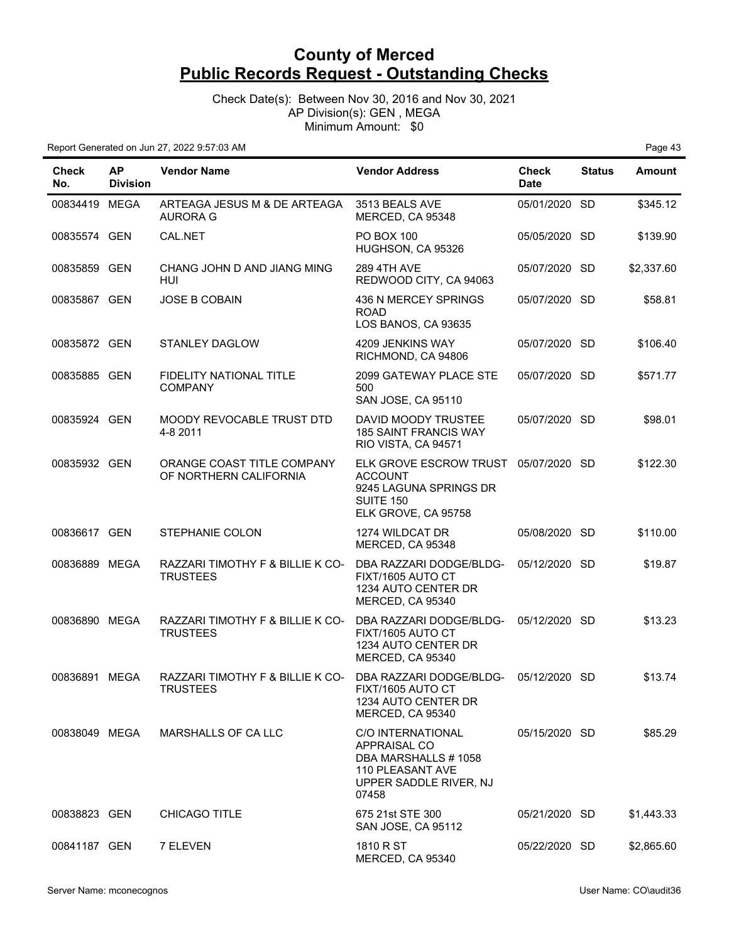Check Date(s): Between Nov 30, 2016 and Nov 30, 2021 AP Division(s): GEN , MEGA Minimum Amount: \$0

| Check<br>No.  | <b>AP</b><br><b>Division</b> | <b>Vendor Name</b>                                                   | <b>Vendor Address</b>                                                                                                | <b>Check</b><br><b>Date</b> | <b>Status</b> | <b>Amount</b> |
|---------------|------------------------------|----------------------------------------------------------------------|----------------------------------------------------------------------------------------------------------------------|-----------------------------|---------------|---------------|
| 00834419 MEGA |                              | ARTEAGA JESUS M & DE ARTEAGA<br><b>AURORA G</b>                      | 3513 BEALS AVE<br>MERCED, CA 95348                                                                                   | 05/01/2020 SD               |               | \$345.12      |
| 00835574 GEN  |                              | CAL.NET                                                              | <b>PO BOX 100</b><br>HUGHSON, CA 95326                                                                               | 05/05/2020 SD               |               | \$139.90      |
| 00835859 GEN  |                              | CHANG JOHN D AND JIANG MING<br>HUI.                                  | <b>289 4TH AVE</b><br>REDWOOD CITY, CA 94063                                                                         | 05/07/2020 SD               |               | \$2,337.60    |
| 00835867 GEN  |                              | <b>JOSE B COBAIN</b>                                                 | 436 N MERCEY SPRINGS<br><b>ROAD</b><br>LOS BANOS, CA 93635                                                           | 05/07/2020 SD               |               | \$58.81       |
| 00835872 GEN  |                              | <b>STANLEY DAGLOW</b>                                                | 4209 JENKINS WAY<br>RICHMOND, CA 94806                                                                               | 05/07/2020 SD               |               | \$106.40      |
| 00835885 GEN  |                              | <b>FIDELITY NATIONAL TITLE</b><br><b>COMPANY</b>                     | 2099 GATEWAY PLACE STE<br>500<br>SAN JOSE, CA 95110                                                                  | 05/07/2020 SD               |               | \$571.77      |
| 00835924 GEN  |                              | MOODY REVOCABLE TRUST DTD<br>4-8 2011                                | DAVID MOODY TRUSTEE<br><b>185 SAINT FRANCIS WAY</b><br>RIO VISTA, CA 94571                                           | 05/07/2020 SD               |               | \$98.01       |
| 00835932 GEN  |                              | ORANGE COAST TITLE COMPANY<br>OF NORTHERN CALIFORNIA                 | ELK GROVE ESCROW TRUST 05/07/2020 SD<br><b>ACCOUNT</b><br>9245 LAGUNA SPRINGS DR<br>SUITE 150<br>ELK GROVE, CA 95758 |                             |               | \$122.30      |
| 00836617 GEN  |                              | STEPHANIE COLON                                                      | 1274 WILDCAT DR<br>MERCED, CA 95348                                                                                  | 05/08/2020 SD               |               | \$110.00      |
| 00836889 MEGA |                              | RAZZARI TIMOTHY F & BILLIE K CO-<br><b>TRUSTEES</b>                  | DBA RAZZARI DODGE/BLDG-<br>FIXT/1605 AUTO CT<br>1234 AUTO CENTER DR<br>MERCED, CA 95340                              | 05/12/2020 SD               |               | \$19.87       |
| 00836890 MEGA |                              | RAZZARI TIMOTHY F & BILLIE K CO-<br><b>TRUSTEES</b>                  | DBA RAZZARI DODGE/BLDG-<br>FIXT/1605 AUTO CT<br>1234 AUTO CENTER DR<br>MERCED, CA 95340                              | 05/12/2020 SD               |               | \$13.23       |
| 00836891 MEGA |                              | RAZZARI TIMOTHY F & BILLIE K CO- DBA RAZZARI DODGE/BLDG-<br>TRUSTEES | FIXT/1605 AUTO CT<br>1234 AUTO CENTER DR<br>MERCED, CA 95340                                                         | 05/12/2020 SD               |               | \$13.74       |
| 00838049 MEGA |                              | MARSHALLS OF CA LLC                                                  | C/O INTERNATIONAL<br>APPRAISAL CO<br>DBA MARSHALLS #1058<br>110 PLEASANT AVE<br>UPPER SADDLE RIVER, NJ<br>07458      | 05/15/2020 SD               |               | \$85.29       |
| 00838823 GEN  |                              | <b>CHICAGO TITLE</b>                                                 | 675 21st STE 300<br>SAN JOSE, CA 95112                                                                               | 05/21/2020 SD               |               | \$1,443.33    |
| 00841187 GEN  |                              | 7 ELEVEN                                                             | 1810 R ST<br>MERCED, CA 95340                                                                                        | 05/22/2020 SD               |               | \$2,865.60    |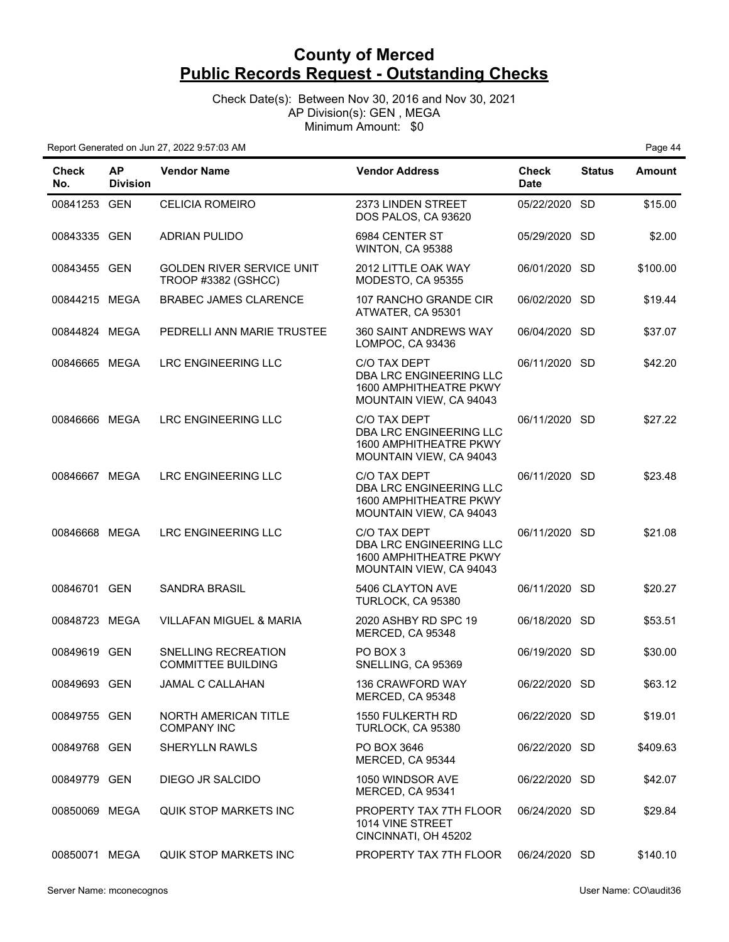Check Date(s): Between Nov 30, 2016 and Nov 30, 2021 AP Division(s): GEN , MEGA Minimum Amount: \$0

| <b>Check</b><br>No. | <b>AP</b><br><b>Division</b> | <b>Vendor Name</b>                                      | <b>Vendor Address</b>                                                                        | <b>Check</b><br><b>Date</b> | <b>Status</b> | <b>Amount</b> |
|---------------------|------------------------------|---------------------------------------------------------|----------------------------------------------------------------------------------------------|-----------------------------|---------------|---------------|
| 00841253 GEN        |                              | <b>CELICIA ROMEIRO</b>                                  | 2373 LINDEN STREET<br>DOS PALOS, CA 93620                                                    | 05/22/2020 SD               |               | \$15.00       |
| 00843335 GEN        |                              | <b>ADRIAN PULIDO</b>                                    | 6984 CENTER ST<br>WINTON, CA 95388                                                           | 05/29/2020 SD               |               | \$2.00        |
| 00843455 GEN        |                              | <b>GOLDEN RIVER SERVICE UNIT</b><br>TROOP #3382 (GSHCC) | 2012 LITTLE OAK WAY<br>MODESTO, CA 95355                                                     | 06/01/2020 SD               |               | \$100.00      |
| 00844215 MEGA       |                              | <b>BRABEC JAMES CLARENCE</b>                            | 107 RANCHO GRANDE CIR<br>ATWATER, CA 95301                                                   | 06/02/2020 SD               |               | \$19.44       |
| 00844824 MEGA       |                              | PEDRELLI ANN MARIE TRUSTEE                              | 360 SAINT ANDREWS WAY<br>LOMPOC, CA 93436                                                    | 06/04/2020 SD               |               | \$37.07       |
| 00846665 MEGA       |                              | LRC ENGINEERING LLC                                     | C/O TAX DEPT<br>DBA LRC ENGINEERING LLC<br>1600 AMPHITHEATRE PKWY<br>MOUNTAIN VIEW, CA 94043 | 06/11/2020 SD               |               | \$42.20       |
| 00846666 MEGA       |                              | <b>LRC ENGINEERING LLC</b>                              | C/O TAX DEPT<br>DBA LRC ENGINEERING LLC<br>1600 AMPHITHEATRE PKWY<br>MOUNTAIN VIEW, CA 94043 | 06/11/2020 SD               |               | \$27.22       |
| 00846667 MEGA       |                              | LRC ENGINEERING LLC                                     | C/O TAX DEPT<br>DBA LRC ENGINEERING LLC<br>1600 AMPHITHEATRE PKWY<br>MOUNTAIN VIEW, CA 94043 | 06/11/2020 SD               |               | \$23.48       |
| 00846668 MEGA       |                              | LRC ENGINEERING LLC                                     | C/O TAX DEPT<br>DBA LRC ENGINEERING LLC<br>1600 AMPHITHEATRE PKWY<br>MOUNTAIN VIEW, CA 94043 | 06/11/2020 SD               |               | \$21.08       |
| 00846701 GEN        |                              | <b>SANDRA BRASIL</b>                                    | 5406 CLAYTON AVE<br>TURLOCK, CA 95380                                                        | 06/11/2020 SD               |               | \$20.27       |
| 00848723 MEGA       |                              | <b>VILLAFAN MIGUEL &amp; MARIA</b>                      | 2020 ASHBY RD SPC 19<br>MERCED, CA 95348                                                     | 06/18/2020 SD               |               | \$53.51       |
| 00849619 GEN        |                              | SNELLING RECREATION<br><b>COMMITTEE BUILDING</b>        | PO BOX 3<br>SNELLING, CA 95369                                                               | 06/19/2020 SD               |               | \$30.00       |
| 00849693 GEN        |                              | JAMAL C CALLAHAN                                        | 136 CRAWFORD WAY<br>MERCED, CA 95348                                                         | 06/22/2020 SD               |               | \$63.12       |
| 00849755 GEN        |                              | NORTH AMERICAN TITLE<br><b>COMPANY INC</b>              | 1550 FULKERTH RD<br>TURLOCK, CA 95380                                                        | 06/22/2020 SD               |               | \$19.01       |
| 00849768 GEN        |                              | <b>SHERYLLN RAWLS</b>                                   | PO BOX 3646<br>MERCED, CA 95344                                                              | 06/22/2020 SD               |               | \$409.63      |
| 00849779 GEN        |                              | DIEGO JR SALCIDO                                        | 1050 WINDSOR AVE<br>MERCED, CA 95341                                                         | 06/22/2020 SD               |               | \$42.07       |
| 00850069 MEGA       |                              | <b>QUIK STOP MARKETS INC</b>                            | PROPERTY TAX 7TH FLOOR<br>1014 VINE STREET<br>CINCINNATI, OH 45202                           | 06/24/2020 SD               |               | \$29.84       |
| 00850071 MEGA       |                              | <b>QUIK STOP MARKETS INC</b>                            | PROPERTY TAX 7TH FLOOR                                                                       | 06/24/2020 SD               |               | \$140.10      |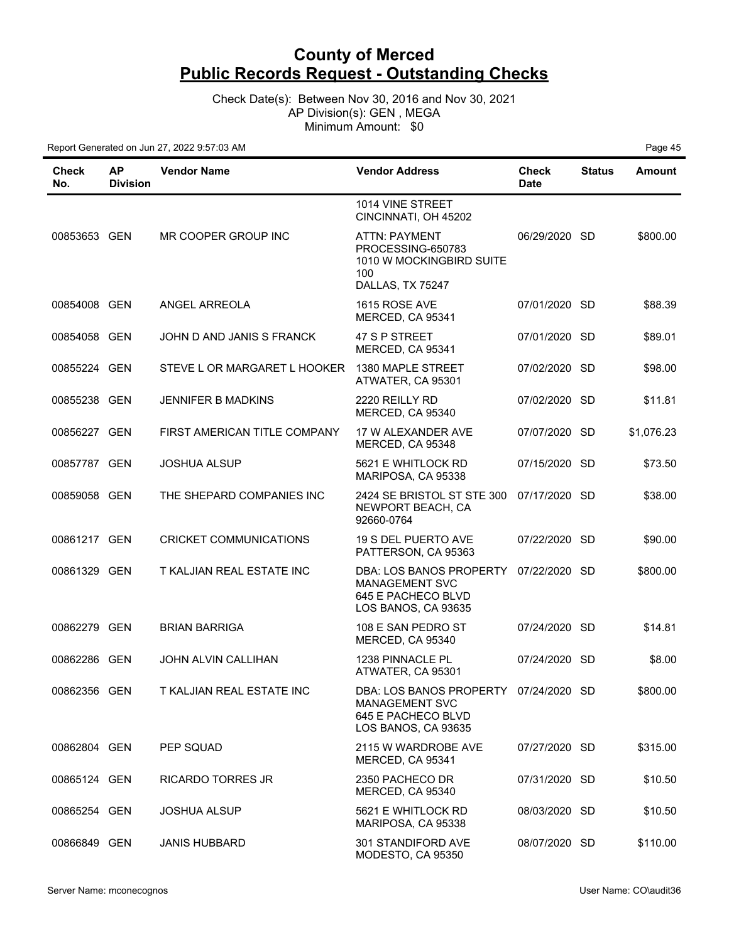Check Date(s): Between Nov 30, 2016 and Nov 30, 2021 AP Division(s): GEN , MEGA Minimum Amount: \$0

| Check<br>No. | <b>AP</b><br><b>Division</b> | <b>Vendor Name</b>            | <b>Vendor Address</b>                                                                                       | <b>Check</b><br><b>Date</b> | <b>Status</b> | <b>Amount</b> |
|--------------|------------------------------|-------------------------------|-------------------------------------------------------------------------------------------------------------|-----------------------------|---------------|---------------|
|              |                              |                               | 1014 VINE STREET<br>CINCINNATI, OH 45202                                                                    |                             |               |               |
| 00853653 GEN |                              | MR COOPER GROUP INC           | ATTN: PAYMENT<br>PROCESSING-650783<br>1010 W MOCKINGBIRD SUITE<br>100<br>DALLAS, TX 75247                   | 06/29/2020 SD               |               | \$800.00      |
| 00854008 GEN |                              | ANGEL ARREOLA                 | 1615 ROSE AVE<br>MERCED, CA 95341                                                                           | 07/01/2020 SD               |               | \$88.39       |
| 00854058 GEN |                              | JOHN D AND JANIS S FRANCK     | 47 S P STREET<br>MERCED, CA 95341                                                                           | 07/01/2020 SD               |               | \$89.01       |
| 00855224 GEN |                              | STEVE L OR MARGARET L HOOKER  | 1380 MAPLE STREET<br>ATWATER, CA 95301                                                                      | 07/02/2020 SD               |               | \$98.00       |
| 00855238 GEN |                              | <b>JENNIFER B MADKINS</b>     | 2220 REILLY RD<br>MERCED, CA 95340                                                                          | 07/02/2020 SD               |               | \$11.81       |
| 00856227 GEN |                              | FIRST AMERICAN TITLE COMPANY  | 17 W ALEXANDER AVE<br>MERCED, CA 95348                                                                      | 07/07/2020 SD               |               | \$1,076.23    |
| 00857787 GEN |                              | <b>JOSHUA ALSUP</b>           | 5621 E WHITLOCK RD<br>MARIPOSA, CA 95338                                                                    | 07/15/2020 SD               |               | \$73.50       |
| 00859058 GEN |                              | THE SHEPARD COMPANIES INC     | 2424 SE BRISTOL ST STE 300<br>NEWPORT BEACH, CA<br>92660-0764                                               | 07/17/2020 SD               |               | \$38.00       |
| 00861217 GEN |                              | <b>CRICKET COMMUNICATIONS</b> | 19 S DEL PUERTO AVE<br>PATTERSON, CA 95363                                                                  | 07/22/2020 SD               |               | \$90.00       |
| 00861329 GEN |                              | T KALJIAN REAL ESTATE INC     | DBA: LOS BANOS PROPERTY<br><b>MANAGEMENT SVC</b><br>645 E PACHECO BLVD<br>LOS BANOS, CA 93635               | 07/22/2020 SD               |               | \$800.00      |
| 00862279 GEN |                              | <b>BRIAN BARRIGA</b>          | 108 E SAN PEDRO ST<br>MERCED, CA 95340                                                                      | 07/24/2020 SD               |               | \$14.81       |
| 00862286 GEN |                              | <b>JOHN ALVIN CALLIHAN</b>    | 1238 PINNACLE PL<br>ATWATER, CA 95301                                                                       | 07/24/2020 SD               |               | \$8.00        |
| 00862356 GEN |                              | T KALJIAN REAL ESTATE INC     | DBA: LOS BANOS PROPERTY 07/24/2020 SD<br><b>MANAGEMENT SVC</b><br>645 E PACHECO BLVD<br>LOS BANOS, CA 93635 |                             |               | \$800.00      |
| 00862804 GEN |                              | PEP SQUAD                     | 2115 W WARDROBE AVE<br>MERCED, CA 95341                                                                     | 07/27/2020 SD               |               | \$315.00      |
| 00865124 GEN |                              | RICARDO TORRES JR             | 2350 PACHECO DR<br>MERCED, CA 95340                                                                         | 07/31/2020 SD               |               | \$10.50       |
| 00865254 GEN |                              | <b>JOSHUA ALSUP</b>           | 5621 E WHITLOCK RD<br>MARIPOSA, CA 95338                                                                    | 08/03/2020 SD               |               | \$10.50       |
| 00866849 GEN |                              | <b>JANIS HUBBARD</b>          | 301 STANDIFORD AVE<br>MODESTO, CA 95350                                                                     | 08/07/2020 SD               |               | \$110.00      |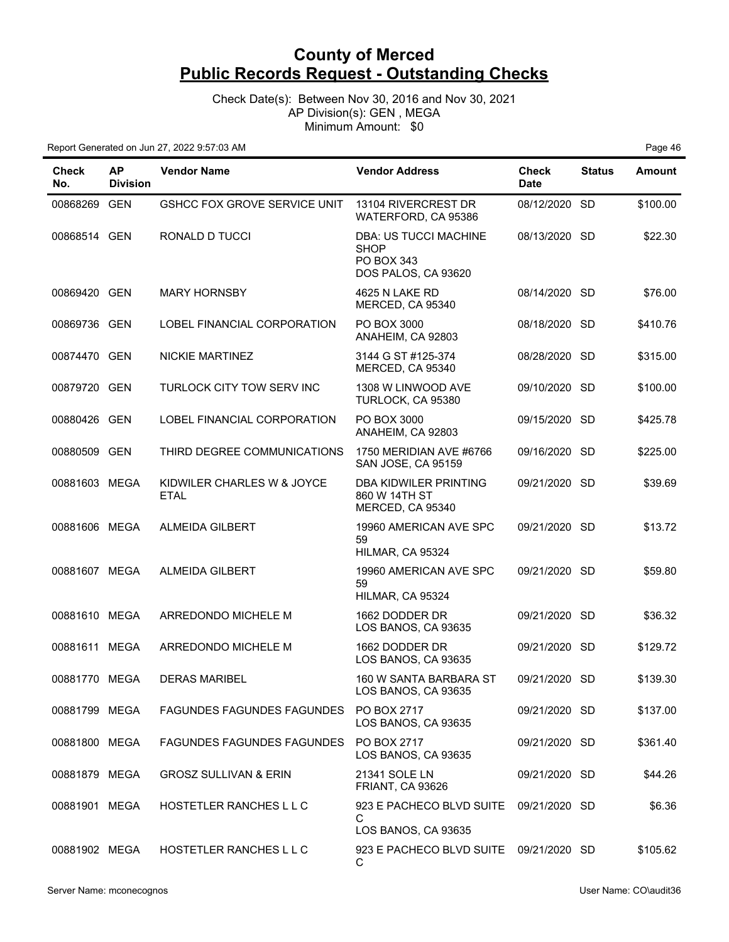Check Date(s): Between Nov 30, 2016 and Nov 30, 2021 AP Division(s): GEN , MEGA Minimum Amount: \$0

| Check<br>No.  | <b>AP</b><br><b>Division</b> | <b>Vendor Name</b>                        | <b>Vendor Address</b>                                                            | <b>Check</b><br><b>Date</b> | <b>Status</b> | Amount   |
|---------------|------------------------------|-------------------------------------------|----------------------------------------------------------------------------------|-----------------------------|---------------|----------|
| 00868269 GEN  |                              | <b>GSHCC FOX GROVE SERVICE UNIT</b>       | 13104 RIVERCREST DR<br>WATERFORD, CA 95386                                       | 08/12/2020 SD               |               | \$100.00 |
| 00868514 GEN  |                              | RONALD D TUCCI                            | <b>DBA: US TUCCI MACHINE</b><br><b>SHOP</b><br>PO BOX 343<br>DOS PALOS, CA 93620 | 08/13/2020 SD               |               | \$22.30  |
| 00869420 GEN  |                              | <b>MARY HORNSBY</b>                       | 4625 N LAKE RD<br>MERCED, CA 95340                                               | 08/14/2020 SD               |               | \$76.00  |
| 00869736 GEN  |                              | LOBEL FINANCIAL CORPORATION               | PO BOX 3000<br>ANAHEIM, CA 92803                                                 | 08/18/2020 SD               |               | \$410.76 |
| 00874470 GEN  |                              | <b>NICKIE MARTINEZ</b>                    | 3144 G ST #125-374<br>MERCED, CA 95340                                           | 08/28/2020 SD               |               | \$315.00 |
| 00879720 GEN  |                              | TURLOCK CITY TOW SERV INC                 | 1308 W LINWOOD AVE<br>TURLOCK, CA 95380                                          | 09/10/2020 SD               |               | \$100.00 |
| 00880426 GEN  |                              | LOBEL FINANCIAL CORPORATION               | PO BOX 3000<br>ANAHEIM, CA 92803                                                 | 09/15/2020 SD               |               | \$425.78 |
| 00880509 GEN  |                              | THIRD DEGREE COMMUNICATIONS               | 1750 MERIDIAN AVE #6766<br>SAN JOSE, CA 95159                                    | 09/16/2020 SD               |               | \$225.00 |
| 00881603 MEGA |                              | KIDWILER CHARLES W & JOYCE<br><b>ETAL</b> | DBA KIDWILER PRINTING<br>860 W 14TH ST<br>MERCED, CA 95340                       | 09/21/2020 SD               |               | \$39.69  |
| 00881606 MEGA |                              | <b>ALMEIDA GILBERT</b>                    | 19960 AMERICAN AVE SPC<br>59<br>HILMAR, CA 95324                                 | 09/21/2020 SD               |               | \$13.72  |
| 00881607 MEGA |                              | <b>ALMEIDA GILBERT</b>                    | 19960 AMERICAN AVE SPC<br>59<br>HILMAR, CA 95324                                 | 09/21/2020 SD               |               | \$59.80  |
| 00881610 MEGA |                              | ARREDONDO MICHELE M                       | 1662 DODDER DR<br>LOS BANOS, CA 93635                                            | 09/21/2020 SD               |               | \$36.32  |
| 00881611 MEGA |                              | ARREDONDO MICHELE M                       | 1662 DODDER DR<br>LOS BANOS, CA 93635                                            | 09/21/2020 SD               |               | \$129.72 |
| 00881770 MEGA |                              | <b>DERAS MARIBEL</b>                      | 160 W SANTA BARBARA ST<br>LOS BANOS, CA 93635                                    | 09/21/2020 SD               |               | \$139.30 |
| 00881799 MEGA |                              | <b>FAGUNDES FAGUNDES FAGUNDES</b>         | PO BOX 2717<br>LOS BANOS, CA 93635                                               | 09/21/2020 SD               |               | \$137.00 |
| 00881800 MEGA |                              | <b>FAGUNDES FAGUNDES FAGUNDES</b>         | PO BOX 2717<br>LOS BANOS, CA 93635                                               | 09/21/2020 SD               |               | \$361.40 |
| 00881879 MEGA |                              | <b>GROSZ SULLIVAN &amp; ERIN</b>          | 21341 SOLE LN<br><b>FRIANT, CA 93626</b>                                         | 09/21/2020 SD               |               | \$44.26  |
| 00881901 MEGA |                              | HOSTETLER RANCHES L L C                   | 923 E PACHECO BLVD SUITE<br>С<br>LOS BANOS, CA 93635                             | 09/21/2020 SD               |               | \$6.36   |
| 00881902 MEGA |                              | HOSTETLER RANCHES L L C                   | 923 E PACHECO BLVD SUITE<br>С                                                    | 09/21/2020 SD               |               | \$105.62 |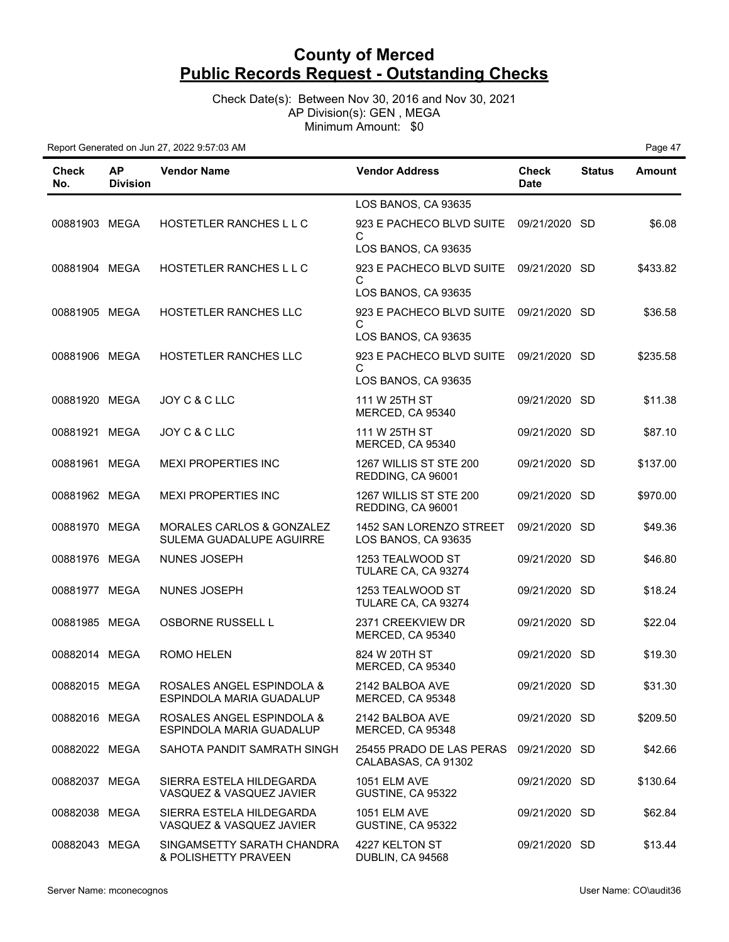Check Date(s): Between Nov 30, 2016 and Nov 30, 2021 AP Division(s): GEN , MEGA Minimum Amount: \$0

| <b>Check</b><br>No. | <b>AP</b><br><b>Division</b> | <b>Vendor Name</b>                                    | <b>Vendor Address</b>                           | Check<br><b>Date</b> | <b>Status</b> | Amount   |
|---------------------|------------------------------|-------------------------------------------------------|-------------------------------------------------|----------------------|---------------|----------|
|                     |                              |                                                       | LOS BANOS, CA 93635                             |                      |               |          |
| 00881903 MEGA       |                              | HOSTETLER RANCHES L L C                               | 923 E PACHECO BLVD SUITE                        | 09/21/2020 SD        |               | \$6.08   |
|                     |                              |                                                       | С<br>LOS BANOS, CA 93635                        |                      |               |          |
| 00881904 MEGA       |                              | HOSTETLER RANCHES L L C                               | 923 E PACHECO BLVD SUITE                        | 09/21/2020 SD        |               | \$433.82 |
|                     |                              |                                                       | С<br>LOS BANOS, CA 93635                        |                      |               |          |
| 00881905 MEGA       |                              | HOSTETLER RANCHES LLC                                 | 923 E PACHECO BLVD SUITE                        | 09/21/2020 SD        |               | \$36.58  |
|                     |                              |                                                       | С<br>LOS BANOS, CA 93635                        |                      |               |          |
| 00881906 MEGA       |                              | <b>HOSTETLER RANCHES LLC</b>                          | 923 E PACHECO BLVD SUITE                        | 09/21/2020 SD        |               | \$235.58 |
|                     |                              |                                                       | С<br>LOS BANOS, CA 93635                        |                      |               |          |
| 00881920 MEGA       |                              | JOY C & C LLC                                         | 111 W 25TH ST                                   | 09/21/2020 SD        |               | \$11.38  |
|                     |                              |                                                       | MERCED, CA 95340                                |                      |               |          |
| 00881921 MEGA       |                              | JOY C & C LLC                                         | 111 W 25TH ST<br>MERCED, CA 95340               | 09/21/2020 SD        |               | \$87.10  |
| 00881961 MEGA       |                              | <b>MEXI PROPERTIES INC</b>                            | 1267 WILLIS ST STE 200<br>REDDING, CA 96001     | 09/21/2020 SD        |               | \$137.00 |
| 00881962 MEGA       |                              | <b>MEXI PROPERTIES INC</b>                            | 1267 WILLIS ST STE 200<br>REDDING, CA 96001     | 09/21/2020 SD        |               | \$970.00 |
| 00881970 MEGA       |                              | MORALES CARLOS & GONZALEZ<br>SULEMA GUADALUPE AGUIRRE | 1452 SAN LORENZO STREET<br>LOS BANOS, CA 93635  | 09/21/2020 SD        |               | \$49.36  |
| 00881976 MEGA       |                              | NUNES JOSEPH                                          | 1253 TEALWOOD ST                                | 09/21/2020 SD        |               | \$46.80  |
|                     |                              |                                                       | TULARE CA, CA 93274                             |                      |               |          |
| 00881977 MEGA       |                              | <b>NUNES JOSEPH</b>                                   | 1253 TEALWOOD ST<br>TULARE CA, CA 93274         | 09/21/2020 SD        |               | \$18.24  |
| 00881985 MEGA       |                              | <b>OSBORNE RUSSELL L</b>                              | 2371 CREEKVIEW DR<br>MERCED, CA 95340           | 09/21/2020 SD        |               | \$22.04  |
| 00882014 MEGA       |                              | <b>ROMO HELEN</b>                                     | 824 W 20TH ST<br>MERCED, CA 95340               | 09/21/2020 SD        |               | \$19.30  |
| 00882015 MEGA       |                              | ROSALES ANGEL ESPINDOLA &<br>ESPINDOLA MARIA GUADALUP | 2142 BALBOA AVE<br>MERCED, CA 95348             | 09/21/2020 SD        |               | \$31.30  |
| 00882016 MEGA       |                              | ROSALES ANGEL ESPINDOLA &<br>ESPINDOLA MARIA GUADALUP | 2142 BALBOA AVE<br>MERCED, CA 95348             | 09/21/2020 SD        |               | \$209.50 |
| 00882022 MEGA       |                              | SAHOTA PANDIT SAMRATH SINGH                           | 25455 PRADO DE LAS PERAS<br>CALABASAS, CA 91302 | 09/21/2020 SD        |               | \$42.66  |
| 00882037 MEGA       |                              | SIERRA ESTELA HILDEGARDA<br>VASQUEZ & VASQUEZ JAVIER  | <b>1051 ELM AVE</b><br>GUSTINE, CA 95322        | 09/21/2020 SD        |               | \$130.64 |
| 00882038 MEGA       |                              | SIERRA ESTELA HILDEGARDA<br>VASQUEZ & VASQUEZ JAVIER  | <b>1051 ELM AVE</b><br>GUSTINE, CA 95322        | 09/21/2020 SD        |               | \$62.84  |
| 00882043 MEGA       |                              | SINGAMSETTY SARATH CHANDRA<br>& POLISHETTY PRAVEEN    | 4227 KELTON ST<br>DUBLIN, CA 94568              | 09/21/2020 SD        |               | \$13.44  |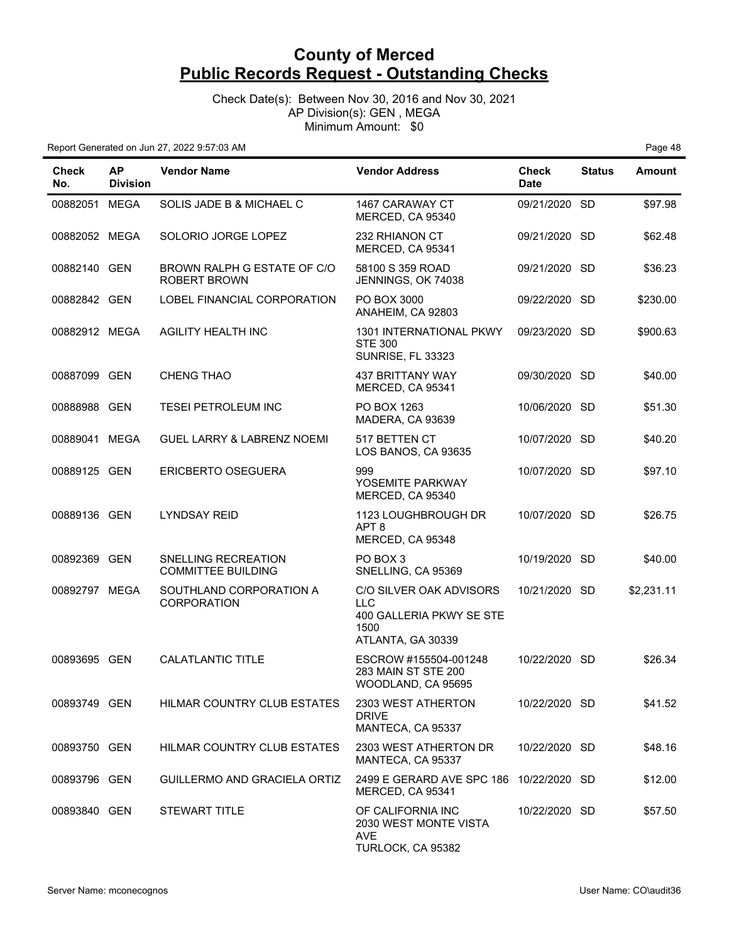Check Date(s): Between Nov 30, 2016 and Nov 30, 2021 AP Division(s): GEN , MEGA Minimum Amount: \$0

| <b>Check</b><br>No. | <b>AP</b><br><b>Division</b> | <b>Vendor Name</b>                                 | <b>Vendor Address</b>                                                                          | <b>Check</b><br><b>Date</b> | <b>Status</b> | <b>Amount</b> |
|---------------------|------------------------------|----------------------------------------------------|------------------------------------------------------------------------------------------------|-----------------------------|---------------|---------------|
| 00882051 MEGA       |                              | SOLIS JADE B & MICHAEL C                           | 1467 CARAWAY CT<br>MERCED, CA 95340                                                            | 09/21/2020 SD               |               | \$97.98       |
| 00882052 MEGA       |                              | SOLORIO JORGE LOPEZ                                | 232 RHIANON CT<br>MERCED, CA 95341                                                             | 09/21/2020 SD               |               | \$62.48       |
| 00882140 GEN        |                              | BROWN RALPH G ESTATE OF C/O<br><b>ROBERT BROWN</b> | 58100 S 359 ROAD<br>JENNINGS, OK 74038                                                         | 09/21/2020 SD               |               | \$36.23       |
| 00882842 GEN        |                              | LOBEL FINANCIAL CORPORATION                        | PO BOX 3000<br>ANAHEIM, CA 92803                                                               | 09/22/2020 SD               |               | \$230.00      |
| 00882912 MEGA       |                              | <b>AGILITY HEALTH INC</b>                          | 1301 INTERNATIONAL PKWY<br><b>STE 300</b><br><b>SUNRISE, FL 33323</b>                          | 09/23/2020 SD               |               | \$900.63      |
| 00887099 GEN        |                              | CHENG THAO                                         | 437 BRITTANY WAY<br>MERCED, CA 95341                                                           | 09/30/2020 SD               |               | \$40.00       |
| 00888988 GEN        |                              | <b>TESEI PETROLEUM INC</b>                         | PO BOX 1263<br>MADERA, CA 93639                                                                | 10/06/2020 SD               |               | \$51.30       |
| 00889041 MEGA       |                              | <b>GUEL LARRY &amp; LABRENZ NOEMI</b>              | 517 BETTEN CT<br>LOS BANOS, CA 93635                                                           | 10/07/2020 SD               |               | \$40.20       |
| 00889125 GEN        |                              | ERICBERTO OSEGUERA                                 | 999<br>YOSEMITE PARKWAY<br>MERCED, CA 95340                                                    | 10/07/2020 SD               |               | \$97.10       |
| 00889136 GEN        |                              | <b>LYNDSAY REID</b>                                | 1123 LOUGHBROUGH DR<br>APT <sub>8</sub><br>MERCED, CA 95348                                    | 10/07/2020 SD               |               | \$26.75       |
| 00892369            | <b>GEN</b>                   | SNELLING RECREATION<br><b>COMMITTEE BUILDING</b>   | PO BOX 3<br>SNELLING, CA 95369                                                                 | 10/19/2020 SD               |               | \$40.00       |
| 00892797 MEGA       |                              | SOUTHLAND CORPORATION A<br><b>CORPORATION</b>      | C/O SILVER OAK ADVISORS<br><b>LLC</b><br>400 GALLERIA PKWY SE STE<br>1500<br>ATLANTA, GA 30339 | 10/21/2020 SD               |               | \$2,231.11    |
| 00893695 GEN        |                              | <b>CALATLANTIC TITLE</b>                           | ESCROW #155504-001248<br>283 MAIN ST STE 200<br>WOODLAND, CA 95695                             | 10/22/2020 SD               |               | \$26.34       |
| 00893749 GEN        |                              | HILMAR COUNTRY CLUB ESTATES                        | 2303 WEST ATHERTON<br><b>DRIVE</b><br>MANTECA, CA 95337                                        | 10/22/2020 SD               |               | \$41.52       |
| 00893750 GEN        |                              | <b>HILMAR COUNTRY CLUB ESTATES</b>                 | 2303 WEST ATHERTON DR<br>MANTECA, CA 95337                                                     | 10/22/2020 SD               |               | \$48.16       |
| 00893796 GEN        |                              | GUILLERMO AND GRACIELA ORTIZ                       | 2499 E GERARD AVE SPC 186 10/22/2020 SD<br>MERCED, CA 95341                                    |                             |               | \$12.00       |
| 00893840 GEN        |                              | <b>STEWART TITLE</b>                               | OF CALIFORNIA INC<br>2030 WEST MONTE VISTA<br>AVE<br>TURLOCK, CA 95382                         | 10/22/2020 SD               |               | \$57.50       |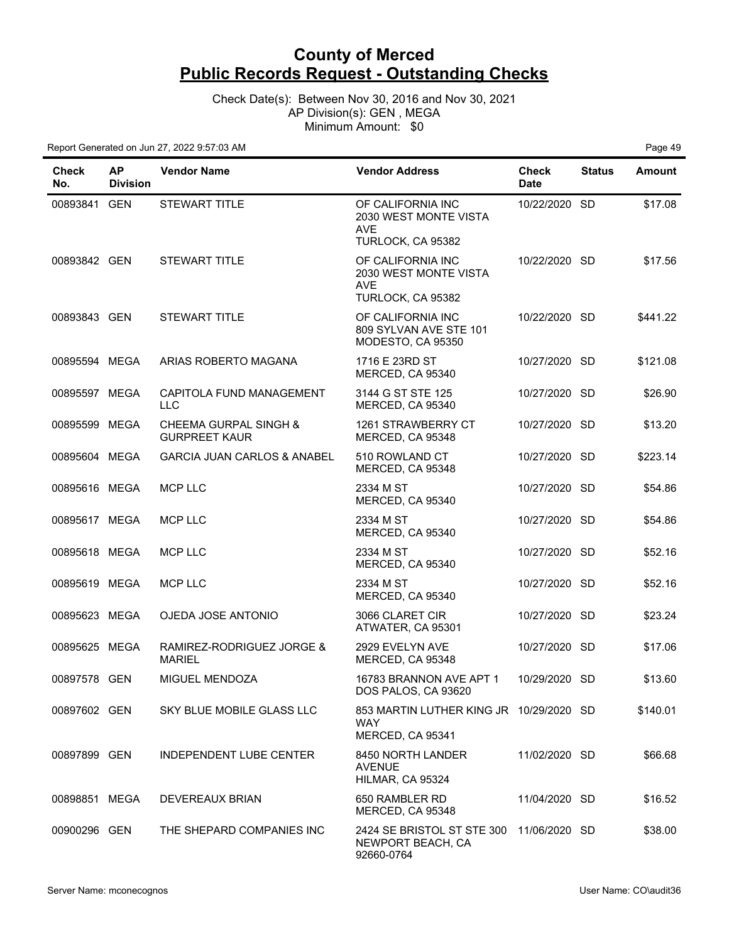Check Date(s): Between Nov 30, 2016 and Nov 30, 2021 AP Division(s): GEN , MEGA Minimum Amount: \$0

| Check<br>No.  | <b>AP</b><br><b>Division</b> | <b>Vendor Name</b>                                       | <b>Vendor Address</b>                                                         | <b>Check</b><br><b>Date</b> | <b>Status</b> | Amount   |
|---------------|------------------------------|----------------------------------------------------------|-------------------------------------------------------------------------------|-----------------------------|---------------|----------|
| 00893841 GEN  |                              | <b>STEWART TITLE</b>                                     | OF CALIFORNIA INC<br>2030 WEST MONTE VISTA<br><b>AVE</b><br>TURLOCK, CA 95382 | 10/22/2020 SD               |               | \$17.08  |
| 00893842 GEN  |                              | <b>STEWART TITLE</b>                                     | OF CALIFORNIA INC<br>2030 WEST MONTE VISTA<br><b>AVE</b><br>TURLOCK, CA 95382 | 10/22/2020 SD               |               | \$17.56  |
| 00893843 GEN  |                              | <b>STEWART TITLE</b>                                     | OF CALIFORNIA INC<br>809 SYLVAN AVE STE 101<br>MODESTO, CA 95350              | 10/22/2020 SD               |               | \$441.22 |
| 00895594 MEGA |                              | ARIAS ROBERTO MAGANA                                     | 1716 E 23RD ST<br>MERCED, CA 95340                                            | 10/27/2020 SD               |               | \$121.08 |
| 00895597 MEGA |                              | CAPITOLA FUND MANAGEMENT<br><b>LLC</b>                   | 3144 G ST STE 125<br>MERCED, CA 95340                                         | 10/27/2020 SD               |               | \$26.90  |
| 00895599 MEGA |                              | <b>CHEEMA GURPAL SINGH &amp;</b><br><b>GURPREET KAUR</b> | 1261 STRAWBERRY CT<br>MERCED, CA 95348                                        | 10/27/2020 SD               |               | \$13.20  |
| 00895604 MEGA |                              | <b>GARCIA JUAN CARLOS &amp; ANABEL</b>                   | 510 ROWLAND CT<br>MERCED, CA 95348                                            | 10/27/2020 SD               |               | \$223.14 |
| 00895616 MEGA |                              | MCP LLC                                                  | 2334 M ST<br>MERCED, CA 95340                                                 | 10/27/2020 SD               |               | \$54.86  |
| 00895617 MEGA |                              | <b>MCP LLC</b>                                           | 2334 M ST<br>MERCED, CA 95340                                                 | 10/27/2020 SD               |               | \$54.86  |
| 00895618 MEGA |                              | <b>MCP LLC</b>                                           | 2334 M ST<br>MERCED, CA 95340                                                 | 10/27/2020 SD               |               | \$52.16  |
| 00895619 MEGA |                              | <b>MCP LLC</b>                                           | 2334 M ST<br>MERCED, CA 95340                                                 | 10/27/2020 SD               |               | \$52.16  |
| 00895623 MEGA |                              | OJEDA JOSE ANTONIO                                       | 3066 CLARET CIR<br>ATWATER, CA 95301                                          | 10/27/2020 SD               |               | \$23.24  |
| 00895625 MEGA |                              | RAMIREZ-RODRIGUEZ JORGE &<br><b>MARIEL</b>               | 2929 EVELYN AVE<br>MERCED, CA 95348                                           | 10/27/2020 SD               |               | \$17.06  |
| 00897578 GEN  |                              | <b>MIGUEL MENDOZA</b>                                    | 16783 BRANNON AVE APT 1<br>DOS PALOS, CA 93620                                | 10/29/2020 SD               |               | \$13.60  |
| 00897602 GEN  |                              | SKY BLUE MOBILE GLASS LLC                                | 853 MARTIN LUTHER KING JR 10/29/2020 SD<br>WAY<br>MERCED, CA 95341            |                             |               | \$140.01 |
| 00897899 GEN  |                              | <b>INDEPENDENT LUBE CENTER</b>                           | 8450 NORTH LANDER<br><b>AVENUE</b><br>HILMAR, CA 95324                        | 11/02/2020 SD               |               | \$66.68  |
| 00898851 MEGA |                              | <b>DEVEREAUX BRIAN</b>                                   | 650 RAMBLER RD<br>MERCED, CA 95348                                            | 11/04/2020 SD               |               | \$16.52  |
| 00900296 GEN  |                              | THE SHEPARD COMPANIES INC                                | 2424 SE BRISTOL ST STE 300<br>NEWPORT BEACH, CA<br>92660-0764                 | 11/06/2020 SD               |               | \$38.00  |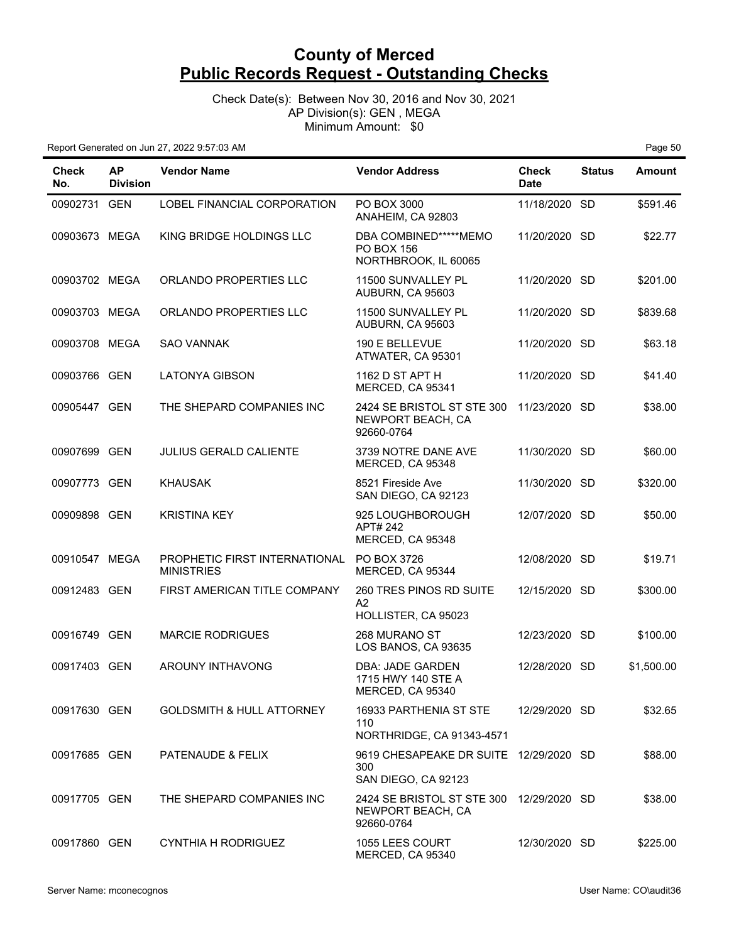Check Date(s): Between Nov 30, 2016 and Nov 30, 2021 AP Division(s): GEN , MEGA Minimum Amount: \$0

| <b>Check</b><br>No. | <b>AP</b><br><b>Division</b> | <b>Vendor Name</b>                                 | <b>Vendor Address</b>                                                       | <b>Check</b><br><b>Date</b> | <b>Status</b> | <b>Amount</b> |
|---------------------|------------------------------|----------------------------------------------------|-----------------------------------------------------------------------------|-----------------------------|---------------|---------------|
| 00902731 GEN        |                              | LOBEL FINANCIAL CORPORATION                        | PO BOX 3000<br>ANAHEIM, CA 92803                                            | 11/18/2020 SD               |               | \$591.46      |
| 00903673 MEGA       |                              | KING BRIDGE HOLDINGS LLC                           | DBA COMBINED*****MEMO<br><b>PO BOX 156</b><br>NORTHBROOK, IL 60065          | 11/20/2020 SD               |               | \$22.77       |
| 00903702 MEGA       |                              | ORLANDO PROPERTIES LLC                             | 11500 SUNVALLEY PL<br>AUBURN, CA 95603                                      | 11/20/2020 SD               |               | \$201.00      |
| 00903703 MEGA       |                              | ORLANDO PROPERTIES LLC                             | 11500 SUNVALLEY PL<br>AUBURN, CA 95603                                      | 11/20/2020 SD               |               | \$839.68      |
| 00903708 MEGA       |                              | <b>SAO VANNAK</b>                                  | 190 E BELLEVUE<br>ATWATER, CA 95301                                         | 11/20/2020 SD               |               | \$63.18       |
| 00903766 GEN        |                              | <b>LATONYA GIBSON</b>                              | 1162 D ST APT H<br>MERCED, CA 95341                                         | 11/20/2020 SD               |               | \$41.40       |
| 00905447 GEN        |                              | THE SHEPARD COMPANIES INC                          | 2424 SE BRISTOL ST STE 300<br>NEWPORT BEACH, CA<br>92660-0764               | 11/23/2020 SD               |               | \$38.00       |
| 00907699 GEN        |                              | <b>JULIUS GERALD CALIENTE</b>                      | 3739 NOTRE DANE AVE<br>MERCED, CA 95348                                     | 11/30/2020 SD               |               | \$60.00       |
| 00907773 GEN        |                              | <b>KHAUSAK</b>                                     | 8521 Fireside Ave<br>SAN DIEGO, CA 92123                                    | 11/30/2020 SD               |               | \$320.00      |
| 00909898 GEN        |                              | <b>KRISTINA KEY</b>                                | 925 LOUGHBOROUGH<br>APT# 242<br>MERCED, CA 95348                            | 12/07/2020 SD               |               | \$50.00       |
| 00910547 MEGA       |                              | PROPHETIC FIRST INTERNATIONAL<br><b>MINISTRIES</b> | PO BOX 3726<br>MERCED, CA 95344                                             | 12/08/2020 SD               |               | \$19.71       |
| 00912483 GEN        |                              | FIRST AMERICAN TITLE COMPANY                       | 260 TRES PINOS RD SUITE<br>A2<br>HOLLISTER, CA 95023                        | 12/15/2020 SD               |               | \$300.00      |
| 00916749 GEN        |                              | <b>MARCIE RODRIGUES</b>                            | 268 MURANO ST<br>LOS BANOS, CA 93635                                        | 12/23/2020 SD               |               | \$100.00      |
| 00917403            | GEN                          | AROUNY INTHAVONG                                   | DBA: JADE GARDEN<br>1715 HWY 140 STE A<br>MERCED, CA 95340                  | 12/28/2020                  | SD.           | \$1,500.00    |
| 00917630 GEN        |                              | <b>GOLDSMITH &amp; HULL ATTORNEY</b>               | 16933 PARTHENIA ST STE<br>110<br>NORTHRIDGE, CA 91343-4571                  | 12/29/2020 SD               |               | \$32.65       |
| 00917685 GEN        |                              | PATENAUDE & FELIX                                  | 9619 CHESAPEAKE DR SUITE 12/29/2020 SD<br>300<br>SAN DIEGO, CA 92123        |                             |               | \$88.00       |
| 00917705 GEN        |                              | THE SHEPARD COMPANIES INC                          | 2424 SE BRISTOL ST STE 300 12/29/2020 SD<br>NEWPORT BEACH, CA<br>92660-0764 |                             |               | \$38.00       |
| 00917860 GEN        |                              | <b>CYNTHIA H RODRIGUEZ</b>                         | 1055 LEES COURT<br>MERCED, CA 95340                                         | 12/30/2020 SD               |               | \$225.00      |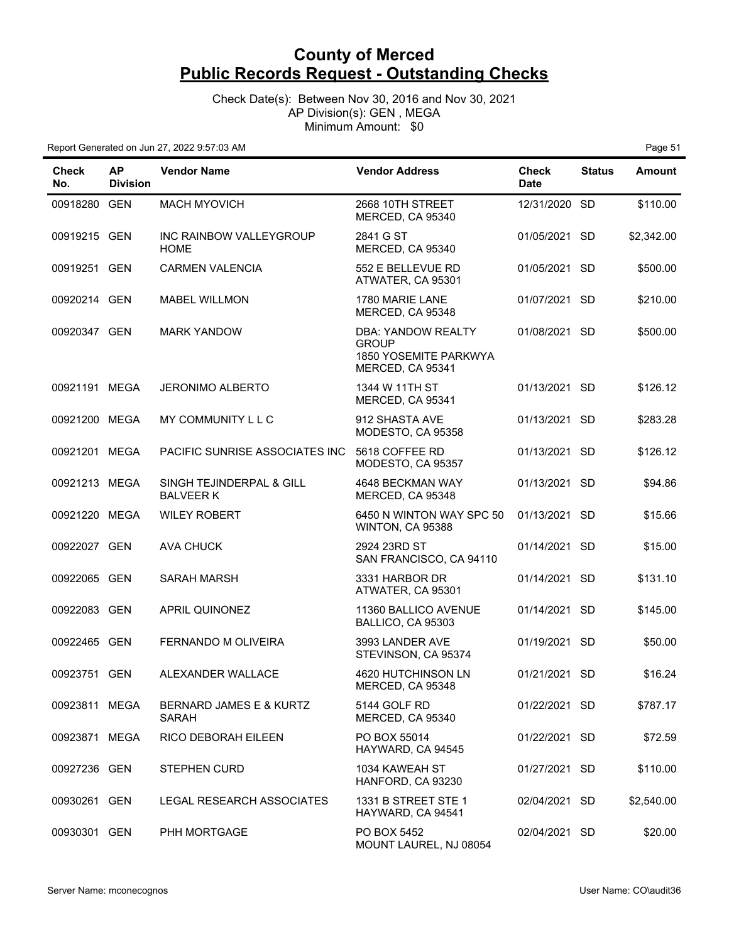Check Date(s): Between Nov 30, 2016 and Nov 30, 2021 AP Division(s): GEN , MEGA Minimum Amount: \$0

| <b>Check</b><br>No. | <b>AP</b><br><b>Division</b> | <b>Vendor Name</b>                           | <b>Vendor Address</b>                                                           | Check<br><b>Date</b> | <b>Status</b> | Amount     |
|---------------------|------------------------------|----------------------------------------------|---------------------------------------------------------------------------------|----------------------|---------------|------------|
| 00918280 GEN        |                              | <b>MACH MYOVICH</b>                          | 2668 10TH STREET<br>MERCED, CA 95340                                            | 12/31/2020 SD        |               | \$110.00   |
| 00919215 GEN        |                              | INC RAINBOW VALLEYGROUP<br><b>HOME</b>       | 2841 G ST<br>MERCED, CA 95340                                                   | 01/05/2021 SD        |               | \$2,342.00 |
| 00919251 GEN        |                              | <b>CARMEN VALENCIA</b>                       | 552 E BELLEVUE RD<br>ATWATER, CA 95301                                          | 01/05/2021 SD        |               | \$500.00   |
| 00920214 GEN        |                              | <b>MABEL WILLMON</b>                         | 1780 MARIE LANE<br>MERCED, CA 95348                                             | 01/07/2021 SD        |               | \$210.00   |
| 00920347 GEN        |                              | <b>MARK YANDOW</b>                           | DBA: YANDOW REALTY<br><b>GROUP</b><br>1850 YOSEMITE PARKWYA<br>MERCED, CA 95341 | 01/08/2021 SD        |               | \$500.00   |
| 00921191 MEGA       |                              | <b>JERONIMO ALBERTO</b>                      | 1344 W 11TH ST<br>MERCED, CA 95341                                              | 01/13/2021           | <b>SD</b>     | \$126.12   |
| 00921200 MEGA       |                              | MY COMMUNITY L L C                           | 912 SHASTA AVE<br>MODESTO, CA 95358                                             | 01/13/2021 SD        |               | \$283.28   |
| 00921201 MEGA       |                              | <b>PACIFIC SUNRISE ASSOCIATES INC</b>        | 5618 COFFEE RD<br>MODESTO, CA 95357                                             | 01/13/2021 SD        |               | \$126.12   |
| 00921213 MEGA       |                              | SINGH TEJINDERPAL & GILL<br><b>BALVEER K</b> | 4648 BECKMAN WAY<br>MERCED, CA 95348                                            | 01/13/2021 SD        |               | \$94.86    |
| 00921220 MEGA       |                              | <b>WILEY ROBERT</b>                          | 6450 N WINTON WAY SPC 50<br>WINTON, CA 95388                                    | 01/13/2021 SD        |               | \$15.66    |
| 00922027 GEN        |                              | AVA CHUCK                                    | 2924 23RD ST<br>SAN FRANCISCO, CA 94110                                         | 01/14/2021 SD        |               | \$15.00    |
| 00922065 GEN        |                              | <b>SARAH MARSH</b>                           | 3331 HARBOR DR<br>ATWATER, CA 95301                                             | 01/14/2021 SD        |               | \$131.10   |
| 00922083 GEN        |                              | APRIL QUINONEZ                               | 11360 BALLICO AVENUE<br>BALLICO, CA 95303                                       | 01/14/2021 SD        |               | \$145.00   |
| 00922465 GEN        |                              | FERNANDO M OLIVEIRA                          | 3993 LANDER AVE<br>STEVINSON, CA 95374                                          | 01/19/2021 SD        |               | \$50.00    |
| 00923751 GEN        |                              | ALEXANDER WALLACE                            | 4620 HUTCHINSON LN<br><b>MERCED. CA 95348</b>                                   | 01/21/2021 SD        |               | \$16.24    |
| 00923811 MEGA       |                              | BERNARD JAMES E & KURTZ<br><b>SARAH</b>      | 5144 GOLF RD<br>MERCED, CA 95340                                                | 01/22/2021 SD        |               | \$787.17   |
| 00923871 MEGA       |                              | RICO DEBORAH EILEEN                          | PO BOX 55014<br>HAYWARD, CA 94545                                               | 01/22/2021 SD        |               | \$72.59    |
| 00927236 GEN        |                              | <b>STEPHEN CURD</b>                          | 1034 KAWEAH ST<br>HANFORD, CA 93230                                             | 01/27/2021 SD        |               | \$110.00   |
| 00930261 GEN        |                              | LEGAL RESEARCH ASSOCIATES                    | 1331 B STREET STE 1<br>HAYWARD, CA 94541                                        | 02/04/2021 SD        |               | \$2,540.00 |
| 00930301 GEN        |                              | PHH MORTGAGE                                 | PO BOX 5452<br>MOUNT LAUREL, NJ 08054                                           | 02/04/2021 SD        |               | \$20.00    |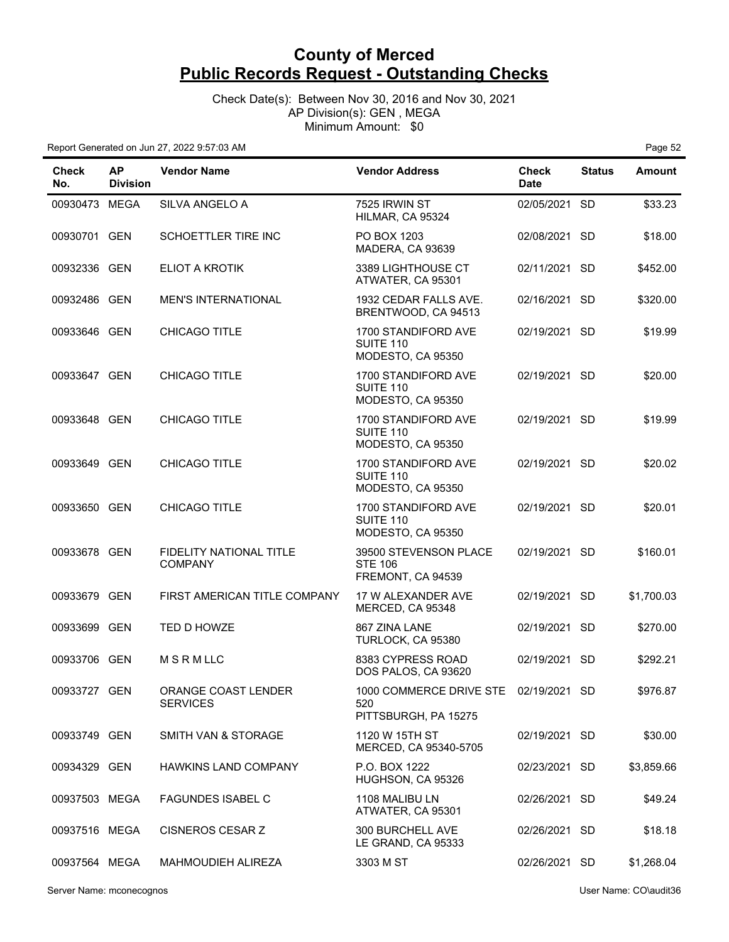Check Date(s): Between Nov 30, 2016 and Nov 30, 2021 AP Division(s): GEN , MEGA Minimum Amount: \$0

| Check<br>No.  | <b>AP</b><br><b>Division</b> | <b>Vendor Name</b>                               | <b>Vendor Address</b>                                                | <b>Check</b><br><b>Date</b> | <b>Status</b> | <b>Amount</b> |
|---------------|------------------------------|--------------------------------------------------|----------------------------------------------------------------------|-----------------------------|---------------|---------------|
| 00930473 MEGA |                              | SILVA ANGELO A                                   | 7525 IRWIN ST<br>HILMAR, CA 95324                                    | 02/05/2021                  | <b>SD</b>     | \$33.23       |
| 00930701 GEN  |                              | <b>SCHOETTLER TIRE INC</b>                       | PO BOX 1203<br>MADERA, CA 93639                                      | 02/08/2021 SD               |               | \$18.00       |
| 00932336 GEN  |                              | ELIOT A KROTIK                                   | 3389 LIGHTHOUSE CT<br>ATWATER, CA 95301                              | 02/11/2021 SD               |               | \$452.00      |
| 00932486 GEN  |                              | <b>MEN'S INTERNATIONAL</b>                       | 1932 CEDAR FALLS AVE.<br>BRENTWOOD, CA 94513                         | 02/16/2021 SD               |               | \$320.00      |
| 00933646 GEN  |                              | CHICAGO TITLE                                    | 1700 STANDIFORD AVE<br><b>SUITE 110</b><br>MODESTO, CA 95350         | 02/19/2021 SD               |               | \$19.99       |
| 00933647 GEN  |                              | <b>CHICAGO TITLE</b>                             | 1700 STANDIFORD AVE<br><b>SUITE 110</b><br>MODESTO, CA 95350         | 02/19/2021 SD               |               | \$20.00       |
| 00933648 GEN  |                              | CHICAGO TITLE                                    | 1700 STANDIFORD AVE<br>SUITE 110<br>MODESTO, CA 95350                | 02/19/2021 SD               |               | \$19.99       |
| 00933649 GEN  |                              | CHICAGO TITLE                                    | 1700 STANDIFORD AVE<br><b>SUITE 110</b><br>MODESTO, CA 95350         | 02/19/2021 SD               |               | \$20.02       |
| 00933650 GEN  |                              | <b>CHICAGO TITLE</b>                             | 1700 STANDIFORD AVE<br>SUITE 110<br>MODESTO, CA 95350                | 02/19/2021 SD               |               | \$20.01       |
| 00933678 GEN  |                              | <b>FIDELITY NATIONAL TITLE</b><br><b>COMPANY</b> | 39500 STEVENSON PLACE<br><b>STE 106</b><br>FREMONT, CA 94539         | 02/19/2021 SD               |               | \$160.01      |
| 00933679 GEN  |                              | FIRST AMERICAN TITLE COMPANY                     | 17 W ALEXANDER AVE<br>MERCED, CA 95348                               | 02/19/2021 SD               |               | \$1,700.03    |
| 00933699 GEN  |                              | TED D HOWZE                                      | 867 ZINA LANE<br>TURLOCK, CA 95380                                   | 02/19/2021 SD               |               | \$270.00      |
| 00933706 GEN  |                              | MSRMLLC                                          | 8383 CYPRESS ROAD<br>DOS PALOS, CA 93620                             | 02/19/2021 SD               |               | \$292.21      |
| 00933727 GEN  |                              | ORANGE COAST LENDER<br><b>SERVICES</b>           | 1000 COMMERCE DRIVE STE 02/19/2021 SD<br>520<br>PITTSBURGH, PA 15275 |                             |               | \$976.87      |
| 00933749 GEN  |                              | SMITH VAN & STORAGE                              | 1120 W 15TH ST<br>MERCED, CA 95340-5705                              | 02/19/2021 SD               |               | \$30.00       |
| 00934329 GEN  |                              | HAWKINS LAND COMPANY                             | P.O. BOX 1222<br>HUGHSON, CA 95326                                   | 02/23/2021 SD               |               | \$3,859.66    |
| 00937503 MEGA |                              | <b>FAGUNDES ISABEL C</b>                         | 1108 MALIBU LN<br>ATWATER, CA 95301                                  | 02/26/2021 SD               |               | \$49.24       |
| 00937516 MEGA |                              | CISNEROS CESAR Z                                 | 300 BURCHELL AVE<br>LE GRAND, CA 95333                               | 02/26/2021 SD               |               | \$18.18       |
| 00937564 MEGA |                              | MAHMOUDIEH ALIREZA                               | 3303 M ST                                                            | 02/26/2021 SD               |               | \$1,268.04    |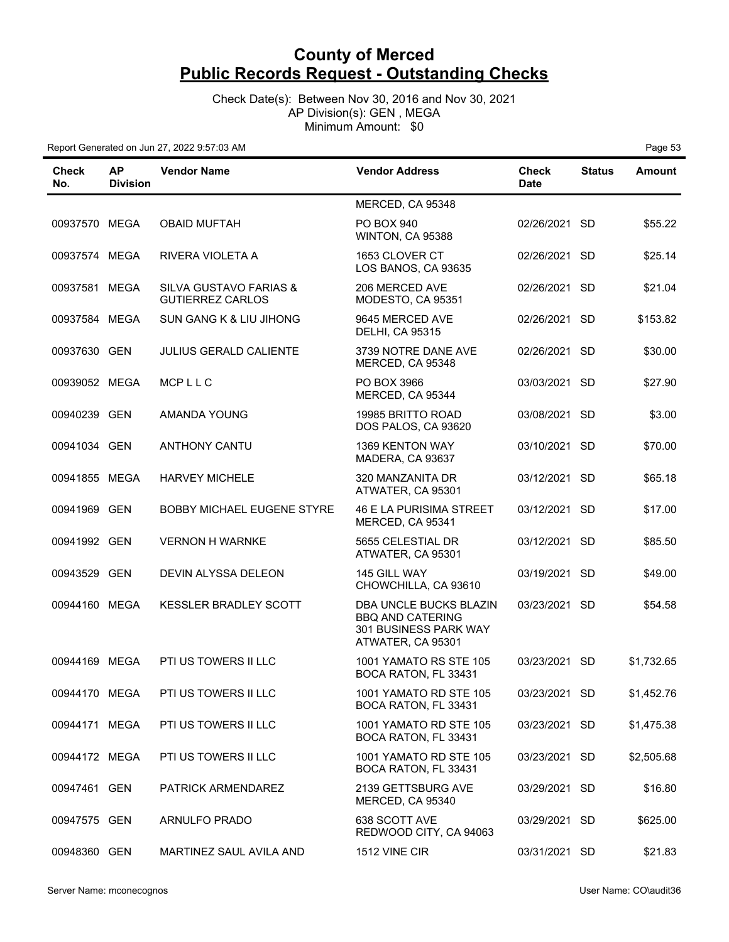Check Date(s): Between Nov 30, 2016 and Nov 30, 2021 AP Division(s): GEN , MEGA Minimum Amount: \$0

| Check<br>No.  | <b>AP</b><br><b>Division</b> | <b>Vendor Name</b>                                | <b>Vendor Address</b>                                                                           | <b>Check</b><br><b>Date</b> | <b>Status</b> | <b>Amount</b> |
|---------------|------------------------------|---------------------------------------------------|-------------------------------------------------------------------------------------------------|-----------------------------|---------------|---------------|
|               |                              |                                                   | MERCED, CA 95348                                                                                |                             |               |               |
| 00937570 MEGA |                              | <b>OBAID MUFTAH</b>                               | <b>PO BOX 940</b><br>WINTON, CA 95388                                                           | 02/26/2021 SD               |               | \$55.22       |
| 00937574 MEGA |                              | RIVERA VIOLETA A                                  | 1653 CLOVER CT<br>LOS BANOS, CA 93635                                                           | 02/26/2021 SD               |               | \$25.14       |
| 00937581 MEGA |                              | SILVA GUSTAVO FARIAS &<br><b>GUTIERREZ CARLOS</b> | 206 MERCED AVE<br>MODESTO, CA 95351                                                             | 02/26/2021 SD               |               | \$21.04       |
| 00937584 MEGA |                              | <b>SUN GANG K &amp; LIU JIHONG</b>                | 9645 MERCED AVE<br><b>DELHI, CA 95315</b>                                                       | 02/26/2021 SD               |               | \$153.82      |
| 00937630 GEN  |                              | <b>JULIUS GERALD CALIENTE</b>                     | 3739 NOTRE DANE AVE<br>MERCED, CA 95348                                                         | 02/26/2021 SD               |               | \$30.00       |
| 00939052 MEGA |                              | MCPLLC                                            | PO BOX 3966<br>MERCED, CA 95344                                                                 | 03/03/2021 SD               |               | \$27.90       |
| 00940239 GEN  |                              | AMANDA YOUNG                                      | 19985 BRITTO ROAD<br>DOS PALOS, CA 93620                                                        | 03/08/2021 SD               |               | \$3.00        |
| 00941034 GEN  |                              | <b>ANTHONY CANTU</b>                              | <b>1369 KENTON WAY</b><br>MADERA, CA 93637                                                      | 03/10/2021 SD               |               | \$70.00       |
| 00941855 MEGA |                              | <b>HARVEY MICHELE</b>                             | 320 MANZANITA DR<br>ATWATER, CA 95301                                                           | 03/12/2021 SD               |               | \$65.18       |
| 00941969 GEN  |                              | BOBBY MICHAEL EUGENE STYRE                        | <b>46 E LA PURISIMA STREET</b><br>MERCED, CA 95341                                              | 03/12/2021 SD               |               | \$17.00       |
| 00941992 GEN  |                              | <b>VERNON H WARNKE</b>                            | 5655 CELESTIAL DR<br>ATWATER, CA 95301                                                          | 03/12/2021 SD               |               | \$85.50       |
| 00943529 GEN  |                              | DEVIN ALYSSA DELEON                               | 145 GILL WAY<br>CHOWCHILLA, CA 93610                                                            | 03/19/2021 SD               |               | \$49.00       |
| 00944160 MEGA |                              | KESSLER BRADLEY SCOTT                             | DBA UNCLE BUCKS BLAZIN<br><b>BBO AND CATERING</b><br>301 BUSINESS PARK WAY<br>ATWATER, CA 95301 | 03/23/2021 SD               |               | \$54.58       |
| 00944169 MEGA |                              | PTI US TOWERS II LLC                              | 1001 YAMATO RS STE 105<br>BOCA RATON, FL 33431                                                  | 03/23/2021                  | SD.           | \$1,732.65    |
| 00944170 MEGA |                              | PTI US TOWERS II LLC                              | 1001 YAMATO RD STE 105<br>BOCA RATON, FL 33431                                                  | 03/23/2021 SD               |               | \$1,452.76    |
| 00944171 MEGA |                              | PTI US TOWERS II LLC                              | 1001 YAMATO RD STE 105<br>BOCA RATON, FL 33431                                                  | 03/23/2021 SD               |               | \$1,475.38    |
| 00944172 MEGA |                              | PTI US TOWERS II LLC                              | 1001 YAMATO RD STE 105<br>BOCA RATON, FL 33431                                                  | 03/23/2021 SD               |               | \$2,505.68    |
| 00947461 GEN  |                              | PATRICK ARMENDAREZ                                | 2139 GETTSBURG AVE<br>MERCED, CA 95340                                                          | 03/29/2021 SD               |               | \$16.80       |
| 00947575 GEN  |                              | ARNULFO PRADO                                     | 638 SCOTT AVE<br>REDWOOD CITY, CA 94063                                                         | 03/29/2021 SD               |               | \$625.00      |
| 00948360 GEN  |                              | MARTINEZ SAUL AVILA AND                           | 1512 VINE CIR                                                                                   | 03/31/2021 SD               |               | \$21.83       |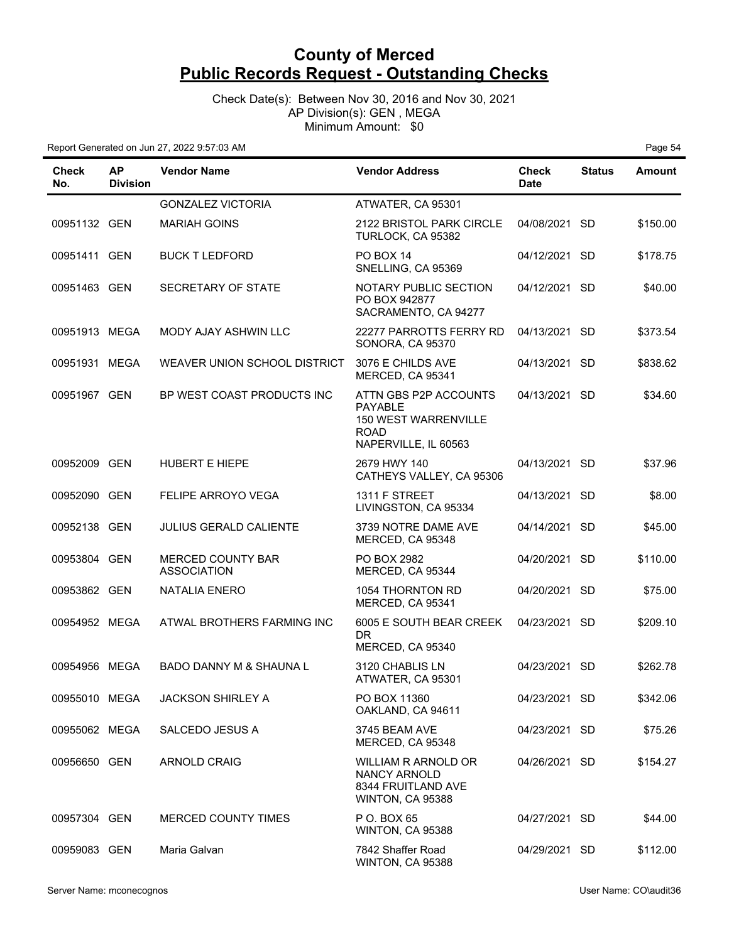Check Date(s): Between Nov 30, 2016 and Nov 30, 2021 AP Division(s): GEN , MEGA Minimum Amount: \$0

| Check<br>No.  | <b>AP</b><br><b>Division</b> | <b>Vendor Name</b>                             | <b>Vendor Address</b>                                                                                  | <b>Check</b><br><b>Date</b> | <b>Status</b> | <b>Amount</b> |
|---------------|------------------------------|------------------------------------------------|--------------------------------------------------------------------------------------------------------|-----------------------------|---------------|---------------|
|               |                              | <b>GONZALEZ VICTORIA</b>                       | ATWATER, CA 95301                                                                                      |                             |               |               |
| 00951132 GEN  |                              | <b>MARIAH GOINS</b>                            | 2122 BRISTOL PARK CIRCLE<br>TURLOCK, CA 95382                                                          | 04/08/2021 SD               |               | \$150.00      |
| 00951411 GEN  |                              | <b>BUCK T LEDFORD</b>                          | PO BOX 14<br>SNELLING, CA 95369                                                                        | 04/12/2021 SD               |               | \$178.75      |
| 00951463 GEN  |                              | SECRETARY OF STATE                             | NOTARY PUBLIC SECTION<br>PO BOX 942877<br>SACRAMENTO, CA 94277                                         | 04/12/2021 SD               |               | \$40.00       |
| 00951913 MEGA |                              | MODY AJAY ASHWIN LLC                           | 22277 PARROTTS FERRY RD<br>SONORA, CA 95370                                                            | 04/13/2021 SD               |               | \$373.54      |
| 00951931 MEGA |                              | WEAVER UNION SCHOOL DISTRICT                   | 3076 E CHILDS AVE<br>MERCED, CA 95341                                                                  | 04/13/2021 SD               |               | \$838.62      |
| 00951967 GEN  |                              | BP WEST COAST PRODUCTS INC                     | ATTN GBS P2P ACCOUNTS<br><b>PAYABLE</b><br>150 WEST WARRENVILLE<br><b>ROAD</b><br>NAPERVILLE, IL 60563 | 04/13/2021 SD               |               | \$34.60       |
| 00952009 GEN  |                              | HUBERT E HIEPE                                 | 2679 HWY 140<br>CATHEYS VALLEY, CA 95306                                                               | 04/13/2021 SD               |               | \$37.96       |
| 00952090 GEN  |                              | FELIPE ARROYO VEGA                             | 1311 F STREET<br>LIVINGSTON, CA 95334                                                                  | 04/13/2021 SD               |               | \$8.00        |
| 00952138 GEN  |                              | <b>JULIUS GERALD CALIENTE</b>                  | 3739 NOTRE DAME AVE<br>MERCED, CA 95348                                                                | 04/14/2021 SD               |               | \$45.00       |
| 00953804 GEN  |                              | <b>MERCED COUNTY BAR</b><br><b>ASSOCIATION</b> | PO BOX 2982<br>MERCED, CA 95344                                                                        | 04/20/2021 SD               |               | \$110.00      |
| 00953862 GEN  |                              | <b>NATALIA ENERO</b>                           | 1054 THORNTON RD<br>MERCED, CA 95341                                                                   | 04/20/2021 SD               |               | \$75.00       |
| 00954952 MEGA |                              | ATWAL BROTHERS FARMING INC                     | 6005 E SOUTH BEAR CREEK<br>DR.<br>MERCED, CA 95340                                                     | 04/23/2021 SD               |               | \$209.10      |
| 00954956 MEGA |                              | <b>BADO DANNY M &amp; SHAUNA L</b>             | 3120 CHABLIS LN<br>ATWATER, CA 95301                                                                   | 04/23/2021 SD               |               | \$262.78      |
| 00955010 MEGA |                              | <b>JACKSON SHIRLEY A</b>                       | PO BOX 11360<br>OAKLAND, CA 94611                                                                      | 04/23/2021 SD               |               | \$342.06      |
| 00955062 MEGA |                              | SALCEDO JESUS A                                | 3745 BEAM AVE<br>MERCED, CA 95348                                                                      | 04/23/2021 SD               |               | \$75.26       |
| 00956650 GEN  |                              | <b>ARNOLD CRAIG</b>                            | WILLIAM R ARNOLD OR<br>NANCY ARNOLD<br>8344 FRUITLAND AVE<br>WINTON, CA 95388                          | 04/26/2021 SD               |               | \$154.27      |
| 00957304 GEN  |                              | MERCED COUNTY TIMES                            | P O. BOX 65<br>WINTON, CA 95388                                                                        | 04/27/2021 SD               |               | \$44.00       |
| 00959083 GEN  |                              | Maria Galvan                                   | 7842 Shaffer Road<br>WINTON, CA 95388                                                                  | 04/29/2021 SD               |               | \$112.00      |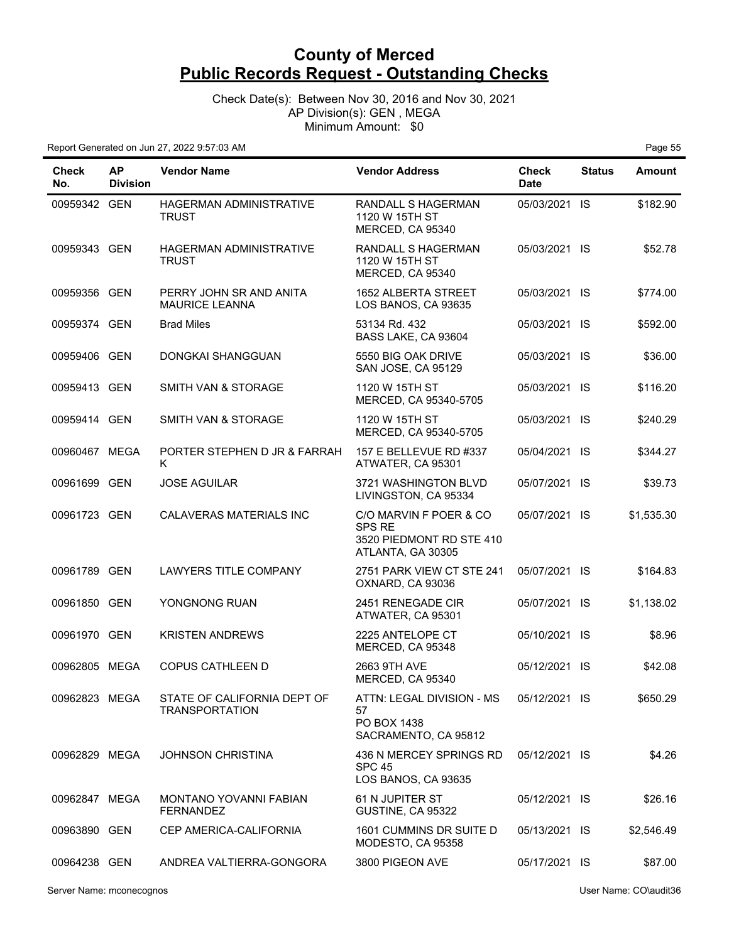Check Date(s): Between Nov 30, 2016 and Nov 30, 2021 AP Division(s): GEN , MEGA Minimum Amount: \$0

| <b>Check</b><br>No. | <b>AP</b><br><b>Division</b> | <b>Vendor Name</b>                                   | <b>Vendor Address</b>                                                                    | <b>Check</b><br><b>Date</b> | <b>Status</b> | <b>Amount</b> |
|---------------------|------------------------------|------------------------------------------------------|------------------------------------------------------------------------------------------|-----------------------------|---------------|---------------|
| 00959342 GEN        |                              | HAGERMAN ADMINISTRATIVE<br><b>TRUST</b>              | RANDALL S HAGERMAN<br>1120 W 15TH ST<br>MERCED, CA 95340                                 | 05/03/2021 IS               |               | \$182.90      |
| 00959343 GEN        |                              | <b>HAGERMAN ADMINISTRATIVE</b><br><b>TRUST</b>       | RANDALL S HAGERMAN<br>1120 W 15TH ST<br>MERCED, CA 95340                                 | 05/03/2021 IS               |               | \$52.78       |
| 00959356 GEN        |                              | PERRY JOHN SR AND ANITA<br><b>MAURICE LEANNA</b>     | <b>1652 ALBERTA STREET</b><br>LOS BANOS, CA 93635                                        | 05/03/2021 IS               |               | \$774.00      |
| 00959374 GEN        |                              | <b>Brad Miles</b>                                    | 53134 Rd. 432<br>BASS LAKE, CA 93604                                                     | 05/03/2021 IS               |               | \$592.00      |
| 00959406 GEN        |                              | DONGKAI SHANGGUAN                                    | 5550 BIG OAK DRIVE<br>SAN JOSE, CA 95129                                                 | 05/03/2021 IS               |               | \$36.00       |
| 00959413 GEN        |                              | SMITH VAN & STORAGE                                  | 1120 W 15TH ST<br>MERCED, CA 95340-5705                                                  | 05/03/2021 IS               |               | \$116.20      |
| 00959414 GEN        |                              | SMITH VAN & STORAGE                                  | 1120 W 15TH ST<br>MERCED, CA 95340-5705                                                  | 05/03/2021 IS               |               | \$240.29      |
| 00960467 MEGA       |                              | PORTER STEPHEN D JR & FARRAH<br>K                    | 157 E BELLEVUE RD #337<br>ATWATER, CA 95301                                              | 05/04/2021 IS               |               | \$344.27      |
| 00961699 GEN        |                              | <b>JOSE AGUILAR</b>                                  | 3721 WASHINGTON BLVD<br>LIVINGSTON, CA 95334                                             | 05/07/2021 IS               |               | \$39.73       |
| 00961723 GEN        |                              | CALAVERAS MATERIALS INC                              | C/O MARVIN F POER & CO<br><b>SPS RE</b><br>3520 PIEDMONT RD STE 410<br>ATLANTA, GA 30305 | 05/07/2021 IS               |               | \$1,535.30    |
| 00961789 GEN        |                              | <b>LAWYERS TITLE COMPANY</b>                         | 2751 PARK VIEW CT STE 241<br>OXNARD, CA 93036                                            | 05/07/2021 IS               |               | \$164.83      |
| 00961850 GEN        |                              | YONGNONG RUAN                                        | 2451 RENEGADE CIR<br>ATWATER, CA 95301                                                   | 05/07/2021 IS               |               | \$1,138.02    |
| 00961970 GEN        |                              | <b>KRISTEN ANDREWS</b>                               | 2225 ANTELOPE CT<br>MERCED, CA 95348                                                     | 05/10/2021 IS               |               | \$8.96        |
| 00962805 MEGA       |                              | <b>COPUS CATHLEEN D</b>                              | 2663 9TH AVE<br>MERCED, CA 95340                                                         | 05/12/2021                  | - IS          | \$42.08       |
| 00962823 MEGA       |                              | STATE OF CALIFORNIA DEPT OF<br><b>TRANSPORTATION</b> | ATTN: LEGAL DIVISION - MS<br>57<br>PO BOX 1438<br>SACRAMENTO, CA 95812                   | 05/12/2021 IS               |               | \$650.29      |
| 00962829 MEGA       |                              | <b>JOHNSON CHRISTINA</b>                             | 436 N MERCEY SPRINGS RD<br><b>SPC 45</b><br>LOS BANOS, CA 93635                          | 05/12/2021 IS               |               | \$4.26        |
| 00962847 MEGA       |                              | MONTANO YOVANNI FABIAN<br><b>FERNANDEZ</b>           | 61 N JUPITER ST<br>GUSTINE, CA 95322                                                     | 05/12/2021 IS               |               | \$26.16       |
| 00963890 GEN        |                              | CEP AMERICA-CALIFORNIA                               | 1601 CUMMINS DR SUITE D<br>MODESTO, CA 95358                                             | 05/13/2021 IS               |               | \$2,546.49    |
| 00964238 GEN        |                              | ANDREA VALTIERRA-GONGORA                             | 3800 PIGEON AVE                                                                          | 05/17/2021 IS               |               | \$87.00       |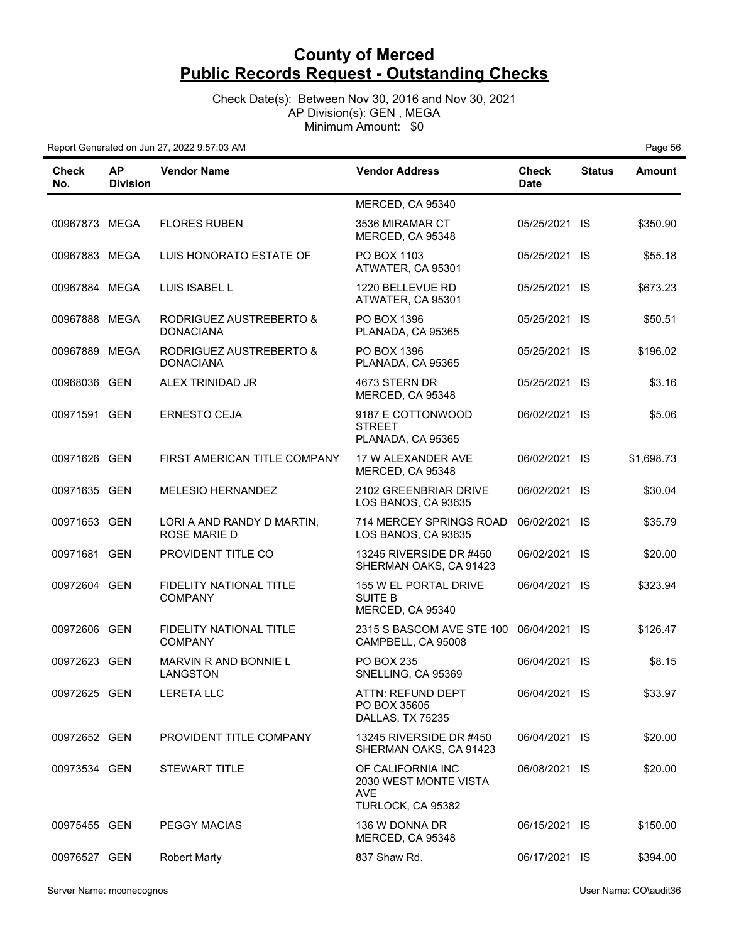Check Date(s): Between Nov 30, 2016 and Nov 30, 2021 AP Division(s): GEN , MEGA Minimum Amount: \$0

Report Generated on Jun 27, 2022 9:57:03 AM **Page 56 Page 56 Page 56 Page 56** 

| Check<br>No.  | <b>AP</b><br><b>Division</b> | <b>Vendor Name</b>                                | <b>Vendor Address</b>                                                  | Check<br><b>Date</b> | <b>Status</b> | <b>Amount</b> |
|---------------|------------------------------|---------------------------------------------------|------------------------------------------------------------------------|----------------------|---------------|---------------|
|               |                              |                                                   | MERCED, CA 95340                                                       |                      |               |               |
| 00967873 MEGA |                              | <b>FLORES RUBEN</b>                               | 3536 MIRAMAR CT<br>MERCED, CA 95348                                    | 05/25/2021 IS        |               | \$350.90      |
| 00967883 MEGA |                              | LUIS HONORATO ESTATE OF                           | PO BOX 1103<br>ATWATER, CA 95301                                       | 05/25/2021 IS        |               | \$55.18       |
| 00967884 MEGA |                              | LUIS ISABEL L                                     | 1220 BELLEVUE RD<br>ATWATER, CA 95301                                  | 05/25/2021 IS        |               | \$673.23      |
| 00967888      | MEGA                         | RODRIGUEZ AUSTREBERTO &<br><b>DONACIANA</b>       | PO BOX 1396<br>PLANADA, CA 95365                                       | 05/25/2021 IS        |               | \$50.51       |
| 00967889 MEGA |                              | RODRIGUEZ AUSTREBERTO &<br><b>DONACIANA</b>       | PO BOX 1396<br>PLANADA, CA 95365                                       | 05/25/2021 IS        |               | \$196.02      |
| 00968036 GEN  |                              | ALEX TRINIDAD JR                                  | 4673 STERN DR<br>MERCED, CA 95348                                      | 05/25/2021 IS        |               | \$3.16        |
| 00971591 GEN  |                              | <b>ERNESTO CEJA</b>                               | 9187 E COTTONWOOD<br><b>STREET</b><br>PLANADA, CA 95365                | 06/02/2021 IS        |               | \$5.06        |
| 00971626 GEN  |                              | FIRST AMERICAN TITLE COMPANY                      | 17 W ALEXANDER AVE<br>MERCED, CA 95348                                 | 06/02/2021 IS        |               | \$1,698.73    |
| 00971635 GEN  |                              | <b>MELESIO HERNANDEZ</b>                          | 2102 GREENBRIAR DRIVE<br>LOS BANOS, CA 93635                           | 06/02/2021 IS        |               | \$30.04       |
| 00971653 GEN  |                              | LORI A AND RANDY D MARTIN,<br><b>ROSE MARIE D</b> | 714 MERCEY SPRINGS ROAD<br>LOS BANOS, CA 93635                         | 06/02/2021 IS        |               | \$35.79       |
| 00971681 GEN  |                              | PROVIDENT TITLE CO                                | 13245 RIVERSIDE DR #450<br>SHERMAN OAKS, CA 91423                      | 06/02/2021 IS        |               | \$20.00       |
| 00972604 GEN  |                              | FIDELITY NATIONAL TITLE<br><b>COMPANY</b>         | 155 W EL PORTAL DRIVE<br><b>SUITE B</b><br>MERCED, CA 95340            | 06/04/2021 IS        |               | \$323.94      |
| 00972606 GEN  |                              | FIDELITY NATIONAL TITLE<br><b>COMPANY</b>         | 2315 S BASCOM AVE STE 100<br>CAMPBELL, CA 95008                        | 06/04/2021 IS        |               | \$126.47      |
| 00972623 GEN  |                              | MARVIN R AND BONNIE L<br><b>LANGSTON</b>          | <b>PO BOX 235</b><br>SNELLING, CA 95369                                | 06/04/2021 IS        |               | \$8.15        |
| 00972625 GEN  |                              | <b>LERETA LLC</b>                                 | ATTN: REFUND DEPT<br>PO BOX 35605<br>DALLAS, TX 75235                  | 06/04/2021 IS        |               | \$33.97       |
| 00972652 GEN  |                              | PROVIDENT TITLE COMPANY                           | 13245 RIVERSIDE DR #450<br>SHERMAN OAKS, CA 91423                      | 06/04/2021 IS        |               | \$20.00       |
| 00973534 GEN  |                              | <b>STEWART TITLE</b>                              | OF CALIFORNIA INC<br>2030 WEST MONTE VISTA<br>AVE<br>TURLOCK, CA 95382 | 06/08/2021 IS        |               | \$20.00       |
| 00975455 GEN  |                              | <b>PEGGY MACIAS</b>                               | 136 W DONNA DR<br>MERCED, CA 95348                                     | 06/15/2021 IS        |               | \$150.00      |
| 00976527 GEN  |                              | <b>Robert Marty</b>                               | 837 Shaw Rd.                                                           | 06/17/2021 IS        |               | \$394.00      |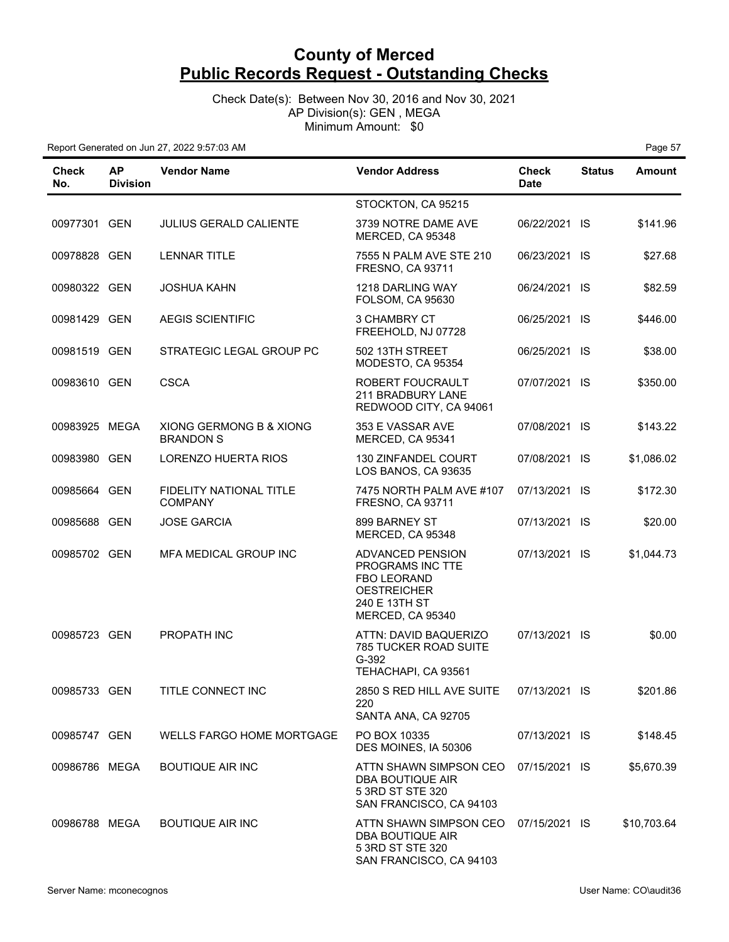Check Date(s): Between Nov 30, 2016 and Nov 30, 2021 AP Division(s): GEN , MEGA Minimum Amount: \$0

| Check<br>No.  | <b>AP</b><br><b>Division</b> | <b>Vendor Name</b>                               | <b>Vendor Address</b>                                                                                                 | Check<br><b>Date</b> | <b>Status</b> | <b>Amount</b> |
|---------------|------------------------------|--------------------------------------------------|-----------------------------------------------------------------------------------------------------------------------|----------------------|---------------|---------------|
|               |                              |                                                  | STOCKTON, CA 95215                                                                                                    |                      |               |               |
| 00977301 GEN  |                              | <b>JULIUS GERALD CALIENTE</b>                    | 3739 NOTRE DAME AVE<br>MERCED, CA 95348                                                                               | 06/22/2021 IS        |               | \$141.96      |
| 00978828 GEN  |                              | <b>LENNAR TITLE</b>                              | 7555 N PALM AVE STE 210<br>FRESNO, CA 93711                                                                           | 06/23/2021 IS        |               | \$27.68       |
| 00980322 GEN  |                              | <b>JOSHUA KAHN</b>                               | 1218 DARLING WAY<br><b>FOLSOM, CA 95630</b>                                                                           | 06/24/2021 IS        |               | \$82.59       |
| 00981429 GEN  |                              | <b>AEGIS SCIENTIFIC</b>                          | 3 CHAMBRY CT<br>FREEHOLD, NJ 07728                                                                                    | 06/25/2021 IS        |               | \$446.00      |
| 00981519 GEN  |                              | STRATEGIC LEGAL GROUP PC                         | 502 13TH STREET<br>MODESTO, CA 95354                                                                                  | 06/25/2021 IS        |               | \$38.00       |
| 00983610 GEN  |                              | <b>CSCA</b>                                      | ROBERT FOUCRAULT<br>211 BRADBURY LANE<br>REDWOOD CITY, CA 94061                                                       | 07/07/2021 IS        |               | \$350.00      |
| 00983925 MEGA |                              | XIONG GERMONG B & XIONG<br><b>BRANDON S</b>      | 353 E VASSAR AVE<br>MERCED, CA 95341                                                                                  | 07/08/2021 IS        |               | \$143.22      |
| 00983980 GEN  |                              | <b>LORENZO HUERTA RIOS</b>                       | 130 ZINFANDEL COURT<br>LOS BANOS, CA 93635                                                                            | 07/08/2021 IS        |               | \$1,086.02    |
| 00985664 GEN  |                              | <b>FIDELITY NATIONAL TITLE</b><br><b>COMPANY</b> | 7475 NORTH PALM AVE #107<br><b>FRESNO, CA 93711</b>                                                                   | 07/13/2021 IS        |               | \$172.30      |
| 00985688 GEN  |                              | <b>JOSE GARCIA</b>                               | 899 BARNEY ST<br>MERCED, CA 95348                                                                                     | 07/13/2021 IS        |               | \$20.00       |
| 00985702 GEN  |                              | MFA MEDICAL GROUP INC                            | ADVANCED PENSION<br>PROGRAMS INC TTE<br><b>FBO LEORAND</b><br><b>OESTREICHER</b><br>240 E 13TH ST<br>MERCED, CA 95340 | 07/13/2021 IS        |               | \$1,044.73    |
| 00985723 GEN  |                              | PROPATH INC                                      | ATTN: DAVID BAQUERIZO<br>785 TUCKER ROAD SUITE<br>G-392<br>TEHACHAPI, CA 93561                                        | 07/13/2021 IS        |               | \$0.00        |
| 00985733 GEN  |                              | TITLE CONNECT INC                                | 2850 S RED HILL AVE SUITE<br>220<br>SANTA ANA, CA 92705                                                               | 07/13/2021 IS        |               | \$201.86      |
| 00985747 GEN  |                              | WELLS FARGO HOME MORTGAGE                        | PO BOX 10335<br>DES MOINES, IA 50306                                                                                  | 07/13/2021 IS        |               | \$148.45      |
| 00986786 MEGA |                              | <b>BOUTIQUE AIR INC</b>                          | ATTN SHAWN SIMPSON CEO<br>DBA BOUTIQUE AIR<br>5 3RD ST STE 320<br>SAN FRANCISCO, CA 94103                             | 07/15/2021 IS        |               | \$5,670.39    |
| 00986788 MEGA |                              | <b>BOUTIQUE AIR INC</b>                          | ATTN SHAWN SIMPSON CEO<br>DBA BOUTIQUE AIR<br>5 3RD ST STE 320<br>SAN FRANCISCO, CA 94103                             | 07/15/2021 IS        |               | \$10,703.64   |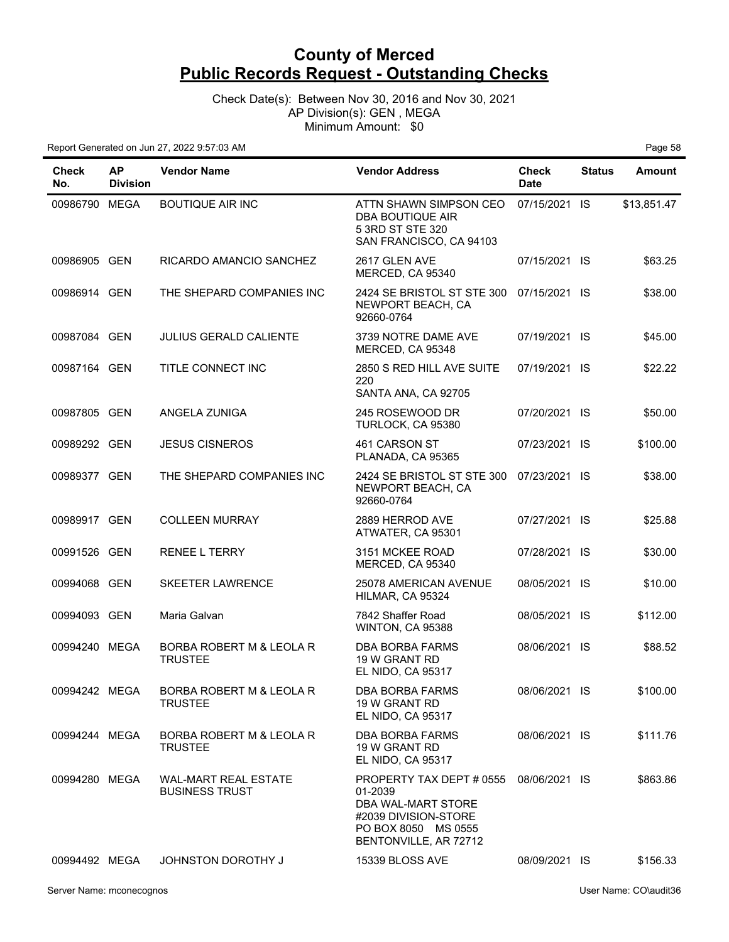Check Date(s): Between Nov 30, 2016 and Nov 30, 2021 AP Division(s): GEN , MEGA Minimum Amount: \$0

| Check<br>No.  | <b>AP</b><br><b>Division</b> | <b>Vendor Name</b>                                   | <b>Vendor Address</b>                                                                                                             | Check<br><b>Date</b> | <b>Status</b> | Amount      |
|---------------|------------------------------|------------------------------------------------------|-----------------------------------------------------------------------------------------------------------------------------------|----------------------|---------------|-------------|
| 00986790 MEGA |                              | <b>BOUTIQUE AIR INC</b>                              | ATTN SHAWN SIMPSON CEO<br>DBA BOUTIQUE AIR<br>5 3RD ST STE 320<br>SAN FRANCISCO, CA 94103                                         | 07/15/2021 IS        |               | \$13,851.47 |
| 00986905 GEN  |                              | RICARDO AMANCIO SANCHEZ                              | 2617 GLEN AVE<br>MERCED, CA 95340                                                                                                 | 07/15/2021 IS        |               | \$63.25     |
| 00986914 GEN  |                              | THE SHEPARD COMPANIES INC                            | 2424 SE BRISTOL ST STE 300<br>NEWPORT BEACH, CA<br>92660-0764                                                                     | 07/15/2021 IS        |               | \$38.00     |
| 00987084 GEN  |                              | <b>JULIUS GERALD CALIENTE</b>                        | 3739 NOTRE DAME AVE<br>MERCED, CA 95348                                                                                           | 07/19/2021 IS        |               | \$45.00     |
| 00987164 GEN  |                              | TITLE CONNECT INC                                    | 2850 S RED HILL AVE SUITE<br>220<br>SANTA ANA, CA 92705                                                                           | 07/19/2021 IS        |               | \$22.22     |
| 00987805 GEN  |                              | ANGELA ZUNIGA                                        | 245 ROSEWOOD DR<br>TURLOCK, CA 95380                                                                                              | 07/20/2021 IS        |               | \$50.00     |
| 00989292 GEN  |                              | <b>JESUS CISNEROS</b>                                | 461 CARSON ST<br>PLANADA, CA 95365                                                                                                | 07/23/2021 IS        |               | \$100.00    |
| 00989377 GEN  |                              | THE SHEPARD COMPANIES INC                            | 2424 SE BRISTOL ST STE 300<br>NEWPORT BEACH, CA<br>92660-0764                                                                     | 07/23/2021 IS        |               | \$38.00     |
| 00989917 GEN  |                              | <b>COLLEEN MURRAY</b>                                | 2889 HERROD AVE<br>ATWATER, CA 95301                                                                                              | 07/27/2021 IS        |               | \$25.88     |
| 00991526 GEN  |                              | <b>RENEE L TERRY</b>                                 | 3151 MCKEE ROAD<br>MERCED, CA 95340                                                                                               | 07/28/2021 IS        |               | \$30.00     |
| 00994068 GEN  |                              | <b>SKEETER LAWRENCE</b>                              | 25078 AMERICAN AVENUE<br>HILMAR, CA 95324                                                                                         | 08/05/2021 IS        |               | \$10.00     |
| 00994093 GEN  |                              | Maria Galvan                                         | 7842 Shaffer Road<br>WINTON, CA 95388                                                                                             | 08/05/2021 IS        |               | \$112.00    |
| 00994240 MEGA |                              | BORBA ROBERT M & LEOLA R<br><b>TRUSTEE</b>           | DBA BORBA FARMS<br>19 W GRANT RD<br>EL NIDO, CA 95317                                                                             | 08/06/2021 IS        |               | \$88.52     |
| 00994242 MEGA |                              | BORBA ROBERT M & LEOLA R<br><b>TRUSTEE</b>           | DBA BORBA FARMS<br>19 W GRANT RD<br><b>EL NIDO, CA 95317</b>                                                                      | 08/06/2021 IS        |               | \$100.00    |
| 00994244 MEGA |                              | BORBA ROBERT M & LEOLA R<br><b>TRUSTEE</b>           | DBA BORBA FARMS<br>19 W GRANT RD<br>EL NIDO, CA 95317                                                                             | 08/06/2021 IS        |               | \$111.76    |
| 00994280 MEGA |                              | <b>WAL-MART REAL ESTATE</b><br><b>BUSINESS TRUST</b> | PROPERTY TAX DEPT # 0555<br>01-2039<br>DBA WAL-MART STORE<br>#2039 DIVISION-STORE<br>PO BOX 8050 MS 0555<br>BENTONVILLE, AR 72712 | 08/06/2021 IS        |               | \$863.86    |
| 00994492 MEGA |                              | <b>JOHNSTON DOROTHY J</b>                            | 15339 BLOSS AVE                                                                                                                   | 08/09/2021 IS        |               | \$156.33    |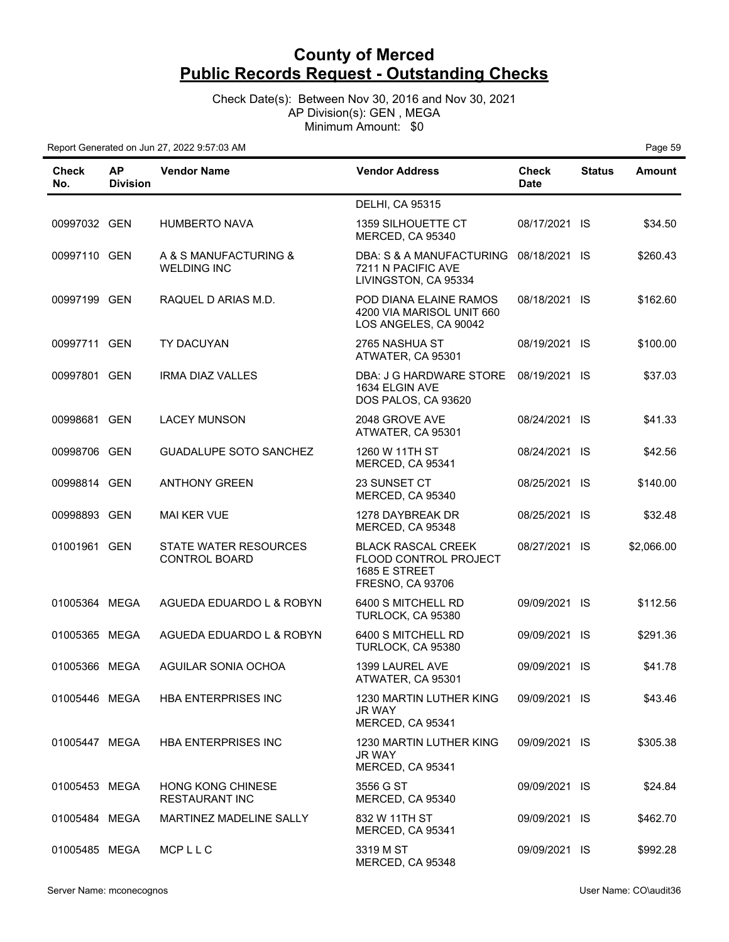Check Date(s): Between Nov 30, 2016 and Nov 30, 2021 AP Division(s): GEN , MEGA Minimum Amount: \$0

| Check<br>No.  | <b>AP</b><br><b>Division</b> | <b>Vendor Name</b>                                | <b>Vendor Address</b>                                                                          | <b>Check</b><br><b>Date</b> | <b>Status</b> | <b>Amount</b> |
|---------------|------------------------------|---------------------------------------------------|------------------------------------------------------------------------------------------------|-----------------------------|---------------|---------------|
|               |                              |                                                   | <b>DELHI, CA 95315</b>                                                                         |                             |               |               |
| 00997032 GEN  |                              | <b>HUMBERTO NAVA</b>                              | 1359 SILHOUETTE CT<br>MERCED, CA 95340                                                         | 08/17/2021 IS               |               | \$34.50       |
| 00997110 GEN  |                              | A & S MANUFACTURING &<br><b>WELDING INC</b>       | DBA: S & A MANUFACTURING 08/18/2021 IS<br>7211 N PACIFIC AVE<br>LIVINGSTON, CA 95334           |                             |               | \$260.43      |
| 00997199 GEN  |                              | RAQUEL D ARIAS M.D.                               | POD DIANA ELAINE RAMOS<br>4200 VIA MARISOL UNIT 660<br>LOS ANGELES, CA 90042                   | 08/18/2021 IS               |               | \$162.60      |
| 00997711 GEN  |                              | TY DACUYAN                                        | 2765 NASHUA ST<br>ATWATER, CA 95301                                                            | 08/19/2021 IS               |               | \$100.00      |
| 00997801 GEN  |                              | <b>IRMA DIAZ VALLES</b>                           | DBA: J G HARDWARE STORE<br>1634 ELGIN AVE<br>DOS PALOS, CA 93620                               | 08/19/2021 IS               |               | \$37.03       |
| 00998681 GEN  |                              | <b>LACEY MUNSON</b>                               | 2048 GROVE AVE<br>ATWATER, CA 95301                                                            | 08/24/2021 IS               |               | \$41.33       |
| 00998706 GEN  |                              | <b>GUADALUPE SOTO SANCHEZ</b>                     | 1260 W 11TH ST<br>MERCED, CA 95341                                                             | 08/24/2021 IS               |               | \$42.56       |
| 00998814 GEN  |                              | <b>ANTHONY GREEN</b>                              | 23 SUNSET CT<br>MERCED, CA 95340                                                               | 08/25/2021 IS               |               | \$140.00      |
| 00998893 GEN  |                              | <b>MAI KER VUE</b>                                | 1278 DAYBREAK DR<br>MERCED, CA 95348                                                           | 08/25/2021 IS               |               | \$32.48       |
| 01001961 GEN  |                              | STATE WATER RESOURCES<br><b>CONTROL BOARD</b>     | <b>BLACK RASCAL CREEK</b><br>FLOOD CONTROL PROJECT<br>1685 E STREET<br><b>FRESNO, CA 93706</b> | 08/27/2021 IS               |               | \$2,066.00    |
| 01005364 MEGA |                              | AGUEDA EDUARDO L & ROBYN                          | 6400 S MITCHELL RD<br>TURLOCK, CA 95380                                                        | 09/09/2021 IS               |               | \$112.56      |
| 01005365 MEGA |                              | AGUEDA EDUARDO L & ROBYN                          | 6400 S MITCHELL RD<br>TURLOCK, CA 95380                                                        | 09/09/2021 IS               |               | \$291.36      |
| 01005366 MEGA |                              | AGUILAR SONIA OCHOA                               | 1399 LAUREL AVE<br>ATWATER, CA 95301                                                           | 09/09/2021 IS               |               | \$41.78       |
| 01005446 MEGA |                              | HBA ENTERPRISES INC                               | 1230 MARTIN LUTHER KING<br>JR WAY<br>MERCED, CA 95341                                          | 09/09/2021 IS               |               | \$43.46       |
| 01005447 MEGA |                              | <b>HBA ENTERPRISES INC</b>                        | 1230 MARTIN LUTHER KING<br>JR WAY<br>MERCED, CA 95341                                          | 09/09/2021 IS               |               | \$305.38      |
| 01005453 MEGA |                              | <b>HONG KONG CHINESE</b><br><b>RESTAURANT INC</b> | 3556 G ST<br>MERCED, CA 95340                                                                  | 09/09/2021 IS               |               | \$24.84       |
| 01005484 MEGA |                              | MARTINEZ MADELINE SALLY                           | 832 W 11TH ST<br>MERCED, CA 95341                                                              | 09/09/2021 IS               |               | \$462.70      |
| 01005485 MEGA |                              | MCPLLC                                            | 3319 M ST<br>MERCED, CA 95348                                                                  | 09/09/2021 IS               |               | \$992.28      |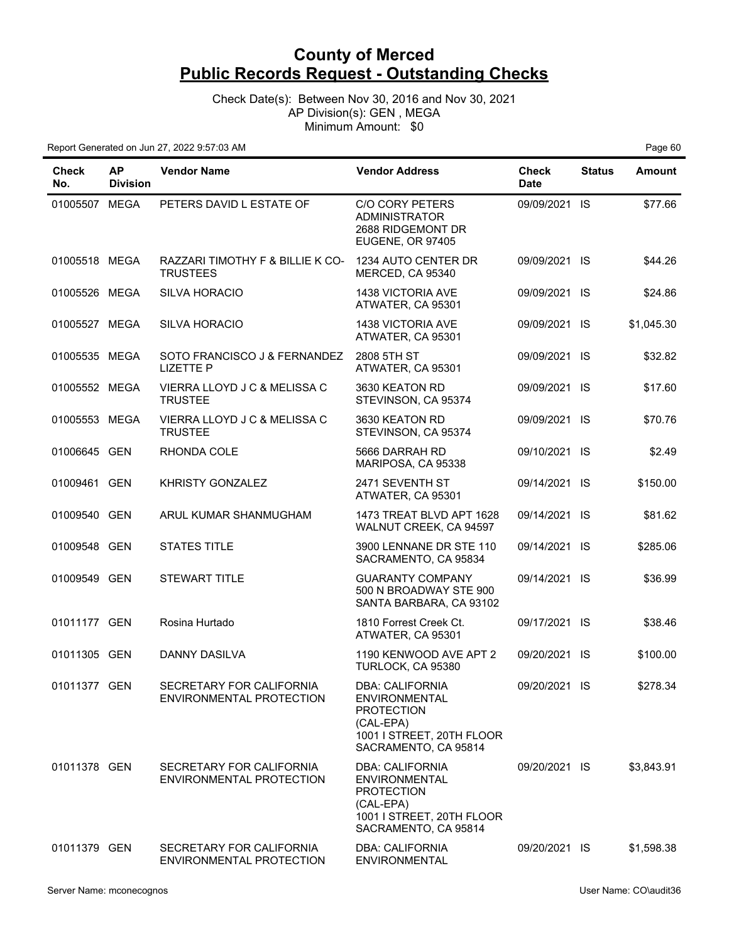Check Date(s): Between Nov 30, 2016 and Nov 30, 2021 AP Division(s): GEN , MEGA Minimum Amount: \$0

| Check<br>No.  | <b>AP</b><br><b>Division</b> | <b>Vendor Name</b>                                   | <b>Vendor Address</b>                                                                                                                 | <b>Check</b><br><b>Date</b> | <b>Status</b> | Amount     |
|---------------|------------------------------|------------------------------------------------------|---------------------------------------------------------------------------------------------------------------------------------------|-----------------------------|---------------|------------|
| 01005507 MEGA |                              | PETERS DAVID L ESTATE OF                             | <b>C/O CORY PETERS</b><br><b>ADMINISTRATOR</b><br>2688 RIDGEMONT DR<br>EUGENE, OR 97405                                               | 09/09/2021 IS               |               | \$77.66    |
| 01005518 MEGA |                              | RAZZARI TIMOTHY F & BILLIE K CO-<br><b>TRUSTEES</b>  | 1234 AUTO CENTER DR<br>MERCED, CA 95340                                                                                               | 09/09/2021 IS               |               | \$44.26    |
| 01005526 MEGA |                              | <b>SILVA HORACIO</b>                                 | <b>1438 VICTORIA AVE</b><br>ATWATER, CA 95301                                                                                         | 09/09/2021 IS               |               | \$24.86    |
| 01005527 MEGA |                              | <b>SILVA HORACIO</b>                                 | <b>1438 VICTORIA AVE</b><br>ATWATER, CA 95301                                                                                         | 09/09/2021 IS               |               | \$1,045.30 |
| 01005535 MEGA |                              | SOTO FRANCISCO J & FERNANDEZ<br><b>LIZETTE P</b>     | 2808 5TH ST<br>ATWATER, CA 95301                                                                                                      | 09/09/2021 IS               |               | \$32.82    |
| 01005552 MEGA |                              | VIERRA LLOYD J C & MELISSA C<br><b>TRUSTEE</b>       | 3630 KEATON RD<br>STEVINSON, CA 95374                                                                                                 | 09/09/2021 IS               |               | \$17.60    |
| 01005553 MEGA |                              | VIERRA LLOYD J C & MELISSA C<br><b>TRUSTEE</b>       | 3630 KEATON RD<br>STEVINSON, CA 95374                                                                                                 | 09/09/2021 IS               |               | \$70.76    |
| 01006645 GEN  |                              | RHONDA COLE                                          | 5666 DARRAH RD<br>MARIPOSA, CA 95338                                                                                                  | 09/10/2021 IS               |               | \$2.49     |
| 01009461 GEN  |                              | KHRISTY GONZALEZ                                     | 2471 SEVENTH ST<br>ATWATER, CA 95301                                                                                                  | 09/14/2021 IS               |               | \$150.00   |
| 01009540 GEN  |                              | ARUL KUMAR SHANMUGHAM                                | 1473 TREAT BLVD APT 1628<br>WALNUT CREEK, CA 94597                                                                                    | 09/14/2021 IS               |               | \$81.62    |
| 01009548 GEN  |                              | <b>STATES TITLE</b>                                  | 3900 LENNANE DR STE 110<br>SACRAMENTO, CA 95834                                                                                       | 09/14/2021 IS               |               | \$285.06   |
| 01009549 GEN  |                              | <b>STEWART TITLE</b>                                 | <b>GUARANTY COMPANY</b><br>500 N BROADWAY STE 900<br>SANTA BARBARA, CA 93102                                                          | 09/14/2021 IS               |               | \$36.99    |
| 01011177 GEN  |                              | Rosina Hurtado                                       | 1810 Forrest Creek Ct.<br>ATWATER, CA 95301                                                                                           | 09/17/2021 IS               |               | \$38.46    |
| 01011305 GEN  |                              | DANNY DASILVA                                        | 1190 KENWOOD AVE APT 2<br>TURLOCK, CA 95380                                                                                           | 09/20/2021 IS               |               | \$100.00   |
| 01011377 GEN  |                              | SECRETARY FOR CALIFORNIA<br>ENVIRONMENTAL PROTECTION | DBA: CALIFORNIA<br><b>ENVIRONMENTAL</b><br><b>PROTECTION</b><br>(CAL-EPA)<br>1001 I STREET, 20TH FLOOR<br>SACRAMENTO, CA 95814        | 09/20/2021 IS               |               | \$278.34   |
| 01011378 GEN  |                              | SECRETARY FOR CALIFORNIA<br>ENVIRONMENTAL PROTECTION | <b>DBA: CALIFORNIA</b><br><b>ENVIRONMENTAL</b><br><b>PROTECTION</b><br>(CAL-EPA)<br>1001 I STREET, 20TH FLOOR<br>SACRAMENTO, CA 95814 | 09/20/2021 IS               |               | \$3,843.91 |
| 01011379 GEN  |                              | SECRETARY FOR CALIFORNIA<br>ENVIRONMENTAL PROTECTION | <b>DBA: CALIFORNIA</b><br><b>ENVIRONMENTAL</b>                                                                                        | 09/20/2021 IS               |               | \$1,598.38 |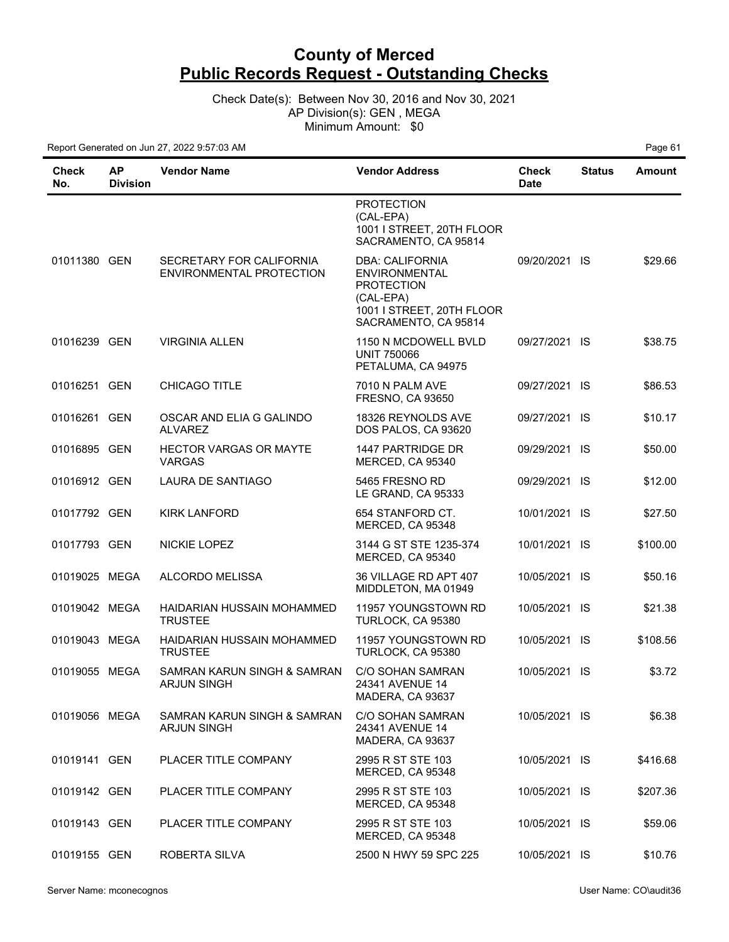Check Date(s): Between Nov 30, 2016 and Nov 30, 2021 AP Division(s): GEN , MEGA Minimum Amount: \$0

| <b>Check</b><br>No. | <b>AP</b><br><b>Division</b> | <b>Vendor Name</b>                                   | <b>Vendor Address</b>                                                                                                          | <b>Check</b><br><b>Date</b> | <b>Status</b> | <b>Amount</b> |
|---------------------|------------------------------|------------------------------------------------------|--------------------------------------------------------------------------------------------------------------------------------|-----------------------------|---------------|---------------|
|                     |                              |                                                      | <b>PROTECTION</b><br>(CAL-EPA)<br>1001 I STREET, 20TH FLOOR<br>SACRAMENTO, CA 95814                                            |                             |               |               |
| 01011380 GEN        |                              | SECRETARY FOR CALIFORNIA<br>ENVIRONMENTAL PROTECTION | <b>DBA: CALIFORNIA</b><br>ENVIRONMENTAL<br><b>PROTECTION</b><br>(CAL-EPA)<br>1001 I STREET, 20TH FLOOR<br>SACRAMENTO, CA 95814 | 09/20/2021 IS               |               | \$29.66       |
| 01016239 GEN        |                              | <b>VIRGINIA ALLEN</b>                                | 1150 N MCDOWELL BVLD<br><b>UNIT 750066</b><br>PETALUMA, CA 94975                                                               | 09/27/2021 IS               |               | \$38.75       |
| 01016251 GEN        |                              | CHICAGO TITLE                                        | 7010 N PALM AVE<br><b>FRESNO, CA 93650</b>                                                                                     | 09/27/2021 IS               |               | \$86.53       |
| 01016261 GEN        |                              | OSCAR AND ELIA G GALINDO<br><b>ALVAREZ</b>           | 18326 REYNOLDS AVE<br>DOS PALOS, CA 93620                                                                                      | 09/27/2021 IS               |               | \$10.17       |
| 01016895 GEN        |                              | <b>HECTOR VARGAS OR MAYTE</b><br><b>VARGAS</b>       | 1447 PARTRIDGE DR<br>MERCED, CA 95340                                                                                          | 09/29/2021 IS               |               | \$50.00       |
| 01016912 GEN        |                              | LAURA DE SANTIAGO                                    | 5465 FRESNO RD<br>LE GRAND, CA 95333                                                                                           | 09/29/2021 IS               |               | \$12.00       |
| 01017792 GEN        |                              | <b>KIRK LANFORD</b>                                  | 654 STANFORD CT.<br>MERCED, CA 95348                                                                                           | 10/01/2021 IS               |               | \$27.50       |
| 01017793 GEN        |                              | NICKIE LOPEZ                                         | 3144 G ST STE 1235-374<br>MERCED, CA 95340                                                                                     | 10/01/2021 IS               |               | \$100.00      |
| 01019025 MEGA       |                              | <b>ALCORDO MELISSA</b>                               | 36 VILLAGE RD APT 407<br>MIDDLETON, MA 01949                                                                                   | 10/05/2021 IS               |               | \$50.16       |
| 01019042 MEGA       |                              | HAIDARIAN HUSSAIN MOHAMMED<br><b>TRUSTEE</b>         | 11957 YOUNGSTOWN RD<br>TURLOCK, CA 95380                                                                                       | 10/05/2021 IS               |               | \$21.38       |
| 01019043 MEGA       |                              | HAIDARIAN HUSSAIN MOHAMMED<br><b>TRUSTEE</b>         | 11957 YOUNGSTOWN RD<br>TURLOCK, CA 95380                                                                                       | 10/05/2021 IS               |               | \$108.56      |
| 01019055 MEGA       |                              | SAMRAN KARUN SINGH & SAMRAN<br><b>ARJUN SINGH</b>    | C/O SOHAN SAMRAN<br>24341 AVFNUF 14<br>MADERA, CA 93637                                                                        | 10/05/2021 IS               |               | \$3.72        |
| 01019056 MEGA       |                              | SAMRAN KARUN SINGH & SAMRAN<br><b>ARJUN SINGH</b>    | C/O SOHAN SAMRAN<br>24341 AVENUE 14<br>MADERA, CA 93637                                                                        | 10/05/2021 IS               |               | \$6.38        |
| 01019141 GEN        |                              | PLACER TITLE COMPANY                                 | 2995 R ST STE 103<br>MERCED, CA 95348                                                                                          | 10/05/2021 IS               |               | \$416.68      |
| 01019142 GEN        |                              | PLACER TITLE COMPANY                                 | 2995 R ST STE 103<br>MERCED, CA 95348                                                                                          | 10/05/2021 IS               |               | \$207.36      |
| 01019143 GEN        |                              | PLACER TITLE COMPANY                                 | 2995 R ST STE 103<br>MERCED, CA 95348                                                                                          | 10/05/2021 IS               |               | \$59.06       |
| 01019155 GEN        |                              | ROBERTA SILVA                                        | 2500 N HWY 59 SPC 225                                                                                                          | 10/05/2021 IS               |               | \$10.76       |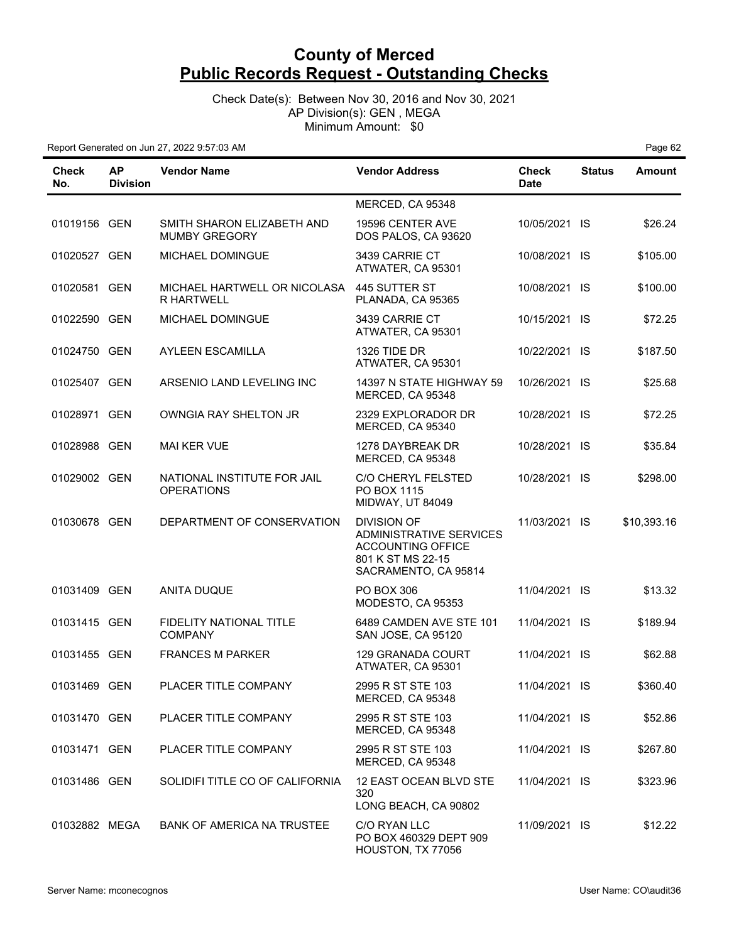Check Date(s): Between Nov 30, 2016 and Nov 30, 2021 AP Division(s): GEN , MEGA Minimum Amount: \$0

| Check<br>No.  | <b>AP</b><br><b>Division</b> | <b>Vendor Name</b>                                 | <b>Vendor Address</b>                                                                                                  | <b>Check</b><br><b>Date</b> | <b>Status</b> | <b>Amount</b> |
|---------------|------------------------------|----------------------------------------------------|------------------------------------------------------------------------------------------------------------------------|-----------------------------|---------------|---------------|
|               |                              |                                                    | MERCED, CA 95348                                                                                                       |                             |               |               |
| 01019156 GEN  |                              | SMITH SHARON ELIZABETH AND<br><b>MUMBY GREGORY</b> | 19596 CENTER AVE<br>DOS PALOS, CA 93620                                                                                | 10/05/2021 IS               |               | \$26.24       |
| 01020527 GEN  |                              | <b>MICHAEL DOMINGUE</b>                            | 3439 CARRIE CT<br>ATWATER, CA 95301                                                                                    | 10/08/2021 IS               |               | \$105.00      |
| 01020581 GEN  |                              | MICHAEL HARTWELL OR NICOLASA<br><b>R HARTWELL</b>  | 445 SUTTER ST<br>PLANADA, CA 95365                                                                                     | 10/08/2021 IS               |               | \$100.00      |
| 01022590 GEN  |                              | MICHAEL DOMINGUE                                   | 3439 CARRIE CT<br>ATWATER, CA 95301                                                                                    | 10/15/2021 IS               |               | \$72.25       |
| 01024750 GEN  |                              | <b>AYLEEN ESCAMILLA</b>                            | 1326 TIDE DR<br>ATWATER, CA 95301                                                                                      | 10/22/2021 IS               |               | \$187.50      |
| 01025407 GEN  |                              | ARSENIO LAND LEVELING INC                          | 14397 N STATE HIGHWAY 59<br>MERCED, CA 95348                                                                           | 10/26/2021 IS               |               | \$25.68       |
| 01028971 GEN  |                              | OWNGIA RAY SHELTON JR                              | 2329 EXPLORADOR DR<br>MERCED, CA 95340                                                                                 | 10/28/2021 IS               |               | \$72.25       |
| 01028988 GEN  |                              | <b>MAI KER VUE</b>                                 | 1278 DAYBREAK DR<br>MERCED, CA 95348                                                                                   | 10/28/2021 IS               |               | \$35.84       |
| 01029002 GEN  |                              | NATIONAL INSTITUTE FOR JAIL<br><b>OPERATIONS</b>   | C/O CHERYL FELSTED<br>PO BOX 1115<br><b>MIDWAY, UT 84049</b>                                                           | 10/28/2021 IS               |               | \$298.00      |
| 01030678 GEN  |                              | DEPARTMENT OF CONSERVATION                         | <b>DIVISION OF</b><br>ADMINISTRATIVE SERVICES<br><b>ACCOUNTING OFFICE</b><br>801 K ST MS 22-15<br>SACRAMENTO, CA 95814 | 11/03/2021 IS               |               | \$10,393.16   |
| 01031409 GEN  |                              | <b>ANITA DUQUE</b>                                 | <b>PO BOX 306</b><br>MODESTO, CA 95353                                                                                 | 11/04/2021 IS               |               | \$13.32       |
| 01031415 GEN  |                              | FIDELITY NATIONAL TITLE<br><b>COMPANY</b>          | 6489 CAMDEN AVE STE 101<br>SAN JOSE, CA 95120                                                                          | 11/04/2021 IS               |               | \$189.94      |
| 01031455 GEN  |                              | <b>FRANCES M PARKER</b>                            | 129 GRANADA COURT<br>ATWATER, CA 95301                                                                                 | 11/04/2021 IS               |               | \$62.88       |
| 01031469 GEN  |                              | PLACER TITLE COMPANY                               | 2995 R ST STE 103<br>MERCED, CA 95348                                                                                  | 11/04/2021 IS               |               | \$360.40      |
| 01031470 GEN  |                              | PLACER TITLE COMPANY                               | 2995 R ST STE 103<br>MERCED, CA 95348                                                                                  | 11/04/2021 IS               |               | \$52.86       |
| 01031471 GEN  |                              | PLACER TITLE COMPANY                               | 2995 R ST STE 103<br>MERCED, CA 95348                                                                                  | 11/04/2021 IS               |               | \$267.80      |
| 01031486 GEN  |                              | SOLIDIFI TITLE CO OF CALIFORNIA                    | 12 EAST OCEAN BLVD STE<br>320<br>LONG BEACH, CA 90802                                                                  | 11/04/2021 IS               |               | \$323.96      |
| 01032882 MEGA |                              | <b>BANK OF AMERICA NA TRUSTEE</b>                  | C/O RYAN LLC<br>PO BOX 460329 DEPT 909<br>HOUSTON, TX 77056                                                            | 11/09/2021 IS               |               | \$12.22       |